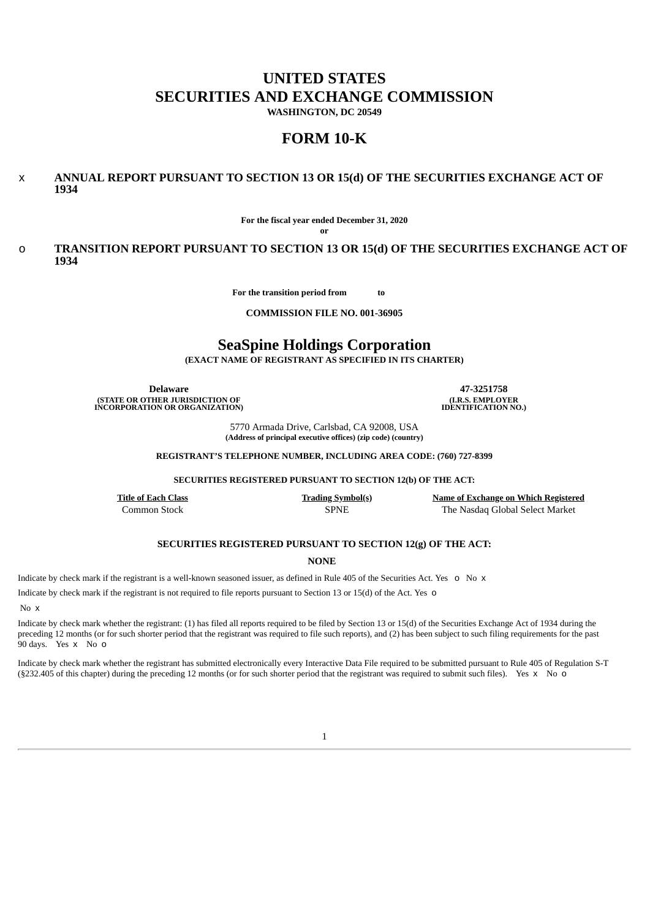# **UNITED STATES SECURITIES AND EXCHANGE COMMISSION WASHINGTON, DC 20549**

# **FORM 10-K**

## x **ANNUAL REPORT PURSUANT TO SECTION 13 OR 15(d) OF THE SECURITIES EXCHANGE ACT OF 1934**

**For the fiscal year ended December 31, 2020**

**or**

o **TRANSITION REPORT PURSUANT TO SECTION 13 OR 15(d) OF THE SECURITIES EXCHANGE ACT OF 1934**

**For the transition period from to** 

**COMMISSION FILE NO. 001-36905**

# **SeaSpine Holdings Corporation**

**(EXACT NAME OF REGISTRANT AS SPECIFIED IN ITS CHARTER)**

**Delaware 47-3251758 (STATE OR OTHER JURISDICTION OF INCORPORATION OR ORGANIZATION)**

**(I.R.S. EMPLOYER IDENTIFICATION NO.)**

5770 Armada Drive, Carlsbad, CA 92008, USA **(Address of principal executive offices) (zip code) (country)**

**REGISTRANT'S TELEPHONE NUMBER, INCLUDING AREA CODE: (760) 727-8399**

**SECURITIES REGISTERED PURSUANT TO SECTION 12(b) OF THE ACT:**

**Title of Each Class Trading Symbol(s) Name of Exchange on Which Registered** Common Stock SPNE The Nasdaq Global Select Market

## **SECURITIES REGISTERED PURSUANT TO SECTION 12(g) OF THE ACT:**

**NONE**

Indicate by check mark if the registrant is a well-known seasoned issuer, as defined in Rule 405 of the Securities Act. Yes o No x

Indicate by check mark if the registrant is not required to file reports pursuant to Section 13 or 15(d) of the Act. Yes o No x

Indicate by check mark whether the registrant: (1) has filed all reports required to be filed by Section 13 or 15(d) of the Securities Exchange Act of 1934 during the preceding 12 months (or for such shorter period that the registrant was required to file such reports), and (2) has been subject to such filing requirements for the past 90 days. Yes x No o

Indicate by check mark whether the registrant has submitted electronically every Interactive Data File required to be submitted pursuant to Rule 405 of Regulation S-T (§232.405 of this chapter) during the preceding 12 months (or for such shorter period that the registrant was required to submit such files). Yes x No  $\overline{O}$ 

1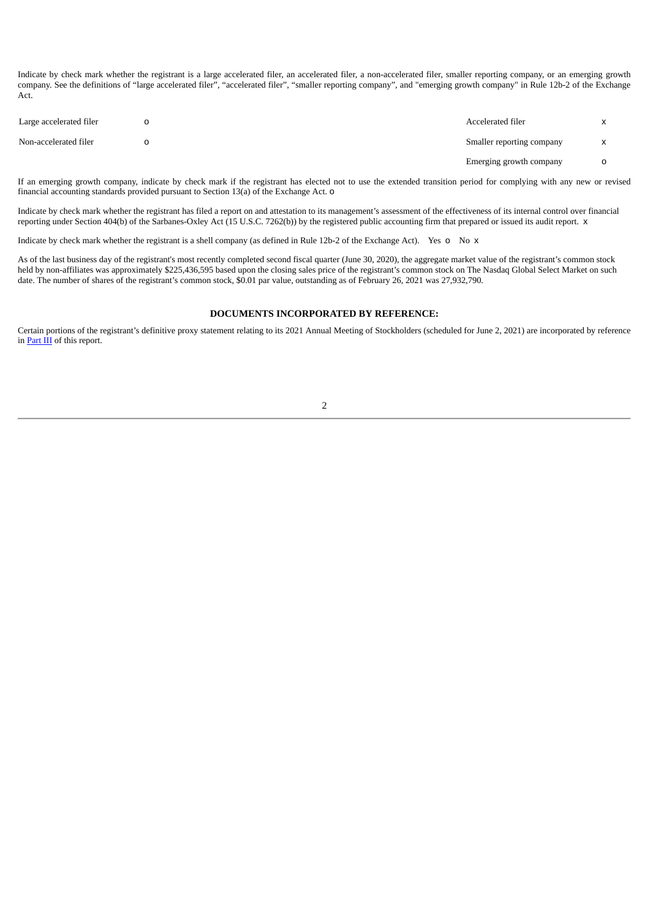Indicate by check mark whether the registrant is a large accelerated filer, an accelerated filer, a non-accelerated filer, smaller reporting company, or an emerging growth company. See the definitions of "large accelerated filer", "accelerated filer", "smaller reporting company", and "emerging growth company" in Rule 12b-2 of the Exchange Act.

| Large accelerated filer | Accelerated filer         |  |
|-------------------------|---------------------------|--|
| Non-accelerated filer   | Smaller reporting company |  |
|                         | Emerging growth company   |  |

If an emerging growth company, indicate by check mark if the registrant has elected not to use the extended transition period for complying with any new or revised financial accounting standards provided pursuant to Section 13(a) of the Exchange Act. o

Indicate by check mark whether the registrant has filed a report on and attestation to its management's assessment of the effectiveness of its internal control over financial reporting under Section 404(b) of the Sarbanes-Oxley Act (15 U.S.C. 7262(b)) by the registered public accounting firm that prepared or issued its audit report. x

Indicate by check mark whether the registrant is a shell company (as defined in Rule 12b-2 of the Exchange Act). Yes o No x

As of the last business day of the registrant's most recently completed second fiscal quarter (June 30, 2020), the aggregate market value of the registrant's common stock held by non-affiliates was approximately \$225,436,595 based upon the closing sales price of the registrant's common stock on The Nasdaq Global Select Market on such date. The number of shares of the registrant's common stock, \$0.01 par value, outstanding as of February 26, 2021 was 27,932,790.

## **DOCUMENTS INCORPORATED BY REFERENCE:**

<span id="page-1-0"></span>Certain portions of the registrant's definitive proxy statement relating to its 2021 Annual Meeting of Stockholders (scheduled for June 2, 2021) are incorporated by reference in **Part III** of this report.

2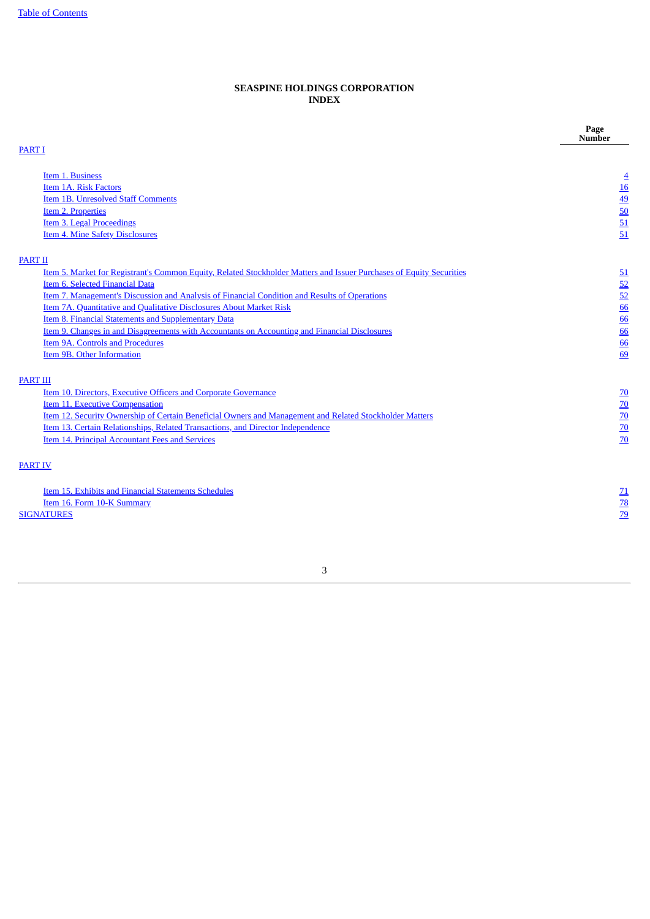### **SEASPINE HOLDINGS CORPORATION INDEX**

<span id="page-2-0"></span>

|                                                                                                                      | Page<br><b>Number</b>                           |
|----------------------------------------------------------------------------------------------------------------------|-------------------------------------------------|
| <b>PART I</b>                                                                                                        |                                                 |
| Item 1. Business                                                                                                     |                                                 |
| Item 1A. Risk Factors                                                                                                | $\overline{4}$                                  |
| <b>Item 1B. Unresolved Staff Comments</b>                                                                            |                                                 |
| Item 2. Properties                                                                                                   |                                                 |
| Item 3. Legal Proceedings                                                                                            |                                                 |
| <b>Item 4. Mine Safety Disclosures</b>                                                                               | $\frac{16}{49}$ $\frac{49}{50}$ $\frac{51}{51}$ |
| <b>PART II</b>                                                                                                       |                                                 |
| Item 5. Market for Registrant's Common Equity, Related Stockholder Matters and Issuer Purchases of Equity Securities |                                                 |
| Item 6. Selected Financial Data                                                                                      |                                                 |
| Item 7. Management's Discussion and Analysis of Financial Condition and Results of Operations                        | $\frac{51}{52} \frac{52}{66}$ $\frac{66}{66}$   |
| Item 7A. Quantitative and Qualitative Disclosures About Market Risk                                                  |                                                 |
| <b>Item 8. Financial Statements and Supplementary Data</b>                                                           |                                                 |
| Item 9. Changes in and Disagreements with Accountants on Accounting and Financial Disclosures                        |                                                 |
| <b>Item 9A. Controls and Procedures</b>                                                                              |                                                 |
| Item 9B. Other Information                                                                                           | 69                                              |
| <b>PART III</b>                                                                                                      |                                                 |
| Item 10. Directors, Executive Officers and Corporate Governance                                                      | $\overline{20}$                                 |
| Item 11. Executive Compensation                                                                                      |                                                 |
| Item 12. Security Ownership of Certain Beneficial Owners and Management and Related Stockholder Matters              | $\frac{70}{70}$<br>$\frac{70}{70}$              |
| Item 13. Certain Relationships, Related Transactions, and Director Independence                                      |                                                 |
| <b>Item 14. Principal Accountant Fees and Services</b>                                                               |                                                 |
| <b>PART IV</b>                                                                                                       |                                                 |
|                                                                                                                      |                                                 |
| Item 15. Exhibits and Financial Statements Schedules                                                                 | $\overline{21}$                                 |
| Item 16. Form 10-K Summary                                                                                           | $\overline{28}$                                 |
| <b>SIGNATURES</b>                                                                                                    | <u>79</u>                                       |
|                                                                                                                      |                                                 |
|                                                                                                                      |                                                 |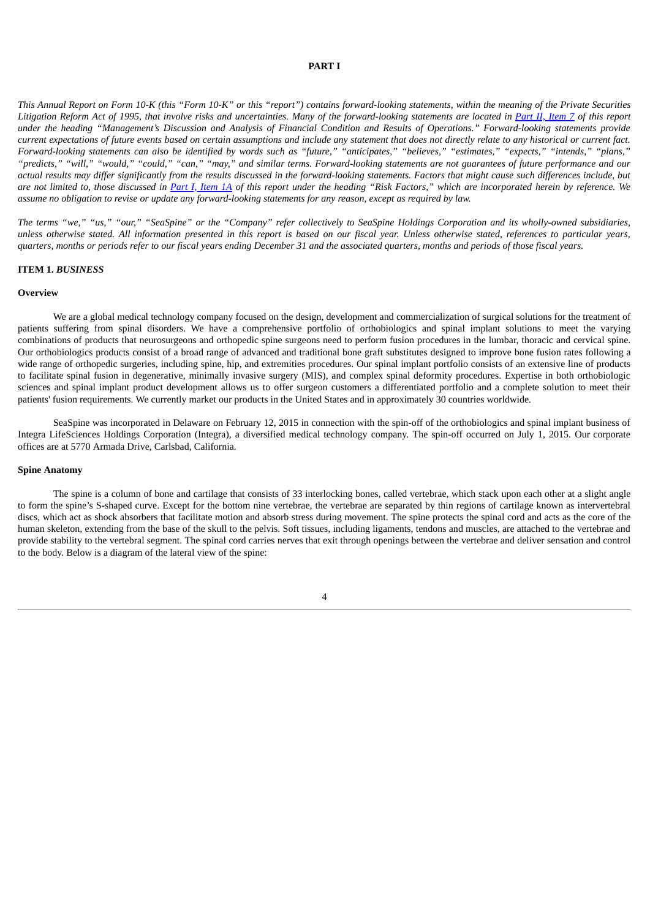#### **PART I**

<span id="page-3-0"></span>This Annual Report on Form 10-K (this "Form 10-K" or this "report") contains forward-looking statements, within the meaning of the Private Securities Litigation Reform Act of 1995, that involve risks and uncertainties. Many of the forward-looking statements are located in [Part](#page-51-0) II, Item 7 of this report under the heading "Management's Discussion and Analysis of Financial Condition and Results of Operations." Forward-looking statements provide current expectations of future events based on certain assumptions and include any statement that does not directly relate to any historical or current fact. Forward-looking statements can also be identified by words such as "future," "anticipates," "believes," "estimates," "expects," "intends," "plans," "predicts," "will," "would," "could," "can," "may," and similar terms. Forward-looking statements are not quarantees of future performance and our actual results may differ significantly from the results discussed in the forward-looking statements. Factors that might cause such differences include, but are not limited to, those discussed in [Part](#page-15-0) I. Item 1A of this report under the heading "Risk Factors," which are incorporated herein by reference. We assume no obligation to revise or update any forward-looking statements for any reason, except as required by law.

The terms "we," "us," "our," "SeaSpine" or the "Company" refer collectively to SeaSpine Holdings Corporation and its wholly-owned subsidiaries, unless otherwise stated. All information presented in this report is based on our fiscal year. Unless otherwise stated, references to particular years, quarters, months or periods refer to our fiscal years ending December 31 and the associated quarters, months and periods of those fiscal years.

#### **ITEM 1.** *BUSINESS*

#### **Overview**

We are a global medical technology company focused on the design, development and commercialization of surgical solutions for the treatment of patients suffering from spinal disorders. We have a comprehensive portfolio of orthobiologics and spinal implant solutions to meet the varying combinations of products that neurosurgeons and orthopedic spine surgeons need to perform fusion procedures in the lumbar, thoracic and cervical spine. Our orthobiologics products consist of a broad range of advanced and traditional bone graft substitutes designed to improve bone fusion rates following a wide range of orthopedic surgeries, including spine, hip, and extremities procedures. Our spinal implant portfolio consists of an extensive line of products to facilitate spinal fusion in degenerative, minimally invasive surgery (MIS), and complex spinal deformity procedures. Expertise in both orthobiologic sciences and spinal implant product development allows us to offer surgeon customers a differentiated portfolio and a complete solution to meet their patients' fusion requirements. We currently market our products in the United States and in approximately 30 countries worldwide.

SeaSpine was incorporated in Delaware on February 12, 2015 in connection with the spin-off of the orthobiologics and spinal implant business of Integra LifeSciences Holdings Corporation (Integra), a diversified medical technology company. The spin-off occurred on July 1, 2015. Our corporate offices are at 5770 Armada Drive, Carlsbad, California.

#### **Spine Anatomy**

The spine is a column of bone and cartilage that consists of 33 interlocking bones, called vertebrae, which stack upon each other at a slight angle to form the spine's S-shaped curve. Except for the bottom nine vertebrae, the vertebrae are separated by thin regions of cartilage known as intervertebral discs, which act as shock absorbers that facilitate motion and absorb stress during movement. The spine protects the spinal cord and acts as the core of the human skeleton, extending from the base of the skull to the pelvis. Soft tissues, including ligaments, tendons and muscles, are attached to the vertebrae and provide stability to the vertebral segment. The spinal cord carries nerves that exit through openings between the vertebrae and deliver sensation and control to the body. Below is a diagram of the lateral view of the spine: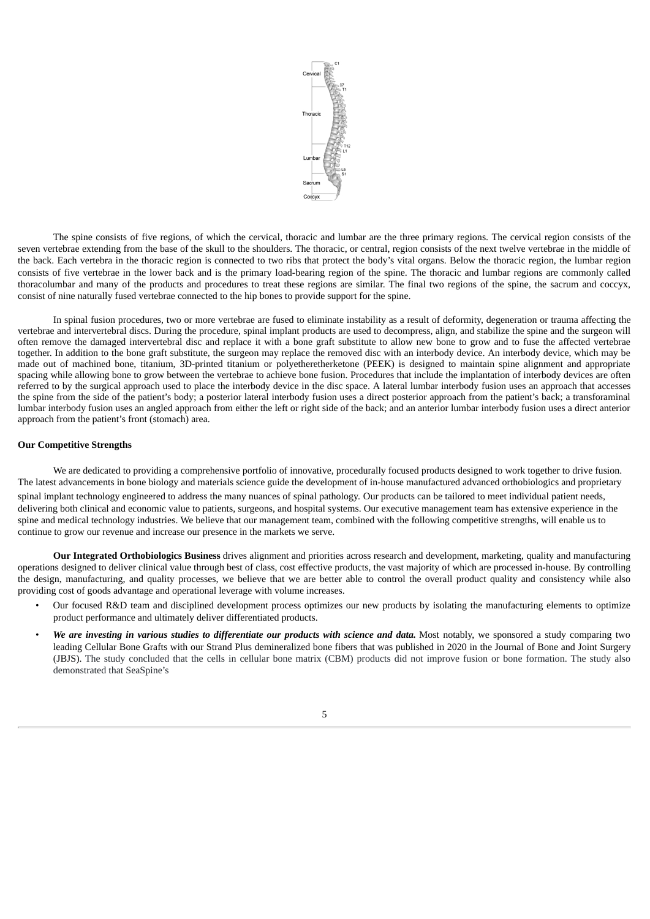

The spine consists of five regions, of which the cervical, thoracic and lumbar are the three primary regions. The cervical region consists of the seven vertebrae extending from the base of the skull to the shoulders. The thoracic, or central, region consists of the next twelve vertebrae in the middle of the back. Each vertebra in the thoracic region is connected to two ribs that protect the body's vital organs. Below the thoracic region, the lumbar region consists of five vertebrae in the lower back and is the primary load-bearing region of the spine. The thoracic and lumbar regions are commonly called thoracolumbar and many of the products and procedures to treat these regions are similar. The final two regions of the spine, the sacrum and coccyx, consist of nine naturally fused vertebrae connected to the hip bones to provide support for the spine.

In spinal fusion procedures, two or more vertebrae are fused to eliminate instability as a result of deformity, degeneration or trauma affecting the vertebrae and intervertebral discs. During the procedure, spinal implant products are used to decompress, align, and stabilize the spine and the surgeon will often remove the damaged intervertebral disc and replace it with a bone graft substitute to allow new bone to grow and to fuse the affected vertebrae together. In addition to the bone graft substitute, the surgeon may replace the removed disc with an interbody device. An interbody device, which may be made out of machined bone, titanium, 3D-printed titanium or polyetheretherketone (PEEK) is designed to maintain spine alignment and appropriate spacing while allowing bone to grow between the vertebrae to achieve bone fusion. Procedures that include the implantation of interbody devices are often referred to by the surgical approach used to place the interbody device in the disc space. A lateral lumbar interbody fusion uses an approach that accesses the spine from the side of the patient's body; a posterior lateral interbody fusion uses a direct posterior approach from the patient's back; a transforaminal lumbar interbody fusion uses an angled approach from either the left or right side of the back; and an anterior lumbar interbody fusion uses a direct anterior approach from the patient's front (stomach) area.

#### **Our Competitive Strengths**

We are dedicated to providing a comprehensive portfolio of innovative, procedurally focused products designed to work together to drive fusion. The latest advancements in bone biology and materials science guide the development of in-house manufactured advanced orthobiologics and proprietary spinal implant technology engineered to address the many nuances of spinal pathology. Our products can be tailored to meet individual patient needs, delivering both clinical and economic value to patients, surgeons, and hospital systems. Our executive management team has extensive experience in the spine and medical technology industries. We believe that our management team, combined with the following competitive strengths, will enable us to continue to grow our revenue and increase our presence in the markets we serve.

**Our Integrated Orthobiologics Business** drives alignment and priorities across research and development, marketing, quality and manufacturing operations designed to deliver clinical value through best of class, cost effective products, the vast majority of which are processed in-house. By controlling the design, manufacturing, and quality processes, we believe that we are better able to control the overall product quality and consistency while also providing cost of goods advantage and operational leverage with volume increases.

- Our focused R&D team and disciplined development process optimizes our new products by isolating the manufacturing elements to optimize product performance and ultimately deliver differentiated products.
- We are investing in various studies to differentiate our products with science and data. Most notably, we sponsored a study comparing two leading Cellular Bone Grafts with our Strand Plus demineralized bone fibers that was published in 2020 in the Journal of Bone and Joint Surgery (JBJS). The study concluded that the cells in cellular bone matrix (CBM) products did not improve fusion or bone formation. The study also demonstrated that SeaSpine's

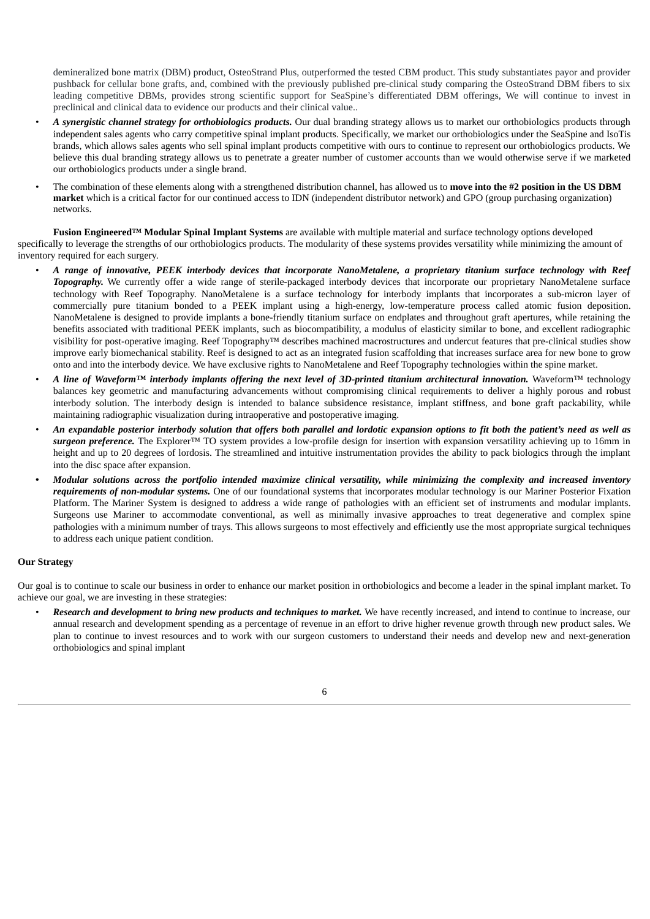demineralized bone matrix (DBM) product, OsteoStrand Plus, outperformed the tested CBM product. This study substantiates payor and provider pushback for cellular bone grafts, and, combined with the previously published pre-clinical study comparing the OsteoStrand DBM fibers to six leading competitive DBMs, provides strong scientific support for SeaSpine's differentiated DBM offerings, We will continue to invest in preclinical and clinical data to evidence our products and their clinical value..

- *A synergistic channel strategy for orthobiologics products.* Our dual branding strategy allows us to market our orthobiologics products through independent sales agents who carry competitive spinal implant products. Specifically, we market our orthobiologics under the SeaSpine and IsoTis brands, which allows sales agents who sell spinal implant products competitive with ours to continue to represent our orthobiologics products. We believe this dual branding strategy allows us to penetrate a greater number of customer accounts than we would otherwise serve if we marketed our orthobiologics products under a single brand.
- The combination of these elements along with a strengthened distribution channel, has allowed us to **move into the #2 position in the US DBM market** which is a critical factor for our continued access to IDN (independent distributor network) and GPO (group purchasing organization) networks.

**Fusion Engineered™ Modular Spinal Implant Systems** are available with multiple material and surface technology options developed specifically to leverage the strengths of our orthobiologics products. The modularity of these systems provides versatility while minimizing the amount of inventory required for each surgery.

- A ranae of innovative, PEEK interbody devices that incorporate NanoMetalene, a proprietary titanium surface technology with Reef *Topography.* We currently offer a wide range of sterile-packaged interbody devices that incorporate our proprietary NanoMetalene surface technology with Reef Topography. NanoMetalene is a surface technology for interbody implants that incorporates a sub-micron layer of commercially pure titanium bonded to a PEEK implant using a high-energy, low-temperature process called atomic fusion deposition. NanoMetalene is designed to provide implants a bone-friendly titanium surface on endplates and throughout graft apertures, while retaining the benefits associated with traditional PEEK implants, such as biocompatibility, a modulus of elasticity similar to bone, and excellent radiographic visibility for post-operative imaging. Reef Topography™ describes machined macrostructures and undercut features that pre-clinical studies show improve early biomechanical stability. Reef is designed to act as an integrated fusion scaffolding that increases surface area for new bone to grow onto and into the interbody device. We have exclusive rights to NanoMetalene and Reef Topography technologies within the spine market.
- A line of Waveform™ interbody implants offering the next level of 3D-printed titanium architectural innovation. Waveform™ technology balances key geometric and manufacturing advancements without compromising clinical requirements to deliver a highly porous and robust interbody solution. The interbody design is intended to balance subsidence resistance, implant stiffness, and bone graft packability, while maintaining radiographic visualization during intraoperative and postoperative imaging.
- An expandable posterior interbody solution that offers both parallel and lordotic expansion options to fit both the patient's need as well as *surgeon preference.* The Explorer™ TO system provides a low-profile design for insertion with expansion versatility achieving up to 16mm in height and up to 20 degrees of lordosis. The streamlined and intuitive instrumentation provides the ability to pack biologics through the implant into the disc space after expansion.
- Modular solutions across the portfolio intended maximize clinical versatility, while minimizing the complexity and increased inventory *requirements of non-modular systems.* One of our foundational systems that incorporates modular technology is our Mariner Posterior Fixation Platform. The Mariner System is designed to address a wide range of pathologies with an efficient set of instruments and modular implants. Surgeons use Mariner to accommodate conventional, as well as minimally invasive approaches to treat degenerative and complex spine pathologies with a minimum number of trays. This allows surgeons to most effectively and efficiently use the most appropriate surgical techniques to address each unique patient condition.

#### **Our Strategy**

Our goal is to continue to scale our business in order to enhance our market position in orthobiologics and become a leader in the spinal implant market. To achieve our goal, we are investing in these strategies:

• *Research and development to bring new products and techniques to market.* We have recently increased, and intend to continue to increase, our annual research and development spending as a percentage of revenue in an effort to drive higher revenue growth through new product sales. We plan to continue to invest resources and to work with our surgeon customers to understand their needs and develop new and next-generation orthobiologics and spinal implant

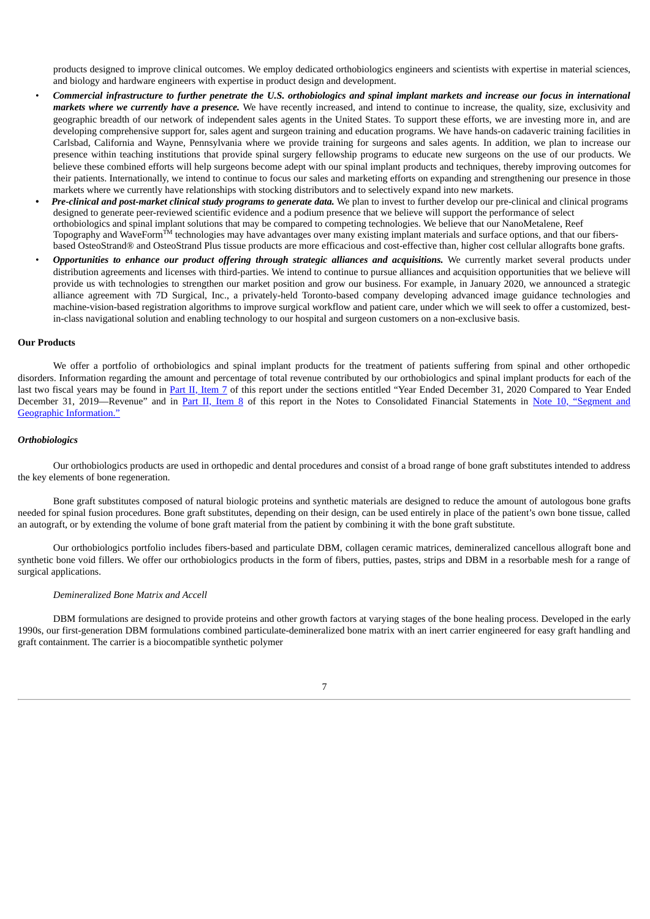products designed to improve clinical outcomes. We employ dedicated orthobiologics engineers and scientists with expertise in material sciences, and biology and hardware engineers with expertise in product design and development.

- Commercial infrastructure to further penetrate the U.S. orthobiologics and spinal implant markets and increase our focus in international *markets where we currently have a presence.* We have recently increased, and intend to continue to increase, the quality, size, exclusivity and geographic breadth of our network of independent sales agents in the United States. To support these efforts, we are investing more in, and are developing comprehensive support for, sales agent and surgeon training and education programs. We have hands-on cadaveric training facilities in Carlsbad, California and Wayne, Pennsylvania where we provide training for surgeons and sales agents. In addition, we plan to increase our presence within teaching institutions that provide spinal surgery fellowship programs to educate new surgeons on the use of our products. We believe these combined efforts will help surgeons become adept with our spinal implant products and techniques, thereby improving outcomes for their patients. Internationally, we intend to continue to focus our sales and marketing efforts on expanding and strengthening our presence in those markets where we currently have relationships with stocking distributors and to selectively expand into new markets.
- *Pre-clinical and post-market clinical study programs to generate data.* We plan to invest to further develop our pre-clinical and clinical programs designed to generate peer-reviewed scientific evidence and a podium presence that we believe will support the performance of select orthobiologics and spinal implant solutions that may be compared to competing technologies. We believe that our NanoMetalene, Reef Topography and WaveForm $^{\tau_{\rm M}}$  technologies may have advantages over many existing implant materials and surface options, and that our fibersbased OsteoStrand® and OsteoStrand Plus tissue products are more efficacious and cost-effective than, higher cost cellular allografts bone grafts.
- *Opportunities to enhance our product offering through strategic alliances and acquisitions.* We currently market several products under distribution agreements and licenses with third-parties. We intend to continue to pursue alliances and acquisition opportunities that we believe will provide us with technologies to strengthen our market position and grow our business. For example, in January 2020, we announced a strategic alliance agreement with 7D Surgical, Inc., a privately-held Toronto-based company developing advanced image guidance technologies and machine-vision-based registration algorithms to improve surgical workflow and patient care, under which we will seek to offer a customized, bestin-class navigational solution and enabling technology to our hospital and surgeon customers on a non-exclusive basis.

#### **Our Products**

We offer a portfolio of orthobiologics and spinal implant products for the treatment of patients suffering from spinal and other orthopedic disorders. Information regarding the amount and percentage of total revenue contributed by our orthobiologics and spinal implant products for each of the last two fiscal years may be found in Part II, [Item](#page-55-0) 7 of this report under the sections entitled "Year Ended December 31, 2020 Compared to Year Ended December 31, [2019—Revenue"](#page-109-0) and in Part II, [Item](#page-65-1) 8 of this report in the Notes to Consolidated Financial Statements in Note 10, "Segment and Geographic Information."

## *Orthobiologics*

Our orthobiologics products are used in orthopedic and dental procedures and consist of a broad range of bone graft substitutes intended to address the key elements of bone regeneration.

Bone graft substitutes composed of natural biologic proteins and synthetic materials are designed to reduce the amount of autologous bone grafts needed for spinal fusion procedures. Bone graft substitutes, depending on their design, can be used entirely in place of the patient's own bone tissue, called an autograft, or by extending the volume of bone graft material from the patient by combining it with the bone graft substitute.

Our orthobiologics portfolio includes fibers-based and particulate DBM, collagen ceramic matrices, demineralized cancellous allograft bone and synthetic bone void fillers. We offer our orthobiologics products in the form of fibers, putties, pastes, strips and DBM in a resorbable mesh for a range of surgical applications.

## *Demineralized Bone Matrix and Accell*

DBM formulations are designed to provide proteins and other growth factors at varying stages of the bone healing process. Developed in the early 1990s, our first-generation DBM formulations combined particulate-demineralized bone matrix with an inert carrier engineered for easy graft handling and graft containment. The carrier is a biocompatible synthetic polymer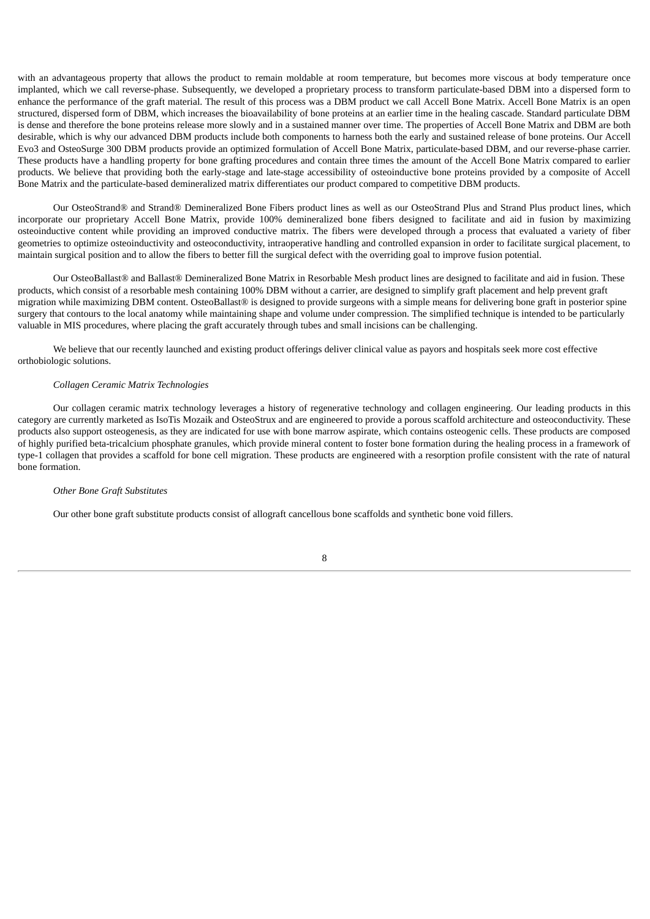with an advantageous property that allows the product to remain moldable at room temperature, but becomes more viscous at body temperature once implanted, which we call reverse-phase. Subsequently, we developed a proprietary process to transform particulate-based DBM into a dispersed form to enhance the performance of the graft material. The result of this process was a DBM product we call Accell Bone Matrix. Accell Bone Matrix is an open structured, dispersed form of DBM, which increases the bioavailability of bone proteins at an earlier time in the healing cascade. Standard particulate DBM is dense and therefore the bone proteins release more slowly and in a sustained manner over time. The properties of Accell Bone Matrix and DBM are both desirable, which is why our advanced DBM products include both components to harness both the early and sustained release of bone proteins. Our Accell Evo3 and OsteoSurge 300 DBM products provide an optimized formulation of Accell Bone Matrix, particulate-based DBM, and our reverse-phase carrier. These products have a handling property for bone grafting procedures and contain three times the amount of the Accell Bone Matrix compared to earlier products. We believe that providing both the early-stage and late-stage accessibility of osteoinductive bone proteins provided by a composite of Accell Bone Matrix and the particulate-based demineralized matrix differentiates our product compared to competitive DBM products.

Our OsteoStrand® and Strand® Demineralized Bone Fibers product lines as well as our OsteoStrand Plus and Strand Plus product lines, which incorporate our proprietary Accell Bone Matrix, provide 100% demineralized bone fibers designed to facilitate and aid in fusion by maximizing osteoinductive content while providing an improved conductive matrix. The fibers were developed through a process that evaluated a variety of fiber geometries to optimize osteoinductivity and osteoconductivity, intraoperative handling and controlled expansion in order to facilitate surgical placement, to maintain surgical position and to allow the fibers to better fill the surgical defect with the overriding goal to improve fusion potential.

Our OsteoBallast® and Ballast® Demineralized Bone Matrix in Resorbable Mesh product lines are designed to facilitate and aid in fusion. These products, which consist of a resorbable mesh containing 100% DBM without a carrier, are designed to simplify graft placement and help prevent graft migration while maximizing DBM content. OsteoBallast® is designed to provide surgeons with a simple means for delivering bone graft in posterior spine surgery that contours to the local anatomy while maintaining shape and volume under compression. The simplified technique is intended to be particularly valuable in MIS procedures, where placing the graft accurately through tubes and small incisions can be challenging.

We believe that our recently launched and existing product offerings deliver clinical value as payors and hospitals seek more cost effective orthobiologic solutions.

#### *Collagen Ceramic Matrix Technologies*

Our collagen ceramic matrix technology leverages a history of regenerative technology and collagen engineering. Our leading products in this category are currently marketed as IsoTis Mozaik and OsteoStrux and are engineered to provide a porous scaffold architecture and osteoconductivity. These products also support osteogenesis, as they are indicated for use with bone marrow aspirate, which contains osteogenic cells. These products are composed of highly purified beta-tricalcium phosphate granules, which provide mineral content to foster bone formation during the healing process in a framework of type-1 collagen that provides a scaffold for bone cell migration. These products are engineered with a resorption profile consistent with the rate of natural bone formation.

#### *Other Bone Graft Substitutes*

Our other bone graft substitute products consist of allograft cancellous bone scaffolds and synthetic bone void fillers.

#### 8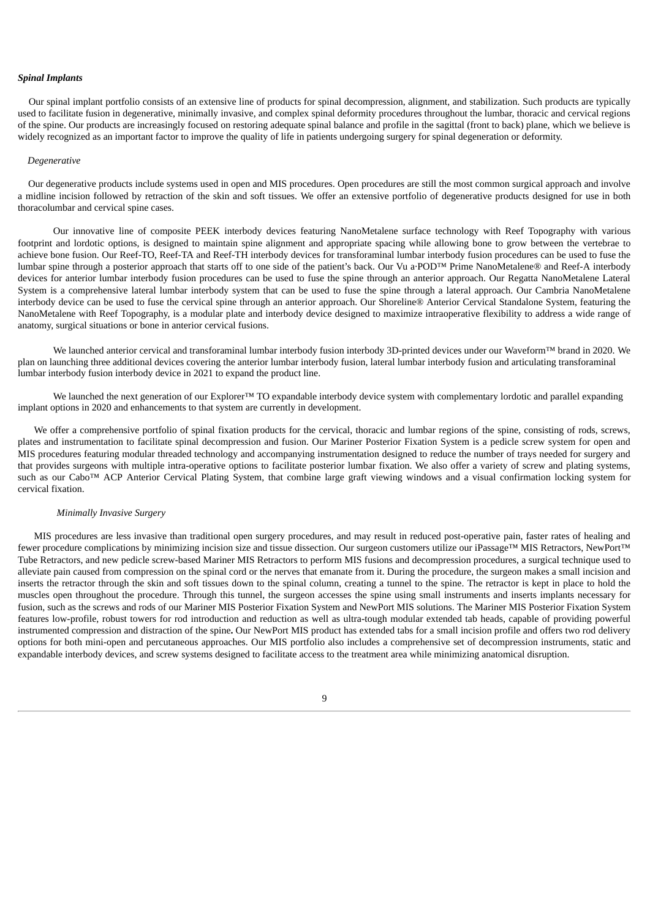## *Spinal Implants*

Our spinal implant portfolio consists of an extensive line of products for spinal decompression, alignment, and stabilization. Such products are typically used to facilitate fusion in degenerative, minimally invasive, and complex spinal deformity procedures throughout the lumbar, thoracic and cervical regions of the spine. Our products are increasingly focused on restoring adequate spinal balance and profile in the sagittal (front to back) plane, which we believe is widely recognized as an important factor to improve the quality of life in patients undergoing surgery for spinal degeneration or deformity.

#### *Degenerative*

Our degenerative products include systems used in open and MIS procedures. Open procedures are still the most common surgical approach and involve a midline incision followed by retraction of the skin and soft tissues. We offer an extensive portfolio of degenerative products designed for use in both thoracolumbar and cervical spine cases.

Our innovative line of composite PEEK interbody devices featuring NanoMetalene surface technology with Reef Topography with various footprint and lordotic options, is designed to maintain spine alignment and appropriate spacing while allowing bone to grow between the vertebrae to achieve bone fusion. Our Reef-TO, Reef-TA and Reef-TH interbody devices for transforaminal lumbar interbody fusion procedures can be used to fuse the lumbar spine through a posterior approach that starts off to one side of the patient's back. Our Vu a·POD™ Prime NanoMetalene® and Reef-A interbody devices for anterior lumbar interbody fusion procedures can be used to fuse the spine through an anterior approach. Our Regatta NanoMetalene Lateral System is a comprehensive lateral lumbar interbody system that can be used to fuse the spine through a lateral approach. Our Cambria NanoMetalene interbody device can be used to fuse the cervical spine through an anterior approach. Our Shoreline® Anterior Cervical Standalone System, featuring the NanoMetalene with Reef Topography, is a modular plate and interbody device designed to maximize intraoperative flexibility to address a wide range of anatomy, surgical situations or bone in anterior cervical fusions.

We launched anterior cervical and transforaminal lumbar interbody fusion interbody 3D-printed devices under our Waveform™ brand in 2020. We plan on launching three additional devices covering the anterior lumbar interbody fusion, lateral lumbar interbody fusion and articulating transforaminal lumbar interbody fusion interbody device in 2021 to expand the product line.

We launched the next generation of our Explorer™ TO expandable interbody device system with complementary lordotic and parallel expanding implant options in 2020 and enhancements to that system are currently in development.

We offer a comprehensive portfolio of spinal fixation products for the cervical, thoracic and lumbar regions of the spine, consisting of rods, screws, plates and instrumentation to facilitate spinal decompression and fusion. Our Mariner Posterior Fixation System is a pedicle screw system for open and MIS procedures featuring modular threaded technology and accompanying instrumentation designed to reduce the number of trays needed for surgery and that provides surgeons with multiple intra-operative options to facilitate posterior lumbar fixation. We also offer a variety of screw and plating systems, such as our Cabo™ ACP Anterior Cervical Plating System, that combine large graft viewing windows and a visual confirmation locking system for cervical fixation.

#### *Minimally Invasive Surgery*

MIS procedures are less invasive than traditional open surgery procedures, and may result in reduced post-operative pain, faster rates of healing and fewer procedure complications by minimizing incision size and tissue dissection. Our surgeon customers utilize our iPassage™ MIS Retractors, NewPort™ Tube Retractors, and new pedicle screw-based Mariner MIS Retractors to perform MIS fusions and decompression procedures, a surgical technique used to alleviate pain caused from compression on the spinal cord or the nerves that emanate from it. During the procedure, the surgeon makes a small incision and inserts the retractor through the skin and soft tissues down to the spinal column, creating a tunnel to the spine. The retractor is kept in place to hold the muscles open throughout the procedure. Through this tunnel, the surgeon accesses the spine using small instruments and inserts implants necessary for fusion, such as the screws and rods of our Mariner MIS Posterior Fixation System and NewPort MIS solutions. The Mariner MIS Posterior Fixation System features low-profile, robust towers for rod introduction and reduction as well as ultra-tough modular extended tab heads, capable of providing powerful instrumented compression and distraction of the spine**.** Our NewPort MIS product has extended tabs for a small incision profile and offers two rod delivery options for both mini-open and percutaneous approaches. Our MIS portfolio also includes a comprehensive set of decompression instruments, static and expandable interbody devices, and screw systems designed to facilitate access to the treatment area while minimizing anatomical disruption.

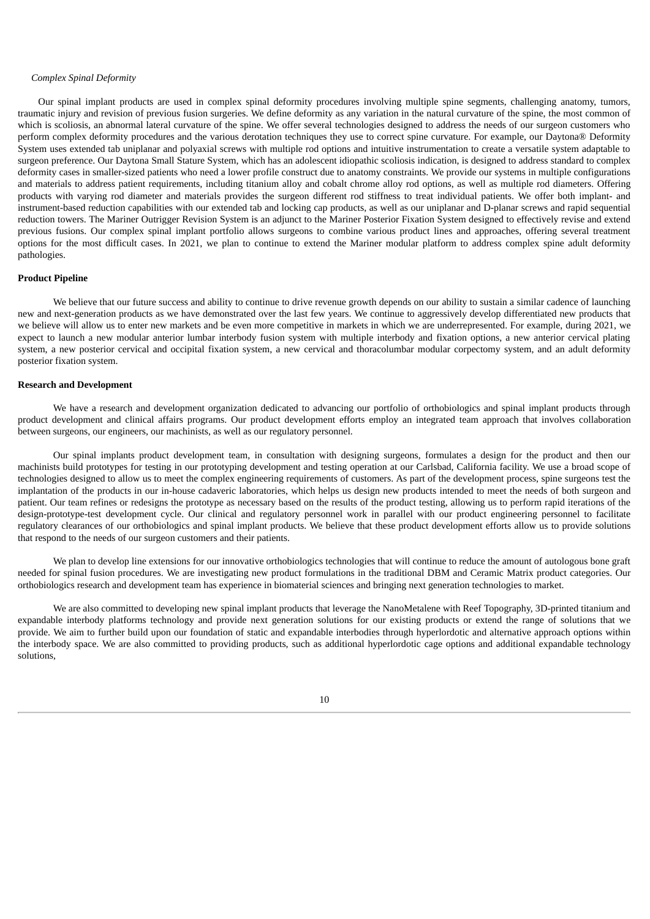## *Complex Spinal Deformity*

Our spinal implant products are used in complex spinal deformity procedures involving multiple spine segments, challenging anatomy, tumors, traumatic injury and revision of previous fusion surgeries. We define deformity as any variation in the natural curvature of the spine, the most common of which is scoliosis, an abnormal lateral curvature of the spine. We offer several technologies designed to address the needs of our surgeon customers who perform complex deformity procedures and the various derotation techniques they use to correct spine curvature. For example, our Daytona® Deformity System uses extended tab uniplanar and polyaxial screws with multiple rod options and intuitive instrumentation to create a versatile system adaptable to surgeon preference. Our Daytona Small Stature System, which has an adolescent idiopathic scoliosis indication, is designed to address standard to complex deformity cases in smaller-sized patients who need a lower profile construct due to anatomy constraints. We provide our systems in multiple configurations and materials to address patient requirements, including titanium alloy and cobalt chrome alloy rod options, as well as multiple rod diameters. Offering products with varying rod diameter and materials provides the surgeon different rod stiffness to treat individual patients. We offer both implant- and instrument-based reduction capabilities with our extended tab and locking cap products, as well as our uniplanar and D-planar screws and rapid sequential reduction towers. The Mariner Outrigger Revision System is an adjunct to the Mariner Posterior Fixation System designed to effectively revise and extend previous fusions. Our complex spinal implant portfolio allows surgeons to combine various product lines and approaches, offering several treatment options for the most difficult cases. In 2021, we plan to continue to extend the Mariner modular platform to address complex spine adult deformity pathologies.

#### **Product Pipeline**

We believe that our future success and ability to continue to drive revenue growth depends on our ability to sustain a similar cadence of launching new and next-generation products as we have demonstrated over the last few years. We continue to aggressively develop differentiated new products that we believe will allow us to enter new markets and be even more competitive in markets in which we are underrepresented. For example, during 2021, we expect to launch a new modular anterior lumbar interbody fusion system with multiple interbody and fixation options, a new anterior cervical plating system, a new posterior cervical and occipital fixation system, a new cervical and thoracolumbar modular corpectomy system, and an adult deformity posterior fixation system.

#### **Research and Development**

We have a research and development organization dedicated to advancing our portfolio of orthobiologics and spinal implant products through product development and clinical affairs programs. Our product development efforts employ an integrated team approach that involves collaboration between surgeons, our engineers, our machinists, as well as our regulatory personnel.

Our spinal implants product development team, in consultation with designing surgeons, formulates a design for the product and then our machinists build prototypes for testing in our prototyping development and testing operation at our Carlsbad, California facility. We use a broad scope of technologies designed to allow us to meet the complex engineering requirements of customers. As part of the development process, spine surgeons test the implantation of the products in our in-house cadaveric laboratories, which helps us design new products intended to meet the needs of both surgeon and patient. Our team refines or redesigns the prototype as necessary based on the results of the product testing, allowing us to perform rapid iterations of the design-prototype-test development cycle. Our clinical and regulatory personnel work in parallel with our product engineering personnel to facilitate regulatory clearances of our orthobiologics and spinal implant products. We believe that these product development efforts allow us to provide solutions that respond to the needs of our surgeon customers and their patients.

We plan to develop line extensions for our innovative orthobiologics technologies that will continue to reduce the amount of autologous bone graft needed for spinal fusion procedures. We are investigating new product formulations in the traditional DBM and Ceramic Matrix product categories. Our orthobiologics research and development team has experience in biomaterial sciences and bringing next generation technologies to market.

We are also committed to developing new spinal implant products that leverage the NanoMetalene with Reef Topography, 3D-printed titanium and expandable interbody platforms technology and provide next generation solutions for our existing products or extend the range of solutions that we provide. We aim to further build upon our foundation of static and expandable interbodies through hyperlordotic and alternative approach options within the interbody space. We are also committed to providing products, such as additional hyperlordotic cage options and additional expandable technology solutions,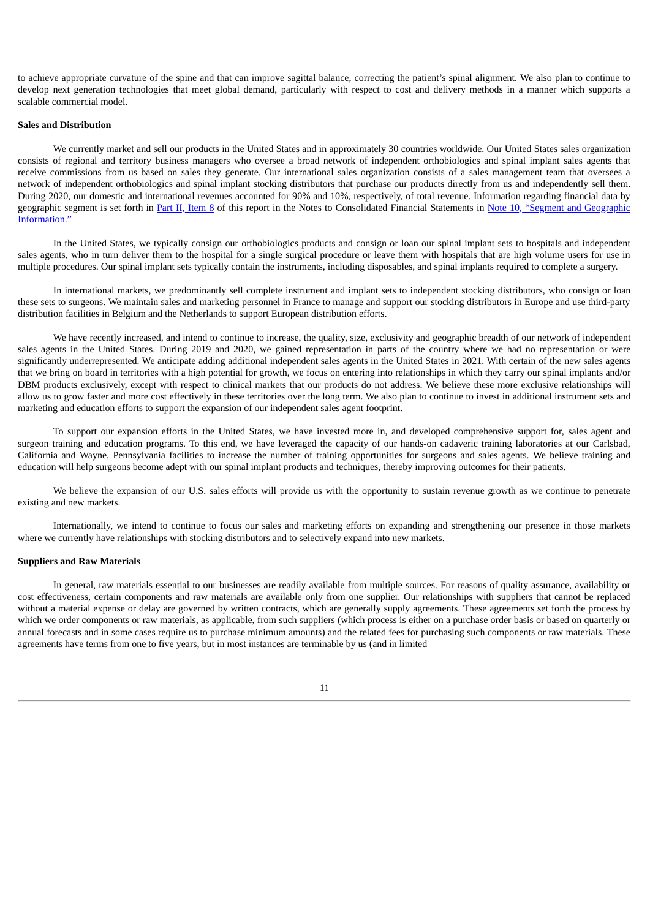to achieve appropriate curvature of the spine and that can improve sagittal balance, correcting the patient's spinal alignment. We also plan to continue to develop next generation technologies that meet global demand, particularly with respect to cost and delivery methods in a manner which supports a scalable commercial model.

#### **Sales and Distribution**

We currently market and sell our products in the United States and in approximately 30 countries worldwide. Our United States sales organization consists of regional and territory business managers who oversee a broad network of independent orthobiologics and spinal implant sales agents that receive commissions from us based on sales they generate. Our international sales organization consists of a sales management team that oversees a network of independent orthobiologics and spinal implant stocking distributors that purchase our products directly from us and independently sell them. During 2020, our domestic and international revenues accounted for 90% and 10%, respectively, of total revenue. Information regarding financial data by geographic segment is set forth in Part II, [Item](#page-65-1) 8 of this report in the Notes to Consolidated Financial Statements in Note 10, "Segment and Geographic [Information."](#page-109-0)

In the United States, we typically consign our orthobiologics products and consign or loan our spinal implant sets to hospitals and independent sales agents, who in turn deliver them to the hospital for a single surgical procedure or leave them with hospitals that are high volume users for use in multiple procedures. Our spinal implant sets typically contain the instruments, including disposables, and spinal implants required to complete a surgery.

In international markets, we predominantly sell complete instrument and implant sets to independent stocking distributors, who consign or loan these sets to surgeons. We maintain sales and marketing personnel in France to manage and support our stocking distributors in Europe and use third-party distribution facilities in Belgium and the Netherlands to support European distribution efforts.

We have recently increased, and intend to continue to increase, the quality, size, exclusivity and geographic breadth of our network of independent sales agents in the United States. During 2019 and 2020, we gained representation in parts of the country where we had no representation or were significantly underrepresented. We anticipate adding additional independent sales agents in the United States in 2021. With certain of the new sales agents that we bring on board in territories with a high potential for growth, we focus on entering into relationships in which they carry our spinal implants and/or DBM products exclusively, except with respect to clinical markets that our products do not address. We believe these more exclusive relationships will allow us to grow faster and more cost effectively in these territories over the long term. We also plan to continue to invest in additional instrument sets and marketing and education efforts to support the expansion of our independent sales agent footprint.

To support our expansion efforts in the United States, we have invested more in, and developed comprehensive support for, sales agent and surgeon training and education programs. To this end, we have leveraged the capacity of our hands-on cadaveric training laboratories at our Carlsbad, California and Wayne, Pennsylvania facilities to increase the number of training opportunities for surgeons and sales agents. We believe training and education will help surgeons become adept with our spinal implant products and techniques, thereby improving outcomes for their patients.

We believe the expansion of our U.S. sales efforts will provide us with the opportunity to sustain revenue growth as we continue to penetrate existing and new markets.

Internationally, we intend to continue to focus our sales and marketing efforts on expanding and strengthening our presence in those markets where we currently have relationships with stocking distributors and to selectively expand into new markets.

#### **Suppliers and Raw Materials**

In general, raw materials essential to our businesses are readily available from multiple sources. For reasons of quality assurance, availability or cost effectiveness, certain components and raw materials are available only from one supplier. Our relationships with suppliers that cannot be replaced without a material expense or delay are governed by written contracts, which are generally supply agreements. These agreements set forth the process by which we order components or raw materials, as applicable, from such suppliers (which process is either on a purchase order basis or based on quarterly or annual forecasts and in some cases require us to purchase minimum amounts) and the related fees for purchasing such components or raw materials. These agreements have terms from one to five years, but in most instances are terminable by us (and in limited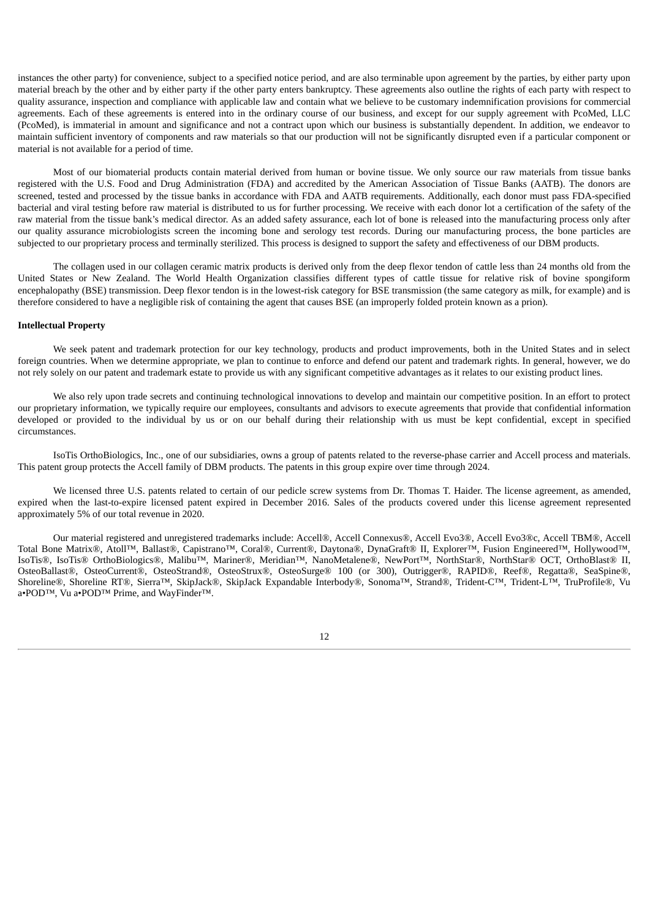instances the other party) for convenience, subject to a specified notice period, and are also terminable upon agreement by the parties, by either party upon material breach by the other and by either party if the other party enters bankruptcy. These agreements also outline the rights of each party with respect to quality assurance, inspection and compliance with applicable law and contain what we believe to be customary indemnification provisions for commercial agreements. Each of these agreements is entered into in the ordinary course of our business, and except for our supply agreement with PcoMed, LLC (PcoMed), is immaterial in amount and significance and not a contract upon which our business is substantially dependent. In addition, we endeavor to maintain sufficient inventory of components and raw materials so that our production will not be significantly disrupted even if a particular component or material is not available for a period of time.

Most of our biomaterial products contain material derived from human or bovine tissue. We only source our raw materials from tissue banks registered with the U.S. Food and Drug Administration (FDA) and accredited by the American Association of Tissue Banks (AATB). The donors are screened, tested and processed by the tissue banks in accordance with FDA and AATB requirements. Additionally, each donor must pass FDA-specified bacterial and viral testing before raw material is distributed to us for further processing. We receive with each donor lot a certification of the safety of the raw material from the tissue bank's medical director. As an added safety assurance, each lot of bone is released into the manufacturing process only after our quality assurance microbiologists screen the incoming bone and serology test records. During our manufacturing process, the bone particles are subjected to our proprietary process and terminally sterilized. This process is designed to support the safety and effectiveness of our DBM products.

The collagen used in our collagen ceramic matrix products is derived only from the deep flexor tendon of cattle less than 24 months old from the United States or New Zealand. The World Health Organization classifies different types of cattle tissue for relative risk of bovine spongiform encephalopathy (BSE) transmission. Deep flexor tendon is in the lowest-risk category for BSE transmission (the same category as milk, for example) and is therefore considered to have a negligible risk of containing the agent that causes BSE (an improperly folded protein known as a prion).

## **Intellectual Property**

We seek patent and trademark protection for our key technology, products and product improvements, both in the United States and in select foreign countries. When we determine appropriate, we plan to continue to enforce and defend our patent and trademark rights. In general, however, we do not rely solely on our patent and trademark estate to provide us with any significant competitive advantages as it relates to our existing product lines.

We also rely upon trade secrets and continuing technological innovations to develop and maintain our competitive position. In an effort to protect our proprietary information, we typically require our employees, consultants and advisors to execute agreements that provide that confidential information developed or provided to the individual by us or on our behalf during their relationship with us must be kept confidential, except in specified circumstances.

IsoTis OrthoBiologics, Inc., one of our subsidiaries, owns a group of patents related to the reverse-phase carrier and Accell process and materials. This patent group protects the Accell family of DBM products. The patents in this group expire over time through 2024.

We licensed three U.S. patents related to certain of our pedicle screw systems from Dr. Thomas T. Haider. The license agreement, as amended, expired when the last-to-expire licensed patent expired in December 2016. Sales of the products covered under this license agreement represented approximately 5% of our total revenue in 2020.

Our material registered and unregistered trademarks include: Accell®, Accell Connexus®, Accell Evo3®, Accell Evo3®c, Accell TBM®, Accell Total Bone Matrix®, Atoll™, Ballast®, Capistrano™, Coral®, Current®, Daytona®, DynaGraft® II, Explorer™, Fusion Engineered™, Hollywood™, IsoTis®, IsoTis® OrthoBiologics®, Malibu™, Mariner®, Meridian™, NanoMetalene®, NewPort™, NorthStar®, NorthStar® OCT, OrthoBlast® II, OsteoBallast®, OsteoCurrent®, OsteoStrand®, OsteoStrux®, OsteoSurge® 100 (or 300), Outrigger®, RAPID®, Reef®, Regatta®, SeaSpine®, Shoreline®, Shoreline RT®, Sierra™, SkipJack®, SkipJack Expandable Interbody®, Sonoma™, Strand®, Trident-C™, Trident-L™, TruProfile®, Vu a•POD™, Vu a•POD™ Prime, and WayFinder™.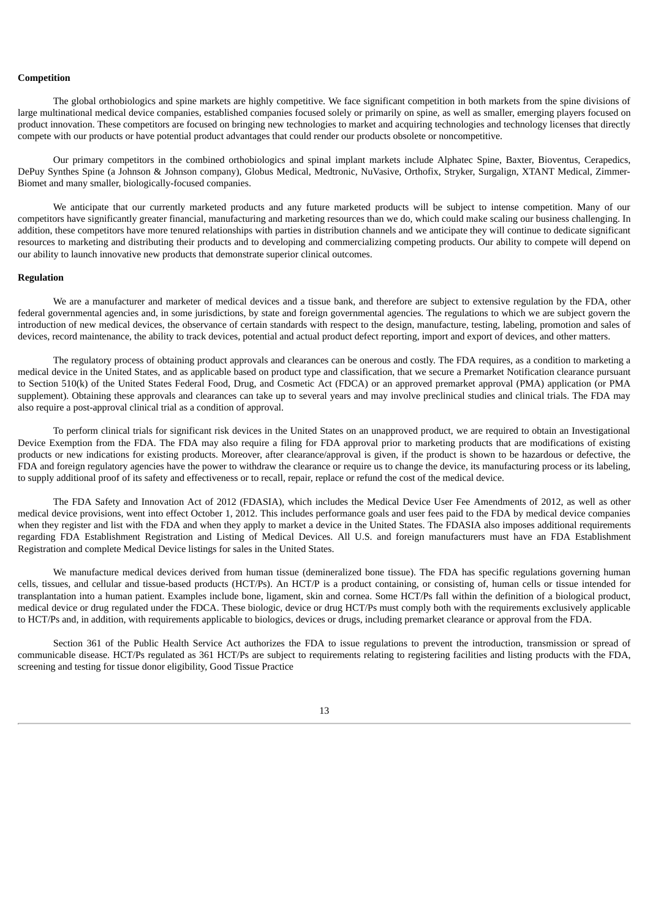## **Competition**

The global orthobiologics and spine markets are highly competitive. We face significant competition in both markets from the spine divisions of large multinational medical device companies, established companies focused solely or primarily on spine, as well as smaller, emerging players focused on product innovation. These competitors are focused on bringing new technologies to market and acquiring technologies and technology licenses that directly compete with our products or have potential product advantages that could render our products obsolete or noncompetitive.

Our primary competitors in the combined orthobiologics and spinal implant markets include Alphatec Spine, Baxter, Bioventus, Cerapedics, DePuy Synthes Spine (a Johnson & Johnson company), Globus Medical, Medtronic, NuVasive, Orthofix, Stryker, Surgalign, XTANT Medical, Zimmer-Biomet and many smaller, biologically-focused companies.

We anticipate that our currently marketed products and any future marketed products will be subject to intense competition. Many of our competitors have significantly greater financial, manufacturing and marketing resources than we do, which could make scaling our business challenging. In addition, these competitors have more tenured relationships with parties in distribution channels and we anticipate they will continue to dedicate significant resources to marketing and distributing their products and to developing and commercializing competing products. Our ability to compete will depend on our ability to launch innovative new products that demonstrate superior clinical outcomes.

#### **Regulation**

We are a manufacturer and marketer of medical devices and a tissue bank, and therefore are subject to extensive regulation by the FDA, other federal governmental agencies and, in some jurisdictions, by state and foreign governmental agencies. The regulations to which we are subject govern the introduction of new medical devices, the observance of certain standards with respect to the design, manufacture, testing, labeling, promotion and sales of devices, record maintenance, the ability to track devices, potential and actual product defect reporting, import and export of devices, and other matters.

The regulatory process of obtaining product approvals and clearances can be onerous and costly. The FDA requires, as a condition to marketing a medical device in the United States, and as applicable based on product type and classification, that we secure a Premarket Notification clearance pursuant to Section 510(k) of the United States Federal Food, Drug, and Cosmetic Act (FDCA) or an approved premarket approval (PMA) application (or PMA supplement). Obtaining these approvals and clearances can take up to several years and may involve preclinical studies and clinical trials. The FDA may also require a post-approval clinical trial as a condition of approval.

To perform clinical trials for significant risk devices in the United States on an unapproved product, we are required to obtain an Investigational Device Exemption from the FDA. The FDA may also require a filing for FDA approval prior to marketing products that are modifications of existing products or new indications for existing products. Moreover, after clearance/approval is given, if the product is shown to be hazardous or defective, the FDA and foreign regulatory agencies have the power to withdraw the clearance or require us to change the device, its manufacturing process or its labeling, to supply additional proof of its safety and effectiveness or to recall, repair, replace or refund the cost of the medical device.

The FDA Safety and Innovation Act of 2012 (FDASIA), which includes the Medical Device User Fee Amendments of 2012, as well as other medical device provisions, went into effect October 1, 2012. This includes performance goals and user fees paid to the FDA by medical device companies when they register and list with the FDA and when they apply to market a device in the United States. The FDASIA also imposes additional requirements regarding FDA Establishment Registration and Listing of Medical Devices. All U.S. and foreign manufacturers must have an FDA Establishment Registration and complete Medical Device listings for sales in the United States.

We manufacture medical devices derived from human tissue (demineralized bone tissue). The FDA has specific regulations governing human cells, tissues, and cellular and tissue-based products (HCT/Ps). An HCT/P is a product containing, or consisting of, human cells or tissue intended for transplantation into a human patient. Examples include bone, ligament, skin and cornea. Some HCT/Ps fall within the definition of a biological product, medical device or drug regulated under the FDCA. These biologic, device or drug HCT/Ps must comply both with the requirements exclusively applicable to HCT/Ps and, in addition, with requirements applicable to biologics, devices or drugs, including premarket clearance or approval from the FDA.

Section 361 of the Public Health Service Act authorizes the FDA to issue regulations to prevent the introduction, transmission or spread of communicable disease. HCT/Ps regulated as 361 HCT/Ps are subject to requirements relating to registering facilities and listing products with the FDA, screening and testing for tissue donor eligibility, Good Tissue Practice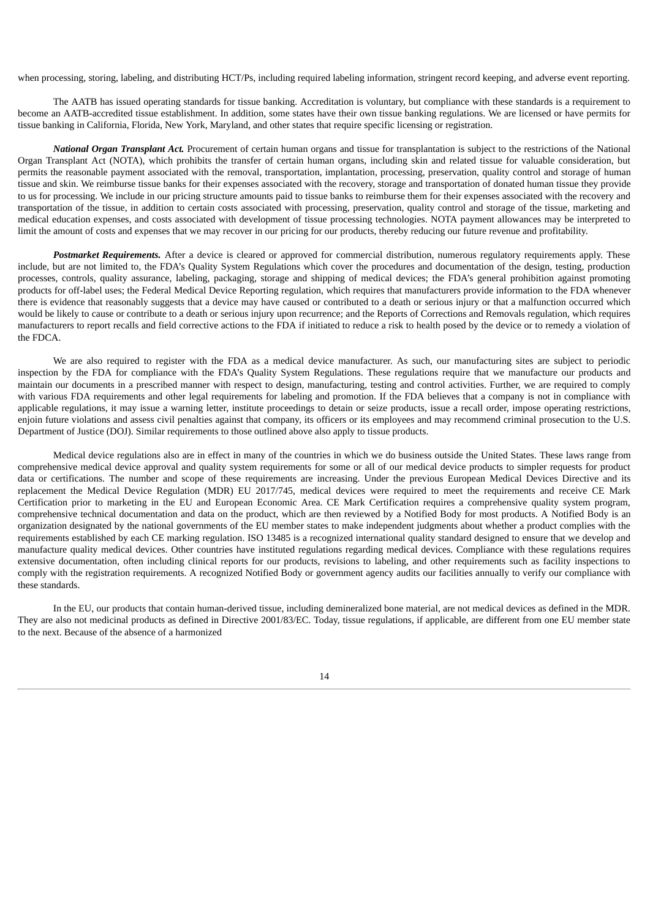when processing, storing, labeling, and distributing HCT/Ps, including required labeling information, stringent record keeping, and adverse event reporting.

The AATB has issued operating standards for tissue banking. Accreditation is voluntary, but compliance with these standards is a requirement to become an AATB-accredited tissue establishment. In addition, some states have their own tissue banking regulations. We are licensed or have permits for tissue banking in California, Florida, New York, Maryland, and other states that require specific licensing or registration.

*National Organ Transplant Act.* Procurement of certain human organs and tissue for transplantation is subject to the restrictions of the National Organ Transplant Act (NOTA), which prohibits the transfer of certain human organs, including skin and related tissue for valuable consideration, but permits the reasonable payment associated with the removal, transportation, implantation, processing, preservation, quality control and storage of human tissue and skin. We reimburse tissue banks for their expenses associated with the recovery, storage and transportation of donated human tissue they provide to us for processing. We include in our pricing structure amounts paid to tissue banks to reimburse them for their expenses associated with the recovery and transportation of the tissue, in addition to certain costs associated with processing, preservation, quality control and storage of the tissue, marketing and medical education expenses, and costs associated with development of tissue processing technologies. NOTA payment allowances may be interpreted to limit the amount of costs and expenses that we may recover in our pricing for our products, thereby reducing our future revenue and profitability.

*Postmarket Requirements.* After a device is cleared or approved for commercial distribution, numerous regulatory requirements apply. These include, but are not limited to, the FDA's Quality System Regulations which cover the procedures and documentation of the design, testing, production processes, controls, quality assurance, labeling, packaging, storage and shipping of medical devices; the FDA's general prohibition against promoting products for off-label uses; the Federal Medical Device Reporting regulation, which requires that manufacturers provide information to the FDA whenever there is evidence that reasonably suggests that a device may have caused or contributed to a death or serious injury or that a malfunction occurred which would be likely to cause or contribute to a death or serious injury upon recurrence; and the Reports of Corrections and Removals regulation, which requires manufacturers to report recalls and field corrective actions to the FDA if initiated to reduce a risk to health posed by the device or to remedy a violation of the FDCA.

We are also required to register with the FDA as a medical device manufacturer. As such, our manufacturing sites are subject to periodic inspection by the FDA for compliance with the FDA's Quality System Regulations. These regulations require that we manufacture our products and maintain our documents in a prescribed manner with respect to design, manufacturing, testing and control activities. Further, we are required to comply with various FDA requirements and other legal requirements for labeling and promotion. If the FDA believes that a company is not in compliance with applicable regulations, it may issue a warning letter, institute proceedings to detain or seize products, issue a recall order, impose operating restrictions, enjoin future violations and assess civil penalties against that company, its officers or its employees and may recommend criminal prosecution to the U.S. Department of Justice (DOJ). Similar requirements to those outlined above also apply to tissue products.

Medical device regulations also are in effect in many of the countries in which we do business outside the United States. These laws range from comprehensive medical device approval and quality system requirements for some or all of our medical device products to simpler requests for product data or certifications. The number and scope of these requirements are increasing. Under the previous European Medical Devices Directive and its replacement the Medical Device Regulation (MDR) EU 2017/745, medical devices were required to meet the requirements and receive CE Mark Certification prior to marketing in the EU and European Economic Area. CE Mark Certification requires a comprehensive quality system program, comprehensive technical documentation and data on the product, which are then reviewed by a Notified Body for most products. A Notified Body is an organization designated by the national governments of the EU member states to make independent judgments about whether a product complies with the requirements established by each CE marking regulation. ISO 13485 is a recognized international quality standard designed to ensure that we develop and manufacture quality medical devices. Other countries have instituted regulations regarding medical devices. Compliance with these regulations requires extensive documentation, often including clinical reports for our products, revisions to labeling, and other requirements such as facility inspections to comply with the registration requirements. A recognized Notified Body or government agency audits our facilities annually to verify our compliance with these standards.

In the EU, our products that contain human-derived tissue, including demineralized bone material, are not medical devices as defined in the MDR. They are also not medicinal products as defined in Directive 2001/83/EC. Today, tissue regulations, if applicable, are different from one EU member state to the next. Because of the absence of a harmonized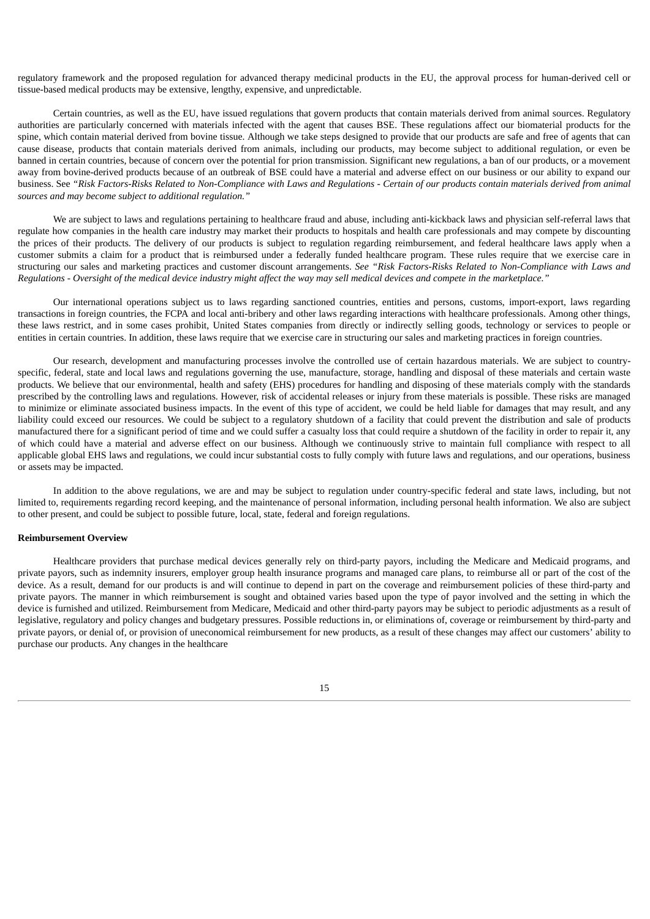regulatory framework and the proposed regulation for advanced therapy medicinal products in the EU, the approval process for human-derived cell or tissue-based medical products may be extensive, lengthy, expensive, and unpredictable.

Certain countries, as well as the EU, have issued regulations that govern products that contain materials derived from animal sources. Regulatory authorities are particularly concerned with materials infected with the agent that causes BSE. These regulations affect our biomaterial products for the spine, which contain material derived from bovine tissue. Although we take steps designed to provide that our products are safe and free of agents that can cause disease, products that contain materials derived from animals, including our products, may become subject to additional regulation, or even be banned in certain countries, because of concern over the potential for prion transmission. Significant new regulations, a ban of our products, or a movement away from bovine-derived products because of an outbreak of BSE could have a material and adverse effect on our business or our ability to expand our business. See "Risk Factors-Risks Related to Non-Compliance with Laws and Reaulations - Certain of our products contain materials derived from animal *sources and may become subject to additional regulation."*

We are subject to laws and regulations pertaining to healthcare fraud and abuse, including anti-kickback laws and physician self-referral laws that regulate how companies in the health care industry may market their products to hospitals and health care professionals and may compete by discounting the prices of their products. The delivery of our products is subject to regulation regarding reimbursement, and federal healthcare laws apply when a customer submits a claim for a product that is reimbursed under a federally funded healthcare program. These rules require that we exercise care in structuring our sales and marketing practices and customer discount arrangements. *See "Risk Factors-Risks Related to Non-Compliance with Laws and* Regulations - Oversight of the medical device industry might affect the way may sell medical devices and compete in the marketplace."

Our international operations subject us to laws regarding sanctioned countries, entities and persons, customs, import-export, laws regarding transactions in foreign countries, the FCPA and local anti-bribery and other laws regarding interactions with healthcare professionals. Among other things, these laws restrict, and in some cases prohibit, United States companies from directly or indirectly selling goods, technology or services to people or entities in certain countries. In addition, these laws require that we exercise care in structuring our sales and marketing practices in foreign countries.

Our research, development and manufacturing processes involve the controlled use of certain hazardous materials. We are subject to countryspecific, federal, state and local laws and regulations governing the use, manufacture, storage, handling and disposal of these materials and certain waste products. We believe that our environmental, health and safety (EHS) procedures for handling and disposing of these materials comply with the standards prescribed by the controlling laws and regulations. However, risk of accidental releases or injury from these materials is possible. These risks are managed to minimize or eliminate associated business impacts. In the event of this type of accident, we could be held liable for damages that may result, and any liability could exceed our resources. We could be subject to a regulatory shutdown of a facility that could prevent the distribution and sale of products manufactured there for a significant period of time and we could suffer a casualty loss that could require a shutdown of the facility in order to repair it, any of which could have a material and adverse effect on our business. Although we continuously strive to maintain full compliance with respect to all applicable global EHS laws and regulations, we could incur substantial costs to fully comply with future laws and regulations, and our operations, business or assets may be impacted.

In addition to the above regulations, we are and may be subject to regulation under country-specific federal and state laws, including, but not limited to, requirements regarding record keeping, and the maintenance of personal information, including personal health information. We also are subject to other present, and could be subject to possible future, local, state, federal and foreign regulations.

#### **Reimbursement Overview**

Healthcare providers that purchase medical devices generally rely on third-party payors, including the Medicare and Medicaid programs, and private payors, such as indemnity insurers, employer group health insurance programs and managed care plans, to reimburse all or part of the cost of the device. As a result, demand for our products is and will continue to depend in part on the coverage and reimbursement policies of these third-party and private payors. The manner in which reimbursement is sought and obtained varies based upon the type of payor involved and the setting in which the device is furnished and utilized. Reimbursement from Medicare, Medicaid and other third-party payors may be subject to periodic adjustments as a result of legislative, regulatory and policy changes and budgetary pressures. Possible reductions in, or eliminations of, coverage or reimbursement by third-party and private payors, or denial of, or provision of uneconomical reimbursement for new products, as a result of these changes may affect our customers' ability to purchase our products. Any changes in the healthcare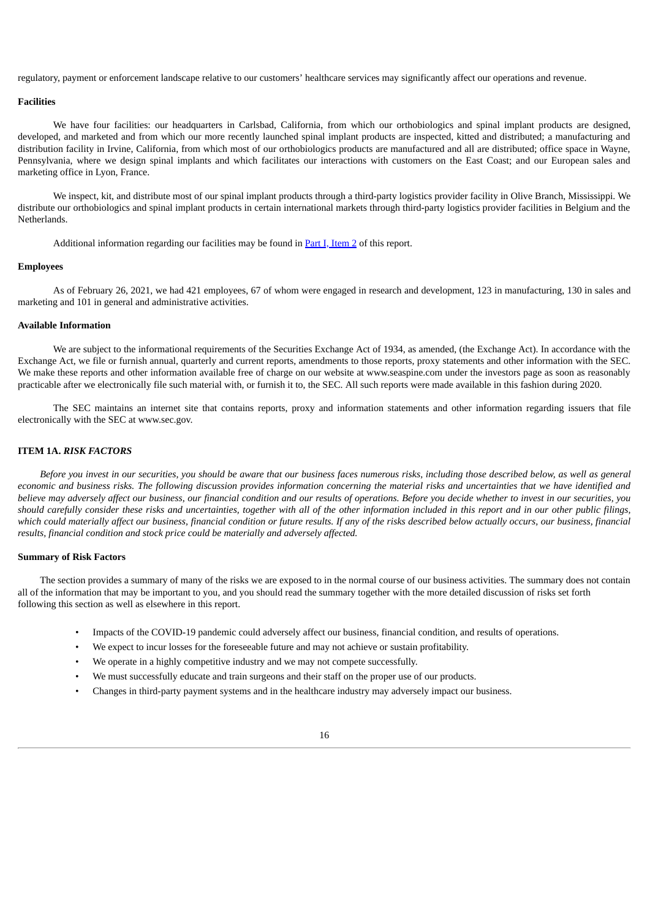regulatory, payment or enforcement landscape relative to our customers' healthcare services may significantly affect our operations and revenue.

#### **Facilities**

We have four facilities: our headquarters in Carlsbad, California, from which our orthobiologics and spinal implant products are designed, developed, and marketed and from which our more recently launched spinal implant products are inspected, kitted and distributed; a manufacturing and distribution facility in Irvine, California, from which most of our orthobiologics products are manufactured and all are distributed; office space in Wayne, Pennsylvania, where we design spinal implants and which facilitates our interactions with customers on the East Coast; and our European sales and marketing office in Lyon, France.

We inspect, kit, and distribute most of our spinal implant products through a third-party logistics provider facility in Olive Branch, Mississippi. We distribute our orthobiologics and spinal implant products in certain international markets through third-party logistics provider facilities in Belgium and the Netherlands.

Additional information regarding our facilities may be found in **Part I**, [Item](#page-48-0) 2 of this report.

#### **Employees**

As of February 26, 2021, we had 421 employees, 67 of whom were engaged in research and development, 123 in manufacturing, 130 in sales and marketing and 101 in general and administrative activities.

## **Available Information**

We are subject to the informational requirements of the Securities Exchange Act of 1934, as amended, (the Exchange Act). In accordance with the Exchange Act, we file or furnish annual, quarterly and current reports, amendments to those reports, proxy statements and other information with the SEC. We make these reports and other information available free of charge on our website at www.seaspine.com under the investors page as soon as reasonably practicable after we electronically file such material with, or furnish it to, the SEC. All such reports were made available in this fashion during 2020.

The SEC maintains an internet site that contains reports, proxy and information statements and other information regarding issuers that file electronically with the SEC at www.sec.gov.

## <span id="page-15-0"></span>**ITEM 1A.** *RISK FACTORS*

Before you invest in our securities, you should be aware that our business faces numerous risks, including those described below, as well as general economic and business risks. The following discussion provides information concerning the material risks and uncertainties that we have identified and believe may adversely affect our business, our financial condition and our results of operations. Before you decide whether to invest in our securities, you should carefully consider these risks and uncertainties, together with all of the other information included in this report and in our other public filings, which could materially affect our business, financial condition or future results. If any of the risks described below actually occurs, our business, financial *results, financial condition and stock price could be materially and adversely affected.*

### **Summary of Risk Factors**

The section provides a summary of many of the risks we are exposed to in the normal course of our business activities. The summary does not contain all of the information that may be important to you, and you should read the summary together with the more detailed discussion of risks set forth following this section as well as elsewhere in this report.

- Impacts of the COVID-19 pandemic could adversely affect our business, financial condition, and results of operations.
- We expect to incur losses for the foreseeable future and may not achieve or sustain profitability.
- We operate in a highly competitive industry and we may not compete successfully.
- We must successfully educate and train surgeons and their staff on the proper use of our products.
- Changes in third-party payment systems and in the healthcare industry may adversely impact our business.

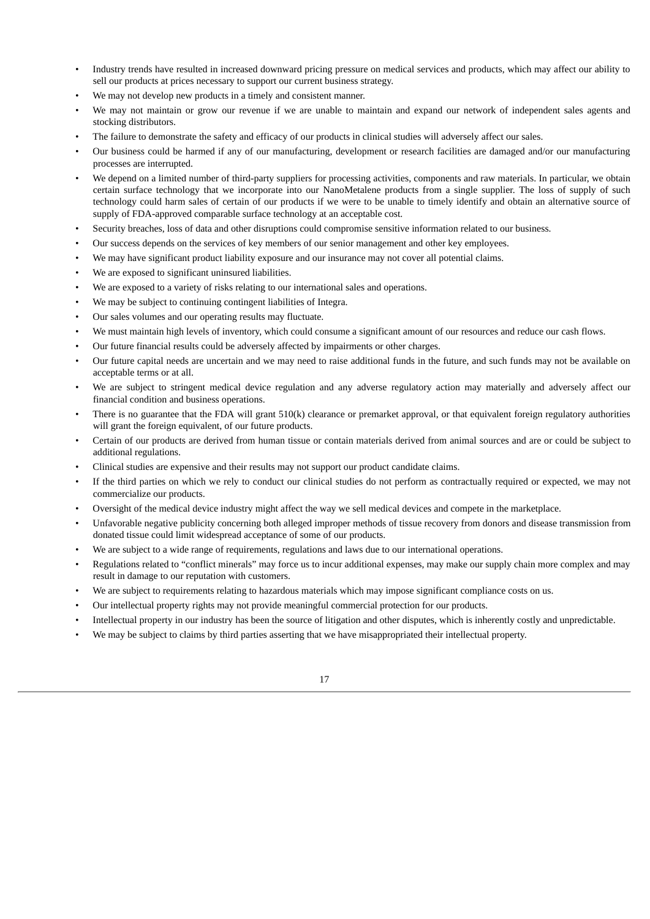- Industry trends have resulted in increased downward pricing pressure on medical services and products, which may affect our ability to sell our products at prices necessary to support our current business strategy.
- We may not develop new products in a timely and consistent manner.
- We may not maintain or grow our revenue if we are unable to maintain and expand our network of independent sales agents and stocking distributors.
- The failure to demonstrate the safety and efficacy of our products in clinical studies will adversely affect our sales.
- Our business could be harmed if any of our manufacturing, development or research facilities are damaged and/or our manufacturing processes are interrupted.
- We depend on a limited number of third-party suppliers for processing activities, components and raw materials. In particular, we obtain certain surface technology that we incorporate into our NanoMetalene products from a single supplier. The loss of supply of such technology could harm sales of certain of our products if we were to be unable to timely identify and obtain an alternative source of supply of FDA-approved comparable surface technology at an acceptable cost.
- Security breaches, loss of data and other disruptions could compromise sensitive information related to our business.
- Our success depends on the services of key members of our senior management and other key employees.
- We may have significant product liability exposure and our insurance may not cover all potential claims.
- We are exposed to significant uninsured liabilities.
- We are exposed to a variety of risks relating to our international sales and operations.
- We may be subject to continuing contingent liabilities of Integra.
- Our sales volumes and our operating results may fluctuate.
- We must maintain high levels of inventory, which could consume a significant amount of our resources and reduce our cash flows.
- Our future financial results could be adversely affected by impairments or other charges.
- Our future capital needs are uncertain and we may need to raise additional funds in the future, and such funds may not be available on acceptable terms or at all.
- We are subject to stringent medical device regulation and any adverse regulatory action may materially and adversely affect our financial condition and business operations.
- There is no guarantee that the FDA will grant 510(k) clearance or premarket approval, or that equivalent foreign regulatory authorities will grant the foreign equivalent, of our future products.
- Certain of our products are derived from human tissue or contain materials derived from animal sources and are or could be subject to additional regulations.
- Clinical studies are expensive and their results may not support our product candidate claims.
- If the third parties on which we rely to conduct our clinical studies do not perform as contractually required or expected, we may not commercialize our products.
- Oversight of the medical device industry might affect the way we sell medical devices and compete in the marketplace.
- Unfavorable negative publicity concerning both alleged improper methods of tissue recovery from donors and disease transmission from donated tissue could limit widespread acceptance of some of our products.
- We are subject to a wide range of requirements, regulations and laws due to our international operations.
- Regulations related to "conflict minerals" may force us to incur additional expenses, may make our supply chain more complex and may result in damage to our reputation with customers.
- We are subject to requirements relating to hazardous materials which may impose significant compliance costs on us.
- Our intellectual property rights may not provide meaningful commercial protection for our products.
- Intellectual property in our industry has been the source of litigation and other disputes, which is inherently costly and unpredictable.
- We may be subject to claims by third parties asserting that we have misappropriated their intellectual property.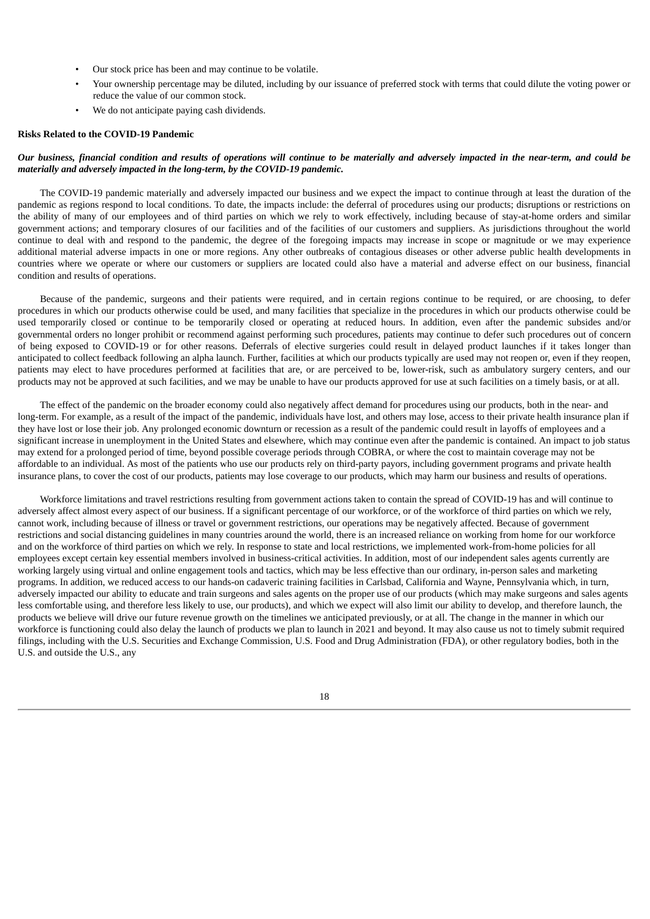- Our stock price has been and may continue to be volatile.
- Your ownership percentage may be diluted, including by our issuance of preferred stock with terms that could dilute the voting power or reduce the value of our common stock.
- We do not anticipate paying cash dividends.

#### **Risks Related to the COVID-19 Pandemic**

### Our business, financial condition and results of operations will continue to be materially and adversely impacted in the near-term, and could be *materially and adversely impacted in the long-term, by the COVID-19 pandemic.*

The COVID-19 pandemic materially and adversely impacted our business and we expect the impact to continue through at least the duration of the pandemic as regions respond to local conditions. To date, the impacts include: the deferral of procedures using our products; disruptions or restrictions on the ability of many of our employees and of third parties on which we rely to work effectively, including because of stay-at-home orders and similar government actions; and temporary closures of our facilities and of the facilities of our customers and suppliers. As jurisdictions throughout the world continue to deal with and respond to the pandemic, the degree of the foregoing impacts may increase in scope or magnitude or we may experience additional material adverse impacts in one or more regions. Any other outbreaks of contagious diseases or other adverse public health developments in countries where we operate or where our customers or suppliers are located could also have a material and adverse effect on our business, financial condition and results of operations.

Because of the pandemic, surgeons and their patients were required, and in certain regions continue to be required, or are choosing, to defer procedures in which our products otherwise could be used, and many facilities that specialize in the procedures in which our products otherwise could be used temporarily closed or continue to be temporarily closed or operating at reduced hours. In addition, even after the pandemic subsides and/or governmental orders no longer prohibit or recommend against performing such procedures, patients may continue to defer such procedures out of concern of being exposed to COVID-19 or for other reasons. Deferrals of elective surgeries could result in delayed product launches if it takes longer than anticipated to collect feedback following an alpha launch. Further, facilities at which our products typically are used may not reopen or, even if they reopen, patients may elect to have procedures performed at facilities that are, or are perceived to be, lower-risk, such as ambulatory surgery centers, and our products may not be approved at such facilities, and we may be unable to have our products approved for use at such facilities on a timely basis, or at all.

The effect of the pandemic on the broader economy could also negatively affect demand for procedures using our products, both in the near- and long-term. For example, as a result of the impact of the pandemic, individuals have lost, and others may lose, access to their private health insurance plan if they have lost or lose their job. Any prolonged economic downturn or recession as a result of the pandemic could result in layoffs of employees and a significant increase in unemployment in the United States and elsewhere, which may continue even after the pandemic is contained. An impact to job status may extend for a prolonged period of time, beyond possible coverage periods through COBRA, or where the cost to maintain coverage may not be affordable to an individual. As most of the patients who use our products rely on third-party payors, including government programs and private health insurance plans, to cover the cost of our products, patients may lose coverage to our products, which may harm our business and results of operations.

Workforce limitations and travel restrictions resulting from government actions taken to contain the spread of COVID-19 has and will continue to adversely affect almost every aspect of our business. If a significant percentage of our workforce, or of the workforce of third parties on which we rely, cannot work, including because of illness or travel or government restrictions, our operations may be negatively affected. Because of government restrictions and social distancing guidelines in many countries around the world, there is an increased reliance on working from home for our workforce and on the workforce of third parties on which we rely. In response to state and local restrictions, we implemented work-from-home policies for all employees except certain key essential members involved in business-critical activities. In addition, most of our independent sales agents currently are working largely using virtual and online engagement tools and tactics, which may be less effective than our ordinary, in-person sales and marketing programs. In addition, we reduced access to our hands-on cadaveric training facilities in Carlsbad, California and Wayne, Pennsylvania which, in turn, adversely impacted our ability to educate and train surgeons and sales agents on the proper use of our products (which may make surgeons and sales agents less comfortable using, and therefore less likely to use, our products), and which we expect will also limit our ability to develop, and therefore launch, the products we believe will drive our future revenue growth on the timelines we anticipated previously, or at all. The change in the manner in which our workforce is functioning could also delay the launch of products we plan to launch in 2021 and beyond. It may also cause us not to timely submit required filings, including with the U.S. Securities and Exchange Commission, U.S. Food and Drug Administration (FDA), or other regulatory bodies, both in the U.S. and outside the U.S., any

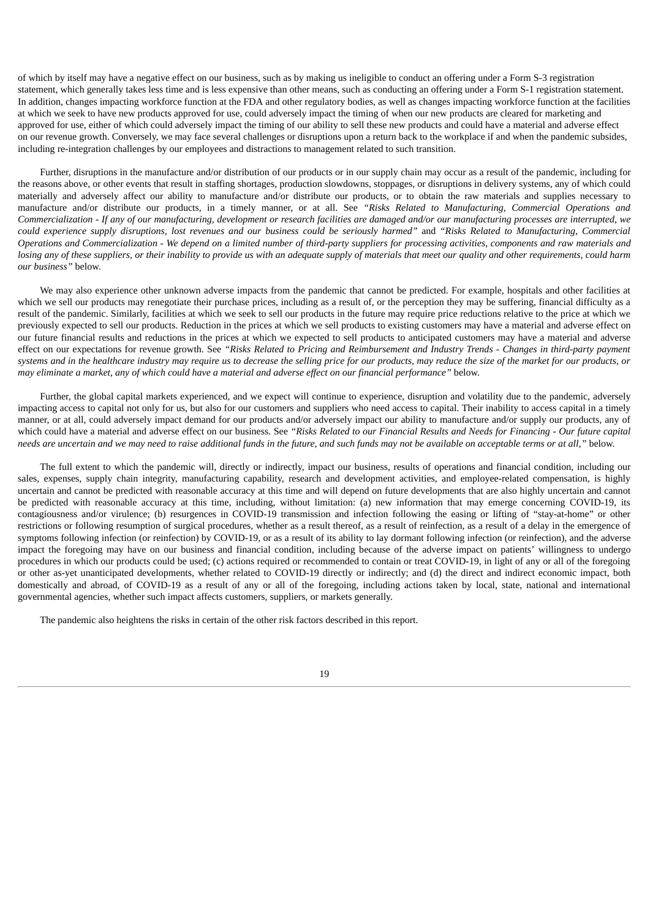of which by itself may have a negative effect on our business, such as by making us ineligible to conduct an offering under a Form S-3 registration statement, which generally takes less time and is less expensive than other means, such as conducting an offering under a Form S-1 registration statement. In addition, changes impacting workforce function at the FDA and other regulatory bodies, as well as changes impacting workforce function at the facilities at which we seek to have new products approved for use, could adversely impact the timing of when our new products are cleared for marketing and approved for use, either of which could adversely impact the timing of our ability to sell these new products and could have a material and adverse effect on our revenue growth. Conversely, we may face several challenges or disruptions upon a return back to the workplace if and when the pandemic subsides, including re-integration challenges by our employees and distractions to management related to such transition.

Further, disruptions in the manufacture and/or distribution of our products or in our supply chain may occur as a result of the pandemic, including for the reasons above, or other events that result in staffing shortages, production slowdowns, stoppages, or disruptions in delivery systems, any of which could materially and adversely affect our ability to manufacture and/or distribute our products, or to obtain the raw materials and supplies necessary to manufacture and/or distribute our products, in a timely manner, or at all. See *"Risks Related to Manufacturing, Commercial Operations and* Commercialization - If any of our manufacturing, development or research facilities are damaged and/or our manufacturing processes are interrupted, we could experience supply disruptions, lost revenues and our business could be seriously harmed" and "Risks Related to Manufacturing, Commercial Operations and Commercialization - We depend on a limited number of third-party suppliers for processing activities, components and raw materials and losing any of these suppliers, or their inability to provide us with an adequate supply of materials that meet our quality and other requirements, could harm *our business"* below.

We may also experience other unknown adverse impacts from the pandemic that cannot be predicted. For example, hospitals and other facilities at which we sell our products may renegotiate their purchase prices, including as a result of, or the perception they may be suffering, financial difficulty as a result of the pandemic. Similarly, facilities at which we seek to sell our products in the future may require price reductions relative to the price at which we previously expected to sell our products. Reduction in the prices at which we sell products to existing customers may have a material and adverse effect on our future financial results and reductions in the prices at which we expected to sell products to anticipated customers may have a material and adverse effect on our expectations for revenue growth. See "Risks Related to Pricing and Reimbursement and Industry Trends - Changes in third-party payment systems and in the healthcare industry may require us to decrease the selling price for our products, may reduce the size of the market for our products, or may eliminate a market, any of which could have a material and adverse effect on our financial performance" below.

Further, the global capital markets experienced, and we expect will continue to experience, disruption and volatility due to the pandemic, adversely impacting access to capital not only for us, but also for our customers and suppliers who need access to capital. Their inability to access capital in a timely manner, or at all, could adversely impact demand for our products and/or adversely impact our ability to manufacture and/or supply our products, any of which could have a material and adverse effect on our business. See "Risks Related to our Financial Results and Needs for Financing - Our future capital needs are uncertain and we may need to raise additional funds in the future, and such funds may not be available on acceptable terms or at all," below.

The full extent to which the pandemic will, directly or indirectly, impact our business, results of operations and financial condition, including our sales, expenses, supply chain integrity, manufacturing capability, research and development activities, and employee-related compensation, is highly uncertain and cannot be predicted with reasonable accuracy at this time and will depend on future developments that are also highly uncertain and cannot be predicted with reasonable accuracy at this time, including, without limitation: (a) new information that may emerge concerning COVID-19, its contagiousness and/or virulence; (b) resurgences in COVID-19 transmission and infection following the easing or lifting of "stay-at-home" or other restrictions or following resumption of surgical procedures, whether as a result thereof, as a result of reinfection, as a result of a delay in the emergence of symptoms following infection (or reinfection) by COVID-19, or as a result of its ability to lay dormant following infection (or reinfection), and the adverse impact the foregoing may have on our business and financial condition, including because of the adverse impact on patients' willingness to undergo procedures in which our products could be used; (c) actions required or recommended to contain or treat COVID-19, in light of any or all of the foregoing or other as-yet unanticipated developments, whether related to COVID-19 directly or indirectly; and (d) the direct and indirect economic impact, both domestically and abroad, of COVID-19 as a result of any or all of the foregoing, including actions taken by local, state, national and international governmental agencies, whether such impact affects customers, suppliers, or markets generally.

The pandemic also heightens the risks in certain of the other risk factors described in this report.

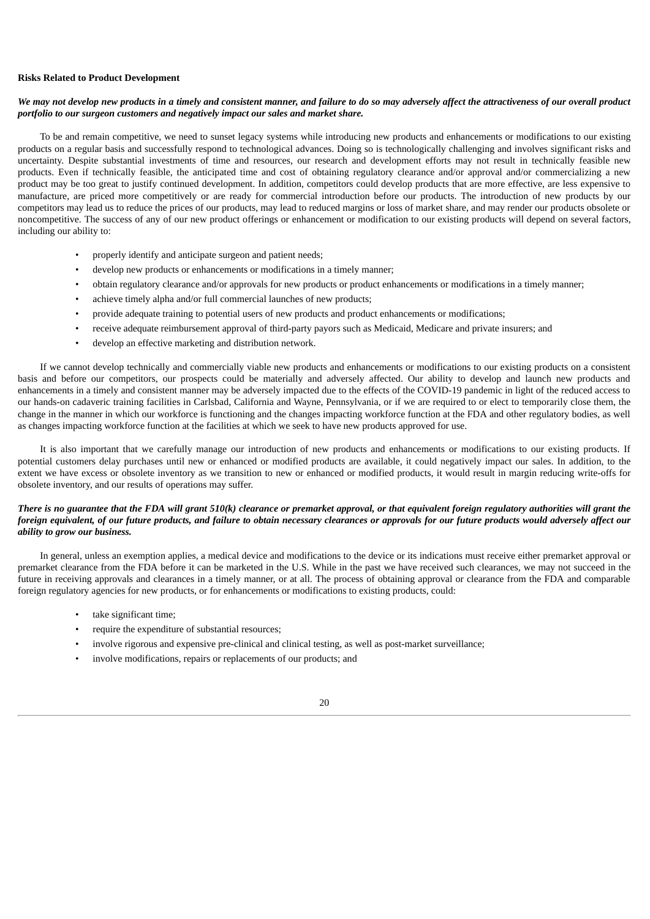## **Risks Related to Product Development**

## We may not develop new products in a timely and consistent manner, and failure to do so may adversely affect the attractiveness of our overall product *portfolio to our surgeon customers and negatively impact our sales and market share.*

To be and remain competitive, we need to sunset legacy systems while introducing new products and enhancements or modifications to our existing products on a regular basis and successfully respond to technological advances. Doing so is technologically challenging and involves significant risks and uncertainty. Despite substantial investments of time and resources, our research and development efforts may not result in technically feasible new products. Even if technically feasible, the anticipated time and cost of obtaining regulatory clearance and/or approval and/or commercializing a new product may be too great to justify continued development. In addition, competitors could develop products that are more effective, are less expensive to manufacture, are priced more competitively or are ready for commercial introduction before our products. The introduction of new products by our competitors may lead us to reduce the prices of our products, may lead to reduced margins or loss of market share, and may render our products obsolete or noncompetitive. The success of any of our new product offerings or enhancement or modification to our existing products will depend on several factors, including our ability to:

- properly identify and anticipate surgeon and patient needs;
- develop new products or enhancements or modifications in a timely manner;
- obtain regulatory clearance and/or approvals for new products or product enhancements or modifications in a timely manner;
- achieve timely alpha and/or full commercial launches of new products;
- provide adequate training to potential users of new products and product enhancements or modifications;
- receive adequate reimbursement approval of third-party payors such as Medicaid, Medicare and private insurers; and
- develop an effective marketing and distribution network.

If we cannot develop technically and commercially viable new products and enhancements or modifications to our existing products on a consistent basis and before our competitors, our prospects could be materially and adversely affected. Our ability to develop and launch new products and enhancements in a timely and consistent manner may be adversely impacted due to the effects of the COVID-19 pandemic in light of the reduced access to our hands-on cadaveric training facilities in Carlsbad, California and Wayne, Pennsylvania, or if we are required to or elect to temporarily close them, the change in the manner in which our workforce is functioning and the changes impacting workforce function at the FDA and other regulatory bodies, as well as changes impacting workforce function at the facilities at which we seek to have new products approved for use.

It is also important that we carefully manage our introduction of new products and enhancements or modifications to our existing products. If potential customers delay purchases until new or enhanced or modified products are available, it could negatively impact our sales. In addition, to the extent we have excess or obsolete inventory as we transition to new or enhanced or modified products, it would result in margin reducing write-offs for obsolete inventory, and our results of operations may suffer.

## There is no guarantee that the FDA will grant 510(k) clearance or premarket approval, or that equivalent foreign regulatory authorities will grant the foreign equivalent, of our future products, and failure to obtain necessary clearances or approvals for our future products would adversely affect our *ability to grow our business.*

In general, unless an exemption applies, a medical device and modifications to the device or its indications must receive either premarket approval or premarket clearance from the FDA before it can be marketed in the U.S. While in the past we have received such clearances, we may not succeed in the future in receiving approvals and clearances in a timely manner, or at all. The process of obtaining approval or clearance from the FDA and comparable foreign regulatory agencies for new products, or for enhancements or modifications to existing products, could:

- take significant time;
- require the expenditure of substantial resources;
- involve rigorous and expensive pre-clinical and clinical testing, as well as post-market surveillance;
- involve modifications, repairs or replacements of our products; and

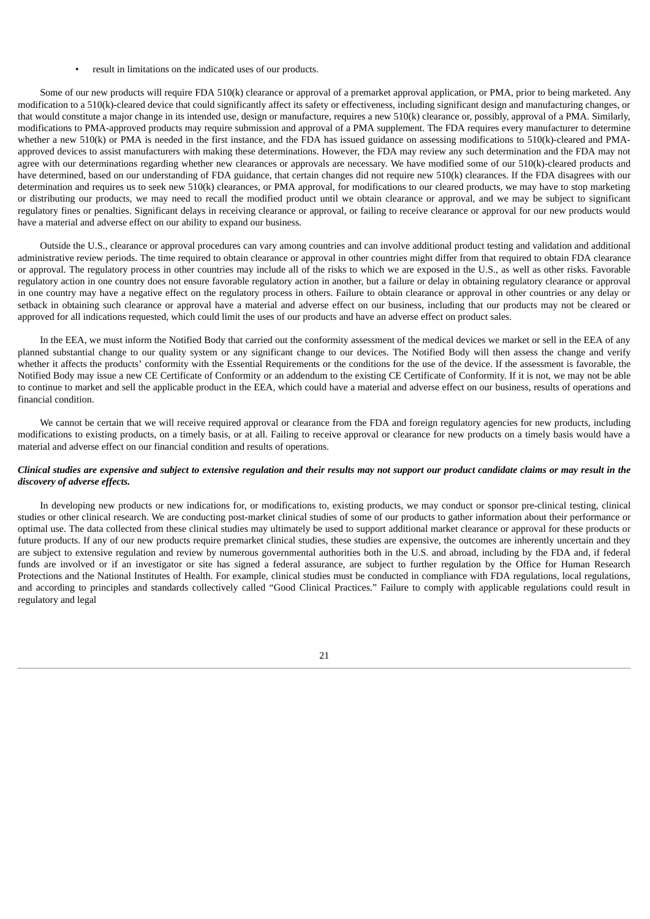result in limitations on the indicated uses of our products.

Some of our new products will require FDA 510(k) clearance or approval of a premarket approval application, or PMA, prior to being marketed. Any modification to a 510(k)-cleared device that could significantly affect its safety or effectiveness, including significant design and manufacturing changes, or that would constitute a major change in its intended use, design or manufacture, requires a new 510(k) clearance or, possibly, approval of a PMA. Similarly, modifications to PMA-approved products may require submission and approval of a PMA supplement. The FDA requires every manufacturer to determine whether a new 510(k) or PMA is needed in the first instance, and the FDA has issued guidance on assessing modifications to 510(k)-cleared and PMAapproved devices to assist manufacturers with making these determinations. However, the FDA may review any such determination and the FDA may not agree with our determinations regarding whether new clearances or approvals are necessary. We have modified some of our 510(k)-cleared products and have determined, based on our understanding of FDA guidance, that certain changes did not require new 510(k) clearances. If the FDA disagrees with our determination and requires us to seek new 510(k) clearances, or PMA approval, for modifications to our cleared products, we may have to stop marketing or distributing our products, we may need to recall the modified product until we obtain clearance or approval, and we may be subject to significant regulatory fines or penalties. Significant delays in receiving clearance or approval, or failing to receive clearance or approval for our new products would have a material and adverse effect on our ability to expand our business.

Outside the U.S., clearance or approval procedures can vary among countries and can involve additional product testing and validation and additional administrative review periods. The time required to obtain clearance or approval in other countries might differ from that required to obtain FDA clearance or approval. The regulatory process in other countries may include all of the risks to which we are exposed in the U.S., as well as other risks. Favorable regulatory action in one country does not ensure favorable regulatory action in another, but a failure or delay in obtaining regulatory clearance or approval in one country may have a negative effect on the regulatory process in others. Failure to obtain clearance or approval in other countries or any delay or setback in obtaining such clearance or approval have a material and adverse effect on our business, including that our products may not be cleared or approved for all indications requested, which could limit the uses of our products and have an adverse effect on product sales.

In the EEA, we must inform the Notified Body that carried out the conformity assessment of the medical devices we market or sell in the EEA of any planned substantial change to our quality system or any significant change to our devices. The Notified Body will then assess the change and verify whether it affects the products' conformity with the Essential Requirements or the conditions for the use of the device. If the assessment is favorable, the Notified Body may issue a new CE Certificate of Conformity or an addendum to the existing CE Certificate of Conformity. If it is not, we may not be able to continue to market and sell the applicable product in the EEA, which could have a material and adverse effect on our business, results of operations and financial condition.

We cannot be certain that we will receive required approval or clearance from the FDA and foreign regulatory agencies for new products, including modifications to existing products, on a timely basis, or at all. Failing to receive approval or clearance for new products on a timely basis would have a material and adverse effect on our financial condition and results of operations.

## Clinical studies are expensive and subject to extensive regulation and their results may not support our product candidate claims or may result in the *discovery of adverse effects.*

In developing new products or new indications for, or modifications to, existing products, we may conduct or sponsor pre-clinical testing, clinical studies or other clinical research. We are conducting post-market clinical studies of some of our products to gather information about their performance or optimal use. The data collected from these clinical studies may ultimately be used to support additional market clearance or approval for these products or future products. If any of our new products require premarket clinical studies, these studies are expensive, the outcomes are inherently uncertain and they are subject to extensive regulation and review by numerous governmental authorities both in the U.S. and abroad, including by the FDA and, if federal funds are involved or if an investigator or site has signed a federal assurance, are subject to further regulation by the Office for Human Research Protections and the National Institutes of Health. For example, clinical studies must be conducted in compliance with FDA regulations, local regulations, and according to principles and standards collectively called "Good Clinical Practices." Failure to comply with applicable regulations could result in regulatory and legal

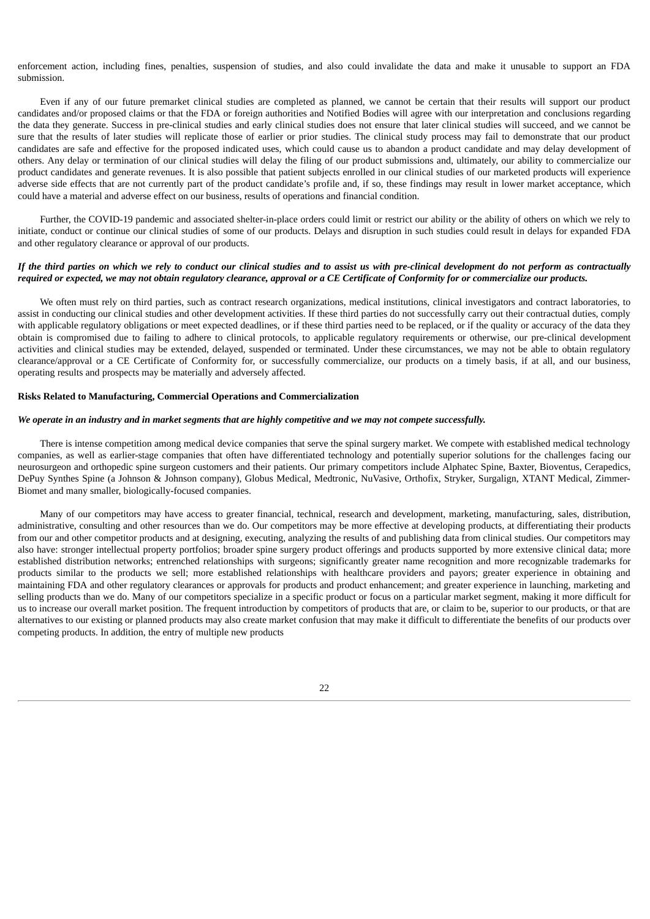enforcement action, including fines, penalties, suspension of studies, and also could invalidate the data and make it unusable to support an FDA submission.

Even if any of our future premarket clinical studies are completed as planned, we cannot be certain that their results will support our product candidates and/or proposed claims or that the FDA or foreign authorities and Notified Bodies will agree with our interpretation and conclusions regarding the data they generate. Success in pre-clinical studies and early clinical studies does not ensure that later clinical studies will succeed, and we cannot be sure that the results of later studies will replicate those of earlier or prior studies. The clinical study process may fail to demonstrate that our product candidates are safe and effective for the proposed indicated uses, which could cause us to abandon a product candidate and may delay development of others. Any delay or termination of our clinical studies will delay the filing of our product submissions and, ultimately, our ability to commercialize our product candidates and generate revenues. It is also possible that patient subjects enrolled in our clinical studies of our marketed products will experience adverse side effects that are not currently part of the product candidate's profile and, if so, these findings may result in lower market acceptance, which could have a material and adverse effect on our business, results of operations and financial condition.

Further, the COVID-19 pandemic and associated shelter-in-place orders could limit or restrict our ability or the ability of others on which we rely to initiate, conduct or continue our clinical studies of some of our products. Delays and disruption in such studies could result in delays for expanded FDA and other regulatory clearance or approval of our products.

#### If the third parties on which we rely to conduct our clinical studies and to assist us with pre-clinical development do not perform as contractually required or expected, we may not obtain regulatory clearance, approval or a CE Certificate of Conformity for or commercialize our products.

We often must rely on third parties, such as contract research organizations, medical institutions, clinical investigators and contract laboratories, to assist in conducting our clinical studies and other development activities. If these third parties do not successfully carry out their contractual duties, comply with applicable regulatory obligations or meet expected deadlines, or if these third parties need to be replaced, or if the quality or accuracy of the data they obtain is compromised due to failing to adhere to clinical protocols, to applicable regulatory requirements or otherwise, our pre-clinical development activities and clinical studies may be extended, delayed, suspended or terminated. Under these circumstances, we may not be able to obtain regulatory clearance/approval or a CE Certificate of Conformity for, or successfully commercialize, our products on a timely basis, if at all, and our business, operating results and prospects may be materially and adversely affected.

#### **Risks Related to Manufacturing, Commercial Operations and Commercialization**

#### We operate in an industry and in market segments that are highly competitive and we may not compete successfully.

There is intense competition among medical device companies that serve the spinal surgery market. We compete with established medical technology companies, as well as earlier-stage companies that often have differentiated technology and potentially superior solutions for the challenges facing our neurosurgeon and orthopedic spine surgeon customers and their patients. Our primary competitors include Alphatec Spine, Baxter, Bioventus, Cerapedics, DePuy Synthes Spine (a Johnson & Johnson company), Globus Medical, Medtronic, NuVasive, Orthofix, Stryker, Surgalign, XTANT Medical, Zimmer-Biomet and many smaller, biologically-focused companies.

Many of our competitors may have access to greater financial, technical, research and development, marketing, manufacturing, sales, distribution, administrative, consulting and other resources than we do. Our competitors may be more effective at developing products, at differentiating their products from our and other competitor products and at designing, executing, analyzing the results of and publishing data from clinical studies. Our competitors may also have: stronger intellectual property portfolios; broader spine surgery product offerings and products supported by more extensive clinical data; more established distribution networks; entrenched relationships with surgeons; significantly greater name recognition and more recognizable trademarks for products similar to the products we sell; more established relationships with healthcare providers and payors; greater experience in obtaining and maintaining FDA and other regulatory clearances or approvals for products and product enhancement; and greater experience in launching, marketing and selling products than we do. Many of our competitors specialize in a specific product or focus on a particular market segment, making it more difficult for us to increase our overall market position. The frequent introduction by competitors of products that are, or claim to be, superior to our products, or that are alternatives to our existing or planned products may also create market confusion that may make it difficult to differentiate the benefits of our products over competing products. In addition, the entry of multiple new products

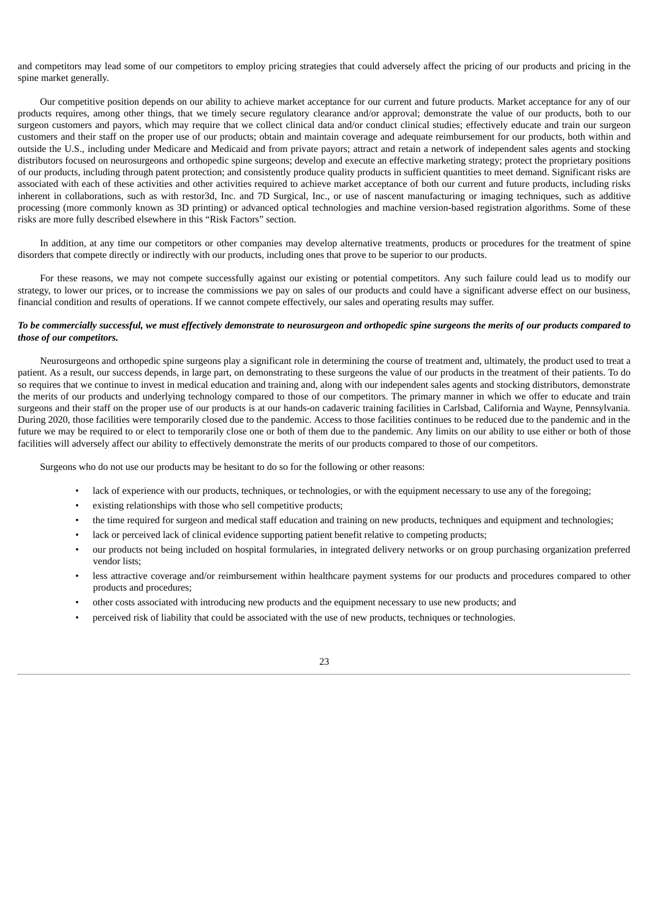and competitors may lead some of our competitors to employ pricing strategies that could adversely affect the pricing of our products and pricing in the spine market generally.

Our competitive position depends on our ability to achieve market acceptance for our current and future products. Market acceptance for any of our products requires, among other things, that we timely secure regulatory clearance and/or approval; demonstrate the value of our products, both to our surgeon customers and payors, which may require that we collect clinical data and/or conduct clinical studies; effectively educate and train our surgeon customers and their staff on the proper use of our products; obtain and maintain coverage and adequate reimbursement for our products, both within and outside the U.S., including under Medicare and Medicaid and from private payors; attract and retain a network of independent sales agents and stocking distributors focused on neurosurgeons and orthopedic spine surgeons; develop and execute an effective marketing strategy; protect the proprietary positions of our products, including through patent protection; and consistently produce quality products in sufficient quantities to meet demand. Significant risks are associated with each of these activities and other activities required to achieve market acceptance of both our current and future products, including risks inherent in collaborations, such as with restor3d, Inc. and 7D Surgical, Inc., or use of nascent manufacturing or imaging techniques, such as additive processing (more commonly known as 3D printing) or advanced optical technologies and machine version-based registration algorithms. Some of these risks are more fully described elsewhere in this "Risk Factors" section.

In addition, at any time our competitors or other companies may develop alternative treatments, products or procedures for the treatment of spine disorders that compete directly or indirectly with our products, including ones that prove to be superior to our products.

For these reasons, we may not compete successfully against our existing or potential competitors. Any such failure could lead us to modify our strategy, to lower our prices, or to increase the commissions we pay on sales of our products and could have a significant adverse effect on our business, financial condition and results of operations. If we cannot compete effectively, our sales and operating results may suffer.

## To be commercially successful, we must effectively demonstrate to neurosurgeon and orthopedic spine surgeons the merits of our products compared to *those of our competitors.*

Neurosurgeons and orthopedic spine surgeons play a significant role in determining the course of treatment and, ultimately, the product used to treat a patient. As a result, our success depends, in large part, on demonstrating to these surgeons the value of our products in the treatment of their patients. To do so requires that we continue to invest in medical education and training and, along with our independent sales agents and stocking distributors, demonstrate the merits of our products and underlying technology compared to those of our competitors. The primary manner in which we offer to educate and train surgeons and their staff on the proper use of our products is at our hands-on cadaveric training facilities in Carlsbad, California and Wayne, Pennsylvania. During 2020, those facilities were temporarily closed due to the pandemic. Access to those facilities continues to be reduced due to the pandemic and in the future we may be required to or elect to temporarily close one or both of them due to the pandemic. Any limits on our ability to use either or both of those facilities will adversely affect our ability to effectively demonstrate the merits of our products compared to those of our competitors.

Surgeons who do not use our products may be hesitant to do so for the following or other reasons:

- lack of experience with our products, techniques, or technologies, or with the equipment necessary to use any of the foregoing;
- existing relationships with those who sell competitive products;
- the time required for surgeon and medical staff education and training on new products, techniques and equipment and technologies;
- lack or perceived lack of clinical evidence supporting patient benefit relative to competing products;
- our products not being included on hospital formularies, in integrated delivery networks or on group purchasing organization preferred vendor lists;
- less attractive coverage and/or reimbursement within healthcare payment systems for our products and procedures compared to other products and procedures;
- other costs associated with introducing new products and the equipment necessary to use new products; and
- perceived risk of liability that could be associated with the use of new products, techniques or technologies.

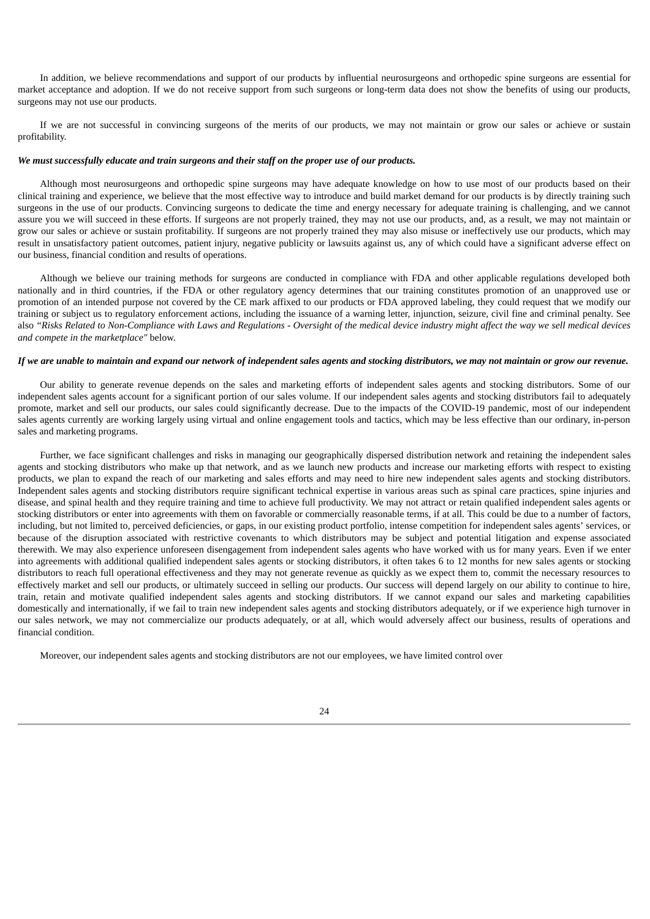In addition, we believe recommendations and support of our products by influential neurosurgeons and orthopedic spine surgeons are essential for market acceptance and adoption. If we do not receive support from such surgeons or long-term data does not show the benefits of using our products, surgeons may not use our products.

If we are not successful in convincing surgeons of the merits of our products, we may not maintain or grow our sales or achieve or sustain profitability.

#### *We must successfully educate and train surgeons and their staff on the proper use of our products.*

Although most neurosurgeons and orthopedic spine surgeons may have adequate knowledge on how to use most of our products based on their clinical training and experience, we believe that the most effective way to introduce and build market demand for our products is by directly training such surgeons in the use of our products. Convincing surgeons to dedicate the time and energy necessary for adequate training is challenging, and we cannot assure you we will succeed in these efforts. If surgeons are not properly trained, they may not use our products, and, as a result, we may not maintain or grow our sales or achieve or sustain profitability. If surgeons are not properly trained they may also misuse or ineffectively use our products, which may result in unsatisfactory patient outcomes, patient injury, negative publicity or lawsuits against us, any of which could have a significant adverse effect on our business, financial condition and results of operations.

Although we believe our training methods for surgeons are conducted in compliance with FDA and other applicable regulations developed both nationally and in third countries, if the FDA or other regulatory agency determines that our training constitutes promotion of an unapproved use or promotion of an intended purpose not covered by the CE mark affixed to our products or FDA approved labeling, they could request that we modify our training or subject us to regulatory enforcement actions, including the issuance of a warning letter, injunction, seizure, civil fine and criminal penalty. See also "Risks Related to Non-Compliance with Laws and Regulations - Oversight of the medical device industry might affect the way we sell medical devices *and compete in the marketplace"* below.

#### If we are unable to maintain and expand our network of independent sales agents and stocking distributors, we may not maintain or grow our revenue.

Our ability to generate revenue depends on the sales and marketing efforts of independent sales agents and stocking distributors. Some of our independent sales agents account for a significant portion of our sales volume. If our independent sales agents and stocking distributors fail to adequately promote, market and sell our products, our sales could significantly decrease. Due to the impacts of the COVID-19 pandemic, most of our independent sales agents currently are working largely using virtual and online engagement tools and tactics, which may be less effective than our ordinary, in-person sales and marketing programs.

Further, we face significant challenges and risks in managing our geographically dispersed distribution network and retaining the independent sales agents and stocking distributors who make up that network, and as we launch new products and increase our marketing efforts with respect to existing products, we plan to expand the reach of our marketing and sales efforts and may need to hire new independent sales agents and stocking distributors. Independent sales agents and stocking distributors require significant technical expertise in various areas such as spinal care practices, spine injuries and disease, and spinal health and they require training and time to achieve full productivity. We may not attract or retain qualified independent sales agents or stocking distributors or enter into agreements with them on favorable or commercially reasonable terms, if at all. This could be due to a number of factors, including, but not limited to, perceived deficiencies, or gaps, in our existing product portfolio, intense competition for independent sales agents' services, or because of the disruption associated with restrictive covenants to which distributors may be subject and potential litigation and expense associated therewith. We may also experience unforeseen disengagement from independent sales agents who have worked with us for many years. Even if we enter into agreements with additional qualified independent sales agents or stocking distributors, it often takes 6 to 12 months for new sales agents or stocking distributors to reach full operational effectiveness and they may not generate revenue as quickly as we expect them to, commit the necessary resources to effectively market and sell our products, or ultimately succeed in selling our products. Our success will depend largely on our ability to continue to hire, train, retain and motivate qualified independent sales agents and stocking distributors. If we cannot expand our sales and marketing capabilities domestically and internationally, if we fail to train new independent sales agents and stocking distributors adequately, or if we experience high turnover in our sales network, we may not commercialize our products adequately, or at all, which would adversely affect our business, results of operations and financial condition.

Moreover, our independent sales agents and stocking distributors are not our employees, we have limited control over

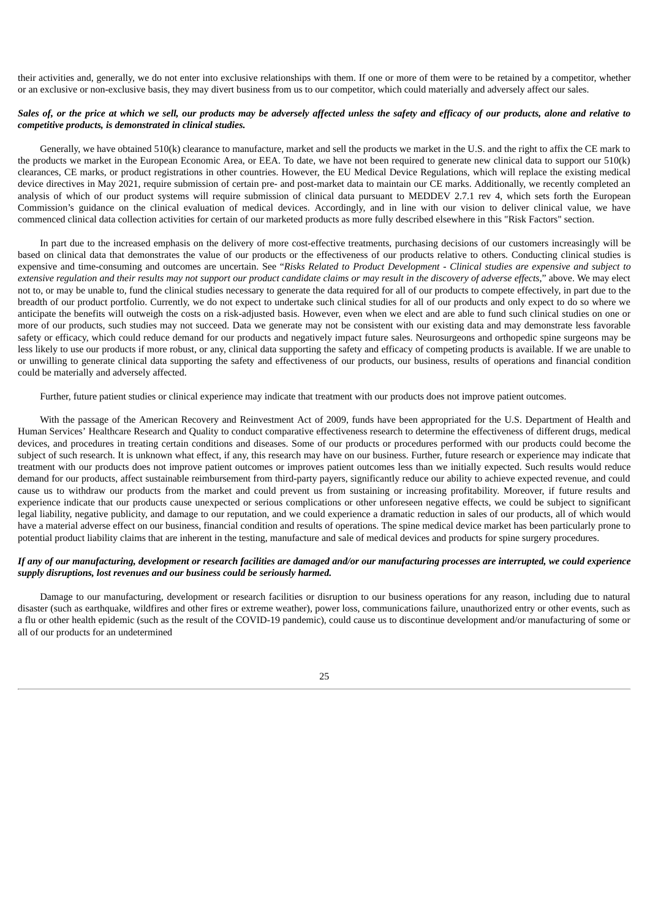their activities and, generally, we do not enter into exclusive relationships with them. If one or more of them were to be retained by a competitor, whether or an exclusive or non-exclusive basis, they may divert business from us to our competitor, which could materially and adversely affect our sales.

## Sales of, or the price at which we sell, our products may be adversely affected unless the safety and efficacy of our products, alone and relative to *competitive products, is demonstrated in clinical studies.*

Generally, we have obtained 510(k) clearance to manufacture, market and sell the products we market in the U.S. and the right to affix the CE mark to the products we market in the European Economic Area, or EEA. To date, we have not been required to generate new clinical data to support our 510(k) clearances, CE marks, or product registrations in other countries. However, the EU Medical Device Regulations, which will replace the existing medical device directives in May 2021, require submission of certain pre- and post-market data to maintain our CE marks. Additionally, we recently completed an analysis of which of our product systems will require submission of clinical data pursuant to MEDDEV 2.7.1 rev 4, which sets forth the European Commission's guidance on the clinical evaluation of medical devices. Accordingly, and in line with our vision to deliver clinical value, we have commenced clinical data collection activities for certain of our marketed products as more fully described elsewhere in this "Risk Factors" section.

In part due to the increased emphasis on the delivery of more cost-effective treatments, purchasing decisions of our customers increasingly will be based on clinical data that demonstrates the value of our products or the effectiveness of our products relative to others. Conducting clinical studies is expensive and time-consuming and outcomes are uncertain. See "Risks Related to Product Development - Clinical studies are expensive and subject to extensive regulation and their results may not support our product candidate claims or may result in the discovery of adverse effects," above. We may elect not to, or may be unable to, fund the clinical studies necessary to generate the data required for all of our products to compete effectively, in part due to the breadth of our product portfolio. Currently, we do not expect to undertake such clinical studies for all of our products and only expect to do so where we anticipate the benefits will outweigh the costs on a risk-adjusted basis. However, even when we elect and are able to fund such clinical studies on one or more of our products, such studies may not succeed. Data we generate may not be consistent with our existing data and may demonstrate less favorable safety or efficacy, which could reduce demand for our products and negatively impact future sales. Neurosurgeons and orthopedic spine surgeons may be less likely to use our products if more robust, or any, clinical data supporting the safety and efficacy of competing products is available. If we are unable to or unwilling to generate clinical data supporting the safety and effectiveness of our products, our business, results of operations and financial condition could be materially and adversely affected.

Further, future patient studies or clinical experience may indicate that treatment with our products does not improve patient outcomes.

With the passage of the American Recovery and Reinvestment Act of 2009, funds have been appropriated for the U.S. Department of Health and Human Services' Healthcare Research and Quality to conduct comparative effectiveness research to determine the effectiveness of different drugs, medical devices, and procedures in treating certain conditions and diseases. Some of our products or procedures performed with our products could become the subject of such research. It is unknown what effect, if any, this research may have on our business. Further, future research or experience may indicate that treatment with our products does not improve patient outcomes or improves patient outcomes less than we initially expected. Such results would reduce demand for our products, affect sustainable reimbursement from third-party payers, significantly reduce our ability to achieve expected revenue, and could cause us to withdraw our products from the market and could prevent us from sustaining or increasing profitability. Moreover, if future results and experience indicate that our products cause unexpected or serious complications or other unforeseen negative effects, we could be subject to significant legal liability, negative publicity, and damage to our reputation, and we could experience a dramatic reduction in sales of our products, all of which would have a material adverse effect on our business, financial condition and results of operations. The spine medical device market has been particularly prone to potential product liability claims that are inherent in the testing, manufacture and sale of medical devices and products for spine surgery procedures.

## If any of our manufacturing, development or research facilities are damaged and/or our manufacturing processes are interrupted, we could experience *supply disruptions, lost revenues and our business could be seriously harmed.*

Damage to our manufacturing, development or research facilities or disruption to our business operations for any reason, including due to natural disaster (such as earthquake, wildfires and other fires or extreme weather), power loss, communications failure, unauthorized entry or other events, such as a flu or other health epidemic (such as the result of the COVID-19 pandemic), could cause us to discontinue development and/or manufacturing of some or all of our products for an undetermined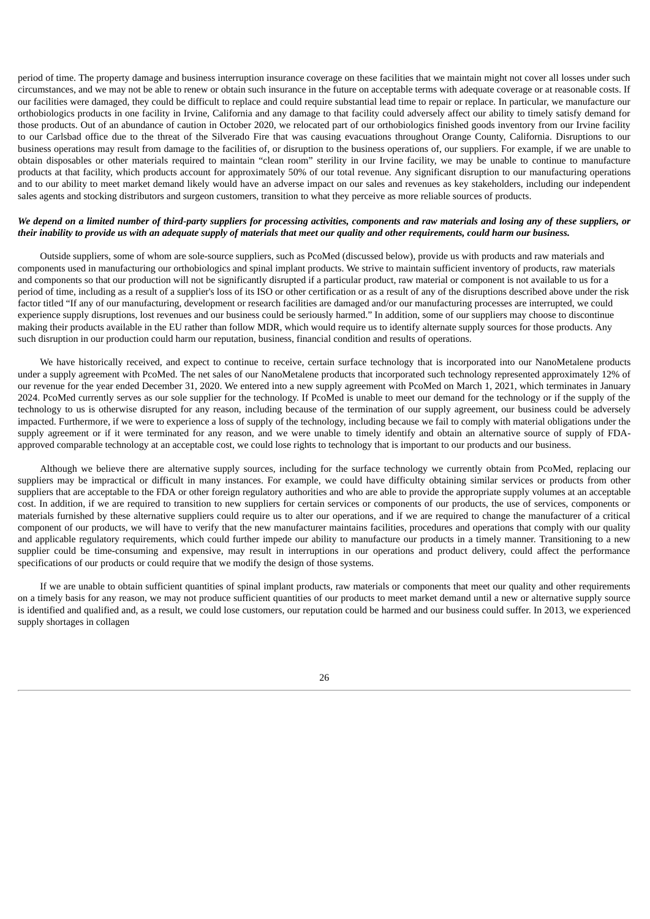period of time. The property damage and business interruption insurance coverage on these facilities that we maintain might not cover all losses under such circumstances, and we may not be able to renew or obtain such insurance in the future on acceptable terms with adequate coverage or at reasonable costs. If our facilities were damaged, they could be difficult to replace and could require substantial lead time to repair or replace. In particular, we manufacture our orthobiologics products in one facility in Irvine, California and any damage to that facility could adversely affect our ability to timely satisfy demand for those products. Out of an abundance of caution in October 2020, we relocated part of our orthobiologics finished goods inventory from our Irvine facility to our Carlsbad office due to the threat of the Silverado Fire that was causing evacuations throughout Orange County, California. Disruptions to our business operations may result from damage to the facilities of, or disruption to the business operations of, our suppliers. For example, if we are unable to obtain disposables or other materials required to maintain "clean room" sterility in our Irvine facility, we may be unable to continue to manufacture products at that facility, which products account for approximately 50% of our total revenue. Any significant disruption to our manufacturing operations and to our ability to meet market demand likely would have an adverse impact on our sales and revenues as key stakeholders, including our independent sales agents and stocking distributors and surgeon customers, transition to what they perceive as more reliable sources of products.

## We depend on a limited number of third-party suppliers for processing activities, components and raw materials and losing any of these suppliers, or their inability to provide us with an adequate supply of materials that meet our quality and other requirements, could harm our business.

Outside suppliers, some of whom are sole-source suppliers, such as PcoMed (discussed below), provide us with products and raw materials and components used in manufacturing our orthobiologics and spinal implant products. We strive to maintain sufficient inventory of products, raw materials and components so that our production will not be significantly disrupted if a particular product, raw material or component is not available to us for a period of time, including as a result of a supplier's loss of its ISO or other certification or as a result of any of the disruptions described above under the risk factor titled "If any of our manufacturing, development or research facilities are damaged and/or our manufacturing processes are interrupted, we could experience supply disruptions, lost revenues and our business could be seriously harmed." In addition, some of our suppliers may choose to discontinue making their products available in the EU rather than follow MDR, which would require us to identify alternate supply sources for those products. Any such disruption in our production could harm our reputation, business, financial condition and results of operations.

We have historically received, and expect to continue to receive, certain surface technology that is incorporated into our NanoMetalene products under a supply agreement with PcoMed. The net sales of our NanoMetalene products that incorporated such technology represented approximately 12% of our revenue for the year ended December 31, 2020. We entered into a new supply agreement with PcoMed on March 1, 2021, which terminates in January 2024. PcoMed currently serves as our sole supplier for the technology. If PcoMed is unable to meet our demand for the technology or if the supply of the technology to us is otherwise disrupted for any reason, including because of the termination of our supply agreement, our business could be adversely impacted. Furthermore, if we were to experience a loss of supply of the technology, including because we fail to comply with material obligations under the supply agreement or if it were terminated for any reason, and we were unable to timely identify and obtain an alternative source of supply of FDAapproved comparable technology at an acceptable cost, we could lose rights to technology that is important to our products and our business.

Although we believe there are alternative supply sources, including for the surface technology we currently obtain from PcoMed, replacing our suppliers may be impractical or difficult in many instances. For example, we could have difficulty obtaining similar services or products from other suppliers that are acceptable to the FDA or other foreign regulatory authorities and who are able to provide the appropriate supply volumes at an acceptable cost. In addition, if we are required to transition to new suppliers for certain services or components of our products, the use of services, components or materials furnished by these alternative suppliers could require us to alter our operations, and if we are required to change the manufacturer of a critical component of our products, we will have to verify that the new manufacturer maintains facilities, procedures and operations that comply with our quality and applicable regulatory requirements, which could further impede our ability to manufacture our products in a timely manner. Transitioning to a new supplier could be time-consuming and expensive, may result in interruptions in our operations and product delivery, could affect the performance specifications of our products or could require that we modify the design of those systems.

If we are unable to obtain sufficient quantities of spinal implant products, raw materials or components that meet our quality and other requirements on a timely basis for any reason, we may not produce sufficient quantities of our products to meet market demand until a new or alternative supply source is identified and qualified and, as a result, we could lose customers, our reputation could be harmed and our business could suffer. In 2013, we experienced supply shortages in collagen

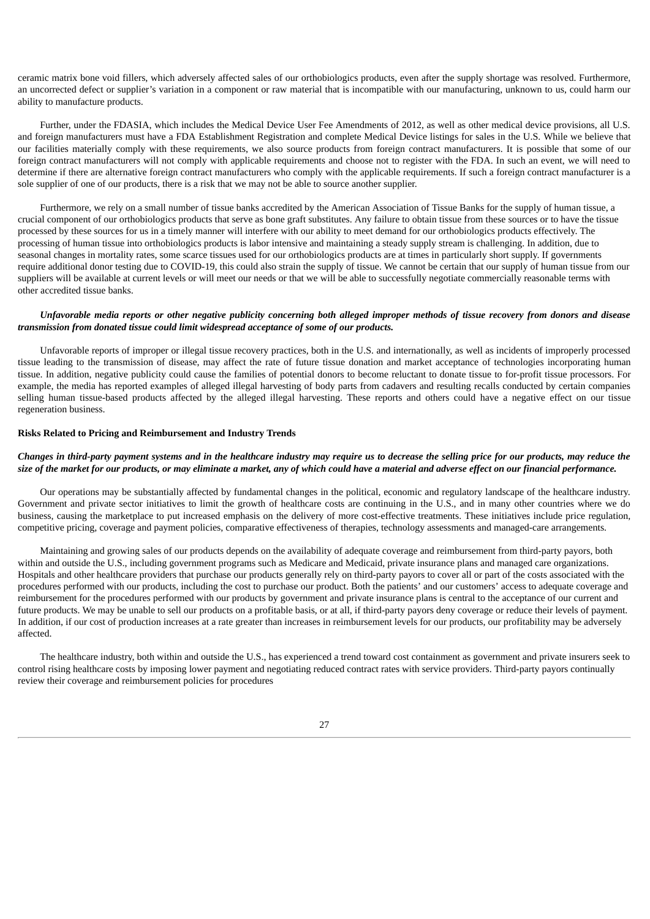ceramic matrix bone void fillers, which adversely affected sales of our orthobiologics products, even after the supply shortage was resolved. Furthermore, an uncorrected defect or supplier's variation in a component or raw material that is incompatible with our manufacturing, unknown to us, could harm our ability to manufacture products.

Further, under the FDASIA, which includes the Medical Device User Fee Amendments of 2012, as well as other medical device provisions, all U.S. and foreign manufacturers must have a FDA Establishment Registration and complete Medical Device listings for sales in the U.S. While we believe that our facilities materially comply with these requirements, we also source products from foreign contract manufacturers. It is possible that some of our foreign contract manufacturers will not comply with applicable requirements and choose not to register with the FDA. In such an event, we will need to determine if there are alternative foreign contract manufacturers who comply with the applicable requirements. If such a foreign contract manufacturer is a sole supplier of one of our products, there is a risk that we may not be able to source another supplier.

Furthermore, we rely on a small number of tissue banks accredited by the American Association of Tissue Banks for the supply of human tissue, a crucial component of our orthobiologics products that serve as bone graft substitutes. Any failure to obtain tissue from these sources or to have the tissue processed by these sources for us in a timely manner will interfere with our ability to meet demand for our orthobiologics products effectively. The processing of human tissue into orthobiologics products is labor intensive and maintaining a steady supply stream is challenging. In addition, due to seasonal changes in mortality rates, some scarce tissues used for our orthobiologics products are at times in particularly short supply. If governments require additional donor testing due to COVID-19, this could also strain the supply of tissue. We cannot be certain that our supply of human tissue from our suppliers will be available at current levels or will meet our needs or that we will be able to successfully negotiate commercially reasonable terms with other accredited tissue banks.

## Unfavorable media reports or other negative publicity concerning both alleged improper methods of tissue recovery from donors and disease *transmission from donated tissue could limit widespread acceptance of some of our products.*

Unfavorable reports of improper or illegal tissue recovery practices, both in the U.S. and internationally, as well as incidents of improperly processed tissue leading to the transmission of disease, may affect the rate of future tissue donation and market acceptance of technologies incorporating human tissue. In addition, negative publicity could cause the families of potential donors to become reluctant to donate tissue to for-profit tissue processors. For example, the media has reported examples of alleged illegal harvesting of body parts from cadavers and resulting recalls conducted by certain companies selling human tissue-based products affected by the alleged illegal harvesting. These reports and others could have a negative effect on our tissue regeneration business.

## **Risks Related to Pricing and Reimbursement and Industry Trends**

## Changes in third-party payment systems and in the healthcare industry may require us to decrease the selling price for our products, may reduce the size of the market for our products, or may eliminate a market, any of which could have a material and adverse effect on our financial performance.

Our operations may be substantially affected by fundamental changes in the political, economic and regulatory landscape of the healthcare industry. Government and private sector initiatives to limit the growth of healthcare costs are continuing in the U.S., and in many other countries where we do business, causing the marketplace to put increased emphasis on the delivery of more cost-effective treatments. These initiatives include price regulation, competitive pricing, coverage and payment policies, comparative effectiveness of therapies, technology assessments and managed-care arrangements.

Maintaining and growing sales of our products depends on the availability of adequate coverage and reimbursement from third-party payors, both within and outside the U.S., including government programs such as Medicare and Medicaid, private insurance plans and managed care organizations. Hospitals and other healthcare providers that purchase our products generally rely on third-party payors to cover all or part of the costs associated with the procedures performed with our products, including the cost to purchase our product. Both the patients' and our customers' access to adequate coverage and reimbursement for the procedures performed with our products by government and private insurance plans is central to the acceptance of our current and future products. We may be unable to sell our products on a profitable basis, or at all, if third-party payors deny coverage or reduce their levels of payment. In addition, if our cost of production increases at a rate greater than increases in reimbursement levels for our products, our profitability may be adversely affected.

The healthcare industry, both within and outside the U.S., has experienced a trend toward cost containment as government and private insurers seek to control rising healthcare costs by imposing lower payment and negotiating reduced contract rates with service providers. Third-party payors continually review their coverage and reimbursement policies for procedures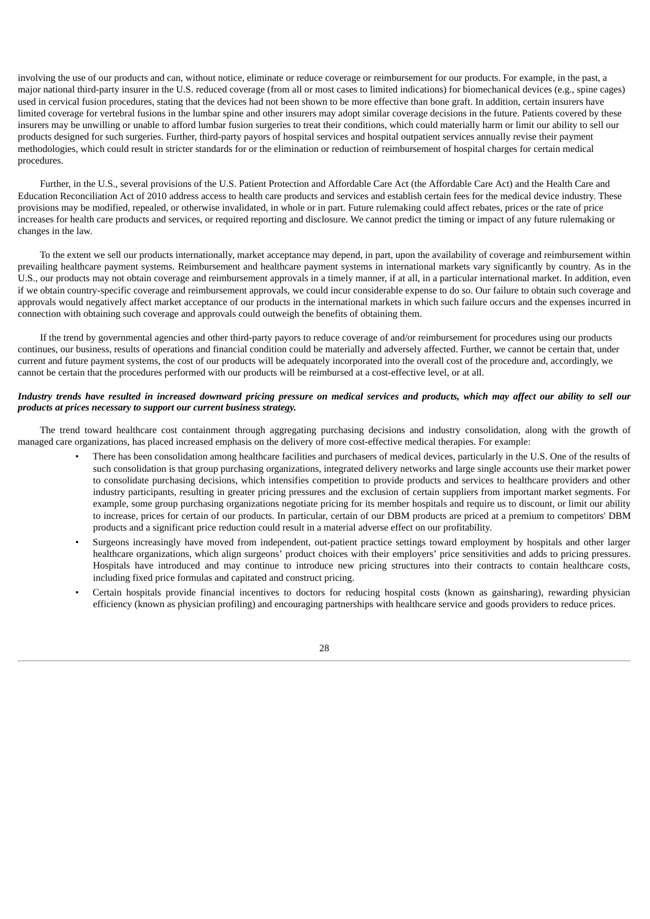involving the use of our products and can, without notice, eliminate or reduce coverage or reimbursement for our products. For example, in the past, a major national third-party insurer in the U.S. reduced coverage (from all or most cases to limited indications) for biomechanical devices (e.g., spine cages) used in cervical fusion procedures, stating that the devices had not been shown to be more effective than bone graft. In addition, certain insurers have limited coverage for vertebral fusions in the lumbar spine and other insurers may adopt similar coverage decisions in the future. Patients covered by these insurers may be unwilling or unable to afford lumbar fusion surgeries to treat their conditions, which could materially harm or limit our ability to sell our products designed for such surgeries. Further, third-party payors of hospital services and hospital outpatient services annually revise their payment methodologies, which could result in stricter standards for or the elimination or reduction of reimbursement of hospital charges for certain medical procedures.

Further, in the U.S., several provisions of the U.S. Patient Protection and Affordable Care Act (the Affordable Care Act) and the Health Care and Education Reconciliation Act of 2010 address access to health care products and services and establish certain fees for the medical device industry. These provisions may be modified, repealed, or otherwise invalidated, in whole or in part. Future rulemaking could affect rebates, prices or the rate of price increases for health care products and services, or required reporting and disclosure. We cannot predict the timing or impact of any future rulemaking or changes in the law.

To the extent we sell our products internationally, market acceptance may depend, in part, upon the availability of coverage and reimbursement within prevailing healthcare payment systems. Reimbursement and healthcare payment systems in international markets vary significantly by country. As in the U.S., our products may not obtain coverage and reimbursement approvals in a timely manner, if at all, in a particular international market. In addition, even if we obtain country-specific coverage and reimbursement approvals, we could incur considerable expense to do so. Our failure to obtain such coverage and approvals would negatively affect market acceptance of our products in the international markets in which such failure occurs and the expenses incurred in connection with obtaining such coverage and approvals could outweigh the benefits of obtaining them.

If the trend by governmental agencies and other third-party payors to reduce coverage of and/or reimbursement for procedures using our products continues, our business, results of operations and financial condition could be materially and adversely affected. Further, we cannot be certain that, under current and future payment systems, the cost of our products will be adequately incorporated into the overall cost of the procedure and, accordingly, we cannot be certain that the procedures performed with our products will be reimbursed at a cost-effective level, or at all.

## Industry trends have resulted in increased downward pricing pressure on medical services and products, which may affect our ability to sell our *products at prices necessary to support our current business strategy.*

The trend toward healthcare cost containment through aggregating purchasing decisions and industry consolidation, along with the growth of managed care organizations, has placed increased emphasis on the delivery of more cost-effective medical therapies. For example:

- There has been consolidation among healthcare facilities and purchasers of medical devices, particularly in the U.S. One of the results of such consolidation is that group purchasing organizations, integrated delivery networks and large single accounts use their market power to consolidate purchasing decisions, which intensifies competition to provide products and services to healthcare providers and other industry participants, resulting in greater pricing pressures and the exclusion of certain suppliers from important market segments. For example, some group purchasing organizations negotiate pricing for its member hospitals and require us to discount, or limit our ability to increase, prices for certain of our products. In particular, certain of our DBM products are priced at a premium to competitors' DBM products and a significant price reduction could result in a material adverse effect on our profitability.
- Surgeons increasingly have moved from independent, out-patient practice settings toward employment by hospitals and other larger healthcare organizations, which align surgeons' product choices with their employers' price sensitivities and adds to pricing pressures. Hospitals have introduced and may continue to introduce new pricing structures into their contracts to contain healthcare costs, including fixed price formulas and capitated and construct pricing.
- Certain hospitals provide financial incentives to doctors for reducing hospital costs (known as gainsharing), rewarding physician efficiency (known as physician profiling) and encouraging partnerships with healthcare service and goods providers to reduce prices.

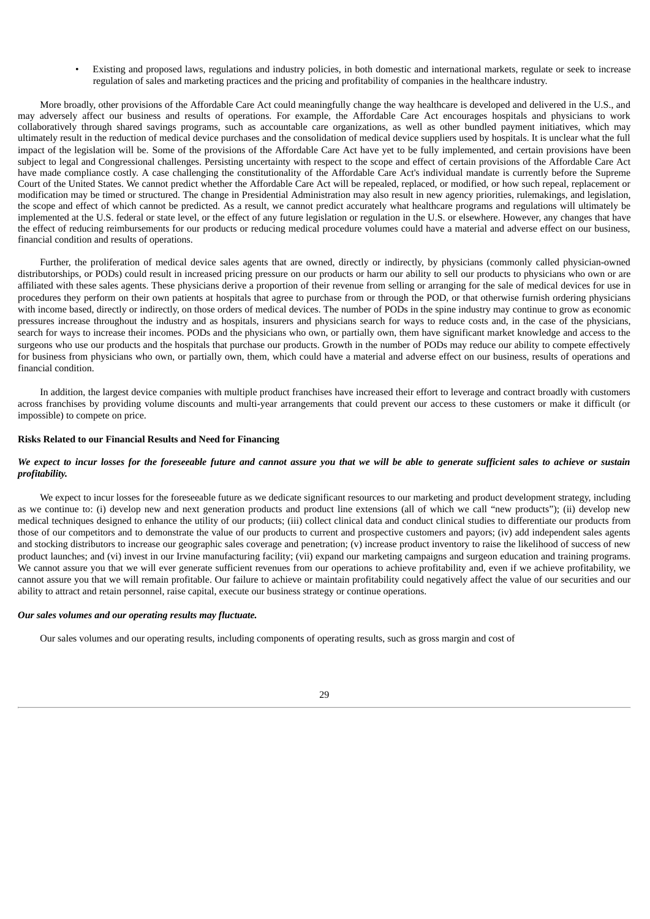• Existing and proposed laws, regulations and industry policies, in both domestic and international markets, regulate or seek to increase regulation of sales and marketing practices and the pricing and profitability of companies in the healthcare industry.

More broadly, other provisions of the Affordable Care Act could meaningfully change the way healthcare is developed and delivered in the U.S., and may adversely affect our business and results of operations. For example, the Affordable Care Act encourages hospitals and physicians to work collaboratively through shared savings programs, such as accountable care organizations, as well as other bundled payment initiatives, which may ultimately result in the reduction of medical device purchases and the consolidation of medical device suppliers used by hospitals. It is unclear what the full impact of the legislation will be. Some of the provisions of the Affordable Care Act have yet to be fully implemented, and certain provisions have been subject to legal and Congressional challenges. Persisting uncertainty with respect to the scope and effect of certain provisions of the Affordable Care Act have made compliance costly. A case challenging the constitutionality of the Affordable Care Act's individual mandate is currently before the Supreme Court of the United States. We cannot predict whether the Affordable Care Act will be repealed, replaced, or modified, or how such repeal, replacement or modification may be timed or structured. The change in Presidential Administration may also result in new agency priorities, rulemakings, and legislation, the scope and effect of which cannot be predicted. As a result, we cannot predict accurately what healthcare programs and regulations will ultimately be implemented at the U.S. federal or state level, or the effect of any future legislation or regulation in the U.S. or elsewhere. However, any changes that have the effect of reducing reimbursements for our products or reducing medical procedure volumes could have a material and adverse effect on our business, financial condition and results of operations.

Further, the proliferation of medical device sales agents that are owned, directly or indirectly, by physicians (commonly called physician-owned distributorships, or PODs) could result in increased pricing pressure on our products or harm our ability to sell our products to physicians who own or are affiliated with these sales agents. These physicians derive a proportion of their revenue from selling or arranging for the sale of medical devices for use in procedures they perform on their own patients at hospitals that agree to purchase from or through the POD, or that otherwise furnish ordering physicians with income based, directly or indirectly, on those orders of medical devices. The number of PODs in the spine industry may continue to grow as economic pressures increase throughout the industry and as hospitals, insurers and physicians search for ways to reduce costs and, in the case of the physicians, search for ways to increase their incomes. PODs and the physicians who own, or partially own, them have significant market knowledge and access to the surgeons who use our products and the hospitals that purchase our products. Growth in the number of PODs may reduce our ability to compete effectively for business from physicians who own, or partially own, them, which could have a material and adverse effect on our business, results of operations and financial condition.

In addition, the largest device companies with multiple product franchises have increased their effort to leverage and contract broadly with customers across franchises by providing volume discounts and multi-year arrangements that could prevent our access to these customers or make it difficult (or impossible) to compete on price.

## **Risks Related to our Financial Results and Need for Financing**

## We expect to incur losses for the foreseeable future and cannot assure you that we will be able to aenerate sufficient sales to achieve or sustain *profitability.*

We expect to incur losses for the foreseeable future as we dedicate significant resources to our marketing and product development strategy, including as we continue to: (i) develop new and next generation products and product line extensions (all of which we call "new products"); (ii) develop new medical techniques designed to enhance the utility of our products; (iii) collect clinical data and conduct clinical studies to differentiate our products from those of our competitors and to demonstrate the value of our products to current and prospective customers and payors; (iv) add independent sales agents and stocking distributors to increase our geographic sales coverage and penetration; (v) increase product inventory to raise the likelihood of success of new product launches; and (vi) invest in our Irvine manufacturing facility; (vii) expand our marketing campaigns and surgeon education and training programs. We cannot assure you that we will ever generate sufficient revenues from our operations to achieve profitability and, even if we achieve profitability, we cannot assure you that we will remain profitable. Our failure to achieve or maintain profitability could negatively affect the value of our securities and our ability to attract and retain personnel, raise capital, execute our business strategy or continue operations.

#### *Our sales volumes and our operating results may fluctuate.*

Our sales volumes and our operating results, including components of operating results, such as gross margin and cost of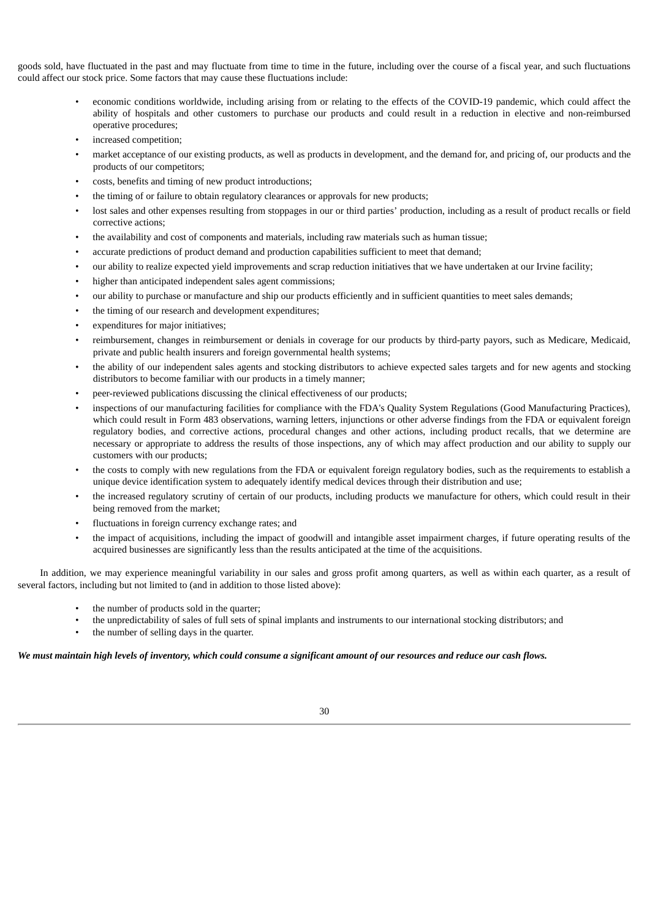goods sold, have fluctuated in the past and may fluctuate from time to time in the future, including over the course of a fiscal year, and such fluctuations could affect our stock price. Some factors that may cause these fluctuations include:

- economic conditions worldwide, including arising from or relating to the effects of the COVID-19 pandemic, which could affect the ability of hospitals and other customers to purchase our products and could result in a reduction in elective and non-reimbursed operative procedures;
- increased competition;
- market acceptance of our existing products, as well as products in development, and the demand for, and pricing of, our products and the products of our competitors;
- costs, benefits and timing of new product introductions;
- the timing of or failure to obtain regulatory clearances or approvals for new products;
- lost sales and other expenses resulting from stoppages in our or third parties' production, including as a result of product recalls or field corrective actions;
- the availability and cost of components and materials, including raw materials such as human tissue;
- accurate predictions of product demand and production capabilities sufficient to meet that demand;
- our ability to realize expected yield improvements and scrap reduction initiatives that we have undertaken at our Irvine facility;
- higher than anticipated independent sales agent commissions;
- our ability to purchase or manufacture and ship our products efficiently and in sufficient quantities to meet sales demands;
- the timing of our research and development expenditures;
- expenditures for major initiatives;
- reimbursement, changes in reimbursement or denials in coverage for our products by third-party payors, such as Medicare, Medicaid, private and public health insurers and foreign governmental health systems;
- the ability of our independent sales agents and stocking distributors to achieve expected sales targets and for new agents and stocking distributors to become familiar with our products in a timely manner;
- peer-reviewed publications discussing the clinical effectiveness of our products;
- inspections of our manufacturing facilities for compliance with the FDA's Quality System Regulations (Good Manufacturing Practices), which could result in Form 483 observations, warning letters, injunctions or other adverse findings from the FDA or equivalent foreign regulatory bodies, and corrective actions, procedural changes and other actions, including product recalls, that we determine are necessary or appropriate to address the results of those inspections, any of which may affect production and our ability to supply our customers with our products;
- the costs to comply with new regulations from the FDA or equivalent foreign regulatory bodies, such as the requirements to establish a unique device identification system to adequately identify medical devices through their distribution and use;
- the increased regulatory scrutiny of certain of our products, including products we manufacture for others, which could result in their being removed from the market;
- fluctuations in foreign currency exchange rates; and
- the impact of acquisitions, including the impact of goodwill and intangible asset impairment charges, if future operating results of the acquired businesses are significantly less than the results anticipated at the time of the acquisitions.

In addition, we may experience meaningful variability in our sales and gross profit among quarters, as well as within each quarter, as a result of several factors, including but not limited to (and in addition to those listed above):

- the number of products sold in the quarter;
- the unpredictability of sales of full sets of spinal implants and instruments to our international stocking distributors; and
- the number of selling days in the quarter.

We must maintain high levels of inventory, which could consume a significant amount of our resources and reduce our cash flows.

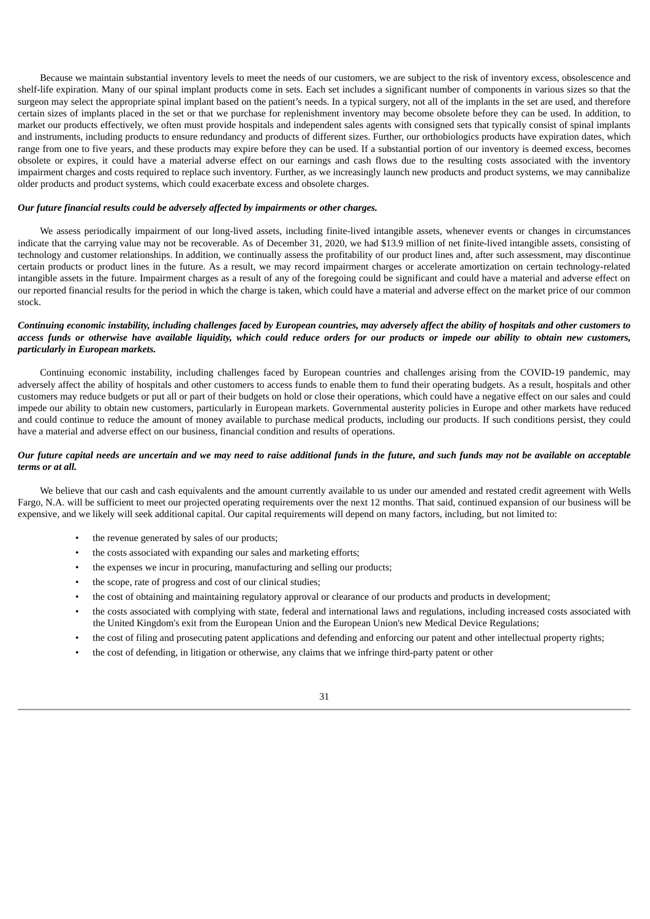Because we maintain substantial inventory levels to meet the needs of our customers, we are subject to the risk of inventory excess, obsolescence and shelf-life expiration. Many of our spinal implant products come in sets. Each set includes a significant number of components in various sizes so that the surgeon may select the appropriate spinal implant based on the patient's needs. In a typical surgery, not all of the implants in the set are used, and therefore certain sizes of implants placed in the set or that we purchase for replenishment inventory may become obsolete before they can be used. In addition, to market our products effectively, we often must provide hospitals and independent sales agents with consigned sets that typically consist of spinal implants and instruments, including products to ensure redundancy and products of different sizes. Further, our orthobiologics products have expiration dates, which range from one to five years, and these products may expire before they can be used. If a substantial portion of our inventory is deemed excess, becomes obsolete or expires, it could have a material adverse effect on our earnings and cash flows due to the resulting costs associated with the inventory impairment charges and costs required to replace such inventory. Further, as we increasingly launch new products and product systems, we may cannibalize older products and product systems, which could exacerbate excess and obsolete charges.

## *Our future financial results could be adversely affected by impairments or other charges.*

We assess periodically impairment of our long-lived assets, including finite-lived intangible assets, whenever events or changes in circumstances indicate that the carrying value may not be recoverable. As of December 31, 2020, we had \$13.9 million of net finite-lived intangible assets, consisting of technology and customer relationships. In addition, we continually assess the profitability of our product lines and, after such assessment, may discontinue certain products or product lines in the future. As a result, we may record impairment charges or accelerate amortization on certain technology-related intangible assets in the future. Impairment charges as a result of any of the foregoing could be significant and could have a material and adverse effect on our reported financial results for the period in which the charge is taken, which could have a material and adverse effect on the market price of our common stock.

## Continuing economic instability, including challenges faced by European countries, may adversely affect the ability of hospitals and other customers to access funds or otherwise have available liquidity, which could reduce orders for our products or impede our ability to obtain new customers, *particularly in European markets.*

Continuing economic instability, including challenges faced by European countries and challenges arising from the COVID-19 pandemic, may adversely affect the ability of hospitals and other customers to access funds to enable them to fund their operating budgets. As a result, hospitals and other customers may reduce budgets or put all or part of their budgets on hold or close their operations, which could have a negative effect on our sales and could impede our ability to obtain new customers, particularly in European markets. Governmental austerity policies in Europe and other markets have reduced and could continue to reduce the amount of money available to purchase medical products, including our products. If such conditions persist, they could have a material and adverse effect on our business, financial condition and results of operations.

## Our future capital needs are uncertain and we may need to raise additional funds in the future, and such funds may not be available on acceptable *terms or at all.*

We believe that our cash and cash equivalents and the amount currently available to us under our amended and restated credit agreement with Wells Fargo, N.A. will be sufficient to meet our projected operating requirements over the next 12 months. That said, continued expansion of our business will be expensive, and we likely will seek additional capital. Our capital requirements will depend on many factors, including, but not limited to:

- the revenue generated by sales of our products;
- the costs associated with expanding our sales and marketing efforts;
- the expenses we incur in procuring, manufacturing and selling our products;
- the scope, rate of progress and cost of our clinical studies;
- the cost of obtaining and maintaining regulatory approval or clearance of our products and products in development;
- the costs associated with complying with state, federal and international laws and regulations, including increased costs associated with the United Kingdom's exit from the European Union and the European Union's new Medical Device Regulations;
- the cost of filing and prosecuting patent applications and defending and enforcing our patent and other intellectual property rights;
- the cost of defending, in litigation or otherwise, any claims that we infringe third-party patent or other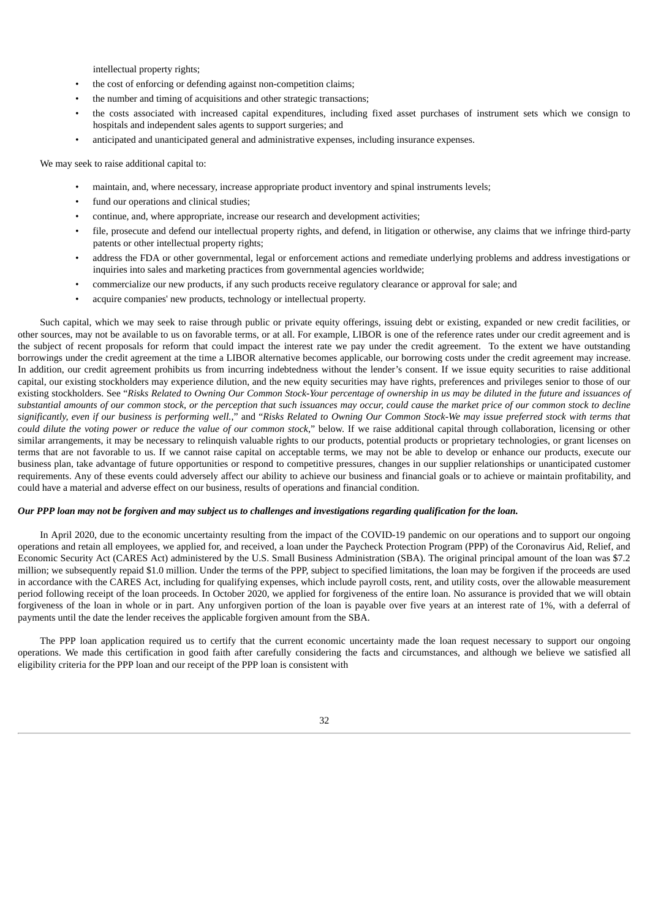intellectual property rights;

- the cost of enforcing or defending against non-competition claims;
- the number and timing of acquisitions and other strategic transactions;
- the costs associated with increased capital expenditures, including fixed asset purchases of instrument sets which we consign to hospitals and independent sales agents to support surgeries; and
- anticipated and unanticipated general and administrative expenses, including insurance expenses.

We may seek to raise additional capital to:

- maintain, and, where necessary, increase appropriate product inventory and spinal instruments levels;
- fund our operations and clinical studies;
- continue, and, where appropriate, increase our research and development activities;
- file, prosecute and defend our intellectual property rights, and defend, in litigation or otherwise, any claims that we infringe third-party patents or other intellectual property rights;
- address the FDA or other governmental, legal or enforcement actions and remediate underlying problems and address investigations or inquiries into sales and marketing practices from governmental agencies worldwide;
- commercialize our new products, if any such products receive regulatory clearance or approval for sale; and
- acquire companies' new products, technology or intellectual property.

Such capital, which we may seek to raise through public or private equity offerings, issuing debt or existing, expanded or new credit facilities, or other sources, may not be available to us on favorable terms, or at all. For example, LIBOR is one of the reference rates under our credit agreement and is the subject of recent proposals for reform that could impact the interest rate we pay under the credit agreement. To the extent we have outstanding borrowings under the credit agreement at the time a LIBOR alternative becomes applicable, our borrowing costs under the credit agreement may increase. In addition, our credit agreement prohibits us from incurring indebtedness without the lender's consent. If we issue equity securities to raise additional capital, our existing stockholders may experience dilution, and the new equity securities may have rights, preferences and privileges senior to those of our existing stockholders. See "Risks Related to Owning Our Common Stock-Your percentage of ownership in us may be diluted in the future and issuances of substantial amounts of our common stock, or the perception that such issuances may occur, could cause the market price of our common stock to decline significantly, even if our business is performing well.," and "Risks Related to Owning Our Common Stock-We may issue preferred stock with terms that could dilute the voting power or reduce the value of our common stock," below. If we raise additional capital through collaboration, licensing or other similar arrangements, it may be necessary to relinquish valuable rights to our products, potential products or proprietary technologies, or grant licenses on terms that are not favorable to us. If we cannot raise capital on acceptable terms, we may not be able to develop or enhance our products, execute our business plan, take advantage of future opportunities or respond to competitive pressures, changes in our supplier relationships or unanticipated customer requirements. Any of these events could adversely affect our ability to achieve our business and financial goals or to achieve or maintain profitability, and could have a material and adverse effect on our business, results of operations and financial condition.

## Our PPP loan may not be forgiven and may subject us to challenges and investigations regarding qualification for the loan.

In April 2020, due to the economic uncertainty resulting from the impact of the COVID-19 pandemic on our operations and to support our ongoing operations and retain all employees, we applied for, and received, a loan under the Paycheck Protection Program (PPP) of the Coronavirus Aid, Relief, and Economic Security Act (CARES Act) administered by the U.S. Small Business Administration (SBA). The original principal amount of the loan was \$7.2 million; we subsequently repaid \$1.0 million. Under the terms of the PPP, subject to specified limitations, the loan may be forgiven if the proceeds are used in accordance with the CARES Act, including for qualifying expenses, which include payroll costs, rent, and utility costs, over the allowable measurement period following receipt of the loan proceeds. In October 2020, we applied for forgiveness of the entire loan. No assurance is provided that we will obtain forgiveness of the loan in whole or in part. Any unforgiven portion of the loan is payable over five years at an interest rate of 1%, with a deferral of payments until the date the lender receives the applicable forgiven amount from the SBA.

The PPP loan application required us to certify that the current economic uncertainty made the loan request necessary to support our ongoing operations. We made this certification in good faith after carefully considering the facts and circumstances, and although we believe we satisfied all eligibility criteria for the PPP loan and our receipt of the PPP loan is consistent with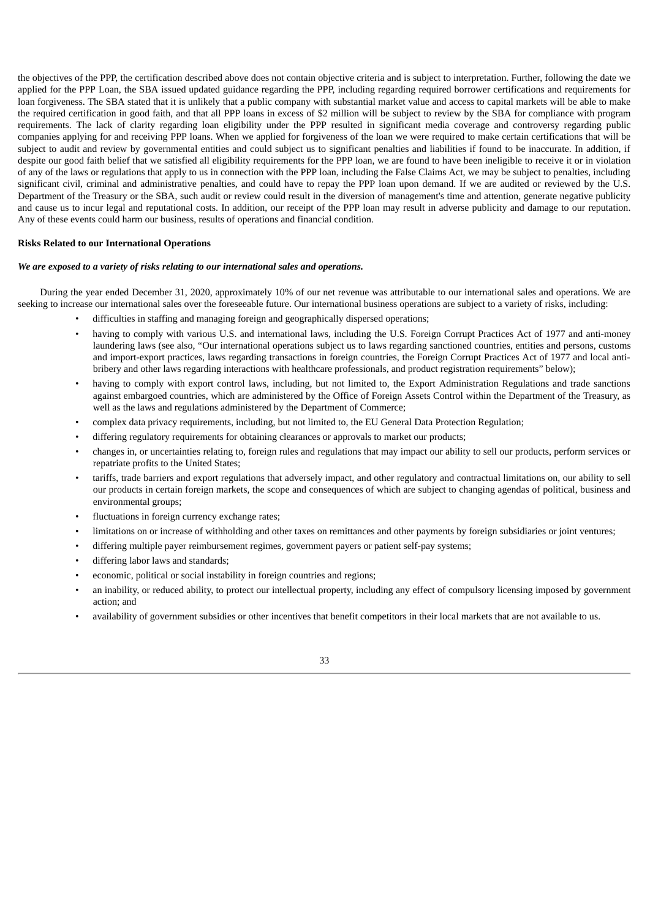the objectives of the PPP, the certification described above does not contain objective criteria and is subject to interpretation. Further, following the date we applied for the PPP Loan, the SBA issued updated guidance regarding the PPP, including regarding required borrower certifications and requirements for loan forgiveness. The SBA stated that it is unlikely that a public company with substantial market value and access to capital markets will be able to make the required certification in good faith, and that all PPP loans in excess of \$2 million will be subject to review by the SBA for compliance with program requirements. The lack of clarity regarding loan eligibility under the PPP resulted in significant media coverage and controversy regarding public companies applying for and receiving PPP loans. When we applied for forgiveness of the loan we were required to make certain certifications that will be subject to audit and review by governmental entities and could subject us to significant penalties and liabilities if found to be inaccurate. In addition, if despite our good faith belief that we satisfied all eligibility requirements for the PPP loan, we are found to have been ineligible to receive it or in violation of any of the laws or regulations that apply to us in connection with the PPP loan, including the False Claims Act, we may be subject to penalties, including significant civil, criminal and administrative penalties, and could have to repay the PPP loan upon demand. If we are audited or reviewed by the U.S. Department of the Treasury or the SBA, such audit or review could result in the diversion of management's time and attention, generate negative publicity and cause us to incur legal and reputational costs. In addition, our receipt of the PPP loan may result in adverse publicity and damage to our reputation. Any of these events could harm our business, results of operations and financial condition.

#### **Risks Related to our International Operations**

#### *We are exposed to a variety of risks relating to our international sales and operations.*

During the year ended December 31, 2020, approximately 10% of our net revenue was attributable to our international sales and operations. We are seeking to increase our international sales over the foreseeable future. Our international business operations are subject to a variety of risks, including:

- difficulties in staffing and managing foreign and geographically dispersed operations;
	- having to comply with various U.S. and international laws, including the U.S. Foreign Corrupt Practices Act of 1977 and anti-money laundering laws (see also, "Our international operations subject us to laws regarding sanctioned countries, entities and persons, customs and import-export practices, laws regarding transactions in foreign countries, the Foreign Corrupt Practices Act of 1977 and local antibribery and other laws regarding interactions with healthcare professionals, and product registration requirements" below);
	- having to comply with export control laws, including, but not limited to, the Export Administration Regulations and trade sanctions against embargoed countries, which are administered by the Office of Foreign Assets Control within the Department of the Treasury, as well as the laws and regulations administered by the Department of Commerce;
- complex data privacy requirements, including, but not limited to, the EU General Data Protection Regulation;
- differing regulatory requirements for obtaining clearances or approvals to market our products;
- changes in, or uncertainties relating to, foreign rules and regulations that may impact our ability to sell our products, perform services or repatriate profits to the United States;
- tariffs, trade barriers and export regulations that adversely impact, and other regulatory and contractual limitations on, our ability to sell our products in certain foreign markets, the scope and consequences of which are subject to changing agendas of political, business and environmental groups;
- fluctuations in foreign currency exchange rates;
- limitations on or increase of withholding and other taxes on remittances and other payments by foreign subsidiaries or joint ventures;
- differing multiple payer reimbursement regimes, government payers or patient self-pay systems;
- differing labor laws and standards;
- economic, political or social instability in foreign countries and regions;
- an inability, or reduced ability, to protect our intellectual property, including any effect of compulsory licensing imposed by government action; and
- availability of government subsidies or other incentives that benefit competitors in their local markets that are not available to us.

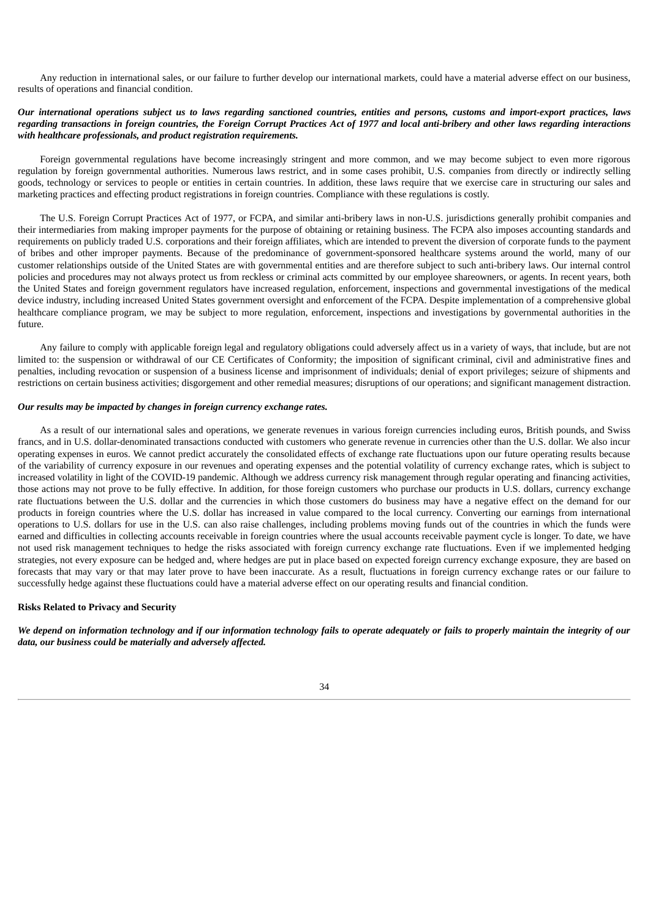Any reduction in international sales, or our failure to further develop our international markets, could have a material adverse effect on our business, results of operations and financial condition.

## Our international operations subject us to laws regarding sanctioned countries, entities and persons, customs and import-export practices, laws regarding transactions in foreign countries, the Foreign Corrupt Practices Act of 1977 and local anti-bribery and other laws regarding interactions *with healthcare professionals, and product registration requirements.*

Foreign governmental regulations have become increasingly stringent and more common, and we may become subject to even more rigorous regulation by foreign governmental authorities. Numerous laws restrict, and in some cases prohibit, U.S. companies from directly or indirectly selling goods, technology or services to people or entities in certain countries. In addition, these laws require that we exercise care in structuring our sales and marketing practices and effecting product registrations in foreign countries. Compliance with these regulations is costly.

The U.S. Foreign Corrupt Practices Act of 1977, or FCPA, and similar anti-bribery laws in non-U.S. jurisdictions generally prohibit companies and their intermediaries from making improper payments for the purpose of obtaining or retaining business. The FCPA also imposes accounting standards and requirements on publicly traded U.S. corporations and their foreign affiliates, which are intended to prevent the diversion of corporate funds to the payment of bribes and other improper payments. Because of the predominance of government-sponsored healthcare systems around the world, many of our customer relationships outside of the United States are with governmental entities and are therefore subject to such anti-bribery laws. Our internal control policies and procedures may not always protect us from reckless or criminal acts committed by our employee shareowners, or agents. In recent years, both the United States and foreign government regulators have increased regulation, enforcement, inspections and governmental investigations of the medical device industry, including increased United States government oversight and enforcement of the FCPA. Despite implementation of a comprehensive global healthcare compliance program, we may be subject to more regulation, enforcement, inspections and investigations by governmental authorities in the future.

Any failure to comply with applicable foreign legal and regulatory obligations could adversely affect us in a variety of ways, that include, but are not limited to: the suspension or withdrawal of our CE Certificates of Conformity; the imposition of significant criminal, civil and administrative fines and penalties, including revocation or suspension of a business license and imprisonment of individuals; denial of export privileges; seizure of shipments and restrictions on certain business activities; disgorgement and other remedial measures; disruptions of our operations; and significant management distraction.

#### *Our results may be impacted by changes in foreign currency exchange rates.*

As a result of our international sales and operations, we generate revenues in various foreign currencies including euros, British pounds, and Swiss francs, and in U.S. dollar-denominated transactions conducted with customers who generate revenue in currencies other than the U.S. dollar. We also incur operating expenses in euros. We cannot predict accurately the consolidated effects of exchange rate fluctuations upon our future operating results because of the variability of currency exposure in our revenues and operating expenses and the potential volatility of currency exchange rates, which is subject to increased volatility in light of the COVID-19 pandemic. Although we address currency risk management through regular operating and financing activities, those actions may not prove to be fully effective. In addition, for those foreign customers who purchase our products in U.S. dollars, currency exchange rate fluctuations between the U.S. dollar and the currencies in which those customers do business may have a negative effect on the demand for our products in foreign countries where the U.S. dollar has increased in value compared to the local currency. Converting our earnings from international operations to U.S. dollars for use in the U.S. can also raise challenges, including problems moving funds out of the countries in which the funds were earned and difficulties in collecting accounts receivable in foreign countries where the usual accounts receivable payment cycle is longer. To date, we have not used risk management techniques to hedge the risks associated with foreign currency exchange rate fluctuations. Even if we implemented hedging strategies, not every exposure can be hedged and, where hedges are put in place based on expected foreign currency exchange exposure, they are based on forecasts that may vary or that may later prove to have been inaccurate. As a result, fluctuations in foreign currency exchange rates or our failure to successfully hedge against these fluctuations could have a material adverse effect on our operating results and financial condition.

#### **Risks Related to Privacy and Security**

We depend on information technology and if our information technology fails to operate adequately or fails to properly maintain the integrity of our *data, our business could be materially and adversely affected.*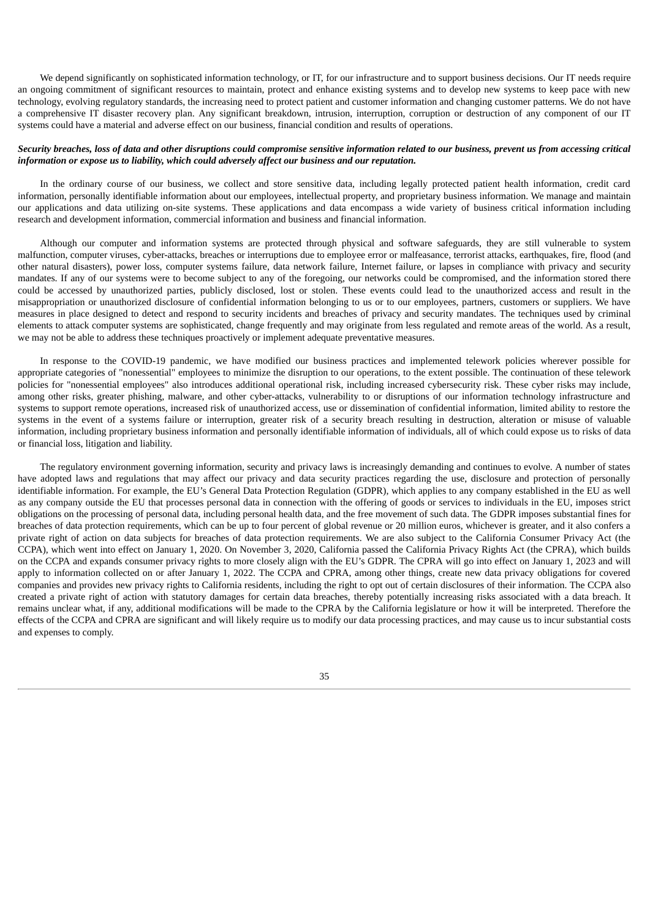We depend significantly on sophisticated information technology, or IT, for our infrastructure and to support business decisions. Our IT needs require an ongoing commitment of significant resources to maintain, protect and enhance existing systems and to develop new systems to keep pace with new technology, evolving regulatory standards, the increasing need to protect patient and customer information and changing customer patterns. We do not have a comprehensive IT disaster recovery plan. Any significant breakdown, intrusion, interruption, corruption or destruction of any component of our IT systems could have a material and adverse effect on our business, financial condition and results of operations.

## Security breaches, loss of data and other disruptions could compromise sensitive information related to our business, prevent us from accessing critical *information or expose us to liability, which could adversely affect our business and our reputation.*

In the ordinary course of our business, we collect and store sensitive data, including legally protected patient health information, credit card information, personally identifiable information about our employees, intellectual property, and proprietary business information. We manage and maintain our applications and data utilizing on-site systems. These applications and data encompass a wide variety of business critical information including research and development information, commercial information and business and financial information.

Although our computer and information systems are protected through physical and software safeguards, they are still vulnerable to system malfunction, computer viruses, cyber-attacks, breaches or interruptions due to employee error or malfeasance, terrorist attacks, earthquakes, fire, flood (and other natural disasters), power loss, computer systems failure, data network failure, Internet failure, or lapses in compliance with privacy and security mandates. If any of our systems were to become subject to any of the foregoing, our networks could be compromised, and the information stored there could be accessed by unauthorized parties, publicly disclosed, lost or stolen. These events could lead to the unauthorized access and result in the misappropriation or unauthorized disclosure of confidential information belonging to us or to our employees, partners, customers or suppliers. We have measures in place designed to detect and respond to security incidents and breaches of privacy and security mandates. The techniques used by criminal elements to attack computer systems are sophisticated, change frequently and may originate from less regulated and remote areas of the world. As a result, we may not be able to address these techniques proactively or implement adequate preventative measures.

In response to the COVID-19 pandemic, we have modified our business practices and implemented telework policies wherever possible for appropriate categories of "nonessential" employees to minimize the disruption to our operations, to the extent possible. The continuation of these telework policies for "nonessential employees" also introduces additional operational risk, including increased cybersecurity risk. These cyber risks may include, among other risks, greater phishing, malware, and other cyber-attacks, vulnerability to or disruptions of our information technology infrastructure and systems to support remote operations, increased risk of unauthorized access, use or dissemination of confidential information, limited ability to restore the systems in the event of a systems failure or interruption, greater risk of a security breach resulting in destruction, alteration or misuse of valuable information, including proprietary business information and personally identifiable information of individuals, all of which could expose us to risks of data or financial loss, litigation and liability.

The regulatory environment governing information, security and privacy laws is increasingly demanding and continues to evolve. A number of states have adopted laws and regulations that may affect our privacy and data security practices regarding the use, disclosure and protection of personally identifiable information. For example, the EU's General Data Protection Regulation (GDPR), which applies to any company established in the EU as well as any company outside the EU that processes personal data in connection with the offering of goods or services to individuals in the EU, imposes strict obligations on the processing of personal data, including personal health data, and the free movement of such data. The GDPR imposes substantial fines for breaches of data protection requirements, which can be up to four percent of global revenue or 20 million euros, whichever is greater, and it also confers a private right of action on data subjects for breaches of data protection requirements. We are also subject to the California Consumer Privacy Act (the CCPA), which went into effect on January 1, 2020. On November 3, 2020, California passed the California Privacy Rights Act (the CPRA), which builds on the CCPA and expands consumer privacy rights to more closely align with the EU's GDPR. The CPRA will go into effect on January 1, 2023 and will apply to information collected on or after January 1, 2022. The CCPA and CPRA, among other things, create new data privacy obligations for covered companies and provides new privacy rights to California residents, including the right to opt out of certain disclosures of their information. The CCPA also created a private right of action with statutory damages for certain data breaches, thereby potentially increasing risks associated with a data breach. It remains unclear what, if any, additional modifications will be made to the CPRA by the California legislature or how it will be interpreted. Therefore the effects of the CCPA and CPRA are significant and will likely require us to modify our data processing practices, and may cause us to incur substantial costs and expenses to comply.

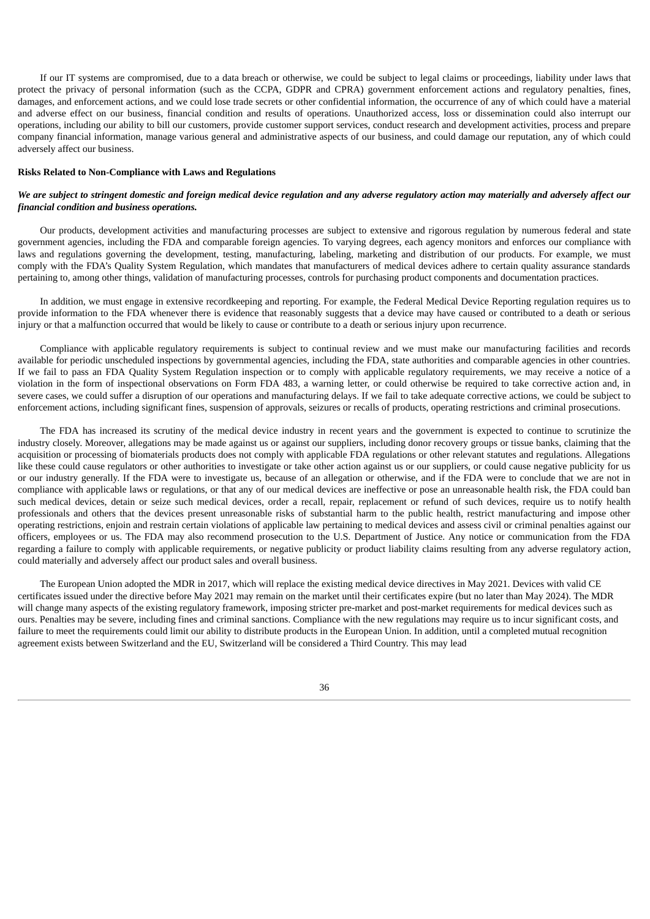If our IT systems are compromised, due to a data breach or otherwise, we could be subject to legal claims or proceedings, liability under laws that protect the privacy of personal information (such as the CCPA, GDPR and CPRA) government enforcement actions and regulatory penalties, fines, damages, and enforcement actions, and we could lose trade secrets or other confidential information, the occurrence of any of which could have a material and adverse effect on our business, financial condition and results of operations. Unauthorized access, loss or dissemination could also interrupt our operations, including our ability to bill our customers, provide customer support services, conduct research and development activities, process and prepare company financial information, manage various general and administrative aspects of our business, and could damage our reputation, any of which could adversely affect our business.

## **Risks Related to Non-Compliance with Laws and Regulations**

## We are subject to stringent domestic and foreign medical device regulation and any adverse regulatory action may materially and adversely affect our *financial condition and business operations.*

Our products, development activities and manufacturing processes are subject to extensive and rigorous regulation by numerous federal and state government agencies, including the FDA and comparable foreign agencies. To varying degrees, each agency monitors and enforces our compliance with laws and regulations governing the development, testing, manufacturing, labeling, marketing and distribution of our products. For example, we must comply with the FDA's Quality System Regulation, which mandates that manufacturers of medical devices adhere to certain quality assurance standards pertaining to, among other things, validation of manufacturing processes, controls for purchasing product components and documentation practices.

In addition, we must engage in extensive recordkeeping and reporting. For example, the Federal Medical Device Reporting regulation requires us to provide information to the FDA whenever there is evidence that reasonably suggests that a device may have caused or contributed to a death or serious injury or that a malfunction occurred that would be likely to cause or contribute to a death or serious injury upon recurrence.

Compliance with applicable regulatory requirements is subject to continual review and we must make our manufacturing facilities and records available for periodic unscheduled inspections by governmental agencies, including the FDA, state authorities and comparable agencies in other countries. If we fail to pass an FDA Quality System Regulation inspection or to comply with applicable regulatory requirements, we may receive a notice of a violation in the form of inspectional observations on Form FDA 483, a warning letter, or could otherwise be required to take corrective action and, in severe cases, we could suffer a disruption of our operations and manufacturing delays. If we fail to take adequate corrective actions, we could be subject to enforcement actions, including significant fines, suspension of approvals, seizures or recalls of products, operating restrictions and criminal prosecutions.

The FDA has increased its scrutiny of the medical device industry in recent years and the government is expected to continue to scrutinize the industry closely. Moreover, allegations may be made against us or against our suppliers, including donor recovery groups or tissue banks, claiming that the acquisition or processing of biomaterials products does not comply with applicable FDA regulations or other relevant statutes and regulations. Allegations like these could cause regulators or other authorities to investigate or take other action against us or our suppliers, or could cause negative publicity for us or our industry generally. If the FDA were to investigate us, because of an allegation or otherwise, and if the FDA were to conclude that we are not in compliance with applicable laws or regulations, or that any of our medical devices are ineffective or pose an unreasonable health risk, the FDA could ban such medical devices, detain or seize such medical devices, order a recall, repair, replacement or refund of such devices, require us to notify health professionals and others that the devices present unreasonable risks of substantial harm to the public health, restrict manufacturing and impose other operating restrictions, enjoin and restrain certain violations of applicable law pertaining to medical devices and assess civil or criminal penalties against our officers, employees or us. The FDA may also recommend prosecution to the U.S. Department of Justice. Any notice or communication from the FDA regarding a failure to comply with applicable requirements, or negative publicity or product liability claims resulting from any adverse regulatory action, could materially and adversely affect our product sales and overall business.

The European Union adopted the MDR in 2017, which will replace the existing medical device directives in May 2021. Devices with valid CE certificates issued under the directive before May 2021 may remain on the market until their certificates expire (but no later than May 2024). The MDR will change many aspects of the existing regulatory framework, imposing stricter pre-market and post-market requirements for medical devices such as ours. Penalties may be severe, including fines and criminal sanctions. Compliance with the new regulations may require us to incur significant costs, and failure to meet the requirements could limit our ability to distribute products in the European Union. In addition, until a completed mutual recognition agreement exists between Switzerland and the EU, Switzerland will be considered a Third Country. This may lead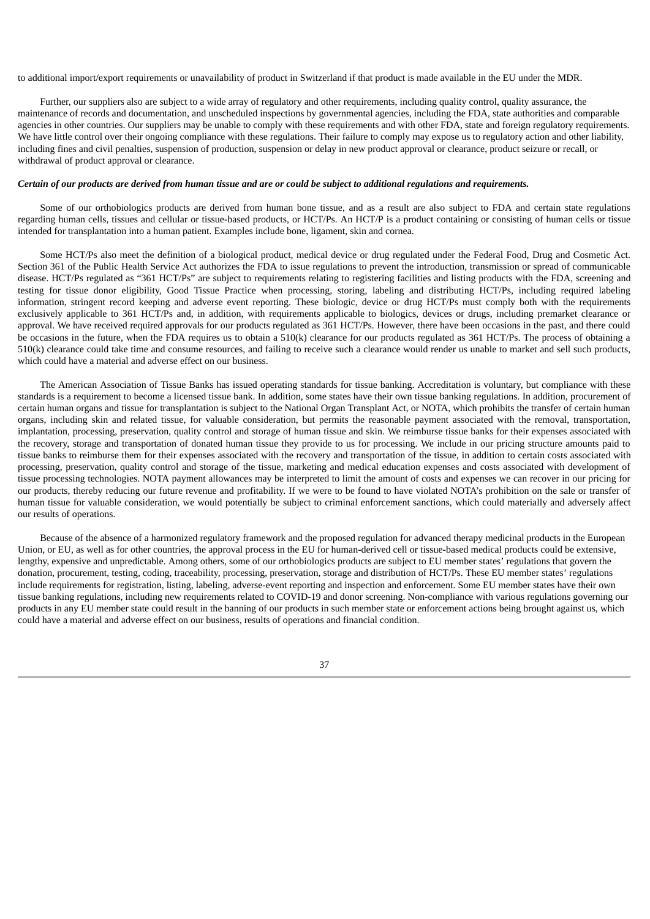to additional import/export requirements or unavailability of product in Switzerland if that product is made available in the EU under the MDR.

Further, our suppliers also are subject to a wide array of regulatory and other requirements, including quality control, quality assurance, the maintenance of records and documentation, and unscheduled inspections by governmental agencies, including the FDA, state authorities and comparable agencies in other countries. Our suppliers may be unable to comply with these requirements and with other FDA, state and foreign regulatory requirements. We have little control over their ongoing compliance with these regulations. Their failure to comply may expose us to regulatory action and other liability, including fines and civil penalties, suspension of production, suspension or delay in new product approval or clearance, product seizure or recall, or withdrawal of product approval or clearance.

### Certain of our products are derived from human tissue and are or could be subject to additional regulations and requirements.

Some of our orthobiologics products are derived from human bone tissue, and as a result are also subject to FDA and certain state regulations regarding human cells, tissues and cellular or tissue-based products, or HCT/Ps. An HCT/P is a product containing or consisting of human cells or tissue intended for transplantation into a human patient. Examples include bone, ligament, skin and cornea.

Some HCT/Ps also meet the definition of a biological product, medical device or drug regulated under the Federal Food, Drug and Cosmetic Act. Section 361 of the Public Health Service Act authorizes the FDA to issue regulations to prevent the introduction, transmission or spread of communicable disease. HCT/Ps regulated as "361 HCT/Ps" are subject to requirements relating to registering facilities and listing products with the FDA, screening and testing for tissue donor eligibility, Good Tissue Practice when processing, storing, labeling and distributing HCT/Ps, including required labeling information, stringent record keeping and adverse event reporting. These biologic, device or drug HCT/Ps must comply both with the requirements exclusively applicable to 361 HCT/Ps and, in addition, with requirements applicable to biologics, devices or drugs, including premarket clearance or approval. We have received required approvals for our products regulated as 361 HCT/Ps. However, there have been occasions in the past, and there could be occasions in the future, when the FDA requires us to obtain a 510(k) clearance for our products regulated as 361 HCT/Ps. The process of obtaining a 510(k) clearance could take time and consume resources, and failing to receive such a clearance would render us unable to market and sell such products, which could have a material and adverse effect on our business.

The American Association of Tissue Banks has issued operating standards for tissue banking. Accreditation is voluntary, but compliance with these standards is a requirement to become a licensed tissue bank. In addition, some states have their own tissue banking regulations. In addition, procurement of certain human organs and tissue for transplantation is subject to the National Organ Transplant Act, or NOTA, which prohibits the transfer of certain human organs, including skin and related tissue, for valuable consideration, but permits the reasonable payment associated with the removal, transportation, implantation, processing, preservation, quality control and storage of human tissue and skin. We reimburse tissue banks for their expenses associated with the recovery, storage and transportation of donated human tissue they provide to us for processing. We include in our pricing structure amounts paid to tissue banks to reimburse them for their expenses associated with the recovery and transportation of the tissue, in addition to certain costs associated with processing, preservation, quality control and storage of the tissue, marketing and medical education expenses and costs associated with development of tissue processing technologies. NOTA payment allowances may be interpreted to limit the amount of costs and expenses we can recover in our pricing for our products, thereby reducing our future revenue and profitability. If we were to be found to have violated NOTA's prohibition on the sale or transfer of human tissue for valuable consideration, we would potentially be subject to criminal enforcement sanctions, which could materially and adversely affect our results of operations.

Because of the absence of a harmonized regulatory framework and the proposed regulation for advanced therapy medicinal products in the European Union, or EU, as well as for other countries, the approval process in the EU for human-derived cell or tissue-based medical products could be extensive, lengthy, expensive and unpredictable. Among others, some of our orthobiologics products are subject to EU member states' regulations that govern the donation, procurement, testing, coding, traceability, processing, preservation, storage and distribution of HCT/Ps. These EU member states' regulations include requirements for registration, listing, labeling, adverse-event reporting and inspection and enforcement. Some EU member states have their own tissue banking regulations, including new requirements related to COVID-19 and donor screening. Non-compliance with various regulations governing our products in any EU member state could result in the banning of our products in such member state or enforcement actions being brought against us, which could have a material and adverse effect on our business, results of operations and financial condition.

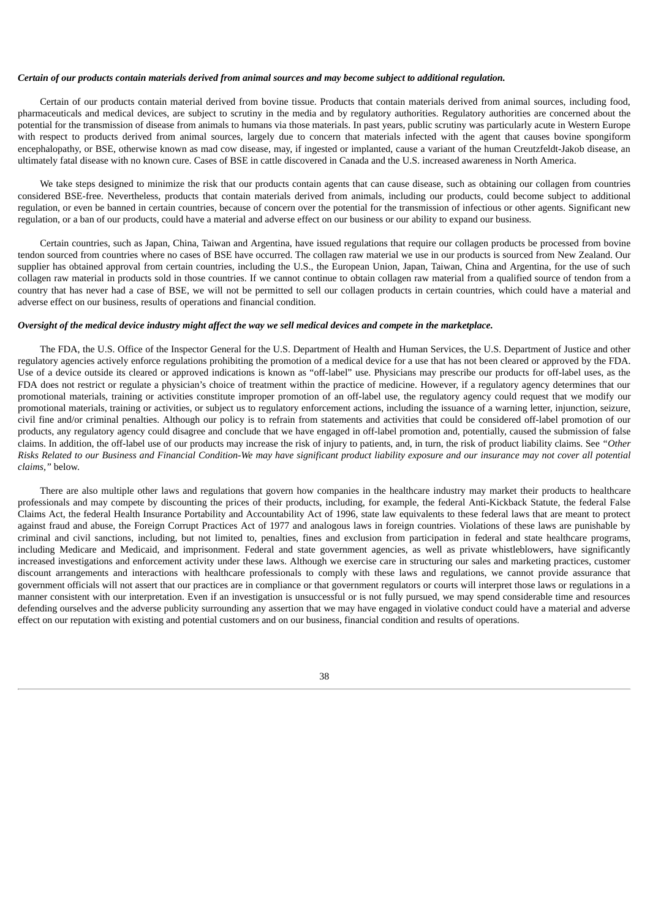#### Certain of our products contain materials derived from animal sources and may become subject to additional requlation.

Certain of our products contain material derived from bovine tissue. Products that contain materials derived from animal sources, including food, pharmaceuticals and medical devices, are subject to scrutiny in the media and by regulatory authorities. Regulatory authorities are concerned about the potential for the transmission of disease from animals to humans via those materials. In past years, public scrutiny was particularly acute in Western Europe with respect to products derived from animal sources, largely due to concern that materials infected with the agent that causes bovine spongiform encephalopathy, or BSE, otherwise known as mad cow disease, may, if ingested or implanted, cause a variant of the human Creutzfeldt-Jakob disease, an ultimately fatal disease with no known cure. Cases of BSE in cattle discovered in Canada and the U.S. increased awareness in North America.

We take steps designed to minimize the risk that our products contain agents that can cause disease, such as obtaining our collagen from countries considered BSE-free. Nevertheless, products that contain materials derived from animals, including our products, could become subject to additional regulation, or even be banned in certain countries, because of concern over the potential for the transmission of infectious or other agents. Significant new regulation, or a ban of our products, could have a material and adverse effect on our business or our ability to expand our business.

Certain countries, such as Japan, China, Taiwan and Argentina, have issued regulations that require our collagen products be processed from bovine tendon sourced from countries where no cases of BSE have occurred. The collagen raw material we use in our products is sourced from New Zealand. Our supplier has obtained approval from certain countries, including the U.S., the European Union, Japan, Taiwan, China and Argentina, for the use of such collagen raw material in products sold in those countries. If we cannot continue to obtain collagen raw material from a qualified source of tendon from a country that has never had a case of BSE, we will not be permitted to sell our collagen products in certain countries, which could have a material and adverse effect on our business, results of operations and financial condition.

### Oversight of the medical device industry might affect the way we sell medical devices and compete in the marketplace.

The FDA, the U.S. Office of the Inspector General for the U.S. Department of Health and Human Services, the U.S. Department of Justice and other regulatory agencies actively enforce regulations prohibiting the promotion of a medical device for a use that has not been cleared or approved by the FDA. Use of a device outside its cleared or approved indications is known as "off-label" use. Physicians may prescribe our products for off-label uses, as the FDA does not restrict or regulate a physician's choice of treatment within the practice of medicine. However, if a regulatory agency determines that our promotional materials, training or activities constitute improper promotion of an off-label use, the regulatory agency could request that we modify our promotional materials, training or activities, or subject us to regulatory enforcement actions, including the issuance of a warning letter, injunction, seizure, civil fine and/or criminal penalties. Although our policy is to refrain from statements and activities that could be considered off-label promotion of our products, any regulatory agency could disagree and conclude that we have engaged in off-label promotion and, potentially, caused the submission of false claims. In addition, the off-label use of our products may increase the risk of injury to patients, and, in turn, the risk of product liability claims. See *"Other* Risks Related to our Business and Financial Condition-We may have significant product liability exposure and our insurance may not cover all potential *claims,"* below.

There are also multiple other laws and regulations that govern how companies in the healthcare industry may market their products to healthcare professionals and may compete by discounting the prices of their products, including, for example, the federal Anti-Kickback Statute, the federal False Claims Act, the federal Health Insurance Portability and Accountability Act of 1996, state law equivalents to these federal laws that are meant to protect against fraud and abuse, the Foreign Corrupt Practices Act of 1977 and analogous laws in foreign countries. Violations of these laws are punishable by criminal and civil sanctions, including, but not limited to, penalties, fines and exclusion from participation in federal and state healthcare programs, including Medicare and Medicaid, and imprisonment. Federal and state government agencies, as well as private whistleblowers, have significantly increased investigations and enforcement activity under these laws. Although we exercise care in structuring our sales and marketing practices, customer discount arrangements and interactions with healthcare professionals to comply with these laws and regulations, we cannot provide assurance that government officials will not assert that our practices are in compliance or that government regulators or courts will interpret those laws or regulations in a manner consistent with our interpretation. Even if an investigation is unsuccessful or is not fully pursued, we may spend considerable time and resources defending ourselves and the adverse publicity surrounding any assertion that we may have engaged in violative conduct could have a material and adverse effect on our reputation with existing and potential customers and on our business, financial condition and results of operations.

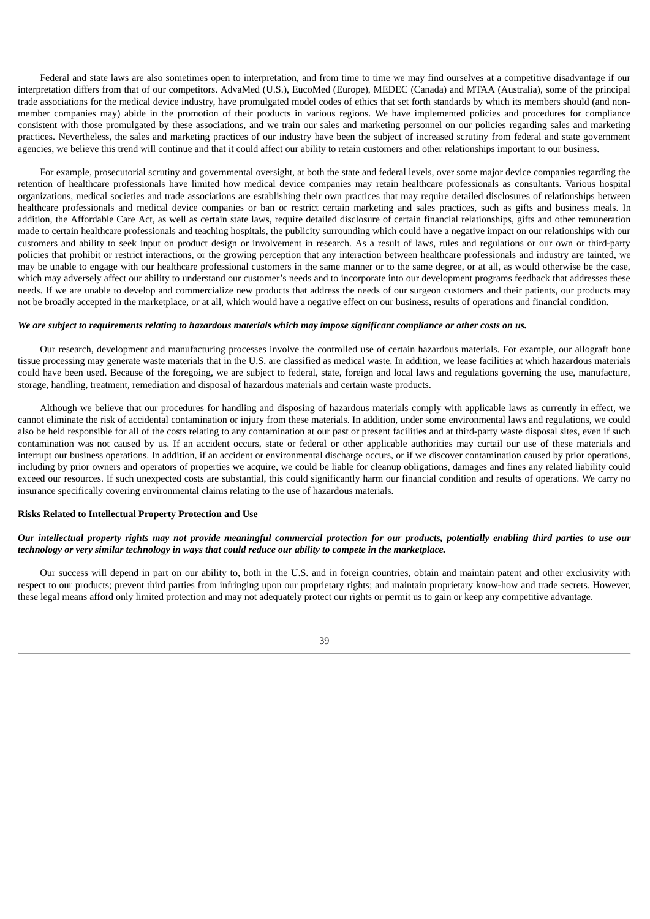Federal and state laws are also sometimes open to interpretation, and from time to time we may find ourselves at a competitive disadvantage if our interpretation differs from that of our competitors. AdvaMed (U.S.), EucoMed (Europe), MEDEC (Canada) and MTAA (Australia), some of the principal trade associations for the medical device industry, have promulgated model codes of ethics that set forth standards by which its members should (and nonmember companies may) abide in the promotion of their products in various regions. We have implemented policies and procedures for compliance consistent with those promulgated by these associations, and we train our sales and marketing personnel on our policies regarding sales and marketing practices. Nevertheless, the sales and marketing practices of our industry have been the subject of increased scrutiny from federal and state government agencies, we believe this trend will continue and that it could affect our ability to retain customers and other relationships important to our business.

For example, prosecutorial scrutiny and governmental oversight, at both the state and federal levels, over some major device companies regarding the retention of healthcare professionals have limited how medical device companies may retain healthcare professionals as consultants. Various hospital organizations, medical societies and trade associations are establishing their own practices that may require detailed disclosures of relationships between healthcare professionals and medical device companies or ban or restrict certain marketing and sales practices, such as gifts and business meals. In addition, the Affordable Care Act, as well as certain state laws, require detailed disclosure of certain financial relationships, gifts and other remuneration made to certain healthcare professionals and teaching hospitals, the publicity surrounding which could have a negative impact on our relationships with our customers and ability to seek input on product design or involvement in research. As a result of laws, rules and regulations or our own or third-party policies that prohibit or restrict interactions, or the growing perception that any interaction between healthcare professionals and industry are tainted, we may be unable to engage with our healthcare professional customers in the same manner or to the same degree, or at all, as would otherwise be the case, which may adversely affect our ability to understand our customer's needs and to incorporate into our development programs feedback that addresses these needs. If we are unable to develop and commercialize new products that address the needs of our surgeon customers and their patients, our products may not be broadly accepted in the marketplace, or at all, which would have a negative effect on our business, results of operations and financial condition.

#### We are subject to requirements relating to hazardous materials which may impose significant compliance or other costs on us.

Our research, development and manufacturing processes involve the controlled use of certain hazardous materials. For example, our allograft bone tissue processing may generate waste materials that in the U.S. are classified as medical waste. In addition, we lease facilities at which hazardous materials could have been used. Because of the foregoing, we are subject to federal, state, foreign and local laws and regulations governing the use, manufacture, storage, handling, treatment, remediation and disposal of hazardous materials and certain waste products.

Although we believe that our procedures for handling and disposing of hazardous materials comply with applicable laws as currently in effect, we cannot eliminate the risk of accidental contamination or injury from these materials. In addition, under some environmental laws and regulations, we could also be held responsible for all of the costs relating to any contamination at our past or present facilities and at third-party waste disposal sites, even if such contamination was not caused by us. If an accident occurs, state or federal or other applicable authorities may curtail our use of these materials and interrupt our business operations. In addition, if an accident or environmental discharge occurs, or if we discover contamination caused by prior operations, including by prior owners and operators of properties we acquire, we could be liable for cleanup obligations, damages and fines any related liability could exceed our resources. If such unexpected costs are substantial, this could significantly harm our financial condition and results of operations. We carry no insurance specifically covering environmental claims relating to the use of hazardous materials.

#### **Risks Related to Intellectual Property Protection and Use**

### Our intellectual property rights may not provide meaningful commercial protection for our products, potentially enabling third parties to use our technology or very similar technology in ways that could reduce our ability to compete in the marketplace.

Our success will depend in part on our ability to, both in the U.S. and in foreign countries, obtain and maintain patent and other exclusivity with respect to our products; prevent third parties from infringing upon our proprietary rights; and maintain proprietary know-how and trade secrets. However, these legal means afford only limited protection and may not adequately protect our rights or permit us to gain or keep any competitive advantage.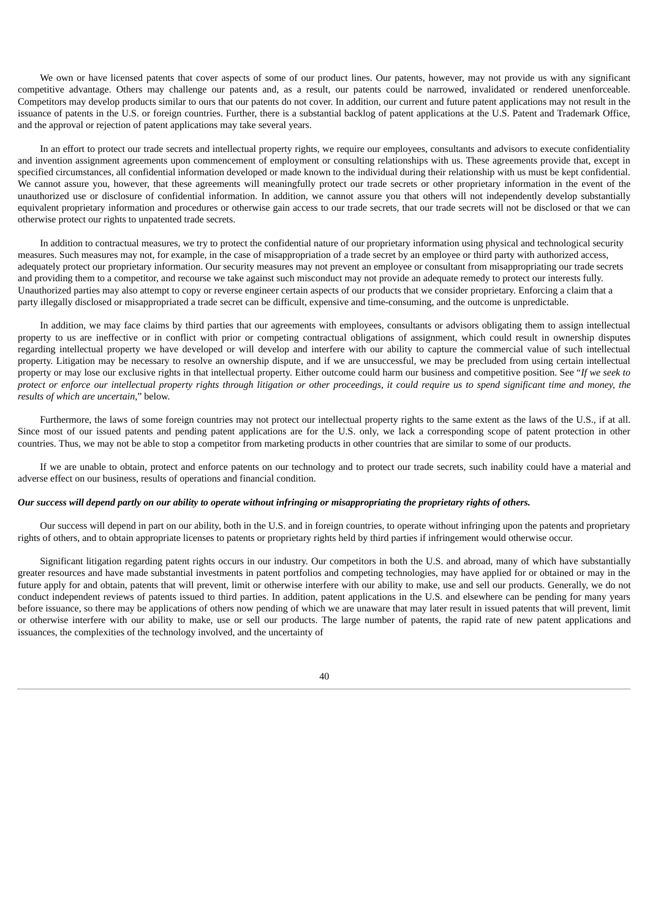We own or have licensed patents that cover aspects of some of our product lines. Our patents, however, may not provide us with any significant competitive advantage. Others may challenge our patents and, as a result, our patents could be narrowed, invalidated or rendered unenforceable. Competitors may develop products similar to ours that our patents do not cover. In addition, our current and future patent applications may not result in the issuance of patents in the U.S. or foreign countries. Further, there is a substantial backlog of patent applications at the U.S. Patent and Trademark Office, and the approval or rejection of patent applications may take several years.

In an effort to protect our trade secrets and intellectual property rights, we require our employees, consultants and advisors to execute confidentiality and invention assignment agreements upon commencement of employment or consulting relationships with us. These agreements provide that, except in specified circumstances, all confidential information developed or made known to the individual during their relationship with us must be kept confidential. We cannot assure you, however, that these agreements will meaningfully protect our trade secrets or other proprietary information in the event of the unauthorized use or disclosure of confidential information. In addition, we cannot assure you that others will not independently develop substantially equivalent proprietary information and procedures or otherwise gain access to our trade secrets, that our trade secrets will not be disclosed or that we can otherwise protect our rights to unpatented trade secrets.

In addition to contractual measures, we try to protect the confidential nature of our proprietary information using physical and technological security measures. Such measures may not, for example, in the case of misappropriation of a trade secret by an employee or third party with authorized access, adequately protect our proprietary information. Our security measures may not prevent an employee or consultant from misappropriating our trade secrets and providing them to a competitor, and recourse we take against such misconduct may not provide an adequate remedy to protect our interests fully. Unauthorized parties may also attempt to copy or reverse engineer certain aspects of our products that we consider proprietary. Enforcing a claim that a party illegally disclosed or misappropriated a trade secret can be difficult, expensive and time-consuming, and the outcome is unpredictable.

In addition, we may face claims by third parties that our agreements with employees, consultants or advisors obligating them to assign intellectual property to us are ineffective or in conflict with prior or competing contractual obligations of assignment, which could result in ownership disputes regarding intellectual property we have developed or will develop and interfere with our ability to capture the commercial value of such intellectual property. Litigation may be necessary to resolve an ownership dispute, and if we are unsuccessful, we may be precluded from using certain intellectual property or may lose our exclusive rights in that intellectual property. Either outcome could harm our business and competitive position. See "*If we seek to* protect or enforce our intellectual property rights through litigation or other proceedings, it could require us to spend significant time and money, the *results of which are uncertain*," below.

Furthermore, the laws of some foreign countries may not protect our intellectual property rights to the same extent as the laws of the U.S., if at all. Since most of our issued patents and pending patent applications are for the U.S. only, we lack a corresponding scope of patent protection in other countries. Thus, we may not be able to stop a competitor from marketing products in other countries that are similar to some of our products.

If we are unable to obtain, protect and enforce patents on our technology and to protect our trade secrets, such inability could have a material and adverse effect on our business, results of operations and financial condition.

### Our success will depend partly on our ability to operate without infringing or misappropriating the proprietary rights of others.

Our success will depend in part on our ability, both in the U.S. and in foreign countries, to operate without infringing upon the patents and proprietary rights of others, and to obtain appropriate licenses to patents or proprietary rights held by third parties if infringement would otherwise occur.

Significant litigation regarding patent rights occurs in our industry. Our competitors in both the U.S. and abroad, many of which have substantially greater resources and have made substantial investments in patent portfolios and competing technologies, may have applied for or obtained or may in the future apply for and obtain, patents that will prevent, limit or otherwise interfere with our ability to make, use and sell our products. Generally, we do not conduct independent reviews of patents issued to third parties. In addition, patent applications in the U.S. and elsewhere can be pending for many years before issuance, so there may be applications of others now pending of which we are unaware that may later result in issued patents that will prevent, limit or otherwise interfere with our ability to make, use or sell our products. The large number of patents, the rapid rate of new patent applications and issuances, the complexities of the technology involved, and the uncertainty of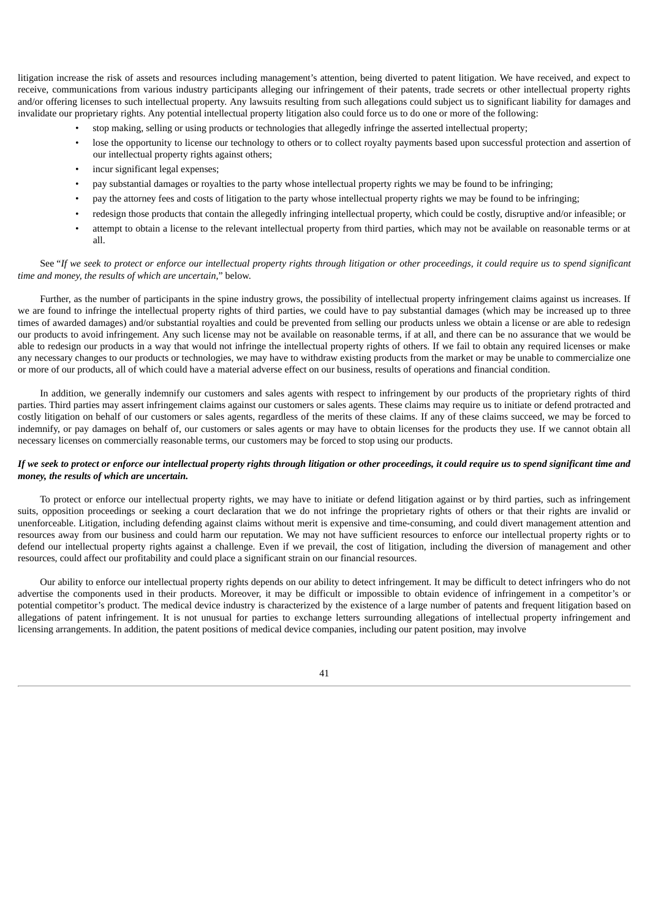litigation increase the risk of assets and resources including management's attention, being diverted to patent litigation. We have received, and expect to receive, communications from various industry participants alleging our infringement of their patents, trade secrets or other intellectual property rights and/or offering licenses to such intellectual property. Any lawsuits resulting from such allegations could subject us to significant liability for damages and invalidate our proprietary rights. Any potential intellectual property litigation also could force us to do one or more of the following:

- stop making, selling or using products or technologies that allegedly infringe the asserted intellectual property;
- lose the opportunity to license our technology to others or to collect royalty payments based upon successful protection and assertion of our intellectual property rights against others;
- incur significant legal expenses;
- pay substantial damages or royalties to the party whose intellectual property rights we may be found to be infringing;
- pay the attorney fees and costs of litigation to the party whose intellectual property rights we may be found to be infringing;
- redesign those products that contain the allegedly infringing intellectual property, which could be costly, disruptive and/or infeasible; or
- attempt to obtain a license to the relevant intellectual property from third parties, which may not be available on reasonable terms or at all.

See "If we seek to protect or enforce our intellectual property rights through litigation or other proceedings, it could require us to spend significant *time and money, the results of which are uncertain*," below.

Further, as the number of participants in the spine industry grows, the possibility of intellectual property infringement claims against us increases. If we are found to infringe the intellectual property rights of third parties, we could have to pay substantial damages (which may be increased up to three times of awarded damages) and/or substantial royalties and could be prevented from selling our products unless we obtain a license or are able to redesign our products to avoid infringement. Any such license may not be available on reasonable terms, if at all, and there can be no assurance that we would be able to redesign our products in a way that would not infringe the intellectual property rights of others. If we fail to obtain any required licenses or make any necessary changes to our products or technologies, we may have to withdraw existing products from the market or may be unable to commercialize one or more of our products, all of which could have a material adverse effect on our business, results of operations and financial condition.

In addition, we generally indemnify our customers and sales agents with respect to infringement by our products of the proprietary rights of third parties. Third parties may assert infringement claims against our customers or sales agents. These claims may require us to initiate or defend protracted and costly litigation on behalf of our customers or sales agents, regardless of the merits of these claims. If any of these claims succeed, we may be forced to indemnify, or pay damages on behalf of, our customers or sales agents or may have to obtain licenses for the products they use. If we cannot obtain all necessary licenses on commercially reasonable terms, our customers may be forced to stop using our products.

## If we seek to protect or enforce our intellectual property rights through litigation or other proceedings, it could require us to spend significant time and *money, the results of which are uncertain.*

To protect or enforce our intellectual property rights, we may have to initiate or defend litigation against or by third parties, such as infringement suits, opposition proceedings or seeking a court declaration that we do not infringe the proprietary rights of others or that their rights are invalid or unenforceable. Litigation, including defending against claims without merit is expensive and time-consuming, and could divert management attention and resources away from our business and could harm our reputation. We may not have sufficient resources to enforce our intellectual property rights or to defend our intellectual property rights against a challenge. Even if we prevail, the cost of litigation, including the diversion of management and other resources, could affect our profitability and could place a significant strain on our financial resources.

Our ability to enforce our intellectual property rights depends on our ability to detect infringement. It may be difficult to detect infringers who do not advertise the components used in their products. Moreover, it may be difficult or impossible to obtain evidence of infringement in a competitor's or potential competitor's product. The medical device industry is characterized by the existence of a large number of patents and frequent litigation based on allegations of patent infringement. It is not unusual for parties to exchange letters surrounding allegations of intellectual property infringement and licensing arrangements. In addition, the patent positions of medical device companies, including our patent position, may involve

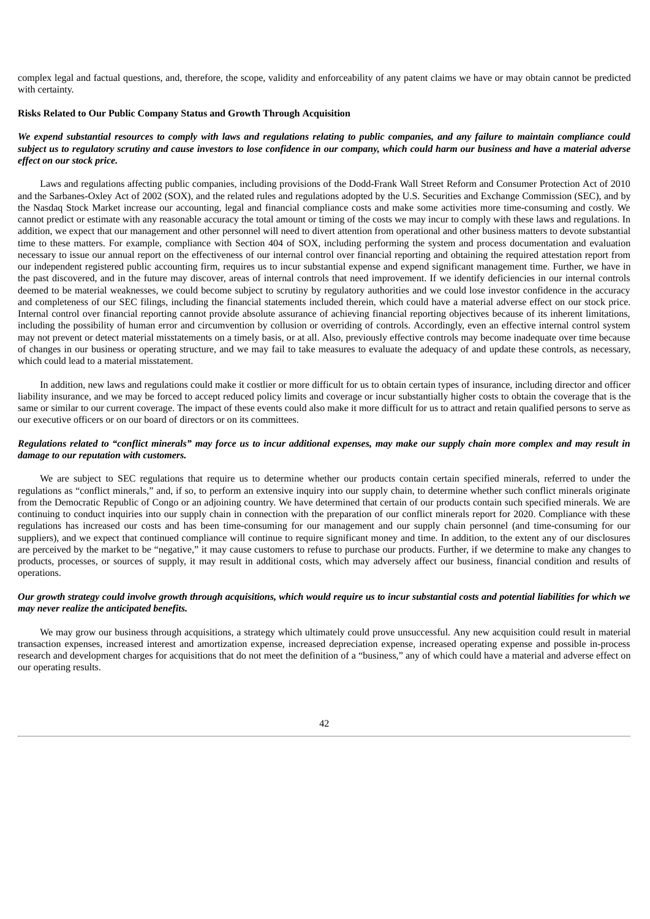complex legal and factual questions, and, therefore, the scope, validity and enforceability of any patent claims we have or may obtain cannot be predicted with certainty.

#### **Risks Related to Our Public Company Status and Growth Through Acquisition**

## We expend substantial resources to comply with laws and regulations relating to public companies, and any failure to maintain compliance could subject us to regulatory scrutiny and cause investors to lose confidence in our company, which could harm our business and have a material adverse *effect on our stock price.*

Laws and regulations affecting public companies, including provisions of the Dodd-Frank Wall Street Reform and Consumer Protection Act of 2010 and the Sarbanes-Oxley Act of 2002 (SOX), and the related rules and regulations adopted by the U.S. Securities and Exchange Commission (SEC), and by the Nasdaq Stock Market increase our accounting, legal and financial compliance costs and make some activities more time-consuming and costly. We cannot predict or estimate with any reasonable accuracy the total amount or timing of the costs we may incur to comply with these laws and regulations. In addition, we expect that our management and other personnel will need to divert attention from operational and other business matters to devote substantial time to these matters. For example, compliance with Section 404 of SOX, including performing the system and process documentation and evaluation necessary to issue our annual report on the effectiveness of our internal control over financial reporting and obtaining the required attestation report from our independent registered public accounting firm, requires us to incur substantial expense and expend significant management time. Further, we have in the past discovered, and in the future may discover, areas of internal controls that need improvement. If we identify deficiencies in our internal controls deemed to be material weaknesses, we could become subject to scrutiny by regulatory authorities and we could lose investor confidence in the accuracy and completeness of our SEC filings, including the financial statements included therein, which could have a material adverse effect on our stock price. Internal control over financial reporting cannot provide absolute assurance of achieving financial reporting objectives because of its inherent limitations, including the possibility of human error and circumvention by collusion or overriding of controls. Accordingly, even an effective internal control system may not prevent or detect material misstatements on a timely basis, or at all. Also, previously effective controls may become inadequate over time because of changes in our business or operating structure, and we may fail to take measures to evaluate the adequacy of and update these controls, as necessary, which could lead to a material misstatement.

In addition, new laws and regulations could make it costlier or more difficult for us to obtain certain types of insurance, including director and officer liability insurance, and we may be forced to accept reduced policy limits and coverage or incur substantially higher costs to obtain the coverage that is the same or similar to our current coverage. The impact of these events could also make it more difficult for us to attract and retain qualified persons to serve as our executive officers or on our board of directors or on its committees.

#### Regulations related to "conflict minerals" may force us to incur additional expenses, may make our supply chain more complex and may result in *damage to our reputation with customers.*

We are subject to SEC regulations that require us to determine whether our products contain certain specified minerals, referred to under the regulations as "conflict minerals," and, if so, to perform an extensive inquiry into our supply chain, to determine whether such conflict minerals originate from the Democratic Republic of Congo or an adjoining country. We have determined that certain of our products contain such specified minerals. We are continuing to conduct inquiries into our supply chain in connection with the preparation of our conflict minerals report for 2020. Compliance with these regulations has increased our costs and has been time-consuming for our management and our supply chain personnel (and time-consuming for our suppliers), and we expect that continued compliance will continue to require significant money and time. In addition, to the extent any of our disclosures are perceived by the market to be "negative," it may cause customers to refuse to purchase our products. Further, if we determine to make any changes to products, processes, or sources of supply, it may result in additional costs, which may adversely affect our business, financial condition and results of operations.

### Our growth strategy could involve growth through acquisitions, which would require us to incur substantial costs and potential liabilities for which we *may never realize the anticipated benefits.*

We may grow our business through acquisitions, a strategy which ultimately could prove unsuccessful. Any new acquisition could result in material transaction expenses, increased interest and amortization expense, increased depreciation expense, increased operating expense and possible in-process research and development charges for acquisitions that do not meet the definition of a "business," any of which could have a material and adverse effect on our operating results.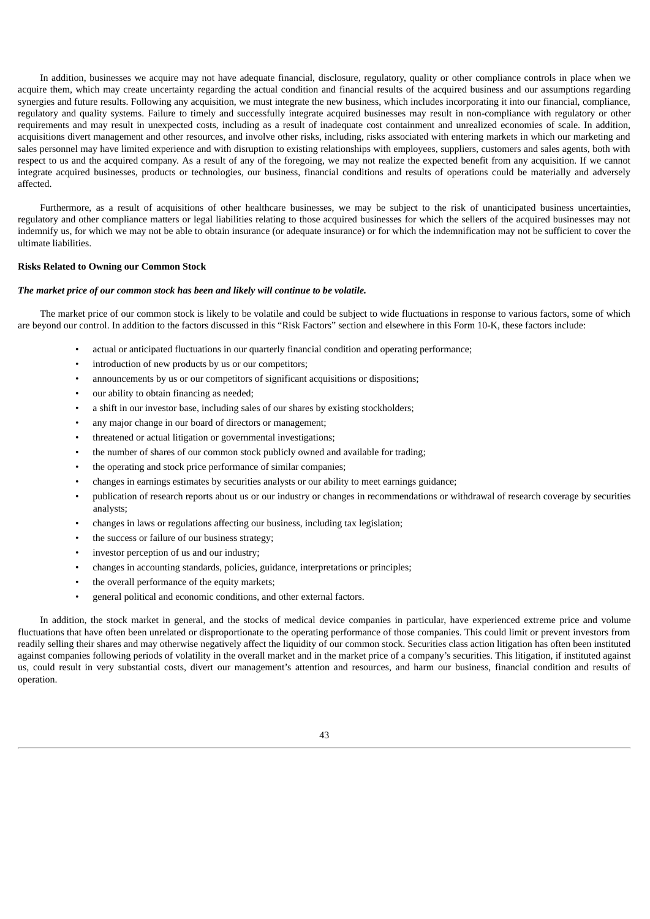In addition, businesses we acquire may not have adequate financial, disclosure, regulatory, quality or other compliance controls in place when we acquire them, which may create uncertainty regarding the actual condition and financial results of the acquired business and our assumptions regarding synergies and future results. Following any acquisition, we must integrate the new business, which includes incorporating it into our financial, compliance, regulatory and quality systems. Failure to timely and successfully integrate acquired businesses may result in non-compliance with regulatory or other requirements and may result in unexpected costs, including as a result of inadequate cost containment and unrealized economies of scale. In addition, acquisitions divert management and other resources, and involve other risks, including, risks associated with entering markets in which our marketing and sales personnel may have limited experience and with disruption to existing relationships with employees, suppliers, customers and sales agents, both with respect to us and the acquired company. As a result of any of the foregoing, we may not realize the expected benefit from any acquisition. If we cannot integrate acquired businesses, products or technologies, our business, financial conditions and results of operations could be materially and adversely affected.

Furthermore, as a result of acquisitions of other healthcare businesses, we may be subject to the risk of unanticipated business uncertainties, regulatory and other compliance matters or legal liabilities relating to those acquired businesses for which the sellers of the acquired businesses may not indemnify us, for which we may not be able to obtain insurance (or adequate insurance) or for which the indemnification may not be sufficient to cover the ultimate liabilities.

#### **Risks Related to Owning our Common Stock**

#### *The market price of our common stock has been and likely will continue to be volatile.*

The market price of our common stock is likely to be volatile and could be subject to wide fluctuations in response to various factors, some of which are beyond our control. In addition to the factors discussed in this "Risk Factors" section and elsewhere in this Form 10-K, these factors include:

- actual or anticipated fluctuations in our quarterly financial condition and operating performance;
- introduction of new products by us or our competitors;
- announcements by us or our competitors of significant acquisitions or dispositions;
- our ability to obtain financing as needed;
- a shift in our investor base, including sales of our shares by existing stockholders;
- any major change in our board of directors or management;
- threatened or actual litigation or governmental investigations;
- the number of shares of our common stock publicly owned and available for trading;
- the operating and stock price performance of similar companies;
- changes in earnings estimates by securities analysts or our ability to meet earnings guidance;
- publication of research reports about us or our industry or changes in recommendations or withdrawal of research coverage by securities analysts;
- changes in laws or regulations affecting our business, including tax legislation;
- the success or failure of our business strategy;
- investor perception of us and our industry;
- changes in accounting standards, policies, guidance, interpretations or principles;
- the overall performance of the equity markets;
- general political and economic conditions, and other external factors.

In addition, the stock market in general, and the stocks of medical device companies in particular, have experienced extreme price and volume fluctuations that have often been unrelated or disproportionate to the operating performance of those companies. This could limit or prevent investors from readily selling their shares and may otherwise negatively affect the liquidity of our common stock. Securities class action litigation has often been instituted against companies following periods of volatility in the overall market and in the market price of a company's securities. This litigation, if instituted against us, could result in very substantial costs, divert our management's attention and resources, and harm our business, financial condition and results of operation.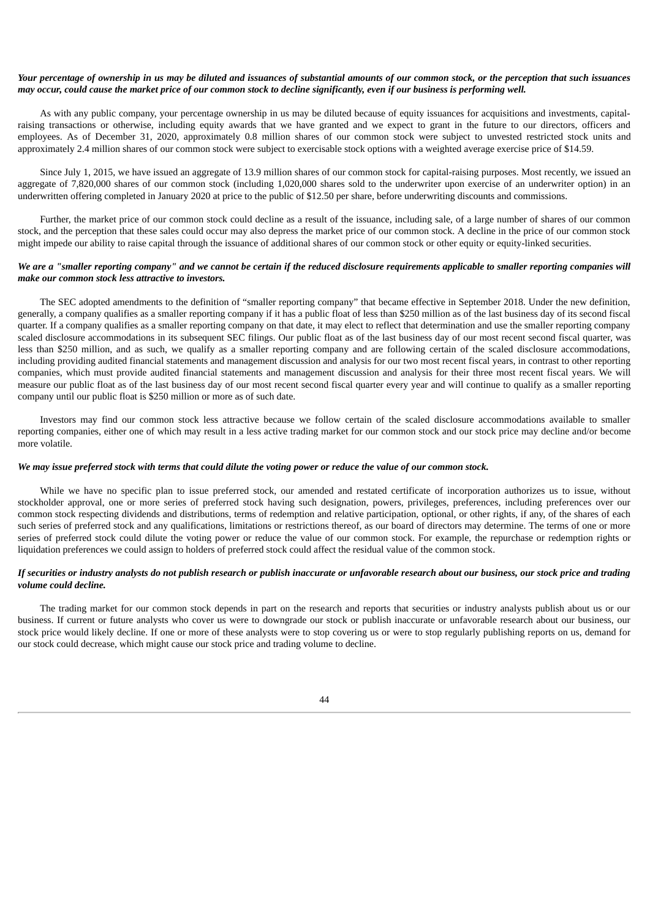### Your percentage of ownership in us may be diluted and issuances of substantial amounts of our common stock, or the perception that such issuances may occur, could cause the market price of our common stock to decline significantly, even if our business is performing well.

As with any public company, your percentage ownership in us may be diluted because of equity issuances for acquisitions and investments, capitalraising transactions or otherwise, including equity awards that we have granted and we expect to grant in the future to our directors, officers and employees. As of December 31, 2020, approximately 0.8 million shares of our common stock were subject to unvested restricted stock units and approximately 2.4 million shares of our common stock were subject to exercisable stock options with a weighted average exercise price of \$14.59.

Since July 1, 2015, we have issued an aggregate of 13.9 million shares of our common stock for capital-raising purposes. Most recently, we issued an aggregate of 7,820,000 shares of our common stock (including 1,020,000 shares sold to the underwriter upon exercise of an underwriter option) in an underwritten offering completed in January 2020 at price to the public of \$12.50 per share, before underwriting discounts and commissions.

Further, the market price of our common stock could decline as a result of the issuance, including sale, of a large number of shares of our common stock, and the perception that these sales could occur may also depress the market price of our common stock. A decline in the price of our common stock might impede our ability to raise capital through the issuance of additional shares of our common stock or other equity or equity-linked securities.

### We are a "smaller reporting company" and we cannot be certain if the reduced disclosure requirements applicable to smaller reporting companies will *make our common stock less attractive to investors.*

The SEC adopted amendments to the definition of "smaller reporting company" that became effective in September 2018. Under the new definition, generally, a company qualifies as a smaller reporting company if it has a public float of less than \$250 million as of the last business day of its second fiscal quarter. If a company qualifies as a smaller reporting company on that date, it may elect to reflect that determination and use the smaller reporting company scaled disclosure accommodations in its subsequent SEC filings. Our public float as of the last business day of our most recent second fiscal quarter, was less than \$250 million, and as such, we qualify as a smaller reporting company and are following certain of the scaled disclosure accommodations, including providing audited financial statements and management discussion and analysis for our two most recent fiscal years, in contrast to other reporting companies, which must provide audited financial statements and management discussion and analysis for their three most recent fiscal years. We will measure our public float as of the last business day of our most recent second fiscal quarter every year and will continue to qualify as a smaller reporting company until our public float is \$250 million or more as of such date.

Investors may find our common stock less attractive because we follow certain of the scaled disclosure accommodations available to smaller reporting companies, either one of which may result in a less active trading market for our common stock and our stock price may decline and/or become more volatile.

#### We may issue preferred stock with terms that could dilute the voting power or reduce the value of our common stock.

While we have no specific plan to issue preferred stock, our amended and restated certificate of incorporation authorizes us to issue, without stockholder approval, one or more series of preferred stock having such designation, powers, privileges, preferences, including preferences over our common stock respecting dividends and distributions, terms of redemption and relative participation, optional, or other rights, if any, of the shares of each such series of preferred stock and any qualifications, limitations or restrictions thereof, as our board of directors may determine. The terms of one or more series of preferred stock could dilute the voting power or reduce the value of our common stock. For example, the repurchase or redemption rights or liquidation preferences we could assign to holders of preferred stock could affect the residual value of the common stock.

## If securities or industry analysts do not publish research or publish inaccurate or unfavorable research about our business, our stock price and trading *volume could decline.*

The trading market for our common stock depends in part on the research and reports that securities or industry analysts publish about us or our business. If current or future analysts who cover us were to downgrade our stock or publish inaccurate or unfavorable research about our business, our stock price would likely decline. If one or more of these analysts were to stop covering us or were to stop regularly publishing reports on us, demand for our stock could decrease, which might cause our stock price and trading volume to decline.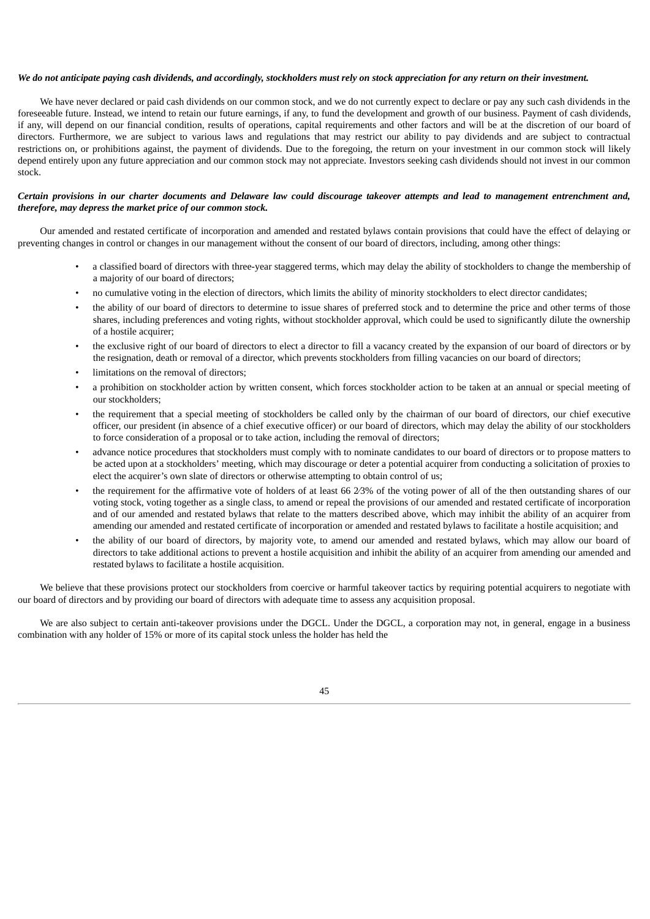#### We do not anticipate paying cash dividends, and accordingly, stockholders must rely on stock appreciation for any return on their investment.

We have never declared or paid cash dividends on our common stock, and we do not currently expect to declare or pay any such cash dividends in the foreseeable future. Instead, we intend to retain our future earnings, if any, to fund the development and growth of our business. Payment of cash dividends, if any, will depend on our financial condition, results of operations, capital requirements and other factors and will be at the discretion of our board of directors. Furthermore, we are subject to various laws and regulations that may restrict our ability to pay dividends and are subject to contractual restrictions on, or prohibitions against, the payment of dividends. Due to the foregoing, the return on your investment in our common stock will likely depend entirely upon any future appreciation and our common stock may not appreciate. Investors seeking cash dividends should not invest in our common stock.

## Certain provisions in our charter documents and Delaware law could discourage takeover attempts and lead to management entrenchment and, *therefore, may depress the market price of our common stock.*

Our amended and restated certificate of incorporation and amended and restated bylaws contain provisions that could have the effect of delaying or preventing changes in control or changes in our management without the consent of our board of directors, including, among other things:

- a classified board of directors with three-year staggered terms, which may delay the ability of stockholders to change the membership of a majority of our board of directors;
- no cumulative voting in the election of directors, which limits the ability of minority stockholders to elect director candidates;
- the ability of our board of directors to determine to issue shares of preferred stock and to determine the price and other terms of those shares, including preferences and voting rights, without stockholder approval, which could be used to significantly dilute the ownership of a hostile acquirer;
- the exclusive right of our board of directors to elect a director to fill a vacancy created by the expansion of our board of directors or by the resignation, death or removal of a director, which prevents stockholders from filling vacancies on our board of directors;
- limitations on the removal of directors;
- a prohibition on stockholder action by written consent, which forces stockholder action to be taken at an annual or special meeting of our stockholders;
- the requirement that a special meeting of stockholders be called only by the chairman of our board of directors, our chief executive officer, our president (in absence of a chief executive officer) or our board of directors, which may delay the ability of our stockholders to force consideration of a proposal or to take action, including the removal of directors;
- advance notice procedures that stockholders must comply with to nominate candidates to our board of directors or to propose matters to be acted upon at a stockholders' meeting, which may discourage or deter a potential acquirer from conducting a solicitation of proxies to elect the acquirer's own slate of directors or otherwise attempting to obtain control of us;
- the requirement for the affirmative vote of holders of at least 66 2⁄3% of the voting power of all of the then outstanding shares of our voting stock, voting together as a single class, to amend or repeal the provisions of our amended and restated certificate of incorporation and of our amended and restated bylaws that relate to the matters described above, which may inhibit the ability of an acquirer from amending our amended and restated certificate of incorporation or amended and restated bylaws to facilitate a hostile acquisition; and
- the ability of our board of directors, by majority vote, to amend our amended and restated bylaws, which may allow our board of directors to take additional actions to prevent a hostile acquisition and inhibit the ability of an acquirer from amending our amended and restated bylaws to facilitate a hostile acquisition.

We believe that these provisions protect our stockholders from coercive or harmful takeover tactics by requiring potential acquirers to negotiate with our board of directors and by providing our board of directors with adequate time to assess any acquisition proposal.

We are also subject to certain anti-takeover provisions under the DGCL. Under the DGCL, a corporation may not, in general, engage in a business combination with any holder of 15% or more of its capital stock unless the holder has held the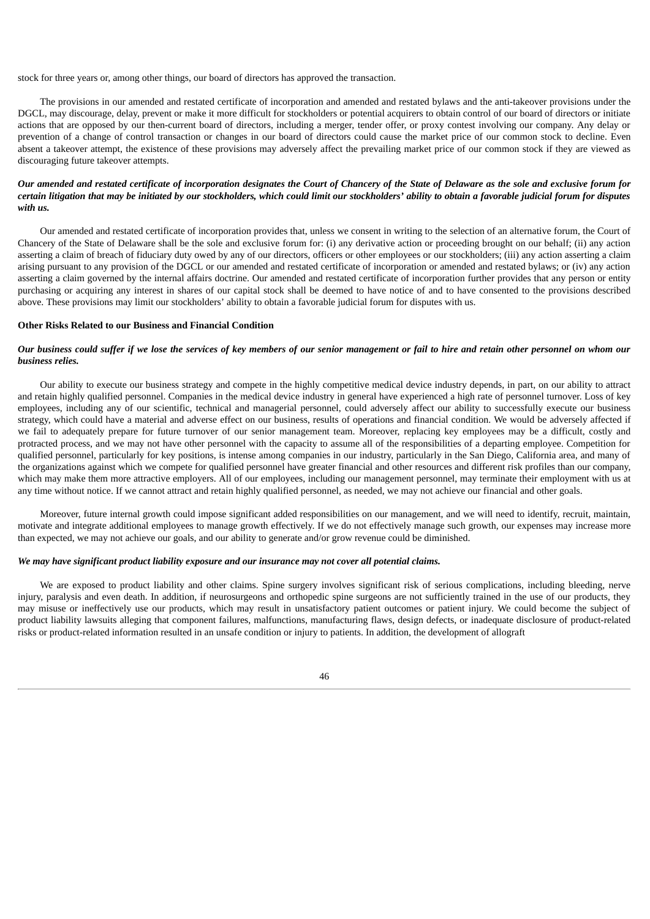stock for three years or, among other things, our board of directors has approved the transaction.

The provisions in our amended and restated certificate of incorporation and amended and restated bylaws and the anti-takeover provisions under the DGCL, may discourage, delay, prevent or make it more difficult for stockholders or potential acquirers to obtain control of our board of directors or initiate actions that are opposed by our then-current board of directors, including a merger, tender offer, or proxy contest involving our company. Any delay or prevention of a change of control transaction or changes in our board of directors could cause the market price of our common stock to decline. Even absent a takeover attempt, the existence of these provisions may adversely affect the prevailing market price of our common stock if they are viewed as discouraging future takeover attempts.

### Our amended and restated certificate of incorporation designates the Court of Chancery of the State of Delaware as the sole and exclusive forum for certain litigation that may be initiated by our stockholders, which could limit our stockholders' ability to obtain a favorable judicial forum for disputes *with us.*

Our amended and restated certificate of incorporation provides that, unless we consent in writing to the selection of an alternative forum, the Court of Chancery of the State of Delaware shall be the sole and exclusive forum for: (i) any derivative action or proceeding brought on our behalf; (ii) any action asserting a claim of breach of fiduciary duty owed by any of our directors, officers or other employees or our stockholders; (iii) any action asserting a claim arising pursuant to any provision of the DGCL or our amended and restated certificate of incorporation or amended and restated bylaws; or (iv) any action asserting a claim governed by the internal affairs doctrine. Our amended and restated certificate of incorporation further provides that any person or entity purchasing or acquiring any interest in shares of our capital stock shall be deemed to have notice of and to have consented to the provisions described above. These provisions may limit our stockholders' ability to obtain a favorable judicial forum for disputes with us.

#### **Other Risks Related to our Business and Financial Condition**

### Our business could suffer if we lose the services of key members of our senior management or fail to hire and retain other personnel on whom our *business relies.*

Our ability to execute our business strategy and compete in the highly competitive medical device industry depends, in part, on our ability to attract and retain highly qualified personnel. Companies in the medical device industry in general have experienced a high rate of personnel turnover. Loss of key employees, including any of our scientific, technical and managerial personnel, could adversely affect our ability to successfully execute our business strategy, which could have a material and adverse effect on our business, results of operations and financial condition. We would be adversely affected if we fail to adequately prepare for future turnover of our senior management team. Moreover, replacing key employees may be a difficult, costly and protracted process, and we may not have other personnel with the capacity to assume all of the responsibilities of a departing employee. Competition for qualified personnel, particularly for key positions, is intense among companies in our industry, particularly in the San Diego, California area, and many of the organizations against which we compete for qualified personnel have greater financial and other resources and different risk profiles than our company, which may make them more attractive employers. All of our employees, including our management personnel, may terminate their employment with us at any time without notice. If we cannot attract and retain highly qualified personnel, as needed, we may not achieve our financial and other goals.

Moreover, future internal growth could impose significant added responsibilities on our management, and we will need to identify, recruit, maintain, motivate and integrate additional employees to manage growth effectively. If we do not effectively manage such growth, our expenses may increase more than expected, we may not achieve our goals, and our ability to generate and/or grow revenue could be diminished.

#### *We may have significant product liability exposure and our insurance may not cover all potential claims.*

We are exposed to product liability and other claims. Spine surgery involves significant risk of serious complications, including bleeding, nerve injury, paralysis and even death. In addition, if neurosurgeons and orthopedic spine surgeons are not sufficiently trained in the use of our products, they may misuse or ineffectively use our products, which may result in unsatisfactory patient outcomes or patient injury. We could become the subject of product liability lawsuits alleging that component failures, malfunctions, manufacturing flaws, design defects, or inadequate disclosure of product-related risks or product-related information resulted in an unsafe condition or injury to patients. In addition, the development of allograft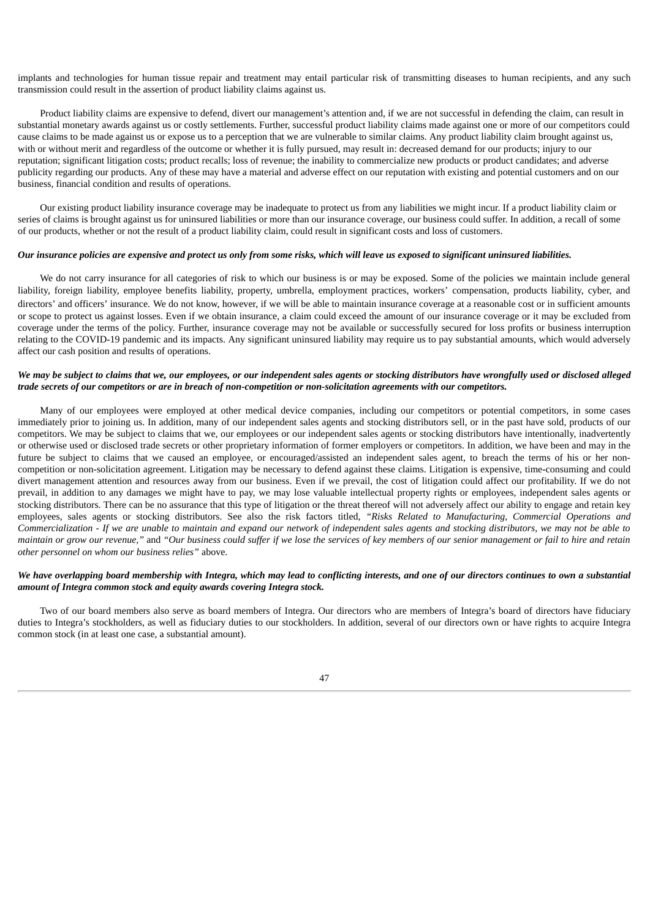implants and technologies for human tissue repair and treatment may entail particular risk of transmitting diseases to human recipients, and any such transmission could result in the assertion of product liability claims against us.

Product liability claims are expensive to defend, divert our management's attention and, if we are not successful in defending the claim, can result in substantial monetary awards against us or costly settlements. Further, successful product liability claims made against one or more of our competitors could cause claims to be made against us or expose us to a perception that we are vulnerable to similar claims. Any product liability claim brought against us, with or without merit and regardless of the outcome or whether it is fully pursued, may result in: decreased demand for our products; injury to our reputation; significant litigation costs; product recalls; loss of revenue; the inability to commercialize new products or product candidates; and adverse publicity regarding our products. Any of these may have a material and adverse effect on our reputation with existing and potential customers and on our business, financial condition and results of operations.

Our existing product liability insurance coverage may be inadequate to protect us from any liabilities we might incur. If a product liability claim or series of claims is brought against us for uninsured liabilities or more than our insurance coverage, our business could suffer. In addition, a recall of some of our products, whether or not the result of a product liability claim, could result in significant costs and loss of customers.

#### Our insurance policies are expensive and protect us only from some risks, which will leave us exposed to sianificant uninsured liabilities.

We do not carry insurance for all categories of risk to which our business is or may be exposed. Some of the policies we maintain include general liability, foreign liability, employee benefits liability, property, umbrella, employment practices, workers' compensation, products liability, cyber, and directors' and officers' insurance. We do not know, however, if we will be able to maintain insurance coverage at a reasonable cost or in sufficient amounts or scope to protect us against losses. Even if we obtain insurance, a claim could exceed the amount of our insurance coverage or it may be excluded from coverage under the terms of the policy. Further, insurance coverage may not be available or successfully secured for loss profits or business interruption relating to the COVID-19 pandemic and its impacts. Any significant uninsured liability may require us to pay substantial amounts, which would adversely affect our cash position and results of operations.

## We may be subject to claims that we, our employees, or our independent sales agents or stocking distributors have wrongfully used or disclosed alleged trade secrets of our competitors or are in breach of non-competition or non-solicitation agreements with our competitors.

Many of our employees were employed at other medical device companies, including our competitors or potential competitors, in some cases immediately prior to joining us. In addition, many of our independent sales agents and stocking distributors sell, or in the past have sold, products of our competitors. We may be subject to claims that we, our employees or our independent sales agents or stocking distributors have intentionally, inadvertently or otherwise used or disclosed trade secrets or other proprietary information of former employers or competitors. In addition, we have been and may in the future be subject to claims that we caused an employee, or encouraged/assisted an independent sales agent, to breach the terms of his or her noncompetition or non-solicitation agreement. Litigation may be necessary to defend against these claims. Litigation is expensive, time-consuming and could divert management attention and resources away from our business. Even if we prevail, the cost of litigation could affect our profitability. If we do not prevail, in addition to any damages we might have to pay, we may lose valuable intellectual property rights or employees, independent sales agents or stocking distributors. There can be no assurance that this type of litigation or the threat thereof will not adversely affect our ability to engage and retain key employees, sales agents or stocking distributors. See also the risk factors titled, *"Risks Related to Manufacturing, Commercial Operations and* Commercialization - If we are unable to maintain and expand our network of independent sales agents and stocking distributors, we may not be able to maintain or grow our revenue," and "Our business could suffer if we lose the services of key members of our senior management or fail to hire and retain *other personnel on whom our business relies"* above.

### We have overlapping board membership with Integra, which may lead to conflicting interests, and one of our directors continues to own a substantial *amount of Integra common stock and equity awards covering Integra stock.*

Two of our board members also serve as board members of Integra. Our directors who are members of Integra's board of directors have fiduciary duties to Integra's stockholders, as well as fiduciary duties to our stockholders. In addition, several of our directors own or have rights to acquire Integra common stock (in at least one case, a substantial amount).

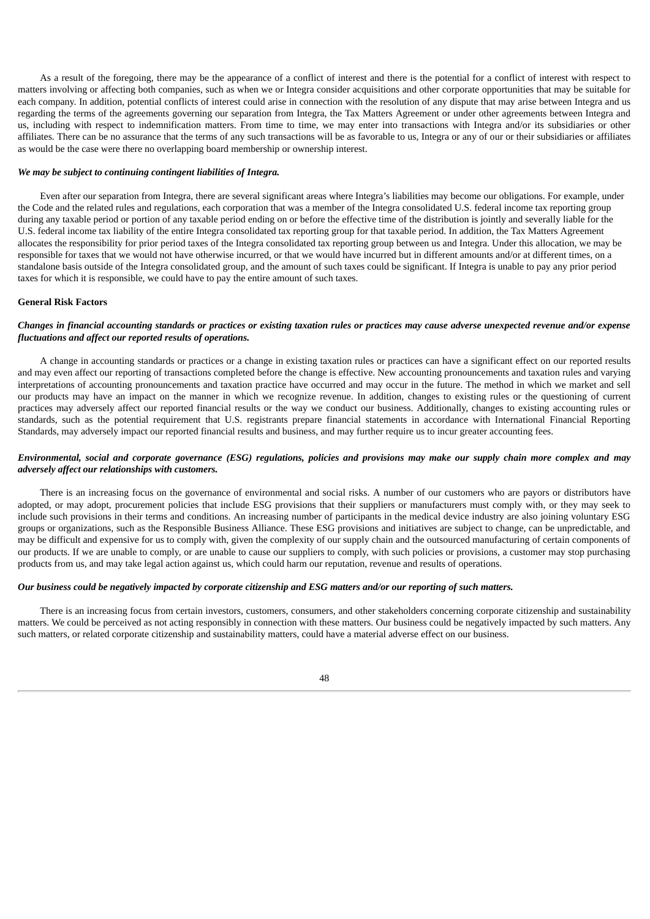As a result of the foregoing, there may be the appearance of a conflict of interest and there is the potential for a conflict of interest with respect to matters involving or affecting both companies, such as when we or Integra consider acquisitions and other corporate opportunities that may be suitable for each company. In addition, potential conflicts of interest could arise in connection with the resolution of any dispute that may arise between Integra and us regarding the terms of the agreements governing our separation from Integra, the Tax Matters Agreement or under other agreements between Integra and us, including with respect to indemnification matters. From time to time, we may enter into transactions with Integra and/or its subsidiaries or other affiliates. There can be no assurance that the terms of any such transactions will be as favorable to us, Integra or any of our or their subsidiaries or affiliates as would be the case were there no overlapping board membership or ownership interest.

### *We may be subject to continuing contingent liabilities of Integra.*

Even after our separation from Integra, there are several significant areas where Integra's liabilities may become our obligations. For example, under the Code and the related rules and regulations, each corporation that was a member of the Integra consolidated U.S. federal income tax reporting group during any taxable period or portion of any taxable period ending on or before the effective time of the distribution is jointly and severally liable for the U.S. federal income tax liability of the entire Integra consolidated tax reporting group for that taxable period. In addition, the Tax Matters Agreement allocates the responsibility for prior period taxes of the Integra consolidated tax reporting group between us and Integra. Under this allocation, we may be responsible for taxes that we would not have otherwise incurred, or that we would have incurred but in different amounts and/or at different times, on a standalone basis outside of the Integra consolidated group, and the amount of such taxes could be significant. If Integra is unable to pay any prior period taxes for which it is responsible, we could have to pay the entire amount of such taxes.

#### **General Risk Factors**

### Changes in financial accounting standards or practices or existing taxation rules or practices may cause adverse unexpected revenue and/or expense *fluctuations and affect our reported results of operations.*

A change in accounting standards or practices or a change in existing taxation rules or practices can have a significant effect on our reported results and may even affect our reporting of transactions completed before the change is effective. New accounting pronouncements and taxation rules and varying interpretations of accounting pronouncements and taxation practice have occurred and may occur in the future. The method in which we market and sell our products may have an impact on the manner in which we recognize revenue. In addition, changes to existing rules or the questioning of current practices may adversely affect our reported financial results or the way we conduct our business. Additionally, changes to existing accounting rules or standards, such as the potential requirement that U.S. registrants prepare financial statements in accordance with International Financial Reporting Standards, may adversely impact our reported financial results and business, and may further require us to incur greater accounting fees.

#### Environmental, social and corporate governance (ESG) regulations, policies and provisions may make our supply chain more complex and may *adversely affect our relationships with customers.*

There is an increasing focus on the governance of environmental and social risks. A number of our customers who are payors or distributors have adopted, or may adopt, procurement policies that include ESG provisions that their suppliers or manufacturers must comply with, or they may seek to include such provisions in their terms and conditions. An increasing number of participants in the medical device industry are also joining voluntary ESG groups or organizations, such as the Responsible Business Alliance. These ESG provisions and initiatives are subject to change, can be unpredictable, and may be difficult and expensive for us to comply with, given the complexity of our supply chain and the outsourced manufacturing of certain components of our products. If we are unable to comply, or are unable to cause our suppliers to comply, with such policies or provisions, a customer may stop purchasing products from us, and may take legal action against us, which could harm our reputation, revenue and results of operations.

#### Our business could be negatively impacted by corporate citizenship and ESG matters and/or our reporting of such matters.

There is an increasing focus from certain investors, customers, consumers, and other stakeholders concerning corporate citizenship and sustainability matters. We could be perceived as not acting responsibly in connection with these matters. Our business could be negatively impacted by such matters. Any such matters, or related corporate citizenship and sustainability matters, could have a material adverse effect on our business.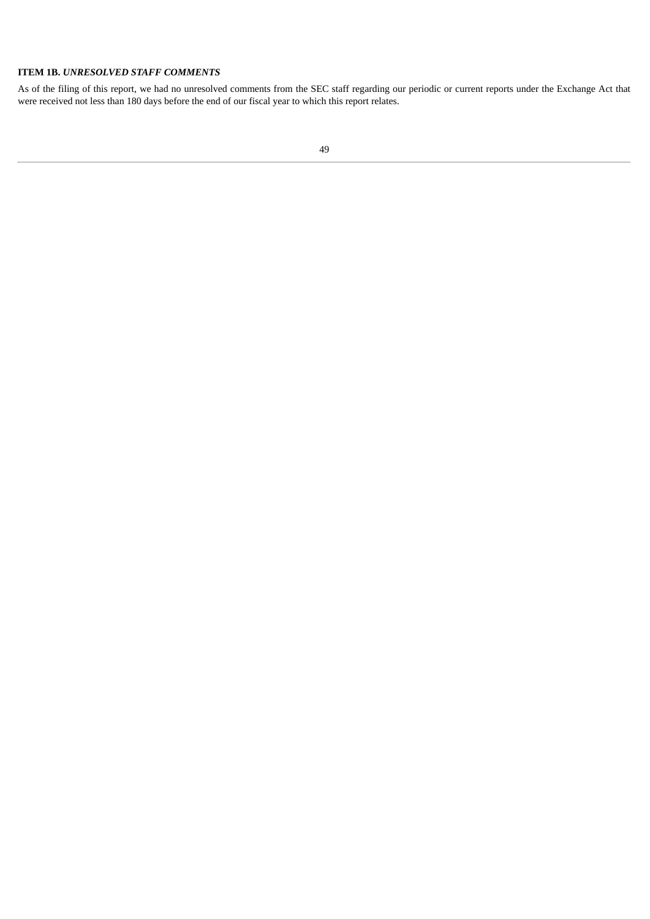# **ITEM 1B.** *UNRESOLVED STAFF COMMENTS*

As of the filing of this report, we had no unresolved comments from the SEC staff regarding our periodic or current reports under the Exchange Act that were received not less than 180 days before the end of our fiscal year to which this report relates.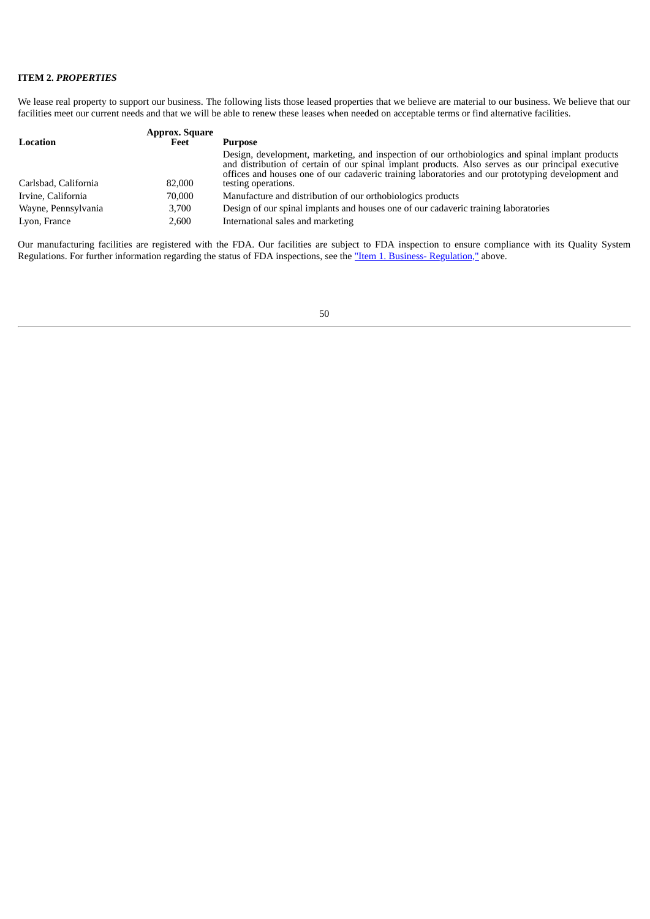# **ITEM 2.** *PROPERTIES*

We lease real property to support our business. The following lists those leased properties that we believe are material to our business. We believe that our facilities meet our current needs and that we will be able to renew these leases when needed on acceptable terms or find alternative facilities.

|                      | Approx. Square |                                                                                                                                                                                                                                                                                                                                    |
|----------------------|----------------|------------------------------------------------------------------------------------------------------------------------------------------------------------------------------------------------------------------------------------------------------------------------------------------------------------------------------------|
| Location             | Feet           | <b>Purpose</b>                                                                                                                                                                                                                                                                                                                     |
| Carlsbad, California | 82,000         | Design, development, marketing, and inspection of our orthobiologics and spinal implant products<br>and distribution of certain of our spinal implant products. Also serves as our principal executive<br>offices and houses one of our cadaveric training laboratories and our prototyping development and<br>testing operations. |
| Irvine, California   | 70,000         | Manufacture and distribution of our orthobiologics products                                                                                                                                                                                                                                                                        |
| Wayne, Pennsylvania  | 3,700          | Design of our spinal implants and houses one of our cadaveric training laboratories                                                                                                                                                                                                                                                |
| Lyon, France         | 2,600          | International sales and marketing                                                                                                                                                                                                                                                                                                  |

Our manufacturing facilities are registered with the FDA. Our facilities are subject to FDA inspection to ensure compliance with its Quality System Regulations. For further information regarding the status of FDA inspections, see the "Item 1. Business- [Regulation,"](#page-3-0) above.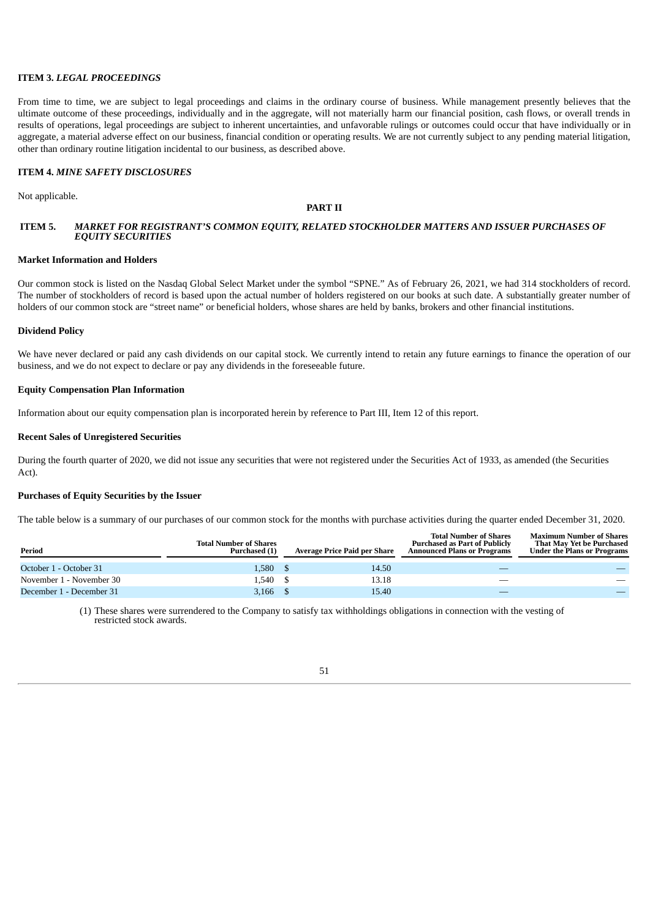## **ITEM 3.** *LEGAL PROCEEDINGS*

From time to time, we are subject to legal proceedings and claims in the ordinary course of business. While management presently believes that the ultimate outcome of these proceedings, individually and in the aggregate, will not materially harm our financial position, cash flows, or overall trends in results of operations, legal proceedings are subject to inherent uncertainties, and unfavorable rulings or outcomes could occur that have individually or in aggregate, a material adverse effect on our business, financial condition or operating results. We are not currently subject to any pending material litigation, other than ordinary routine litigation incidental to our business, as described above.

### **ITEM 4.** *MINE SAFETY DISCLOSURES*

Not applicable.

#### **PART II**

#### **ITEM 5.** *MARKET FOR REGISTRANT'S COMMON EQUITY, RELATED STOCKHOLDER MATTERS AND ISSUER PURCHASES OF EQUITY SECURITIES*

### **Market Information and Holders**

Our common stock is listed on the Nasdaq Global Select Market under the symbol "SPNE." As of February 26, 2021, we had 314 stockholders of record. The number of stockholders of record is based upon the actual number of holders registered on our books at such date. A substantially greater number of holders of our common stock are "street name" or beneficial holders, whose shares are held by banks, brokers and other financial institutions.

### **Dividend Policy**

We have never declared or paid any cash dividends on our capital stock. We currently intend to retain any future earnings to finance the operation of our business, and we do not expect to declare or pay any dividends in the foreseeable future.

#### **Equity Compensation Plan Information**

Information about our equity compensation plan is incorporated herein by reference to Part III, [Item](#page-68-0) 12 of this report.

#### **Recent Sales of Unregistered Securities**

During the fourth quarter of 2020, we did not issue any securities that were not registered under the Securities Act of 1933, as amended (the Securities Act).

### **Purchases of Equity Securities by the Issuer**

The table below is a summary of our purchases of our common stock for the months with purchase activities during the quarter ended December 31, 2020.

| Period                   | <b>Total Number of Shares</b><br>Purchased (1) | Average Price Paid per Share | <b>Total Number of Shares</b><br><b>Purchased as Part of Publicly</b><br><b>Announced Plans or Programs</b> | <b>Maximum Number of Shares</b><br>That May Yet be Purchased<br><b>Under the Plans or Programs</b> |
|--------------------------|------------------------------------------------|------------------------------|-------------------------------------------------------------------------------------------------------------|----------------------------------------------------------------------------------------------------|
| October 1 - October 31   | 1,580                                          | 14.50                        | __                                                                                                          |                                                                                                    |
| November 1 - November 30 | .540                                           | 13.18                        |                                                                                                             |                                                                                                    |
| December 1 - December 31 | 3.166                                          | 15.40                        |                                                                                                             |                                                                                                    |

(1) These shares were surrendered to the Company to satisfy tax withholdings obligations in connection with the vesting of restricted stock awards.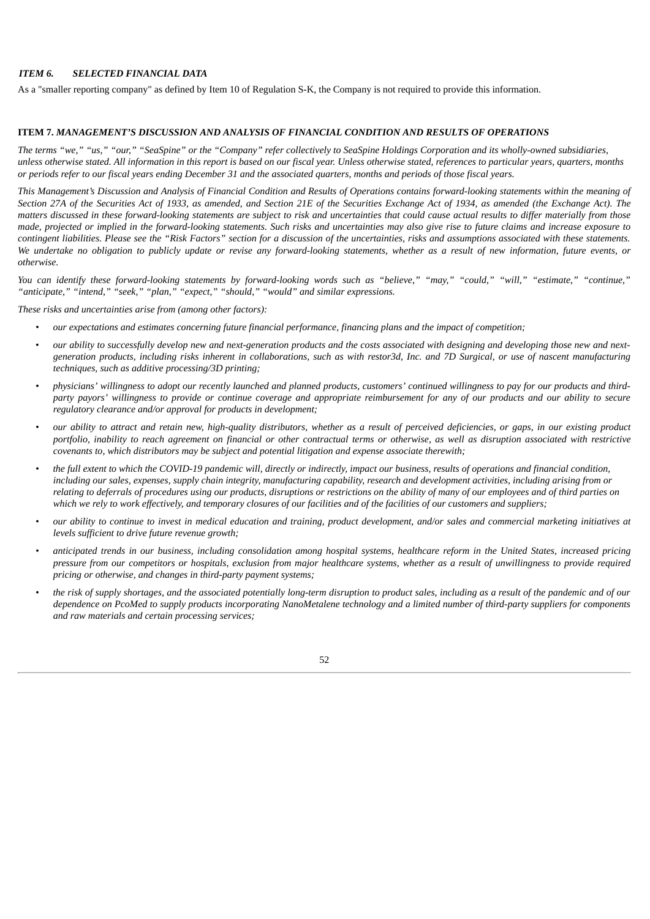## *ITEM 6. SELECTED FINANCIAL DATA*

As a "smaller reporting company" as defined by Item 10 of Regulation S-K, the Company is not required to provide this information.

## **ITEM 7.** *MANAGEMENT'S DISCUSSION AND ANALYSIS OF FINANCIAL CONDITION AND RESULTS OF OPERATIONS*

The terms "we," "us," "our," "SeaSpine" or the "Company" refer collectively to SeaSpine Holdings Corporation and its wholly-owned subsidiaries, unless otherwise stated. All information in this report is based on our fiscal year. Unless otherwise stated, references to particular years, quarters, months or periods refer to our fiscal years ending December 31 and the associated quarters, months and periods of those fiscal years.

This Management's Discussion and Analysis of Financial Condition and Results of Operations contains forward-looking statements within the meaning of Section 27A of the Securities Act of 1933, as amended, and Section 21E of the Securities Exchange Act of 1934, as amended (the Exchange Act). The matters discussed in these forward-looking statements are subject to risk and uncertainties that could cause actual results to differ materially from those made, projected or implied in the forward-looking statements. Such risks and uncertainties may also give rise to future claims and increase exposure to contingent liabilities. Please see the "Risk Factors" section for a discussion of the uncertainties, risks and assumptions associated with these statements. We undertake no obligation to publicly update or revise any forward-looking statements, whether as a result of new information, future events, or *otherwise.*

You can identify these forward-looking statements by forward-looking words such as "believe," "may," "could," "will," "estimate," "continue," *"anticipate," "intend," "seek," "plan," "expect," "should," "would" and similar expressions.*

*These risks and uncertainties arise from (among other factors):*

- our expectations and estimates concerning future financial performance, financing plans and the impact of competition;
- our ability to successfully develop new and next-generation products and the costs associated with designing and developing those new and nextgeneration products, including risks inherent in collaborations, such as with restor3d, Inc. and 7D Surgical, or use of nascent manufacturing *techniques, such as additive processing/3D printing;*
- physicians' willingness to adopt our recently launched and planned products, customers' continued willingness to pay for our products and thirdparty payors' willingness to provide or continue coverage and appropriate reimbursement for any of our products and our ability to secure *regulatory clearance and/or approval for products in development;*
- our ability to attract and retain new, high-quality distributors, whether as a result of perceived deficiencies, or gaps, in our existing product portfolio, inability to reach agreement on financial or other contractual terms or otherwise, as well as disruption associated with restrictive *covenants to, which distributors may be subject and potential litigation and expense associate therewith;*
- the full extent to which the COVID-19 pandemic will, directly or indirectly, impact our business, results of operations and financial condition, including our sales, expenses, supply chain integrity, manufacturing capability, research and development activities, including arising from or relating to deferrals of procedures using our products, disruptions or restrictions on the ability of many of our employees and of third parties on which we rely to work effectively, and temporary closures of our facilities and of the facilities of our customers and suppliers;
- our ability to continue to invest in medical education and training, product development, and/or sales and commercial marketing initiatives at *levels sufficient to drive future revenue growth;*
- anticipated trends in our business, including consolidation among hospital systems, healthcare reform in the United States, increased pricing pressure from our competitors or hospitals, exclusion from major healthcare systems, whether as a result of unwillingness to provide required *pricing or otherwise, and changes in third-party payment systems;*
- the risk of supply shortages, and the associated potentially long-term disruption to product sales, including as a result of the pandemic and of our dependence on PcoMed to supply products incorporating NanoMetalene technology and a limited number of third-party suppliers for components *and raw materials and certain processing services;*

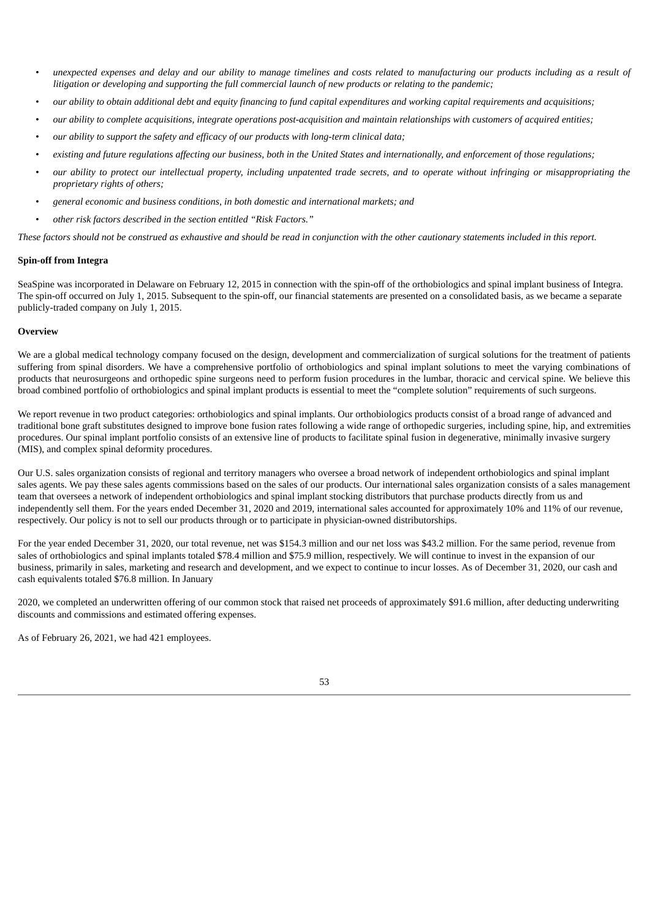- unexpected expenses and delay and our ability to manage timelines and costs related to manufacturing our products including as a result of litigation or developing and supporting the full commercial launch of new products or relating to the pandemic;
- our ability to obtain additional debt and equity financing to fund capital expenditures and working capital requirements and acquisitions;
- our ability to complete acquisitions, integrate operations post-acquisition and maintain relationships with customers of acquired entities;
- *• our ability to support the safety and efficacy of our products with long-term clinical data;*
- existing and future regulations affecting our business, both in the United States and internationally, and enforcement of those regulations;
- our ability to protect our intellectual property, including unpatented trade secrets, and to operate without infringing or misappropriating the *proprietary rights of others;*
- *• general economic and business conditions, in both domestic and international markets; and*
- *• other risk factors described in the section entitled "Risk Factors."*

These factors should not be construed as exhaustive and should be read in conjunction with the other cautionary statements included in this report.

## **Spin-off from Integra**

SeaSpine was incorporated in Delaware on February 12, 2015 in connection with the spin-off of the orthobiologics and spinal implant business of Integra. The spin-off occurred on July 1, 2015. Subsequent to the spin-off, our financial statements are presented on a consolidated basis, as we became a separate publicly-traded company on July 1, 2015.

### **Overview**

We are a global medical technology company focused on the design, development and commercialization of surgical solutions for the treatment of patients suffering from spinal disorders. We have a comprehensive portfolio of orthobiologics and spinal implant solutions to meet the varying combinations of products that neurosurgeons and orthopedic spine surgeons need to perform fusion procedures in the lumbar, thoracic and cervical spine. We believe this broad combined portfolio of orthobiologics and spinal implant products is essential to meet the "complete solution" requirements of such surgeons.

We report revenue in two product categories: orthobiologics and spinal implants. Our orthobiologics products consist of a broad range of advanced and traditional bone graft substitutes designed to improve bone fusion rates following a wide range of orthopedic surgeries, including spine, hip, and extremities procedures. Our spinal implant portfolio consists of an extensive line of products to facilitate spinal fusion in degenerative, minimally invasive surgery (MIS), and complex spinal deformity procedures.

Our U.S. sales organization consists of regional and territory managers who oversee a broad network of independent orthobiologics and spinal implant sales agents. We pay these sales agents commissions based on the sales of our products. Our international sales organization consists of a sales management team that oversees a network of independent orthobiologics and spinal implant stocking distributors that purchase products directly from us and independently sell them. For the years ended December 31, 2020 and 2019, international sales accounted for approximately 10% and 11% of our revenue, respectively. Our policy is not to sell our products through or to participate in physician-owned distributorships.

For the year ended December 31, 2020, our total revenue, net was \$154.3 million and our net loss was \$43.2 million. For the same period, revenue from sales of orthobiologics and spinal implants totaled \$78.4 million and \$75.9 million, respectively. We will continue to invest in the expansion of our business, primarily in sales, marketing and research and development, and we expect to continue to incur losses. As of December 31, 2020, our cash and cash equivalents totaled \$76.8 million. In January

2020, we completed an underwritten offering of our common stock that raised net proceeds of approximately \$91.6 million, after deducting underwriting discounts and commissions and estimated offering expenses.

As of February 26, 2021, we had 421 employees.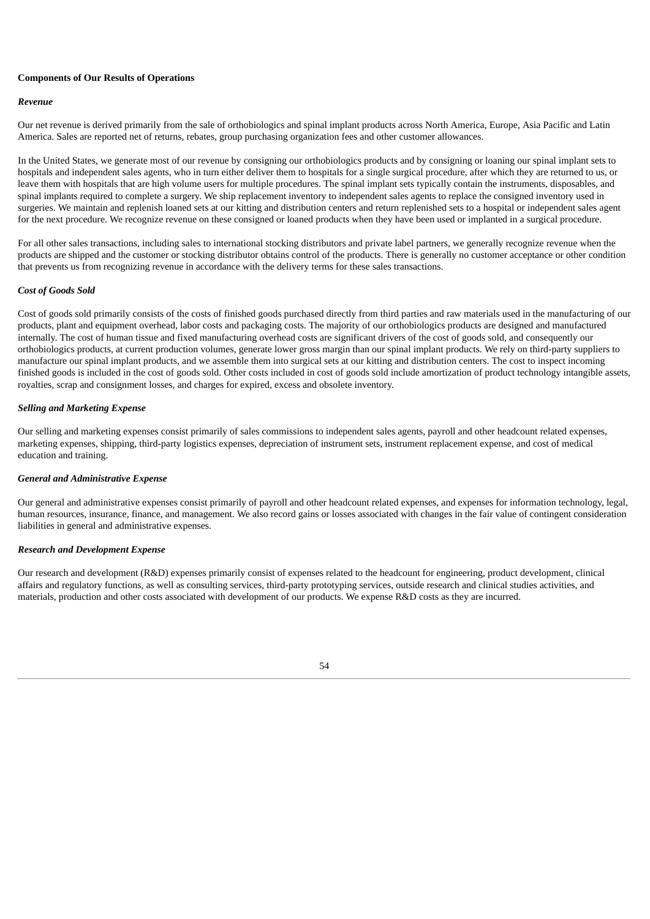## **Components of Our Results of Operations**

### *Revenue*

Our net revenue is derived primarily from the sale of orthobiologics and spinal implant products across North America, Europe, Asia Pacific and Latin America. Sales are reported net of returns, rebates, group purchasing organization fees and other customer allowances.

In the United States, we generate most of our revenue by consigning our orthobiologics products and by consigning or loaning our spinal implant sets to hospitals and independent sales agents, who in turn either deliver them to hospitals for a single surgical procedure, after which they are returned to us, or leave them with hospitals that are high volume users for multiple procedures. The spinal implant sets typically contain the instruments, disposables, and spinal implants required to complete a surgery. We ship replacement inventory to independent sales agents to replace the consigned inventory used in surgeries. We maintain and replenish loaned sets at our kitting and distribution centers and return replenished sets to a hospital or independent sales agent for the next procedure. We recognize revenue on these consigned or loaned products when they have been used or implanted in a surgical procedure.

For all other sales transactions, including sales to international stocking distributors and private label partners, we generally recognize revenue when the products are shipped and the customer or stocking distributor obtains control of the products. There is generally no customer acceptance or other condition that prevents us from recognizing revenue in accordance with the delivery terms for these sales transactions.

### *Cost of Goods Sold*

Cost of goods sold primarily consists of the costs of finished goods purchased directly from third parties and raw materials used in the manufacturing of our products, plant and equipment overhead, labor costs and packaging costs. The majority of our orthobiologics products are designed and manufactured internally. The cost of human tissue and fixed manufacturing overhead costs are significant drivers of the cost of goods sold, and consequently our orthobiologics products, at current production volumes, generate lower gross margin than our spinal implant products. We rely on third-party suppliers to manufacture our spinal implant products, and we assemble them into surgical sets at our kitting and distribution centers. The cost to inspect incoming finished goods is included in the cost of goods sold. Other costs included in cost of goods sold include amortization of product technology intangible assets, royalties, scrap and consignment losses, and charges for expired, excess and obsolete inventory.

### *Selling and Marketing Expense*

Our selling and marketing expenses consist primarily of sales commissions to independent sales agents, payroll and other headcount related expenses, marketing expenses, shipping, third-party logistics expenses, depreciation of instrument sets, instrument replacement expense, and cost of medical education and training.

#### *General and Administrative Expense*

Our general and administrative expenses consist primarily of payroll and other headcount related expenses, and expenses for information technology, legal, human resources, insurance, finance, and management. We also record gains or losses associated with changes in the fair value of contingent consideration liabilities in general and administrative expenses.

#### *Research and Development Expense*

Our research and development (R&D) expenses primarily consist of expenses related to the headcount for engineering, product development, clinical affairs and regulatory functions, as well as consulting services, third-party prototyping services, outside research and clinical studies activities, and materials, production and other costs associated with development of our products. We expense R&D costs as they are incurred.

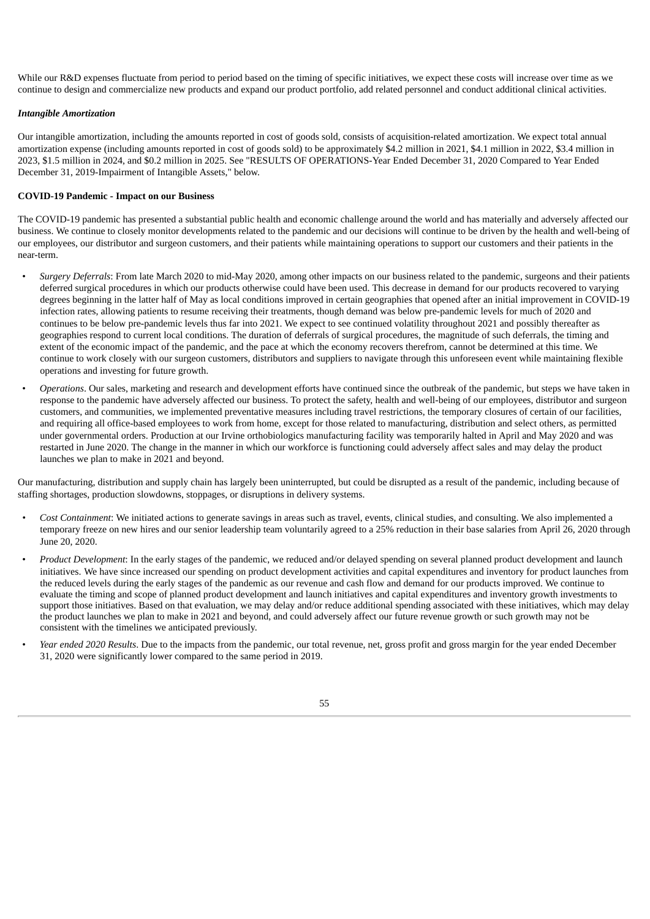While our R&D expenses fluctuate from period to period based on the timing of specific initiatives, we expect these costs will increase over time as we continue to design and commercialize new products and expand our product portfolio, add related personnel and conduct additional clinical activities.

## *Intangible Amortization*

Our intangible amortization, including the amounts reported in cost of goods sold, consists of acquisition-related amortization. We expect total annual amortization expense (including amounts reported in cost of goods sold) to be approximately \$4.2 million in 2021, \$4.1 million in 2022, \$3.4 million in 2023, \$1.5 million in 2024, and \$0.2 million in 2025. See "RESULTS OF OPERATIONS-Year Ended December 31, 2020 Compared to Year Ended December 31, 2019-Impairment of Intangible Assets," below.

### **COVID-19 Pandemic - Impact on our Business**

The COVID-19 pandemic has presented a substantial public health and economic challenge around the world and has materially and adversely affected our business. We continue to closely monitor developments related to the pandemic and our decisions will continue to be driven by the health and well-being of our employees, our distributor and surgeon customers, and their patients while maintaining operations to support our customers and their patients in the near-term.

- *Surgery Deferrals*: From late March 2020 to mid-May 2020, among other impacts on our business related to the pandemic, surgeons and their patients deferred surgical procedures in which our products otherwise could have been used. This decrease in demand for our products recovered to varying degrees beginning in the latter half of May as local conditions improved in certain geographies that opened after an initial improvement in COVID-19 infection rates, allowing patients to resume receiving their treatments, though demand was below pre-pandemic levels for much of 2020 and continues to be below pre-pandemic levels thus far into 2021. We expect to see continued volatility throughout 2021 and possibly thereafter as geographies respond to current local conditions. The duration of deferrals of surgical procedures, the magnitude of such deferrals, the timing and extent of the economic impact of the pandemic, and the pace at which the economy recovers therefrom, cannot be determined at this time. We continue to work closely with our surgeon customers, distributors and suppliers to navigate through this unforeseen event while maintaining flexible operations and investing for future growth.
- *Operations*. Our sales, marketing and research and development efforts have continued since the outbreak of the pandemic, but steps we have taken in response to the pandemic have adversely affected our business. To protect the safety, health and well-being of our employees, distributor and surgeon customers, and communities, we implemented preventative measures including travel restrictions, the temporary closures of certain of our facilities, and requiring all office-based employees to work from home, except for those related to manufacturing, distribution and select others, as permitted under governmental orders. Production at our Irvine orthobiologics manufacturing facility was temporarily halted in April and May 2020 and was restarted in June 2020. The change in the manner in which our workforce is functioning could adversely affect sales and may delay the product launches we plan to make in 2021 and beyond.

Our manufacturing, distribution and supply chain has largely been uninterrupted, but could be disrupted as a result of the pandemic, including because of staffing shortages, production slowdowns, stoppages, or disruptions in delivery systems.

- *• Cost Containment*: We initiated actions to generate savings in areas such as travel, events, clinical studies, and consulting. We also implemented a temporary freeze on new hires and our senior leadership team voluntarily agreed to a 25% reduction in their base salaries from April 26, 2020 through June 20, 2020.
- *Product Development*: In the early stages of the pandemic, we reduced and/or delayed spending on several planned product development and launch initiatives. We have since increased our spending on product development activities and capital expenditures and inventory for product launches from the reduced levels during the early stages of the pandemic as our revenue and cash flow and demand for our products improved. We continue to evaluate the timing and scope of planned product development and launch initiatives and capital expenditures and inventory growth investments to support those initiatives. Based on that evaluation, we may delay and/or reduce additional spending associated with these initiatives, which may delay the product launches we plan to make in 2021 and beyond, and could adversely affect our future revenue growth or such growth may not be consistent with the timelines we anticipated previously.
- *Year ended 2020 Results*. Due to the impacts from the pandemic, our total revenue, net, gross profit and gross margin for the year ended December 31, 2020 were significantly lower compared to the same period in 2019.

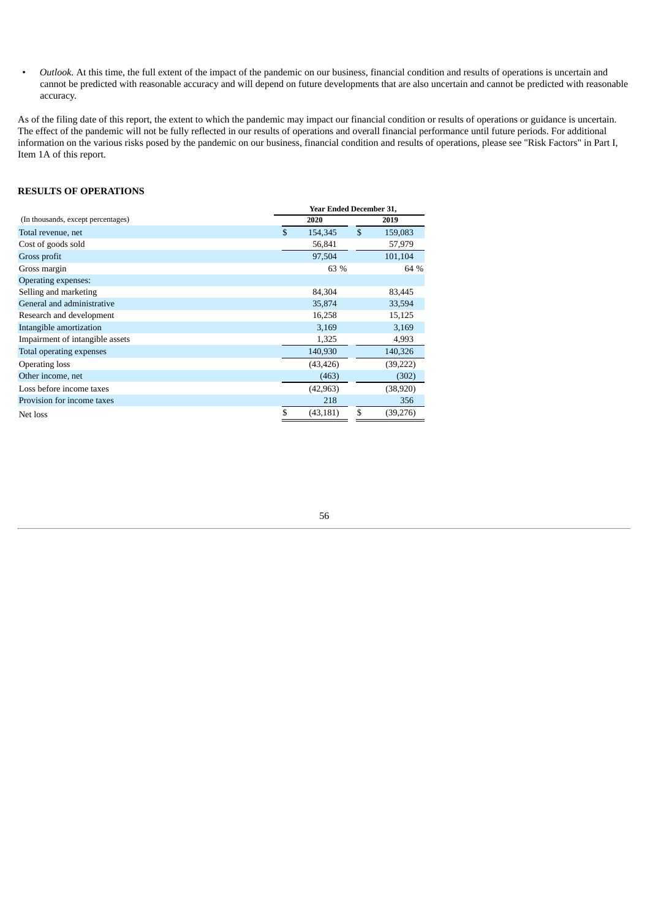• *Outlook.* At this time, the full extent of the impact of the pandemic on our business, financial condition and results of operations is uncertain and cannot be predicted with reasonable accuracy and will depend on future developments that are also uncertain and cannot be predicted with reasonable accuracy.

As of the filing date of this report, the extent to which the pandemic may impact our financial condition or results of operations or guidance is uncertain. The effect of the pandemic will not be fully reflected in our results of operations and overall financial performance until future periods. For additional information on the various risks posed by the pandemic on our business, financial condition and results of operations, please see "Risk Factors" in Part I, Item 1A of this report.

# **RESULTS OF OPERATIONS**

|                                    |               | Year Ended December 31, |      |           |  |  |
|------------------------------------|---------------|-------------------------|------|-----------|--|--|
| (In thousands, except percentages) |               | 2020                    | 2019 |           |  |  |
| Total revenue, net                 | $\mathbf{\$}$ | 154,345                 | \$   | 159,083   |  |  |
| Cost of goods sold                 |               | 56,841                  |      | 57,979    |  |  |
| Gross profit                       |               | 97.504                  |      | 101,104   |  |  |
| Gross margin                       |               | 63 %                    |      | 64 %      |  |  |
| Operating expenses:                |               |                         |      |           |  |  |
| Selling and marketing              |               | 84,304                  |      | 83,445    |  |  |
| General and administrative         |               | 35,874                  |      | 33,594    |  |  |
| Research and development           |               | 16,258                  |      | 15,125    |  |  |
| Intangible amortization            |               | 3,169                   |      | 3,169     |  |  |
| Impairment of intangible assets    |               | 1,325                   |      | 4,993     |  |  |
| Total operating expenses           |               | 140,930                 |      | 140,326   |  |  |
| <b>Operating loss</b>              |               | (43, 426)               |      | (39, 222) |  |  |
| Other income, net                  |               | (463)                   |      | (302)     |  |  |
| Loss before income taxes           |               | (42, 963)               |      | (38,920)  |  |  |
| Provision for income taxes         |               | 218                     |      | 356       |  |  |
| Net loss                           | \$            | (43, 181)               | \$   | (39, 276) |  |  |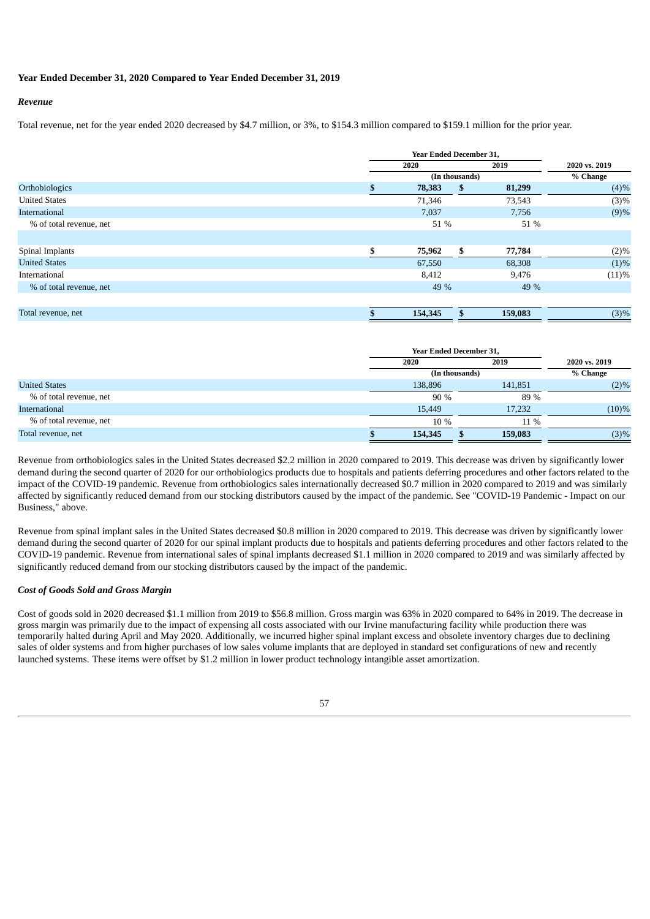## **Year Ended December 31, 2020 Compared to Year Ended December 31, 2019**

### *Revenue*

Total revenue, net for the year ended 2020 decreased by \$4.7 million, or 3%, to \$154.3 million compared to \$159.1 million for the prior year.

|                         |                | Year Ended December 31, |      |         |               |  |
|-------------------------|----------------|-------------------------|------|---------|---------------|--|
|                         |                | 2020                    | 2019 |         | 2020 vs. 2019 |  |
|                         | (In thousands) |                         |      |         | % Change      |  |
| Orthobiologics          | æ              | 78,383                  | \$   | 81,299  | (4)%          |  |
| <b>United States</b>    |                | 71,346                  |      | 73,543  | (3)%          |  |
| International           |                | 7,037                   |      | 7,756   | (9)%          |  |
| % of total revenue, net |                | 51 %                    |      | 51 %    |               |  |
|                         |                |                         |      |         |               |  |
| Spinal Implants         | œ              | 75,962                  | \$   | 77,784  | (2)%          |  |
| <b>United States</b>    |                | 67,550                  |      | 68,308  | $(1)$ %       |  |
| International           |                | 8,412                   |      | 9,476   | $(11)\%$      |  |
| % of total revenue, net |                | 49 %                    |      | 49 %    |               |  |
|                         |                |                         |      |         |               |  |
| Total revenue, net      |                | 154,345                 | \$   | 159,083 | (3)%          |  |

|                         |         | Year Ended December 31, |               |  |  |
|-------------------------|---------|-------------------------|---------------|--|--|
|                         | 2020    | 2019                    | 2020 vs. 2019 |  |  |
|                         |         | (In thousands)          | % Change      |  |  |
| <b>United States</b>    | 138,896 | 141,851                 | $(2)\%$       |  |  |
| % of total revenue, net | 90 %    | 89 %                    |               |  |  |
| International           | 15,449  | 17,232                  | $(10)\%$      |  |  |
| % of total revenue, net | 10 %    | 11 %                    |               |  |  |
| Total revenue, net      | 154,345 | 159,083<br>w            | $(3)\%$       |  |  |

Revenue from orthobiologics sales in the United States decreased \$2.2 million in 2020 compared to 2019. This decrease was driven by significantly lower demand during the second quarter of 2020 for our orthobiologics products due to hospitals and patients deferring procedures and other factors related to the impact of the COVID-19 pandemic. Revenue from orthobiologics sales internationally decreased \$0.7 million in 2020 compared to 2019 and was similarly affected by significantly reduced demand from our stocking distributors caused by the impact of the pandemic. See "COVID-19 Pandemic - Impact on our Business," above.

Revenue from spinal implant sales in the United States decreased \$0.8 million in 2020 compared to 2019. This decrease was driven by significantly lower demand during the second quarter of 2020 for our spinal implant products due to hospitals and patients deferring procedures and other factors related to the COVID-19 pandemic. Revenue from international sales of spinal implants decreased \$1.1 million in 2020 compared to 2019 and was similarly affected by significantly reduced demand from our stocking distributors caused by the impact of the pandemic.

## *Cost of Goods Sold and Gross Margin*

Cost of goods sold in 2020 decreased \$1.1 million from 2019 to \$56.8 million. Gross margin was 63% in 2020 compared to 64% in 2019. The decrease in gross margin was primarily due to the impact of expensing all costs associated with our Irvine manufacturing facility while production there was temporarily halted during April and May 2020. Additionally, we incurred higher spinal implant excess and obsolete inventory charges due to declining sales of older systems and from higher purchases of low sales volume implants that are deployed in standard set configurations of new and recently launched systems. These items were offset by \$1.2 million in lower product technology intangible asset amortization.

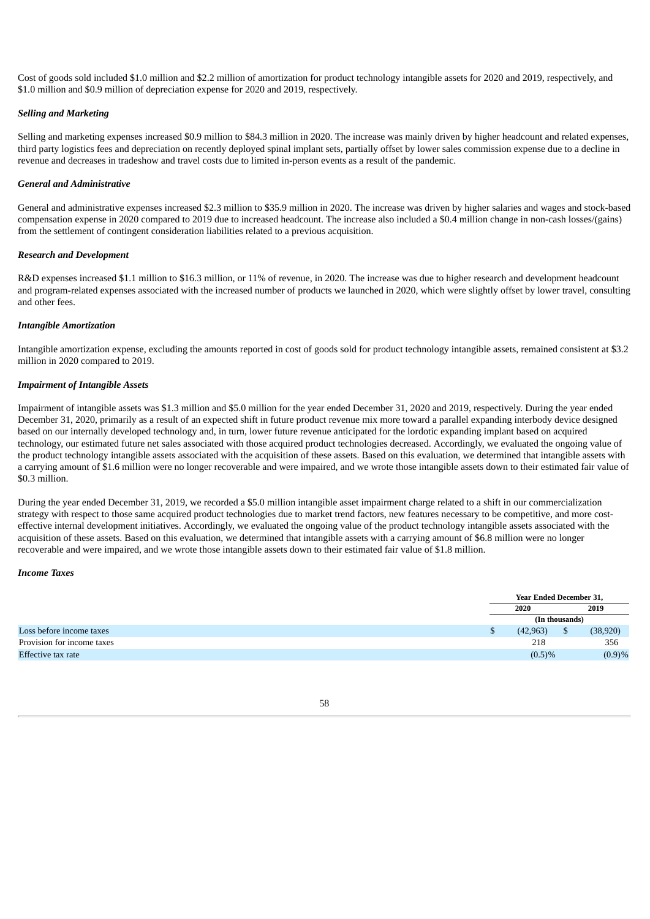Cost of goods sold included \$1.0 million and \$2.2 million of amortization for product technology intangible assets for 2020 and 2019, respectively, and \$1.0 million and \$0.9 million of depreciation expense for 2020 and 2019, respectively.

### *Selling and Marketing*

Selling and marketing expenses increased \$0.9 million to \$84.3 million in 2020. The increase was mainly driven by higher headcount and related expenses, third party logistics fees and depreciation on recently deployed spinal implant sets, partially offset by lower sales commission expense due to a decline in revenue and decreases in tradeshow and travel costs due to limited in-person events as a result of the pandemic.

### *General and Administrative*

General and administrative expenses increased \$2.3 million to \$35.9 million in 2020. The increase was driven by higher salaries and wages and stock-based compensation expense in 2020 compared to 2019 due to increased headcount. The increase also included a \$0.4 million change in non-cash losses/(gains) from the settlement of contingent consideration liabilities related to a previous acquisition.

### *Research and Development*

R&D expenses increased \$1.1 million to \$16.3 million, or 11% of revenue, in 2020. The increase was due to higher research and development headcount and program-related expenses associated with the increased number of products we launched in 2020, which were slightly offset by lower travel, consulting and other fees.

### *Intangible Amortization*

Intangible amortization expense, excluding the amounts reported in cost of goods sold for product technology intangible assets, remained consistent at \$3.2 million in 2020 compared to 2019.

### *Impairment of Intangible Assets*

Impairment of intangible assets was \$1.3 million and \$5.0 million for the year ended December 31, 2020 and 2019, respectively. During the year ended December 31, 2020, primarily as a result of an expected shift in future product revenue mix more toward a parallel expanding interbody device designed based on our internally developed technology and, in turn, lower future revenue anticipated for the lordotic expanding implant based on acquired technology, our estimated future net sales associated with those acquired product technologies decreased. Accordingly, we evaluated the ongoing value of the product technology intangible assets associated with the acquisition of these assets. Based on this evaluation, we determined that intangible assets with a carrying amount of \$1.6 million were no longer recoverable and were impaired, and we wrote those intangible assets down to their estimated fair value of \$0.3 million.

During the year ended December 31, 2019, we recorded a \$5.0 million intangible asset impairment charge related to a shift in our commercialization strategy with respect to those same acquired product technologies due to market trend factors, new features necessary to be competitive, and more costeffective internal development initiatives. Accordingly, we evaluated the ongoing value of the product technology intangible assets associated with the acquisition of these assets. Based on this evaluation, we determined that intangible assets with a carrying amount of \$6.8 million were no longer recoverable and were impaired, and we wrote those intangible assets down to their estimated fair value of \$1.8 million.

### *Income Taxes*

|                            | <b>Year Ended December 31,</b> |  |           |
|----------------------------|--------------------------------|--|-----------|
|                            | 2020                           |  | 2019      |
|                            | (In thousands)                 |  |           |
| Loss before income taxes   | (42, 963)                      |  | (38, 920) |
| Provision for income taxes | 218                            |  | 356       |
| Effective tax rate         | $(0.5)\%$                      |  | (0.9)%    |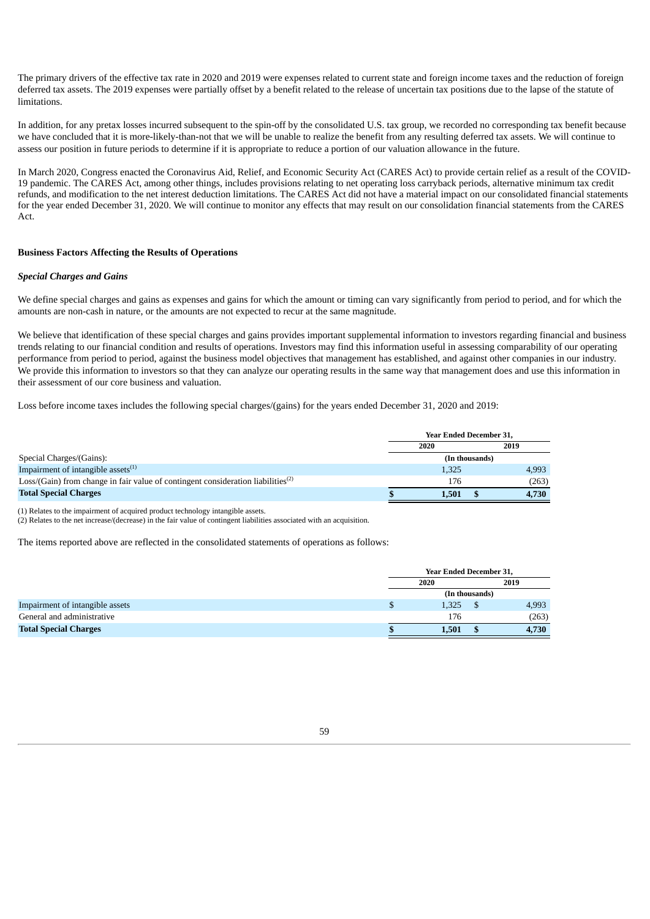The primary drivers of the effective tax rate in 2020 and 2019 were expenses related to current state and foreign income taxes and the reduction of foreign deferred tax assets. The 2019 expenses were partially offset by a benefit related to the release of uncertain tax positions due to the lapse of the statute of limitations.

In addition, for any pretax losses incurred subsequent to the spin-off by the consolidated U.S. tax group, we recorded no corresponding tax benefit because we have concluded that it is more-likely-than-not that we will be unable to realize the benefit from any resulting deferred tax assets. We will continue to assess our position in future periods to determine if it is appropriate to reduce a portion of our valuation allowance in the future.

In March 2020, Congress enacted the Coronavirus Aid, Relief, and Economic Security Act (CARES Act) to provide certain relief as a result of the COVID-19 pandemic. The CARES Act, among other things, includes provisions relating to net operating loss carryback periods, alternative minimum tax credit refunds, and modification to the net interest deduction limitations. The CARES Act did not have a material impact on our consolidated financial statements for the year ended December 31, 2020. We will continue to monitor any effects that may result on our consolidation financial statements from the CARES Act.

#### **Business Factors Affecting the Results of Operations**

#### *Special Charges and Gains*

We define special charges and gains as expenses and gains for which the amount or timing can vary significantly from period to period, and for which the amounts are non-cash in nature, or the amounts are not expected to recur at the same magnitude.

We believe that identification of these special charges and gains provides important supplemental information to investors regarding financial and business trends relating to our financial condition and results of operations. Investors may find this information useful in assessing comparability of our operating performance from period to period, against the business model objectives that management has established, and against other companies in our industry. We provide this information to investors so that they can analyze our operating results in the same way that management does and use this information in their assessment of our core business and valuation.

Loss before income taxes includes the following special charges/(gains) for the years ended December 31, 2020 and 2019:

|                                                                                              | <b>Year Ended December 31,</b> |       |                |       |
|----------------------------------------------------------------------------------------------|--------------------------------|-------|----------------|-------|
|                                                                                              |                                | 2020  |                | 2019  |
| Special Charges/(Gains):                                                                     |                                |       | (In thousands) |       |
| Impairment of intangible assets $(1)$                                                        |                                | 1,325 |                | 4,993 |
| Loss/(Gain) from change in fair value of contingent consideration liabilities <sup>(2)</sup> |                                | 176   |                | (263) |
| <b>Total Special Charges</b>                                                                 |                                | 1.501 |                | 4,730 |

(1) Relates to the impairment of acquired product technology intangible assets.

(2) Relates to the net increase/(decrease) in the fair value of contingent liabilities associated with an acquisition.

The items reported above are reflected in the consolidated statements of operations as follows:

|                                 | <b>Year Ended December 31,</b> |       |                |       |  |
|---------------------------------|--------------------------------|-------|----------------|-------|--|
|                                 | 2020                           |       |                | 2019  |  |
|                                 |                                |       | (In thousands) |       |  |
| Impairment of intangible assets |                                | 1,325 |                | 4,993 |  |
| General and administrative      |                                | 176   |                | (263) |  |
| <b>Total Special Charges</b>    |                                | 1,501 |                | 4,730 |  |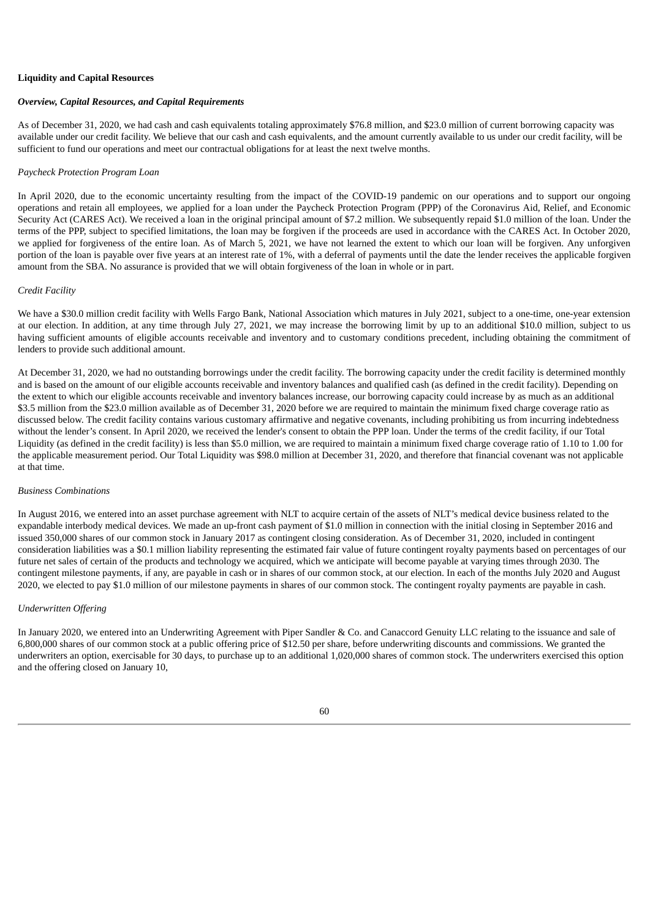## **Liquidity and Capital Resources**

#### *Overview, Capital Resources, and Capital Requirements*

As of December 31, 2020, we had cash and cash equivalents totaling approximately \$76.8 million, and \$23.0 million of current borrowing capacity was available under our credit facility. We believe that our cash and cash equivalents, and the amount currently available to us under our credit facility, will be sufficient to fund our operations and meet our contractual obligations for at least the next twelve months.

#### *Paycheck Protection Program Loan*

In April 2020, due to the economic uncertainty resulting from the impact of the COVID-19 pandemic on our operations and to support our ongoing operations and retain all employees, we applied for a loan under the Paycheck Protection Program (PPP) of the Coronavirus Aid, Relief, and Economic Security Act (CARES Act). We received a loan in the original principal amount of \$7.2 million. We subsequently repaid \$1.0 million of the loan. Under the terms of the PPP, subject to specified limitations, the loan may be forgiven if the proceeds are used in accordance with the CARES Act. In October 2020, we applied for forgiveness of the entire loan. As of March 5, 2021, we have not learned the extent to which our loan will be forgiven. Any unforgiven portion of the loan is payable over five years at an interest rate of 1%, with a deferral of payments until the date the lender receives the applicable forgiven amount from the SBA. No assurance is provided that we will obtain forgiveness of the loan in whole or in part.

#### *Credit Facility*

We have a \$30.0 million credit facility with Wells Fargo Bank, National Association which matures in July 2021, subject to a one-time, one-year extension at our election. In addition, at any time through July 27, 2021, we may increase the borrowing limit by up to an additional \$10.0 million, subject to us having sufficient amounts of eligible accounts receivable and inventory and to customary conditions precedent, including obtaining the commitment of lenders to provide such additional amount.

At December 31, 2020, we had no outstanding borrowings under the credit facility. The borrowing capacity under the credit facility is determined monthly and is based on the amount of our eligible accounts receivable and inventory balances and qualified cash (as defined in the credit facility). Depending on the extent to which our eligible accounts receivable and inventory balances increase, our borrowing capacity could increase by as much as an additional \$3.5 million from the \$23.0 million available as of December 31, 2020 before we are required to maintain the minimum fixed charge coverage ratio as discussed below. The credit facility contains various customary affirmative and negative covenants, including prohibiting us from incurring indebtedness without the lender's consent. In April 2020, we received the lender's consent to obtain the PPP loan. Under the terms of the credit facility, if our Total Liquidity (as defined in the credit facility) is less than \$5.0 million, we are required to maintain a minimum fixed charge coverage ratio of 1.10 to 1.00 for the applicable measurement period. Our Total Liquidity was \$98.0 million at December 31, 2020, and therefore that financial covenant was not applicable at that time.

#### *Business Combinations*

In August 2016, we entered into an asset purchase agreement with NLT to acquire certain of the assets of NLT's medical device business related to the expandable interbody medical devices. We made an up-front cash payment of \$1.0 million in connection with the initial closing in September 2016 and issued 350,000 shares of our common stock in January 2017 as contingent closing consideration. As of December 31, 2020, included in contingent consideration liabilities was a \$0.1 million liability representing the estimated fair value of future contingent royalty payments based on percentages of our future net sales of certain of the products and technology we acquired, which we anticipate will become payable at varying times through 2030. The contingent milestone payments, if any, are payable in cash or in shares of our common stock, at our election. In each of the months July 2020 and August 2020, we elected to pay \$1.0 million of our milestone payments in shares of our common stock. The contingent royalty payments are payable in cash.

#### *Underwritten Offering*

In January 2020, we entered into an Underwriting Agreement with Piper Sandler & Co. and Canaccord Genuity LLC relating to the issuance and sale of 6,800,000 shares of our common stock at a public offering price of \$12.50 per share, before underwriting discounts and commissions. We granted the underwriters an option, exercisable for 30 days, to purchase up to an additional 1,020,000 shares of common stock. The underwriters exercised this option and the offering closed on January 10,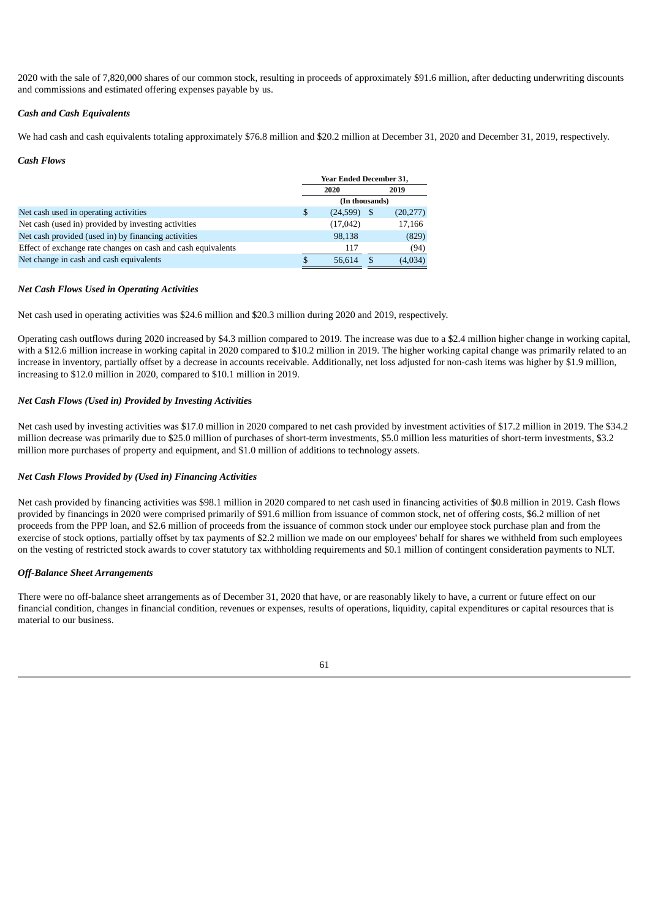2020 with the sale of 7,820,000 shares of our common stock, resulting in proceeds of approximately \$91.6 million, after deducting underwriting discounts and commissions and estimated offering expenses payable by us.

## *Cash and Cash Equivalents*

We had cash and cash equivalents totaling approximately \$76.8 million and \$20.2 million at December 31, 2020 and December 31, 2019, respectively.

## *Cash Flows*

|                                                              | <b>Year Ended December 31,</b> |                |      |           |  |
|--------------------------------------------------------------|--------------------------------|----------------|------|-----------|--|
|                                                              | 2020                           |                |      | 2019      |  |
|                                                              |                                | (In thousands) |      |           |  |
| Net cash used in operating activities                        | \$                             | (24, 599)      | - \$ | (20, 277) |  |
| Net cash (used in) provided by investing activities          |                                | (17,042)       |      | 17,166    |  |
| Net cash provided (used in) by financing activities          |                                | 98,138         |      | (829)     |  |
| Effect of exchange rate changes on cash and cash equivalents |                                | 117            |      | (94)      |  |
| Net change in cash and cash equivalents                      | S                              | 56.614         |      | (4,034)   |  |

## *Net Cash Flows Used in Operating Activities*

Net cash used in operating activities was \$24.6 million and \$20.3 million during 2020 and 2019, respectively.

Operating cash outflows during 2020 increased by \$4.3 million compared to 2019. The increase was due to a \$2.4 million higher change in working capital, with a \$12.6 million increase in working capital in 2020 compared to \$10.2 million in 2019. The higher working capital change was primarily related to an increase in inventory, partially offset by a decrease in accounts receivable. Additionally, net loss adjusted for non-cash items was higher by \$1.9 million, increasing to \$12.0 million in 2020, compared to \$10.1 million in 2019.

## *Net Cash Flows (Used in) Provided by Investing Activitie***s**

Net cash used by investing activities was \$17.0 million in 2020 compared to net cash provided by investment activities of \$17.2 million in 2019. The \$34.2 million decrease was primarily due to \$25.0 million of purchases of short-term investments, \$5.0 million less maturities of short-term investments, \$3.2 million more purchases of property and equipment, and \$1.0 million of additions to technology assets.

## *Net Cash Flows Provided by (Used in) Financing Activities*

Net cash provided by financing activities was \$98.1 million in 2020 compared to net cash used in financing activities of \$0.8 million in 2019. Cash flows provided by financings in 2020 were comprised primarily of \$91.6 million from issuance of common stock, net of offering costs, \$6.2 million of net proceeds from the PPP loan, and \$2.6 million of proceeds from the issuance of common stock under our employee stock purchase plan and from the exercise of stock options, partially offset by tax payments of \$2.2 million we made on our employees' behalf for shares we withheld from such employees on the vesting of restricted stock awards to cover statutory tax withholding requirements and \$0.1 million of contingent consideration payments to NLT.

## *Off-Balance Sheet Arrangements*

There were no off-balance sheet arrangements as of December 31, 2020 that have, or are reasonably likely to have, a current or future effect on our financial condition, changes in financial condition, revenues or expenses, results of operations, liquidity, capital expenditures or capital resources that is material to our business.

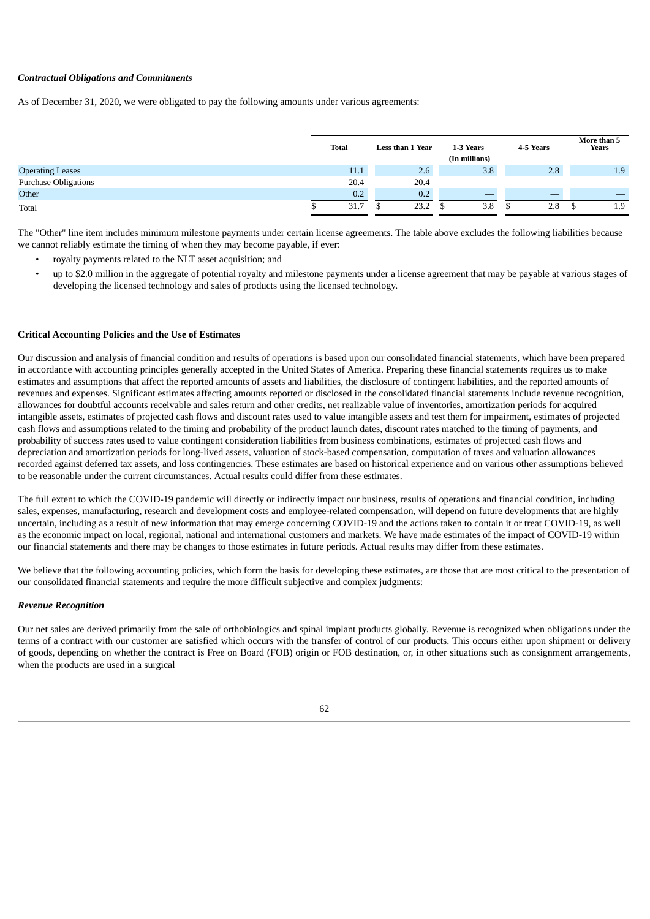## *Contractual Obligations and Commitments*

As of December 31, 2020, we were obligated to pay the following amounts under various agreements:

|                             | <b>Total</b> | Less than 1 Year | 1-3 Years     | 4-5 Years | More than 5<br><b>Years</b> |
|-----------------------------|--------------|------------------|---------------|-----------|-----------------------------|
|                             |              |                  | (In millions) |           |                             |
| <b>Operating Leases</b>     | 11.1         | 2.6              | 3.8           | 2.8       | 1.9                         |
| <b>Purchase Obligations</b> | 20.4         | 20.4             |               |           |                             |
| Other                       | 0.2          | 0.2              | $\sim$        | __        |                             |
| Total                       | 31.7         | 23.2             | 3.8           | 2.8       | 1.9                         |

The "Other" line item includes minimum milestone payments under certain license agreements. The table above excludes the following liabilities because we cannot reliably estimate the timing of when they may become payable, if ever:

- royalty payments related to the NLT asset acquisition; and
- up to \$2.0 million in the aggregate of potential royalty and milestone payments under a license agreement that may be payable at various stages of developing the licensed technology and sales of products using the licensed technology.

#### **Critical Accounting Policies and the Use of Estimates**

Our discussion and analysis of financial condition and results of operations is based upon our consolidated financial statements, which have been prepared in accordance with accounting principles generally accepted in the United States of America. Preparing these financial statements requires us to make estimates and assumptions that affect the reported amounts of assets and liabilities, the disclosure of contingent liabilities, and the reported amounts of revenues and expenses. Significant estimates affecting amounts reported or disclosed in the consolidated financial statements include revenue recognition, allowances for doubtful accounts receivable and sales return and other credits, net realizable value of inventories, amortization periods for acquired intangible assets, estimates of projected cash flows and discount rates used to value intangible assets and test them for impairment, estimates of projected cash flows and assumptions related to the timing and probability of the product launch dates, discount rates matched to the timing of payments, and probability of success rates used to value contingent consideration liabilities from business combinations, estimates of projected cash flows and depreciation and amortization periods for long-lived assets, valuation of stock-based compensation, computation of taxes and valuation allowances recorded against deferred tax assets, and loss contingencies. These estimates are based on historical experience and on various other assumptions believed to be reasonable under the current circumstances. Actual results could differ from these estimates.

The full extent to which the COVID-19 pandemic will directly or indirectly impact our business, results of operations and financial condition, including sales, expenses, manufacturing, research and development costs and employee-related compensation, will depend on future developments that are highly uncertain, including as a result of new information that may emerge concerning COVID-19 and the actions taken to contain it or treat COVID-19, as well as the economic impact on local, regional, national and international customers and markets. We have made estimates of the impact of COVID-19 within our financial statements and there may be changes to those estimates in future periods. Actual results may differ from these estimates.

We believe that the following accounting policies, which form the basis for developing these estimates, are those that are most critical to the presentation of our consolidated financial statements and require the more difficult subjective and complex judgments:

#### *Revenue Recognition*

Our net sales are derived primarily from the sale of orthobiologics and spinal implant products globally. Revenue is recognized when obligations under the terms of a contract with our customer are satisfied which occurs with the transfer of control of our products. This occurs either upon shipment or delivery of goods, depending on whether the contract is Free on Board (FOB) origin or FOB destination, or, in other situations such as consignment arrangements, when the products are used in a surgical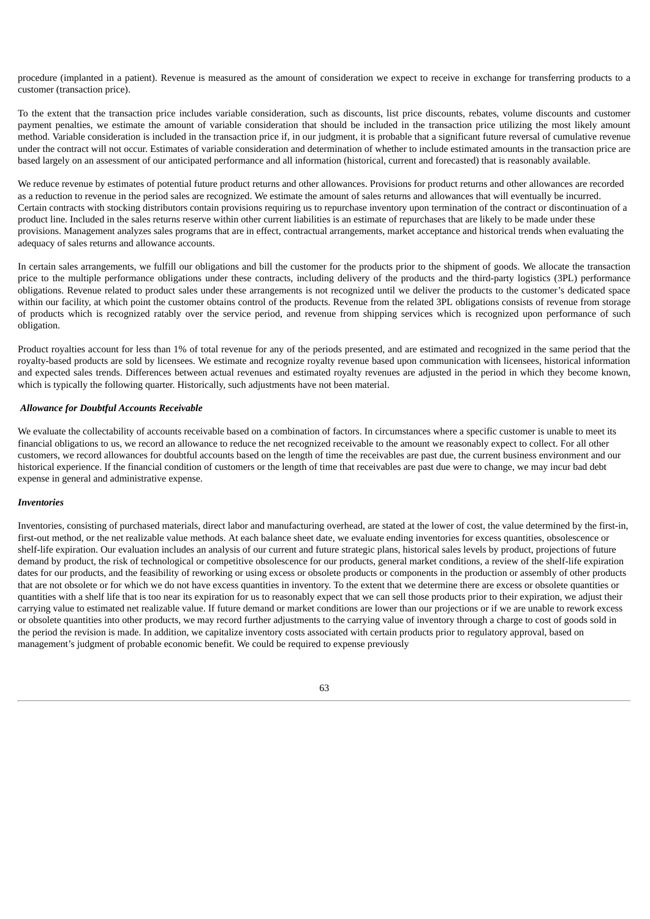procedure (implanted in a patient). Revenue is measured as the amount of consideration we expect to receive in exchange for transferring products to a customer (transaction price).

To the extent that the transaction price includes variable consideration, such as discounts, list price discounts, rebates, volume discounts and customer payment penalties, we estimate the amount of variable consideration that should be included in the transaction price utilizing the most likely amount method. Variable consideration is included in the transaction price if, in our judgment, it is probable that a significant future reversal of cumulative revenue under the contract will not occur. Estimates of variable consideration and determination of whether to include estimated amounts in the transaction price are based largely on an assessment of our anticipated performance and all information (historical, current and forecasted) that is reasonably available.

We reduce revenue by estimates of potential future product returns and other allowances. Provisions for product returns and other allowances are recorded as a reduction to revenue in the period sales are recognized. We estimate the amount of sales returns and allowances that will eventually be incurred. Certain contracts with stocking distributors contain provisions requiring us to repurchase inventory upon termination of the contract or discontinuation of a product line. Included in the sales returns reserve within other current liabilities is an estimate of repurchases that are likely to be made under these provisions. Management analyzes sales programs that are in effect, contractual arrangements, market acceptance and historical trends when evaluating the adequacy of sales returns and allowance accounts.

In certain sales arrangements, we fulfill our obligations and bill the customer for the products prior to the shipment of goods. We allocate the transaction price to the multiple performance obligations under these contracts, including delivery of the products and the third-party logistics (3PL) performance obligations. Revenue related to product sales under these arrangements is not recognized until we deliver the products to the customer's dedicated space within our facility, at which point the customer obtains control of the products. Revenue from the related 3PL obligations consists of revenue from storage of products which is recognized ratably over the service period, and revenue from shipping services which is recognized upon performance of such obligation.

Product royalties account for less than 1% of total revenue for any of the periods presented, and are estimated and recognized in the same period that the royalty-based products are sold by licensees. We estimate and recognize royalty revenue based upon communication with licensees, historical information and expected sales trends. Differences between actual revenues and estimated royalty revenues are adjusted in the period in which they become known, which is typically the following quarter. Historically, such adjustments have not been material.

### *Allowance for Doubtful Accounts Receivable*

We evaluate the collectability of accounts receivable based on a combination of factors. In circumstances where a specific customer is unable to meet its financial obligations to us, we record an allowance to reduce the net recognized receivable to the amount we reasonably expect to collect. For all other customers, we record allowances for doubtful accounts based on the length of time the receivables are past due, the current business environment and our historical experience. If the financial condition of customers or the length of time that receivables are past due were to change, we may incur bad debt expense in general and administrative expense.

#### *Inventories*

Inventories, consisting of purchased materials, direct labor and manufacturing overhead, are stated at the lower of cost, the value determined by the first-in, first-out method, or the net realizable value methods. At each balance sheet date, we evaluate ending inventories for excess quantities, obsolescence or shelf-life expiration. Our evaluation includes an analysis of our current and future strategic plans, historical sales levels by product, projections of future demand by product, the risk of technological or competitive obsolescence for our products, general market conditions, a review of the shelf-life expiration dates for our products, and the feasibility of reworking or using excess or obsolete products or components in the production or assembly of other products that are not obsolete or for which we do not have excess quantities in inventory. To the extent that we determine there are excess or obsolete quantities or quantities with a shelf life that is too near its expiration for us to reasonably expect that we can sell those products prior to their expiration, we adjust their carrying value to estimated net realizable value. If future demand or market conditions are lower than our projections or if we are unable to rework excess or obsolete quantities into other products, we may record further adjustments to the carrying value of inventory through a charge to cost of goods sold in the period the revision is made. In addition, we capitalize inventory costs associated with certain products prior to regulatory approval, based on management's judgment of probable economic benefit. We could be required to expense previously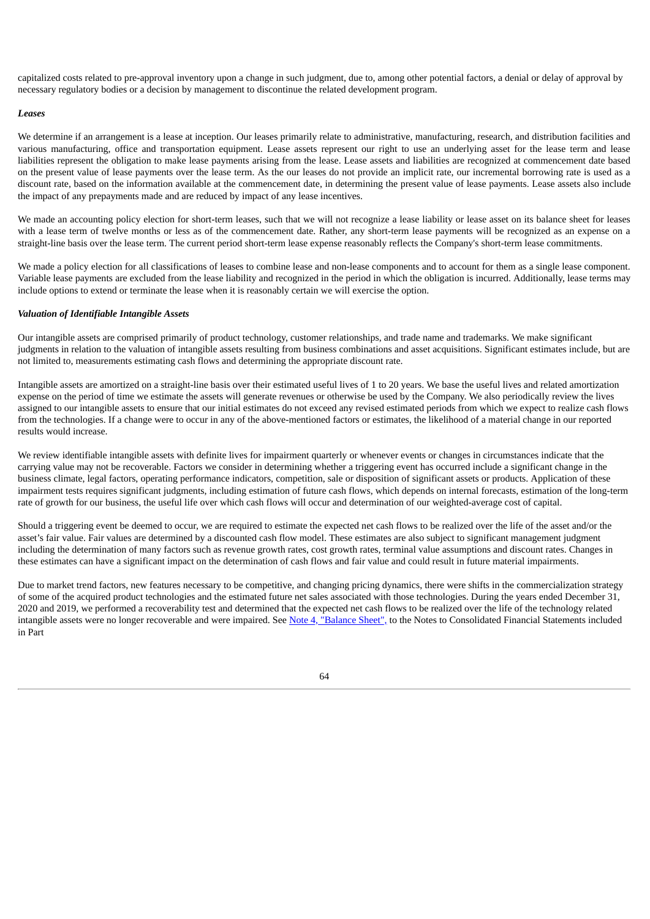capitalized costs related to pre-approval inventory upon a change in such judgment, due to, among other potential factors, a denial or delay of approval by necessary regulatory bodies or a decision by management to discontinue the related development program.

#### *Leases*

We determine if an arrangement is a lease at inception. Our leases primarily relate to administrative, manufacturing, research, and distribution facilities and various manufacturing, office and transportation equipment. Lease assets represent our right to use an underlying asset for the lease term and lease liabilities represent the obligation to make lease payments arising from the lease. Lease assets and liabilities are recognized at commencement date based on the present value of lease payments over the lease term. As the our leases do not provide an implicit rate, our incremental borrowing rate is used as a discount rate, based on the information available at the commencement date, in determining the present value of lease payments. Lease assets also include the impact of any prepayments made and are reduced by impact of any lease incentives.

We made an accounting policy election for short-term leases, such that we will not recognize a lease liability or lease asset on its balance sheet for leases with a lease term of twelve months or less as of the commencement date. Rather, any short-term lease payments will be recognized as an expense on a straight-line basis over the lease term. The current period short-term lease expense reasonably reflects the Company's short-term lease commitments.

We made a policy election for all classifications of leases to combine lease and non-lease components and to account for them as a single lease component. Variable lease payments are excluded from the lease liability and recognized in the period in which the obligation is incurred. Additionally, lease terms may include options to extend or terminate the lease when it is reasonably certain we will exercise the option.

### *Valuation of Identifiable Intangible Assets*

Our intangible assets are comprised primarily of product technology, customer relationships, and trade name and trademarks. We make significant judgments in relation to the valuation of intangible assets resulting from business combinations and asset acquisitions. Significant estimates include, but are not limited to, measurements estimating cash flows and determining the appropriate discount rate.

Intangible assets are amortized on a straight-line basis over their estimated useful lives of 1 to 20 years. We base the useful lives and related amortization expense on the period of time we estimate the assets will generate revenues or otherwise be used by the Company. We also periodically review the lives assigned to our intangible assets to ensure that our initial estimates do not exceed any revised estimated periods from which we expect to realize cash flows from the technologies. If a change were to occur in any of the above-mentioned factors or estimates, the likelihood of a material change in our reported results would increase.

We review identifiable intangible assets with definite lives for impairment quarterly or whenever events or changes in circumstances indicate that the carrying value may not be recoverable. Factors we consider in determining whether a triggering event has occurred include a significant change in the business climate, legal factors, operating performance indicators, competition, sale or disposition of significant assets or products. Application of these impairment tests requires significant judgments, including estimation of future cash flows, which depends on internal forecasts, estimation of the long-term rate of growth for our business, the useful life over which cash flows will occur and determination of our weighted-average cost of capital.

Should a triggering event be deemed to occur, we are required to estimate the expected net cash flows to be realized over the life of the asset and/or the asset's fair value. Fair values are determined by a discounted cash flow model. These estimates are also subject to significant management judgment including the determination of many factors such as revenue growth rates, cost growth rates, terminal value assumptions and discount rates. Changes in these estimates can have a significant impact on the determination of cash flows and fair value and could result in future material impairments.

Due to market trend factors, new features necessary to be competitive, and changing pricing dynamics, there were shifts in the commercialization strategy of some of the acquired product technologies and the estimated future net sales associated with those technologies. During the years ended December 31, 2020 and 2019, we performed a recoverability test and determined that the expected net cash flows to be realized over the life of the technology related intangible assets were no longer recoverable and were impaired. See Note 4, ["Balance](#page-96-0) Sheet", to the Notes to Consolidated Financial Statements included in Part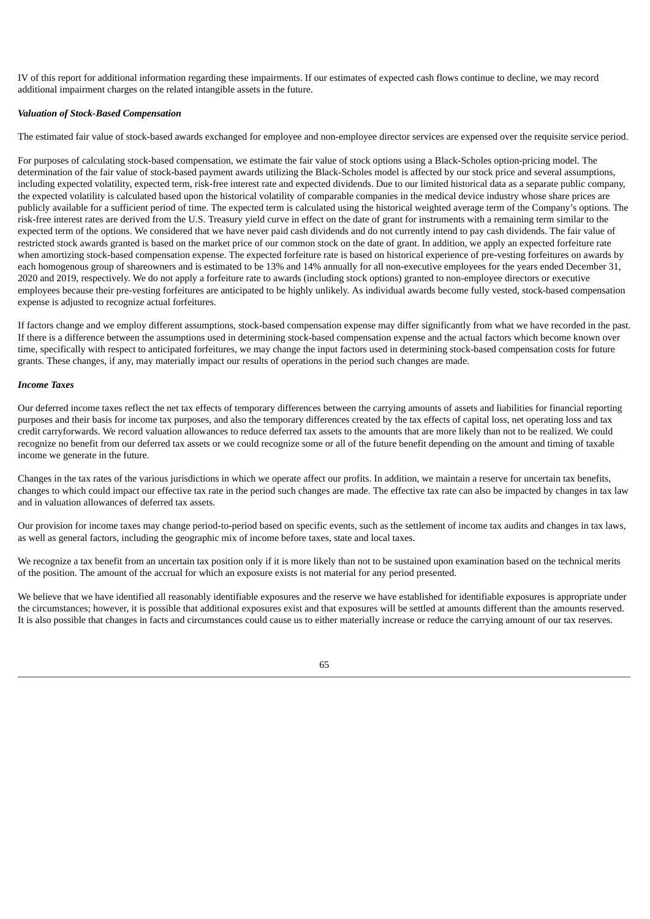IV of this report for additional information regarding these impairments. If our estimates of expected cash flows continue to decline, we may record additional impairment charges on the related intangible assets in the future.

## *Valuation of Stock-Based Compensation*

The estimated fair value of stock-based awards exchanged for employee and non-employee director services are expensed over the requisite service period.

For purposes of calculating stock-based compensation, we estimate the fair value of stock options using a Black-Scholes option-pricing model. The determination of the fair value of stock-based payment awards utilizing the Black-Scholes model is affected by our stock price and several assumptions, including expected volatility, expected term, risk-free interest rate and expected dividends. Due to our limited historical data as a separate public company, the expected volatility is calculated based upon the historical volatility of comparable companies in the medical device industry whose share prices are publicly available for a sufficient period of time. The expected term is calculated using the historical weighted average term of the Company's options. The risk-free interest rates are derived from the U.S. Treasury yield curve in effect on the date of grant for instruments with a remaining term similar to the expected term of the options. We considered that we have never paid cash dividends and do not currently intend to pay cash dividends. The fair value of restricted stock awards granted is based on the market price of our common stock on the date of grant. In addition, we apply an expected forfeiture rate when amortizing stock-based compensation expense. The expected forfeiture rate is based on historical experience of pre-vesting forfeitures on awards by each homogenous group of shareowners and is estimated to be 13% and 14% annually for all non-executive employees for the years ended December 31, 2020 and 2019, respectively. We do not apply a forfeiture rate to awards (including stock options) granted to non-employee directors or executive employees because their pre-vesting forfeitures are anticipated to be highly unlikely. As individual awards become fully vested, stock-based compensation expense is adjusted to recognize actual forfeitures.

If factors change and we employ different assumptions, stock-based compensation expense may differ significantly from what we have recorded in the past. If there is a difference between the assumptions used in determining stock-based compensation expense and the actual factors which become known over time, specifically with respect to anticipated forfeitures, we may change the input factors used in determining stock-based compensation costs for future grants. These changes, if any, may materially impact our results of operations in the period such changes are made.

## *Income Taxes*

Our deferred income taxes reflect the net tax effects of temporary differences between the carrying amounts of assets and liabilities for financial reporting purposes and their basis for income tax purposes, and also the temporary differences created by the tax effects of capital loss, net operating loss and tax credit carryforwards. We record valuation allowances to reduce deferred tax assets to the amounts that are more likely than not to be realized. We could recognize no benefit from our deferred tax assets or we could recognize some or all of the future benefit depending on the amount and timing of taxable income we generate in the future.

Changes in the tax rates of the various jurisdictions in which we operate affect our profits. In addition, we maintain a reserve for uncertain tax benefits, changes to which could impact our effective tax rate in the period such changes are made. The effective tax rate can also be impacted by changes in tax law and in valuation allowances of deferred tax assets.

Our provision for income taxes may change period-to-period based on specific events, such as the settlement of income tax audits and changes in tax laws, as well as general factors, including the geographic mix of income before taxes, state and local taxes.

We recognize a tax benefit from an uncertain tax position only if it is more likely than not to be sustained upon examination based on the technical merits of the position. The amount of the accrual for which an exposure exists is not material for any period presented.

We believe that we have identified all reasonably identifiable exposures and the reserve we have established for identifiable exposures is appropriate under the circumstances; however, it is possible that additional exposures exist and that exposures will be settled at amounts different than the amounts reserved. It is also possible that changes in facts and circumstances could cause us to either materially increase or reduce the carrying amount of our tax reserves.

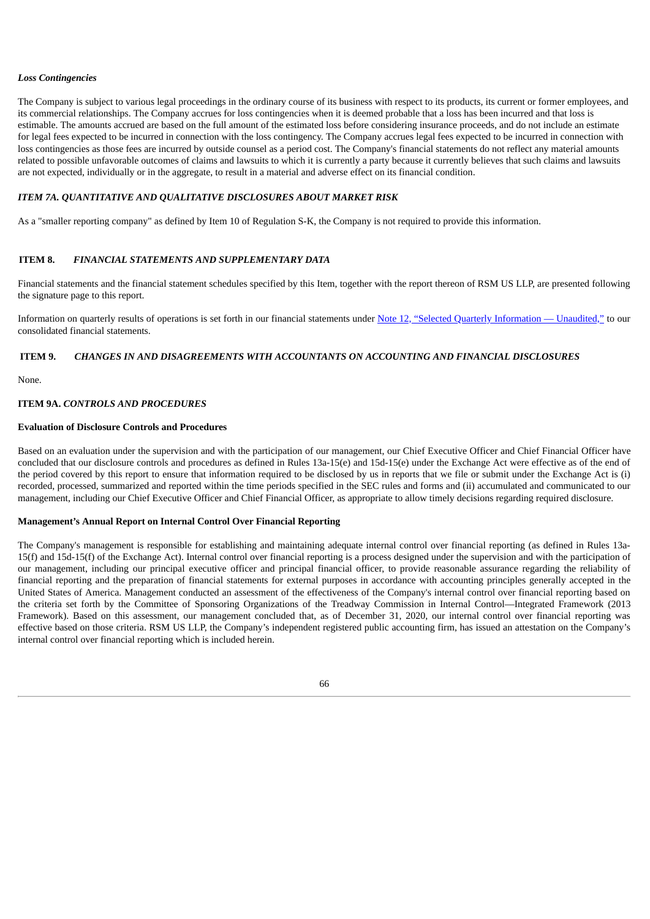## *Loss Contingencies*

The Company is subject to various legal proceedings in the ordinary course of its business with respect to its products, its current or former employees, and its commercial relationships. The Company accrues for loss contingencies when it is deemed probable that a loss has been incurred and that loss is estimable. The amounts accrued are based on the full amount of the estimated loss before considering insurance proceeds, and do not include an estimate for legal fees expected to be incurred in connection with the loss contingency. The Company accrues legal fees expected to be incurred in connection with loss contingencies as those fees are incurred by outside counsel as a period cost. The Company's financial statements do not reflect any material amounts related to possible unfavorable outcomes of claims and lawsuits to which it is currently a party because it currently believes that such claims and lawsuits are not expected, individually or in the aggregate, to result in a material and adverse effect on its financial condition.

## *ITEM 7A. QUANTITATIVE AND QUALITATIVE DISCLOSURES ABOUT MARKET RISK*

As a "smaller reporting company" as defined by Item 10 of Regulation S-K, the Company is not required to provide this information.

#### **ITEM 8.** *FINANCIAL STATEMENTS AND SUPPLEMENTARY DATA*

Financial statements and the financial statement schedules specified by this Item, together with the report thereon of RSM US LLP, are presented following the signature page to this report.

Information on quarterly results of operations is set forth in our financial statements under Note 12, "Selected Quarterly Information — [Unaudited,"](#page-109-0) to our consolidated financial statements.

## **ITEM 9.** *CHANGES IN AND DISAGREEMENTS WITH ACCOUNTANTS ON ACCOUNTING AND FINANCIAL DISCLOSURES*

None.

### **ITEM 9A.** *CONTROLS AND PROCEDURES*

## **Evaluation of Disclosure Controls and Procedures**

Based on an evaluation under the supervision and with the participation of our management, our Chief Executive Officer and Chief Financial Officer have concluded that our disclosure controls and procedures as defined in Rules 13a-15(e) and 15d-15(e) under the Exchange Act were effective as of the end of the period covered by this report to ensure that information required to be disclosed by us in reports that we file or submit under the Exchange Act is (i) recorded, processed, summarized and reported within the time periods specified in the SEC rules and forms and (ii) accumulated and communicated to our management, including our Chief Executive Officer and Chief Financial Officer, as appropriate to allow timely decisions regarding required disclosure.

## **Management's Annual Report on Internal Control Over Financial Reporting**

The Company's management is responsible for establishing and maintaining adequate internal control over financial reporting (as defined in Rules 13a-15(f) and 15d-15(f) of the Exchange Act). Internal control over financial reporting is a process designed under the supervision and with the participation of our management, including our principal executive officer and principal financial officer, to provide reasonable assurance regarding the reliability of financial reporting and the preparation of financial statements for external purposes in accordance with accounting principles generally accepted in the United States of America. Management conducted an assessment of the effectiveness of the Company's internal control over financial reporting based on the criteria set forth by the Committee of Sponsoring Organizations of the Treadway Commission in Internal Control—Integrated Framework (2013 Framework). Based on this assessment, our management concluded that, as of December 31, 2020, our internal control over financial reporting was effective based on those criteria. RSM US LLP, the Company's independent registered public accounting firm, has issued an attestation on the Company's internal control over financial reporting which is included herein.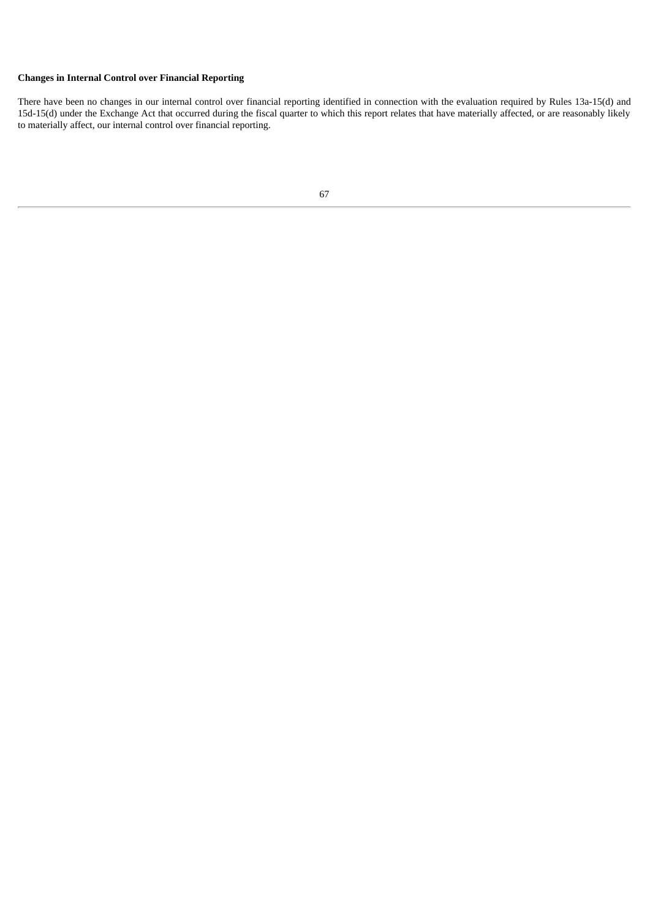# **Changes in Internal Control over Financial Reporting**

There have been no changes in our internal control over financial reporting identified in connection with the evaluation required by Rules 13a-15(d) and 15d-15(d) under the Exchange Act that occurred during the fiscal quarter to which this report relates that have materially affected, or are reasonably likely to materially affect, our internal control over financial reporting.

| ï<br>۰. |  |
|---------|--|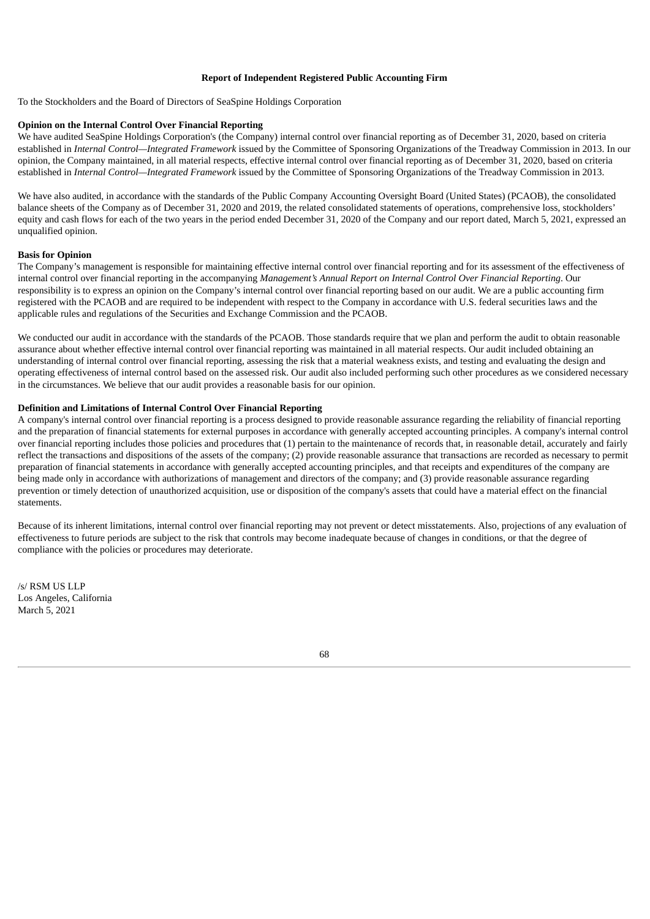### **Report of Independent Registered Public Accounting Firm**

To the Stockholders and the Board of Directors of SeaSpine Holdings Corporation

#### **Opinion on the Internal Control Over Financial Reporting**

We have audited SeaSpine Holdings Corporation's (the Company) internal control over financial reporting as of December 31, 2020, based on criteria established in *Internal Control—Integrated Framework* issued by the Committee of Sponsoring Organizations of the Treadway Commission in 2013. In our opinion, the Company maintained, in all material respects, effective internal control over financial reporting as of December 31, 2020, based on criteria established in *Internal Control—Integrated Framework* issued by the Committee of Sponsoring Organizations of the Treadway Commission in 2013.

We have also audited, in accordance with the standards of the Public Company Accounting Oversight Board (United States) (PCAOB), the consolidated balance sheets of the Company as of December 31, 2020 and 2019, the related consolidated statements of operations, comprehensive loss, stockholders' equity and cash flows for each of the two years in the period ended December 31, 2020 of the Company and our report dated, March 5, 2021, expressed an unqualified opinion.

#### **Basis for Opinion**

The Company's management is responsible for maintaining effective internal control over financial reporting and for its assessment of the effectiveness of internal control over financial reporting in the accompanying *Management's Annual Report on Internal Control Over Financial Reporting*. Our responsibility is to express an opinion on the Company's internal control over financial reporting based on our audit. We are a public accounting firm registered with the PCAOB and are required to be independent with respect to the Company in accordance with U.S. federal securities laws and the applicable rules and regulations of the Securities and Exchange Commission and the PCAOB.

We conducted our audit in accordance with the standards of the PCAOB. Those standards require that we plan and perform the audit to obtain reasonable assurance about whether effective internal control over financial reporting was maintained in all material respects. Our audit included obtaining an understanding of internal control over financial reporting, assessing the risk that a material weakness exists, and testing and evaluating the design and operating effectiveness of internal control based on the assessed risk. Our audit also included performing such other procedures as we considered necessary in the circumstances. We believe that our audit provides a reasonable basis for our opinion.

### **Definition and Limitations of Internal Control Over Financial Reporting**

A company's internal control over financial reporting is a process designed to provide reasonable assurance regarding the reliability of financial reporting and the preparation of financial statements for external purposes in accordance with generally accepted accounting principles. A company's internal control over financial reporting includes those policies and procedures that (1) pertain to the maintenance of records that, in reasonable detail, accurately and fairly reflect the transactions and dispositions of the assets of the company; (2) provide reasonable assurance that transactions are recorded as necessary to permit preparation of financial statements in accordance with generally accepted accounting principles, and that receipts and expenditures of the company are being made only in accordance with authorizations of management and directors of the company; and (3) provide reasonable assurance regarding prevention or timely detection of unauthorized acquisition, use or disposition of the company's assets that could have a material effect on the financial statements.

Because of its inherent limitations, internal control over financial reporting may not prevent or detect misstatements. Also, projections of any evaluation of effectiveness to future periods are subject to the risk that controls may become inadequate because of changes in conditions, or that the degree of compliance with the policies or procedures may deteriorate.

/s/ RSM US LLP Los Angeles, California March 5, 2021

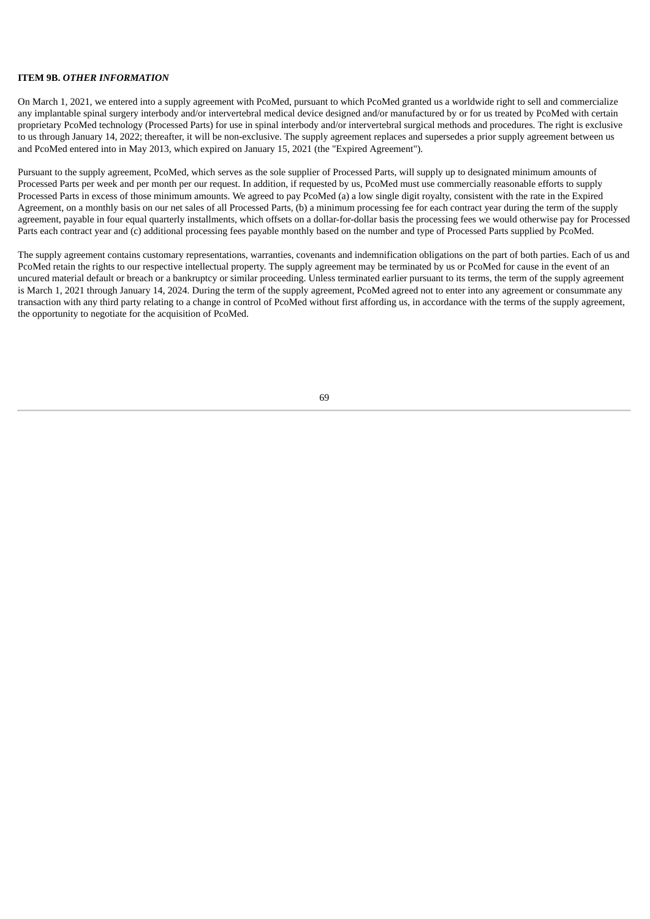## **ITEM 9B.** *OTHER INFORMATION*

On March 1, 2021, we entered into a supply agreement with PcoMed, pursuant to which PcoMed granted us a worldwide right to sell and commercialize any implantable spinal surgery interbody and/or intervertebral medical device designed and/or manufactured by or for us treated by PcoMed with certain proprietary PcoMed technology (Processed Parts) for use in spinal interbody and/or intervertebral surgical methods and procedures. The right is exclusive to us through January 14, 2022; thereafter, it will be non-exclusive. The supply agreement replaces and supersedes a prior supply agreement between us and PcoMed entered into in May 2013, which expired on January 15, 2021 (the "Expired Agreement").

Pursuant to the supply agreement, PcoMed, which serves as the sole supplier of Processed Parts, will supply up to designated minimum amounts of Processed Parts per week and per month per our request. In addition, if requested by us, PcoMed must use commercially reasonable efforts to supply Processed Parts in excess of those minimum amounts. We agreed to pay PcoMed (a) a low single digit royalty, consistent with the rate in the Expired Agreement, on a monthly basis on our net sales of all Processed Parts, (b) a minimum processing fee for each contract year during the term of the supply agreement, payable in four equal quarterly installments, which offsets on a dollar-for-dollar basis the processing fees we would otherwise pay for Processed Parts each contract year and (c) additional processing fees payable monthly based on the number and type of Processed Parts supplied by PcoMed.

<span id="page-68-0"></span>The supply agreement contains customary representations, warranties, covenants and indemnification obligations on the part of both parties. Each of us and PcoMed retain the rights to our respective intellectual property. The supply agreement may be terminated by us or PcoMed for cause in the event of an uncured material default or breach or a bankruptcy or similar proceeding. Unless terminated earlier pursuant to its terms, the term of the supply agreement is March 1, 2021 through January 14, 2024. During the term of the supply agreement, PcoMed agreed not to enter into any agreement or consummate any transaction with any third party relating to a change in control of PcoMed without first affording us, in accordance with the terms of the supply agreement, the opportunity to negotiate for the acquisition of PcoMed.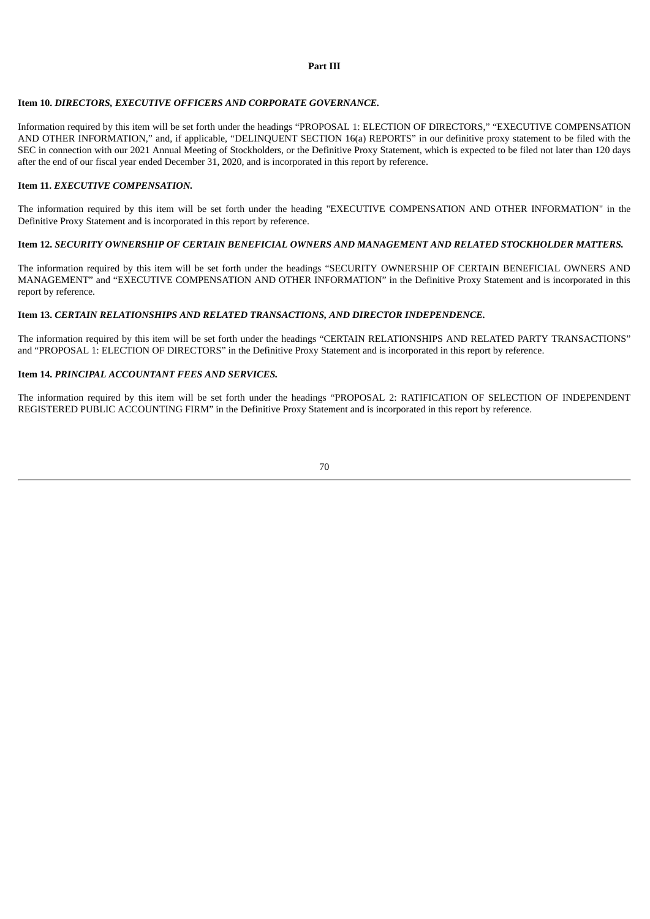### **Part III**

# **Item 10.** *DIRECTORS, EXECUTIVE OFFICERS AND CORPORATE GOVERNANCE.*

Information required by this item will be set forth under the headings "PROPOSAL 1: ELECTION OF DIRECTORS," "EXECUTIVE COMPENSATION AND OTHER INFORMATION," and, if applicable, "DELINQUENT SECTION 16(a) REPORTS" in our definitive proxy statement to be filed with the SEC in connection with our 2021 Annual Meeting of Stockholders, or the Definitive Proxy Statement, which is expected to be filed not later than 120 days after the end of our fiscal year ended December 31, 2020, and is incorporated in this report by reference.

## **Item 11.** *EXECUTIVE COMPENSATION.*

The information required by this item will be set forth under the heading "EXECUTIVE COMPENSATION AND OTHER INFORMATION" in the Definitive Proxy Statement and is incorporated in this report by reference.

### **Item 12.** *SECURITY OWNERSHIP OF CERTAIN BENEFICIAL OWNERS AND MANAGEMENT AND RELATED STOCKHOLDER MATTERS.*

The information required by this item will be set forth under the headings "SECURITY OWNERSHIP OF CERTAIN BENEFICIAL OWNERS AND MANAGEMENT" and "EXECUTIVE COMPENSATION AND OTHER INFORMATION" in the Definitive Proxy Statement and is incorporated in this report by reference.

#### **Item 13.** *CERTAIN RELATIONSHIPS AND RELATED TRANSACTIONS, AND DIRECTOR INDEPENDENCE.*

The information required by this item will be set forth under the headings "CERTAIN RELATIONSHIPS AND RELATED PARTY TRANSACTIONS" and "PROPOSAL 1: ELECTION OF DIRECTORS" in the Definitive Proxy Statement and is incorporated in this report by reference.

#### **Item 14.** *PRINCIPAL ACCOUNTANT FEES AND SERVICES.*

The information required by this item will be set forth under the headings "PROPOSAL 2: RATIFICATION OF SELECTION OF INDEPENDENT REGISTERED PUBLIC ACCOUNTING FIRM" in the Definitive Proxy Statement and is incorporated in this report by reference.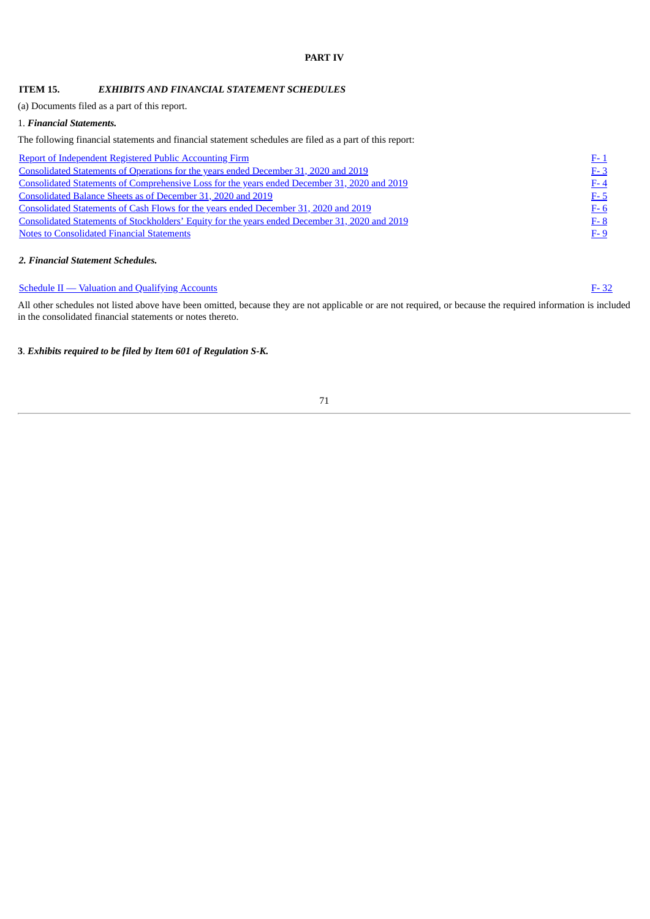# **ITEM 15.** *EXHIBITS AND FINANCIAL STATEMENT SCHEDULES*

(a) Documents filed as a part of this report.

## 1. *Financial Statements.*

The following financial statements and financial statement schedules are filed as a part of this report:

| <b>Report of Independent Registered Public Accounting Firm</b>                                 | $F-1$   |
|------------------------------------------------------------------------------------------------|---------|
| Consolidated Statements of Operations for the years ended December 31, 2020 and 2019           | $F-3$   |
| Consolidated Statements of Comprehensive Loss for the years ended December 31, 2020 and 2019   | $F - 4$ |
| Consolidated Balance Sheets as of December 31, 2020 and 2019                                   | $F - 5$ |
| Consolidated Statements of Cash Flows for the years ended December 31, 2020 and 2019           | $F - 6$ |
| Consolidated Statements of Stockholders' Equity for the years ended December 31, 2020 and 2019 | $F-8$   |
| <b>Notes to Consolidated Financial Statements</b>                                              | $F-9$   |

# *2. Financial Statement Schedules.*

# Schedule II — Val<u>uation and [Qualifying](#page-110-0) Accounts</u> F- [32](#page-110-0)

All other schedules not listed above have been omitted, because they are not applicable or are not required, or because the required information is included in the consolidated financial statements or notes thereto.

## **3**. *Exhibits required to be filed by Item 601 of Regulation S-K.*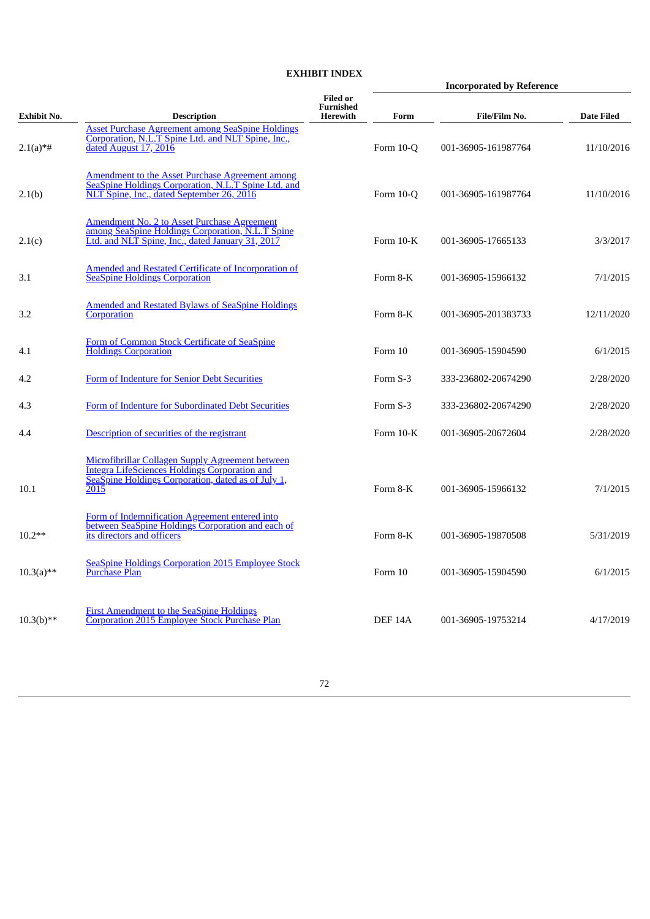# **EXHIBIT INDEX**

| <b>Exhibit No.</b> | <b>Description</b>                                                                                                                                                     | <b>Filed or</b><br><b>Furnished</b><br><b>Herewith</b> | <b>Incorporated by Reference</b> |                     |                   |
|--------------------|------------------------------------------------------------------------------------------------------------------------------------------------------------------------|--------------------------------------------------------|----------------------------------|---------------------|-------------------|
|                    |                                                                                                                                                                        |                                                        | Form                             | File/Film No.       | <b>Date Filed</b> |
| $2.1(a)*#$         | <b>Asset Purchase Agreement among SeaSpine Holdings</b><br>Corporation, N.L.T Spine Ltd. and NLT Spine, Inc.,<br>dated August 17, 2016                                 |                                                        | Form 10-Q                        | 001-36905-161987764 | 11/10/2016        |
| 2.1(b)             | Amendment to the Asset Purchase Agreement among<br>SeaSpine Holdings Corporation, N.L.T Spine Ltd. and<br>NLT Spine, Inc., dated September 26, 2016                    |                                                        | Form 10-Q                        | 001-36905-161987764 | 11/10/2016        |
| 2.1(c)             | <b>Amendment No. 2 to Asset Purchase Agreement</b><br>among SeaSpine Holdings Corporation, N.L.T Spine<br>Ltd. and NLT Spine, Inc., dated January 31, 2017             |                                                        | Form 10-K                        | 001-36905-17665133  | 3/3/2017          |
| 3.1                | <b>Amended and Restated Certificate of Incorporation of</b><br><b>SeaSpine Holdings Corporation</b>                                                                    |                                                        | Form 8-K                         | 001-36905-15966132  | 7/1/2015          |
| 3.2                | <b>Amended and Restated Bylaws of SeaSpine Holdings</b><br>Corporation                                                                                                 |                                                        | Form 8-K                         | 001-36905-201383733 | 12/11/2020        |
| 4.1                | Form of Common Stock Certificate of SeaSpine<br><b>Holdings Corporation</b>                                                                                            |                                                        | Form 10                          | 001-36905-15904590  | 6/1/2015          |
| 4.2                | Form of Indenture for Senior Debt Securities                                                                                                                           |                                                        | Form S-3                         | 333-236802-20674290 | 2/28/2020         |
| 4.3                | Form of Indenture for Subordinated Debt Securities                                                                                                                     |                                                        | Form S-3                         | 333-236802-20674290 | 2/28/2020         |
| 4.4                | Description of securities of the registrant                                                                                                                            |                                                        | Form 10-K                        | 001-36905-20672604  | 2/28/2020         |
| 10.1               | Microfibrillar Collagen Supply Agreement between<br><u>Integra LifeSciences Holdings Corporation and</u><br>SeaSpine Holdings Corporation, dated as of July 1,<br>2015 |                                                        | Form 8-K                         | 001-36905-15966132  | 7/1/2015          |
| $10.2**$           | Form of Indemnification Agreement entered into<br>between SeaSpine Holdings Corporation and each of<br>its directors and officers                                      |                                                        | Form 8-K                         | 001-36905-19870508  | 5/31/2019         |
| $10.3(a)**$        | <b>SeaSpine Holdings Corporation 2015 Employee Stock</b><br>Purchase Plan                                                                                              |                                                        | Form 10                          | 001-36905-15904590  | 6/1/2015          |
| $10.3(b)$ **       | <u><b>First Amendment to the SeaSpine Holdings</b></u><br>Corporation 2015 Employee Stock Purchase Plan                                                                |                                                        | DEF <sub>14</sub> A              | 001-36905-19753214  | 4/17/2019         |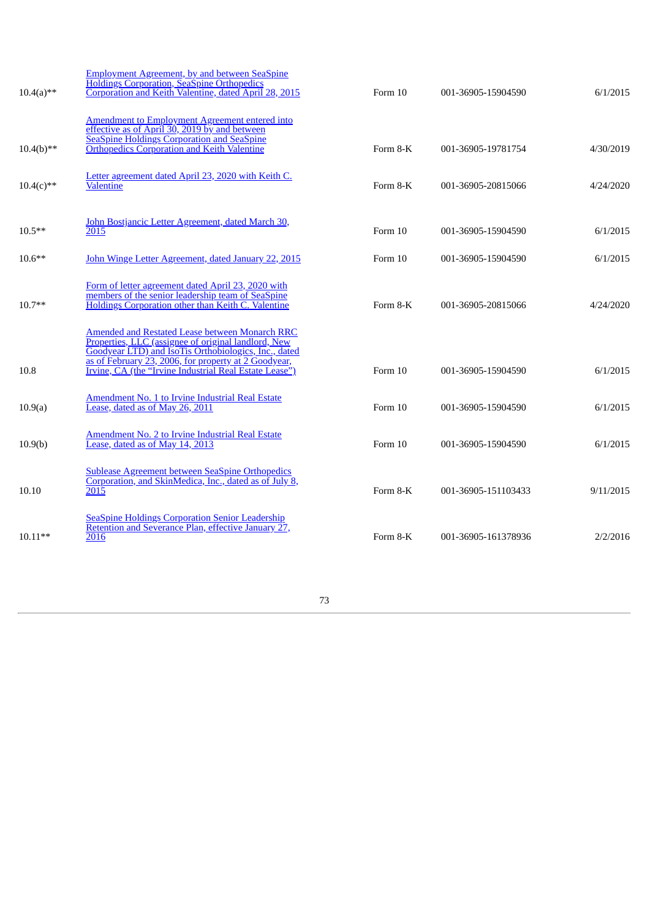| $10.4(a)$ ** | <b>Employment Agreement, by and between SeaSpine</b><br>Holdings Corporation, SeaSpine Orthopedics<br>Corporation and Keith Valentine, dated April 28, 2015                                                                                                                            | Form 10  | 001-36905-15904590  | 6/1/2015  |
|--------------|----------------------------------------------------------------------------------------------------------------------------------------------------------------------------------------------------------------------------------------------------------------------------------------|----------|---------------------|-----------|
|              | <b>Amendment to Employment Agreement entered into</b><br>effective as of April 30, 2019 by and between<br><b>SeaSpine Holdings Corporation and SeaSpine</b>                                                                                                                            |          |                     |           |
| $10.4(b)$ ** | <b>Orthopedics Corporation and Keith Valentine</b>                                                                                                                                                                                                                                     | Form 8-K | 001-36905-19781754  | 4/30/2019 |
| $10.4(c)$ ** | Letter agreement dated April 23, 2020 with Keith C.<br><b>Valentine</b>                                                                                                                                                                                                                | Form 8-K | 001-36905-20815066  | 4/24/2020 |
| $10.5**$     | John Bostjancic Letter Agreement, dated March 30,<br>2015                                                                                                                                                                                                                              | Form 10  | 001-36905-15904590  | 6/1/2015  |
| $10.6**$     | John Winge Letter Agreement, dated January 22, 2015                                                                                                                                                                                                                                    | Form 10  | 001-36905-15904590  | 6/1/2015  |
| $10.7**$     | Form of letter agreement dated April 23, 2020 with<br>members of the senior leadership team of SeaSpine<br>Holdings Corporation other than Keith C. Valentine                                                                                                                          | Form 8-K | 001-36905-20815066  | 4/24/2020 |
| 10.8         | <b>Amended and Restated Lease between Monarch RRC</b><br>Properties, LLC (assignee of original landlord, New<br>Goodyear LTD) and IsoTis Orthobiologics, Inc., dated<br>as of February 23, 2006, for property at 2 Goodyear,<br>Irvine, CA (the "Irvine Industrial Real Estate Lease") | Form 10  | 001-36905-15904590  | 6/1/2015  |
| 10.9(a)      | <b>Amendment No. 1 to Irvine Industrial Real Estate</b><br>Lease, dated as of May 26, 2011                                                                                                                                                                                             | Form 10  | 001-36905-15904590  | 6/1/2015  |
| 10.9(b)      | Amendment No. 2 to Irvine Industrial Real Estate<br>Lease, dated as of May 14, 2013                                                                                                                                                                                                    | Form 10  | 001-36905-15904590  | 6/1/2015  |
| 10.10        | <b>Sublease Agreement between SeaSpine Orthopedics</b><br>Corporation, and SkinMedica, Inc., dated as of July 8,<br>2015                                                                                                                                                               | Form 8-K | 001-36905-151103433 | 9/11/2015 |
| $10.11**$    | <b>SeaSpine Holdings Corporation Senior Leadership</b><br>Retention and Severance Plan, effective January 27,<br>2016                                                                                                                                                                  | Form 8-K | 001-36905-161378936 | 2/2/2016  |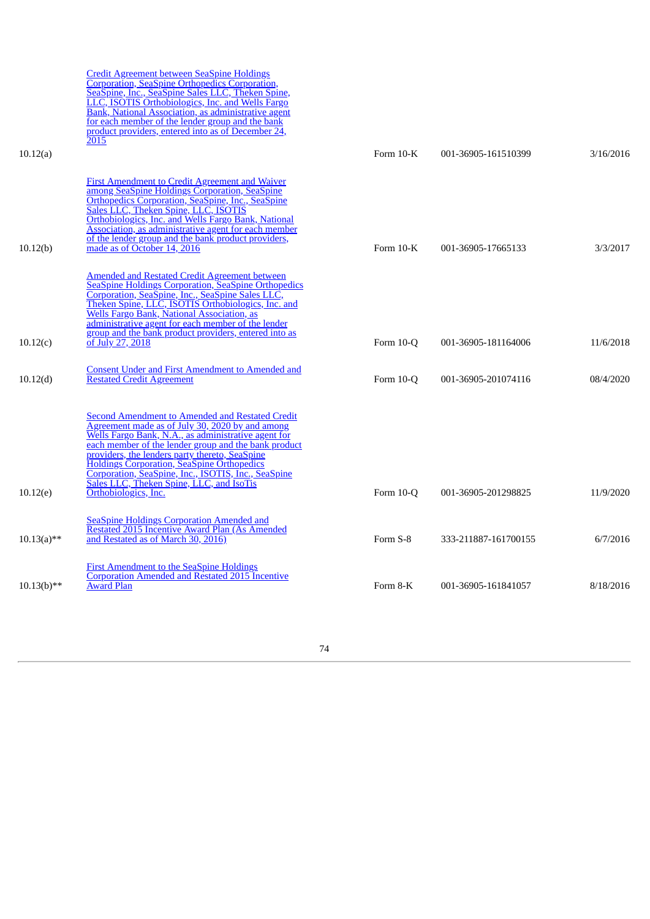|               | <b>Credit Agreement between SeaSpine Holdings</b><br>Corporation, SeaSpine Orthopedics Corporation,<br>SeaSpine, Inc., SeaSpine Sales LLC, Theken Spine,<br>LLC, ISOTIS Orthobiologics, Inc. and Wells Fargo<br>Bank, National Association, as administrative agent<br>for each member of the lender group and the bank<br>product providers, entered into as of December 24,<br>2015                                                                      |           |                      |           |
|---------------|------------------------------------------------------------------------------------------------------------------------------------------------------------------------------------------------------------------------------------------------------------------------------------------------------------------------------------------------------------------------------------------------------------------------------------------------------------|-----------|----------------------|-----------|
| 10.12(a)      |                                                                                                                                                                                                                                                                                                                                                                                                                                                            | Form 10-K | 001-36905-161510399  | 3/16/2016 |
| 10.12(b)      | First Amendment to Credit Agreement and Waiver<br>among SeaSpine Holdings Corporation, SeaSpine<br>Orthopedics Corporation, SeaSpine, Inc., SeaSpine<br>Sales LLC, Theken Spine, LLC, ISOTIS<br>Orthobiologics, Inc. and Wells Fargo Bank, National<br>Association, as administrative agent for each member<br>of the lender group and the bank product providers,<br>made as of October 14, 2016                                                          | Form 10-K | 001-36905-17665133   | 3/3/2017  |
|               | <b>Amended and Restated Credit Agreement between</b><br><b>SeaSpine Holdings Corporation, SeaSpine Orthopedics</b><br>Corporation, SeaSpine, Inc., SeaSpine Sales LLC,<br>Theken Spine, LLC, ISOTIS Orthobiologics, Inc. and<br>Wells Fargo Bank, National Association, as<br>administrative agent for each member of the lender<br>group and the bank product providers, entered into as                                                                  |           |                      |           |
| 10.12(c)      | of July 27, 2018                                                                                                                                                                                                                                                                                                                                                                                                                                           | Form 10-Q | 001-36905-181164006  | 11/6/2018 |
| 10.12(d)      | <b>Consent Under and First Amendment to Amended and</b><br><b>Restated Credit Agreement</b>                                                                                                                                                                                                                                                                                                                                                                | Form 10-Q | 001-36905-201074116  | 08/4/2020 |
| 10.12(e)      | <b>Second Amendment to Amended and Restated Credit</b><br>Agreement made as of July 30, 2020 by and among<br>Wells Fargo Bank, N.A., as administrative agent for<br>each member of the lender group and the bank product<br><u>providers, the lenders party thereto, SeaSpine</u><br>Holdings Corporation, SeaSpine Orthopedics<br>Corporation, SeaSpine, Inc., ISOTIS, Inc., SeaSpine<br>Sales LLC, Theken Spine, LLC, and IsoTis<br>Orthobiologics, Inc. | Form 10-Q | 001-36905-201298825  | 11/9/2020 |
| $10.13(a)$ ** | <b>SeaSpine Holdings Corporation Amended and<br/>Restated 2015 Incentive Award Plan (As Amended</b><br>and Restated as of March 30, 2016)                                                                                                                                                                                                                                                                                                                  | Form S-8  | 333-211887-161700155 | 6/7/2016  |
| $10.13(b)**$  | <b>First Amendment to the SeaSpine Holdings</b><br>Corporation Amended and Restated 2015 Incentive<br><b>Award Plan</b>                                                                                                                                                                                                                                                                                                                                    | Form 8-K  | 001-36905-161841057  | 8/18/2016 |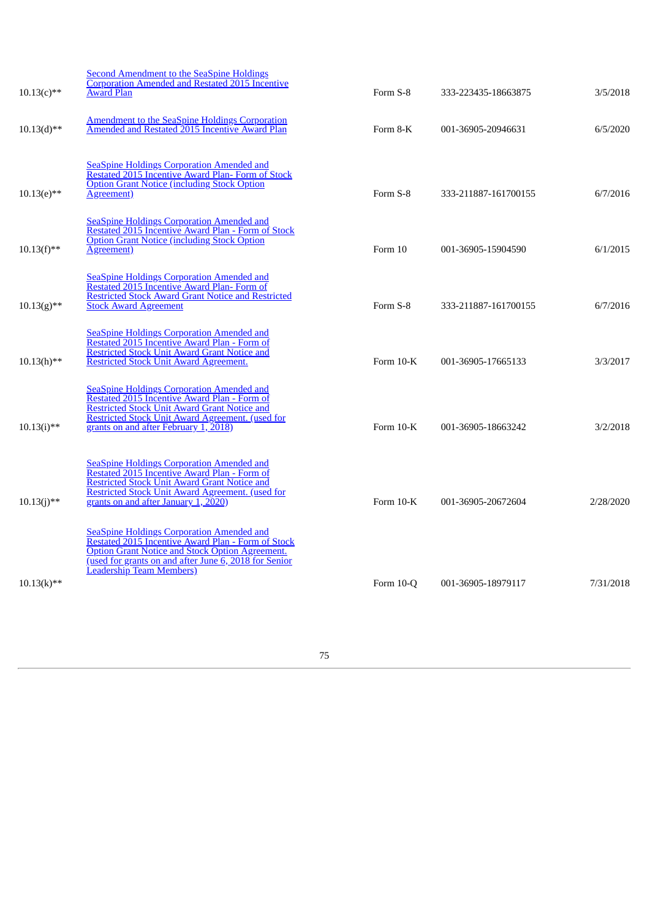| $10.13(c)$ ** | <b>Second Amendment to the SeaSpine Holdings</b><br>Corporation Amended and Restated 2015 Incentive<br><b>Award Plan</b>                                                                                                                           | Form S-8  | 333-223435-18663875  | 3/5/2018  |
|---------------|----------------------------------------------------------------------------------------------------------------------------------------------------------------------------------------------------------------------------------------------------|-----------|----------------------|-----------|
| $10.13(d)**$  | <b>Amendment to the SeaSpine Holdings Corporation</b><br>Amended and Restated 2015 Incentive Award Plan                                                                                                                                            | Form 8-K  | 001-36905-20946631   | 6/5/2020  |
| $10.13(e)$ ** | <b>SeaSpine Holdings Corporation Amended and</b><br>Restated 2015 Incentive Award Plan-Form of Stock<br><b>Option Grant Notice (including Stock Option</b><br>Agreement)                                                                           | Form S-8  | 333-211887-161700155 | 6/7/2016  |
| $10.13(f)$ ** | <b>SeaSpine Holdings Corporation Amended and Restated 2015 Incentive Award Plan - Form of Stock</b><br><b>Option Grant Notice (including Stock Option</b><br>Agreement)                                                                            | Form 10   | 001-36905-15904590   | 6/1/2015  |
| $10.13(g)$ ** | SeaSpine Holdings Corporation Amended and<br>Restated 2015 Incentive Award Plan-Form of<br><b>Restricted Stock Award Grant Notice and Restricted</b><br><b>Stock Award Agreement</b>                                                               | Form S-8  | 333-211887-161700155 | 6/7/2016  |
| $10.13(h)$ ** | SeaSpine Holdings Corporation Amended and<br>Restated 2015 Incentive Award Plan - Form of<br><b>Restricted Stock Unit Award Grant Notice and</b><br>Restricted Stock Unit Award Agreement.                                                         | Form 10-K | 001-36905-17665133   | 3/3/2017  |
| $10.13(i)**$  | SeaSpine Holdings Corporation Amended and<br>Restated 2015 Incentive Award Plan - Form of<br>Restricted Stock Unit Award Grant Notice and<br>Restricted Stock Unit Award Agreement. (used for<br>grants on and after February 1, 2018)             | Form 10-K | 001-36905-18663242   | 3/2/2018  |
| $10.13(j)$ ** | SeaSpine Holdings Corporation Amended and<br>Restated 2015 Incentive Award Plan - Form of<br>Restricted Stock Unit Award Grant Notice and<br>Restricted Stock Unit Award Agreement. (used for<br>grants on and after January 1, 2020)              | Form 10-K | 001-36905-20672604   | 2/28/2020 |
| $10.13(k)$ ** | <b>SeaSpine Holdings Corporation Amended and Restated 2015 Incentive Award Plan - Form of Stock</b><br>Option Grant Notice and Stock Option Agreement.<br>(used for grants on and after June 6, 2018 for Senior<br><b>Leadership Team Members)</b> | Form 10-Q | 001-36905-18979117   | 7/31/2018 |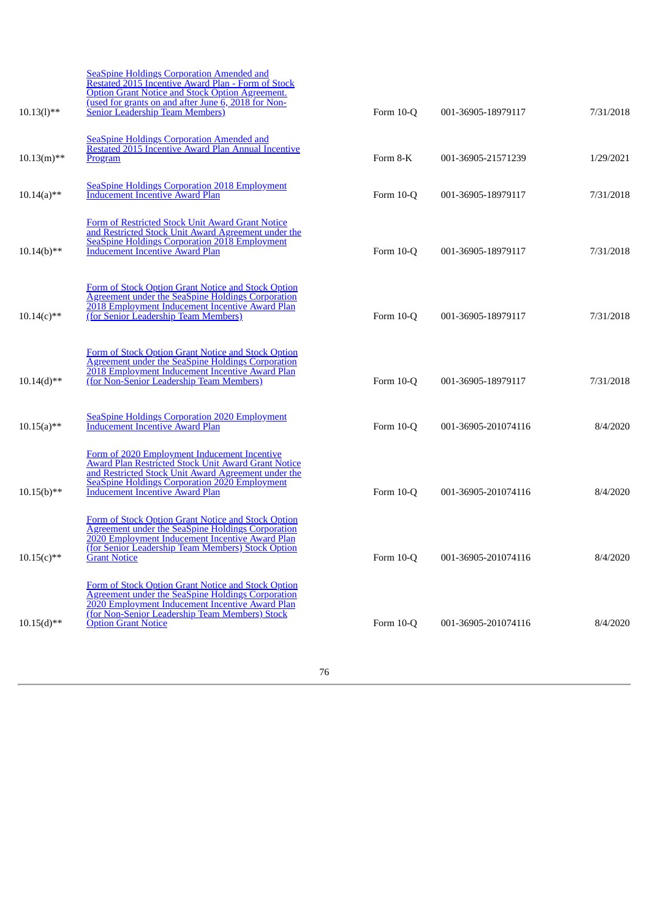| $10.13(l)$ ** | <b>SeaSpine Holdings Corporation Amended and</b><br>Restated 2015 Incentive Award Plan - Form of Stock<br>Option Grant Notice and Stock Option Agreement.<br><u>(used for grants on and after June 6, 2018 for Non-</u><br>Senior Leadership Team Members)          | Form 10-Q | 001-36905-18979117  | 7/31/2018 |
|---------------|---------------------------------------------------------------------------------------------------------------------------------------------------------------------------------------------------------------------------------------------------------------------|-----------|---------------------|-----------|
| $10.13(m)$ ** | <b>SeaSpine Holdings Corporation Amended and</b><br><b>Restated 2015 Incentive Award Plan Annual Incentive</b><br>Program                                                                                                                                           | Form 8-K  | 001-36905-21571239  | 1/29/2021 |
| $10.14(a)$ ** | <b>SeaSpine Holdings Corporation 2018 Employment</b><br><b>Inducement Incentive Award Plan</b>                                                                                                                                                                      | Form 10-Q | 001-36905-18979117  | 7/31/2018 |
| $10.14(b)$ ** | Form of Restricted Stock Unit Award Grant Notice<br>and Restricted Stock Unit Award Agreement under the<br><b>SeaSpine Holdings Corporation 2018 Employment</b><br><b>Inducement Incentive Award Plan</b>                                                           | Form 10-Q | 001-36905-18979117  | 7/31/2018 |
| $10.14(c)$ ** | Form of Stock Option Grant Notice and Stock Option<br><b>Agreement under the SeaSpine Holdings Corporation</b><br>2018 Employment Inducement Incentive Award Plan<br>(for Senior Leadership Team Members)                                                           | Form 10-Q | 001-36905-18979117  | 7/31/2018 |
| $10.14(d)$ ** | Form of Stock Option Grant Notice and Stock Option<br>Agreement under the SeaSpine Holdings Corporation<br>2018 Employment Inducement Incentive Award Plan<br>(for Non-Senior Leadership Team Members)                                                              | Form 10-Q | 001-36905-18979117  | 7/31/2018 |
| $10.15(a)$ ** | <b>SeaSpine Holdings Corporation 2020 Employment</b><br><b>Inducement Incentive Award Plan</b>                                                                                                                                                                      | Form 10-Q | 001-36905-201074116 | 8/4/2020  |
| $10.15(b)$ ** | Form of 2020 Employment Inducement Incentive<br><b>Award Plan Restricted Stock Unit Award Grant Notice</b><br>and Restricted Stock Unit Award Agreement under the<br><b>SeaSpine Holdings Corporation 2020 Employment</b><br><b>Inducement Incentive Award Plan</b> | Form 10-Q | 001-36905-201074116 | 8/4/2020  |
| $10.15(c)$ ** | Form of Stock Option Grant Notice and Stock Option<br><b>Agreement under the SeaSpine Holdings Corporation</b><br>2020 Employment Inducement Incentive Award Plan<br>(for Senior Leadership Team Members) Stock Option<br><b>Grant Notice</b>                       | Form 10-Q | 001-36905-201074116 | 8/4/2020  |
| $10.15(d)$ ** | Form of Stock Option Grant Notice and Stock Option<br>Agreement under the SeaSpine Holdings Corporation<br>2020 Employment Inducement Incentive Award Plan<br>(for Non-Senior Leadership Team Members) Stock<br><b>Option Grant Notice</b>                          | Form 10-Q | 001-36905-201074116 | 8/4/2020  |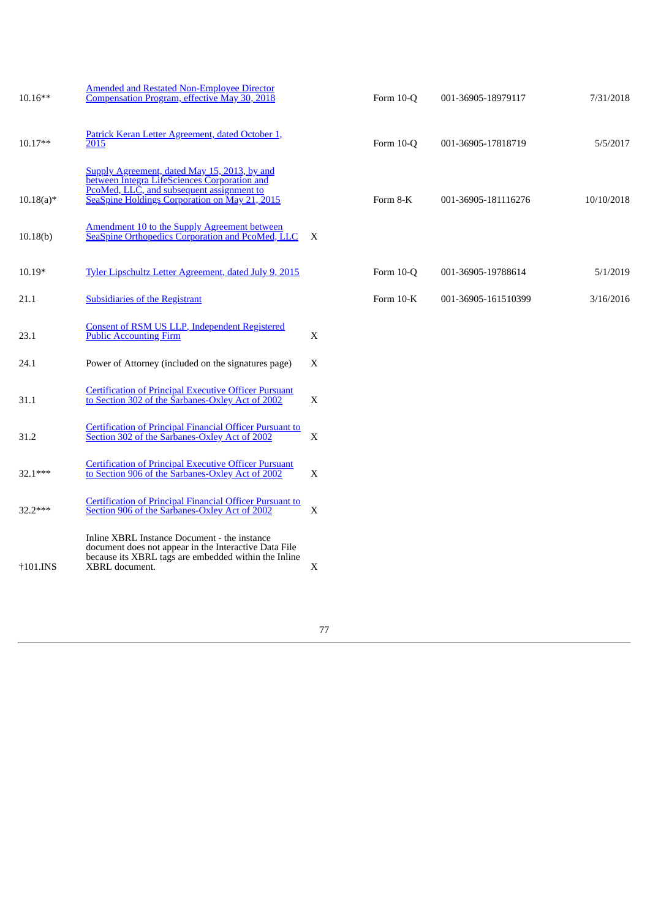| $10.16**$         | <b>Amended and Restated Non-Employee Director</b><br>Compensation Program, effective May 30, 2018                                                                                                 |                           | Form 10-Q | 001-36905-18979117  | 7/31/2018  |
|-------------------|---------------------------------------------------------------------------------------------------------------------------------------------------------------------------------------------------|---------------------------|-----------|---------------------|------------|
| $10.17**$         | Patrick Keran Letter Agreement, dated October 1,<br>2015                                                                                                                                          |                           | Form 10-Q | 001-36905-17818719  | 5/5/2017   |
| $10.18(a)*$       | <b>Supply Agreement, dated May 15, 2013, by and</b><br>between Integra LifeSciences Corporation and<br>PcoMed, LLC, and subsequent assignment to<br>SeaSpine Holdings Corporation on May 21, 2015 |                           | Form 8-K  | 001-36905-181116276 | 10/10/2018 |
| 10.18(b)          | Amendment 10 to the Supply Agreement between<br>SeaSpine Orthopedics Corporation and PcoMed, LLC                                                                                                  | $\boldsymbol{\mathrm{X}}$ |           |                     |            |
| 10.19*            | Tyler Lipschultz Letter Agreement, dated July 9, 2015                                                                                                                                             |                           | Form 10-Q | 001-36905-19788614  | 5/1/2019   |
| 21.1              | Subsidiaries of the Registrant                                                                                                                                                                    |                           | Form 10-K | 001-36905-161510399 | 3/16/2016  |
| 23.1              | Consent of RSM US LLP, Independent Registered<br><b>Public Accounting Firm</b>                                                                                                                    | $\mathbf X$               |           |                     |            |
| 24.1              | Power of Attorney (included on the signatures page)                                                                                                                                               | X                         |           |                     |            |
| 31.1              | <b>Certification of Principal Executive Officer Pursuant</b><br>to Section 302 of the Sarbanes-Oxley Act of 2002                                                                                  | $\mathbf X$               |           |                     |            |
| 31.2              | <b>Certification of Principal Financial Officer Pursuant to</b><br>Section 302 of the Sarbanes-Oxley Act of 2002                                                                                  | X                         |           |                     |            |
| 32.1***           | <b>Certification of Principal Executive Officer Pursuant</b><br>to Section 906 of the Sarbanes-Oxley Act of 2002                                                                                  | X                         |           |                     |            |
| 32.2***           | Certification of Principal Financial Officer Pursuant to<br>Section 906 of the Sarbanes-Oxley Act of 2002                                                                                         | X                         |           |                     |            |
| $\dagger$ 101.INS | Inline XBRL Instance Document - the instance<br>document does not appear in the Interactive Data File<br>because its XBRL tags are embedded within the Inline<br>XBRL document.                   | X                         |           |                     |            |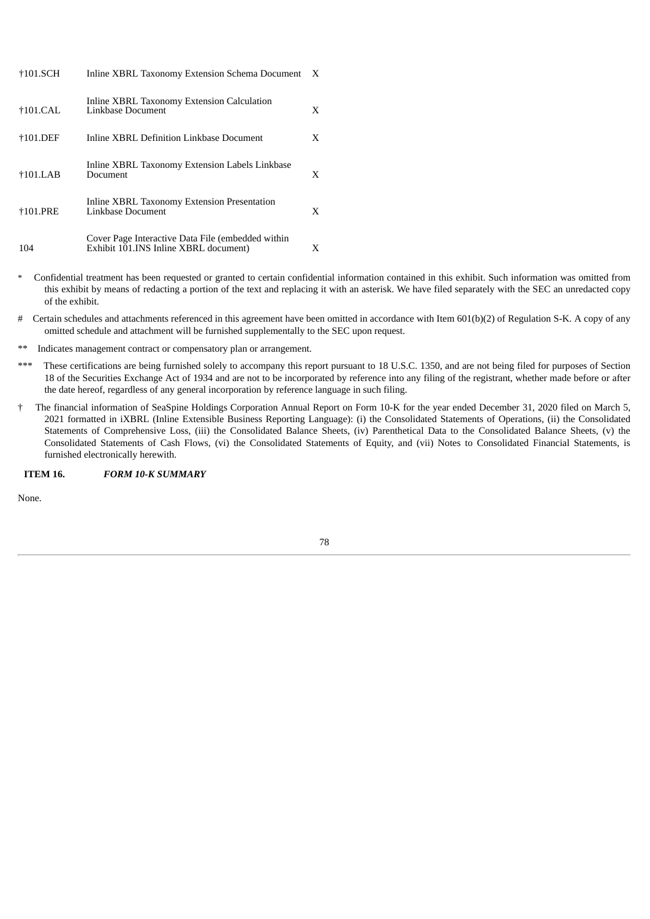| †101.SCH          | Inline XBRL Taxonomy Extension Schema Document                                             | X |
|-------------------|--------------------------------------------------------------------------------------------|---|
| $+101$ .CAL       | Inline XBRL Taxonomy Extension Calculation<br>Linkbase Document                            | X |
| $\dagger$ 101.DEF | Inline XBRL Definition Linkbase Document                                                   | X |
| $\dagger$ 101.LAB | Inline XBRL Taxonomy Extension Labels Linkbase<br>Document                                 | X |
| <b>+101.PRE</b>   | <b>Inline XBRL Taxonomy Extension Presentation</b><br>Linkbase Document                    | X |
| 104               | Cover Page Interactive Data File (embedded within<br>Exhibit 101.INS Inline XBRL document) | X |

- \* Confidential treatment has been requested or granted to certain confidential information contained in this exhibit. Such information was omitted from this exhibit by means of redacting a portion of the text and replacing it with an asterisk. We have filed separately with the SEC an unredacted copy of the exhibit.
- # Certain schedules and attachments referenced in this agreement have been omitted in accordance with Item 601(b)(2) of Regulation S-K. A copy of any omitted schedule and attachment will be furnished supplementally to the SEC upon request.
- \*\* Indicates management contract or compensatory plan or arrangement.
- \*\*\* These certifications are being furnished solely to accompany this report pursuant to 18 U.S.C. 1350, and are not being filed for purposes of Section 18 of the Securities Exchange Act of 1934 and are not to be incorporated by reference into any filing of the registrant, whether made before or after the date hereof, regardless of any general incorporation by reference language in such filing.
- † The financial information of SeaSpine Holdings Corporation Annual Report on Form 10-K for the year ended December 31, 2020 filed on March 5, 2021 formatted in iXBRL (Inline Extensible Business Reporting Language): (i) the Consolidated Statements of Operations, (ii) the Consolidated Statements of Comprehensive Loss, (iii) the Consolidated Balance Sheets, (iv) Parenthetical Data to the Consolidated Balance Sheets, (v) the Consolidated Statements of Cash Flows, (vi) the Consolidated Statements of Equity, and (vii) Notes to Consolidated Financial Statements, is furnished electronically herewith.

**ITEM 16.** *FORM 10-K SUMMARY*

None.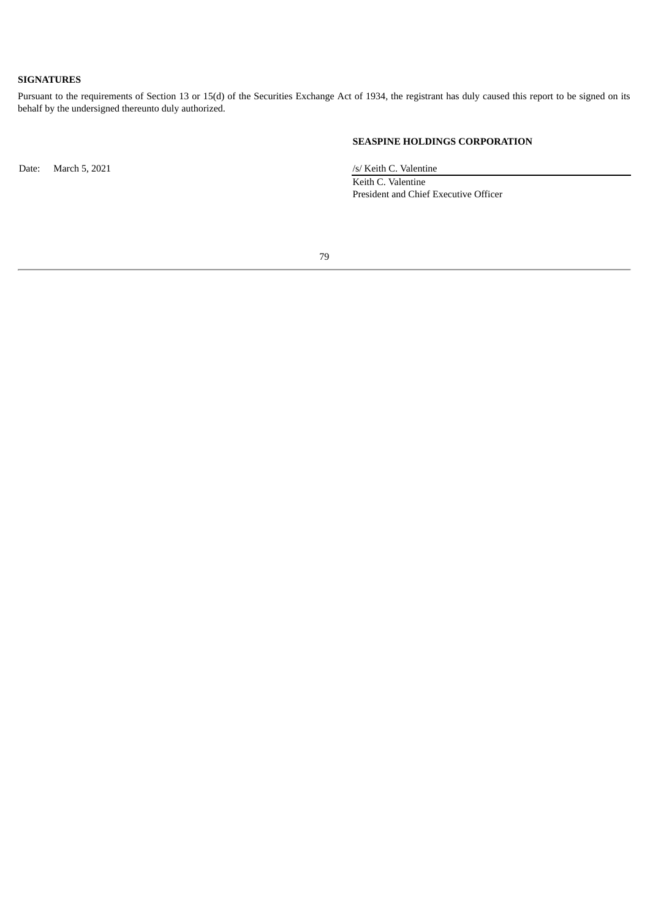## **SIGNATURES**

Pursuant to the requirements of Section 13 or 15(d) of the Securities Exchange Act of 1934, the registrant has duly caused this report to be signed on its behalf by the undersigned thereunto duly authorized.

## **SEASPINE HOLDINGS CORPORATION**

Date: March 5, 2021 /s/ Keith C. Valentine

Keith C. Valentine President and Chief Executive Officer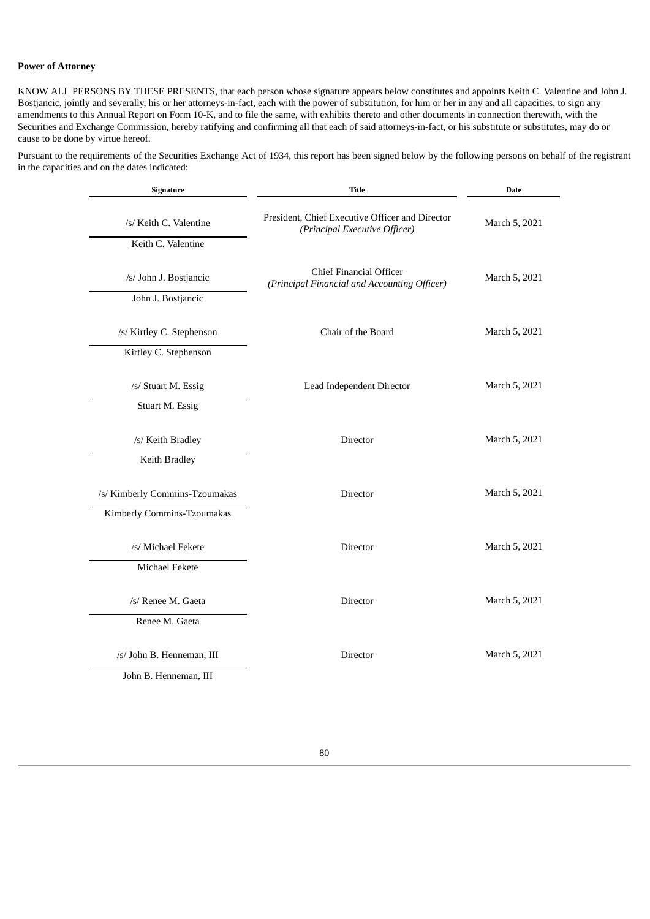### **Power of Attorney**

KNOW ALL PERSONS BY THESE PRESENTS, that each person whose signature appears below constitutes and appoints Keith C. Valentine and John J. Bostjancic, jointly and severally, his or her attorneys-in-fact, each with the power of substitution, for him or her in any and all capacities, to sign any amendments to this Annual Report on Form 10-K, and to file the same, with exhibits thereto and other documents in connection therewith, with the Securities and Exchange Commission, hereby ratifying and confirming all that each of said attorneys-in-fact, or his substitute or substitutes, may do or cause to be done by virtue hereof.

Pursuant to the requirements of the Securities Exchange Act of 1934, this report has been signed below by the following persons on behalf of the registrant in the capacities and on the dates indicated:

| Signature                                          | <b>Title</b>                                                                     |               |
|----------------------------------------------------|----------------------------------------------------------------------------------|---------------|
| /s/ Keith C. Valentine                             | President, Chief Executive Officer and Director<br>(Principal Executive Officer) | March 5, 2021 |
| Keith C. Valentine                                 |                                                                                  |               |
| /s/ John J. Bostjancic<br>John J. Bostjancic       | Chief Financial Officer<br>(Principal Financial and Accounting Officer)          | March 5, 2021 |
| /s/ Kirtley C. Stephenson                          | Chair of the Board                                                               | March 5, 2021 |
| Kirtley C. Stephenson                              |                                                                                  |               |
| /s/ Stuart M. Essig                                | Lead Independent Director                                                        | March 5, 2021 |
| Stuart M. Essig                                    |                                                                                  |               |
| /s/ Keith Bradley                                  | Director                                                                         | March 5, 2021 |
| Keith Bradley                                      |                                                                                  |               |
| /s/ Kimberly Commins-Tzoumakas                     | Director                                                                         | March 5, 2021 |
| Kimberly Commins-Tzoumakas                         |                                                                                  |               |
| /s/ Michael Fekete                                 | Director                                                                         | March 5, 2021 |
| Michael Fekete                                     |                                                                                  |               |
| /s/ Renee M. Gaeta                                 | Director                                                                         | March 5, 2021 |
| Renee M. Gaeta                                     |                                                                                  |               |
| /s/ John B. Henneman, III<br>John B. Henneman, III | Director                                                                         | March 5, 2021 |
|                                                    |                                                                                  |               |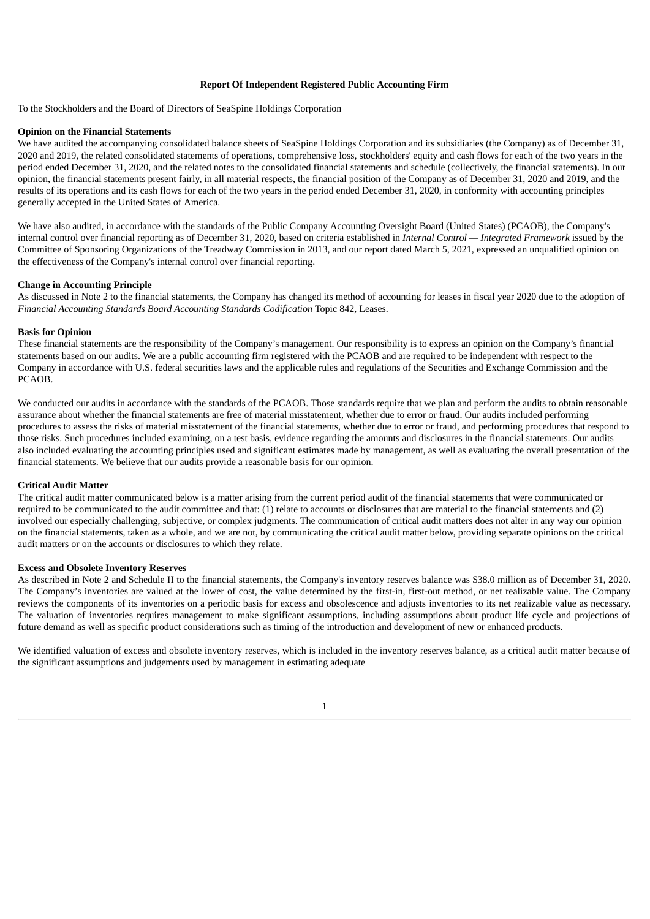#### **Report Of Independent Registered Public Accounting Firm**

To the Stockholders and the Board of Directors of SeaSpine Holdings Corporation

#### **Opinion on the Financial Statements**

We have audited the accompanying consolidated balance sheets of SeaSpine Holdings Corporation and its subsidiaries (the Company) as of December 31, 2020 and 2019, the related consolidated statements of operations, comprehensive loss, stockholders' equity and cash flows for each of the two years in the period ended December 31, 2020, and the related notes to the consolidated financial statements and schedule (collectively, the financial statements). In our opinion, the financial statements present fairly, in all material respects, the financial position of the Company as of December 31, 2020 and 2019, and the results of its operations and its cash flows for each of the two years in the period ended December 31, 2020, in conformity with accounting principles generally accepted in the United States of America.

We have also audited, in accordance with the standards of the Public Company Accounting Oversight Board (United States) (PCAOB), the Company's internal control over financial reporting as of December 31, 2020, based on criteria established in *Internal Control — Integrated Framework* issued by the Committee of Sponsoring Organizations of the Treadway Commission in 2013, and our report dated March 5, 2021, expressed an unqualified opinion on the effectiveness of the Company's internal control over financial reporting.

#### **Change in Accounting Principle**

As discussed in Note 2 to the financial statements, the Company has changed its method of accounting for leases in fiscal year 2020 due to the adoption of *Financial Accounting Standards Board Accounting Standards Codification* Topic 842, Leases.

### **Basis for Opinion**

These financial statements are the responsibility of the Company's management. Our responsibility is to express an opinion on the Company's financial statements based on our audits. We are a public accounting firm registered with the PCAOB and are required to be independent with respect to the Company in accordance with U.S. federal securities laws and the applicable rules and regulations of the Securities and Exchange Commission and the PCAOB.

We conducted our audits in accordance with the standards of the PCAOB. Those standards require that we plan and perform the audits to obtain reasonable assurance about whether the financial statements are free of material misstatement, whether due to error or fraud. Our audits included performing procedures to assess the risks of material misstatement of the financial statements, whether due to error or fraud, and performing procedures that respond to those risks. Such procedures included examining, on a test basis, evidence regarding the amounts and disclosures in the financial statements. Our audits also included evaluating the accounting principles used and significant estimates made by management, as well as evaluating the overall presentation of the financial statements. We believe that our audits provide a reasonable basis for our opinion.

#### **Critical Audit Matter**

The critical audit matter communicated below is a matter arising from the current period audit of the financial statements that were communicated or required to be communicated to the audit committee and that: (1) relate to accounts or disclosures that are material to the financial statements and (2) involved our especially challenging, subjective, or complex judgments. The communication of critical audit matters does not alter in any way our opinion on the financial statements, taken as a whole, and we are not, by communicating the critical audit matter below, providing separate opinions on the critical audit matters or on the accounts or disclosures to which they relate.

#### **Excess and Obsolete Inventory Reserves**

As described in Note 2 and Schedule II to the financial statements, the Company's inventory reserves balance was \$38.0 million as of December 31, 2020. The Company's inventories are valued at the lower of cost, the value determined by the first-in, first-out method, or net realizable value. The Company reviews the components of its inventories on a periodic basis for excess and obsolescence and adjusts inventories to its net realizable value as necessary. The valuation of inventories requires management to make significant assumptions, including assumptions about product life cycle and projections of future demand as well as specific product considerations such as timing of the introduction and development of new or enhanced products.

We identified valuation of excess and obsolete inventory reserves, which is included in the inventory reserves balance, as a critical audit matter because of the significant assumptions and judgements used by management in estimating adequate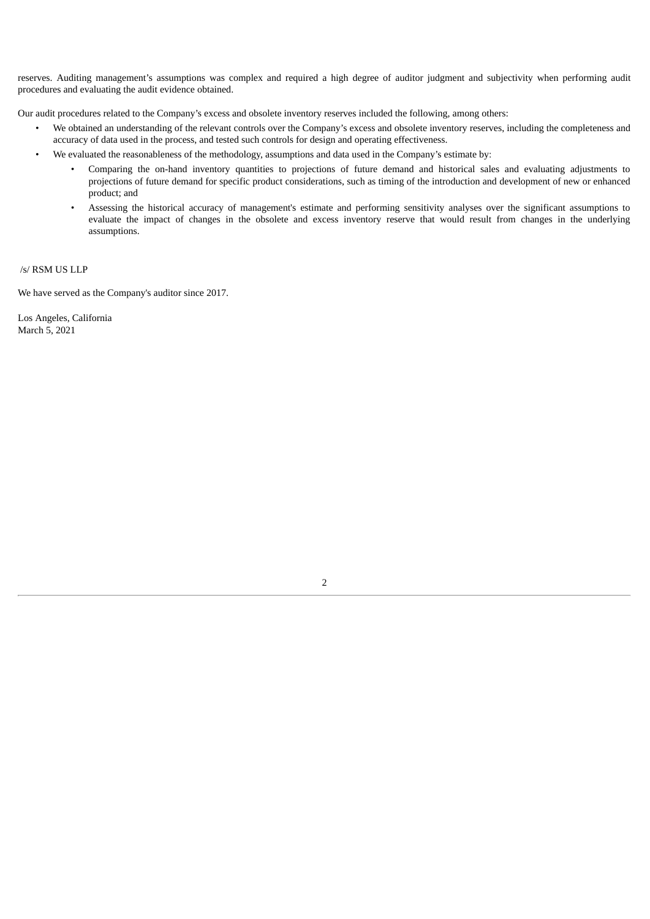reserves. Auditing management's assumptions was complex and required a high degree of auditor judgment and subjectivity when performing audit procedures and evaluating the audit evidence obtained.

Our audit procedures related to the Company's excess and obsolete inventory reserves included the following, among others:

- We obtained an understanding of the relevant controls over the Company's excess and obsolete inventory reserves, including the completeness and accuracy of data used in the process, and tested such controls for design and operating effectiveness.
- We evaluated the reasonableness of the methodology, assumptions and data used in the Company's estimate by:
	- Comparing the on-hand inventory quantities to projections of future demand and historical sales and evaluating adjustments to projections of future demand for specific product considerations, such as timing of the introduction and development of new or enhanced product; and
	- Assessing the historical accuracy of management's estimate and performing sensitivity analyses over the significant assumptions to evaluate the impact of changes in the obsolete and excess inventory reserve that would result from changes in the underlying assumptions.

#### /s/ RSM US LLP

We have served as the Company's auditor since 2017.

Los Angeles, California March 5, 2021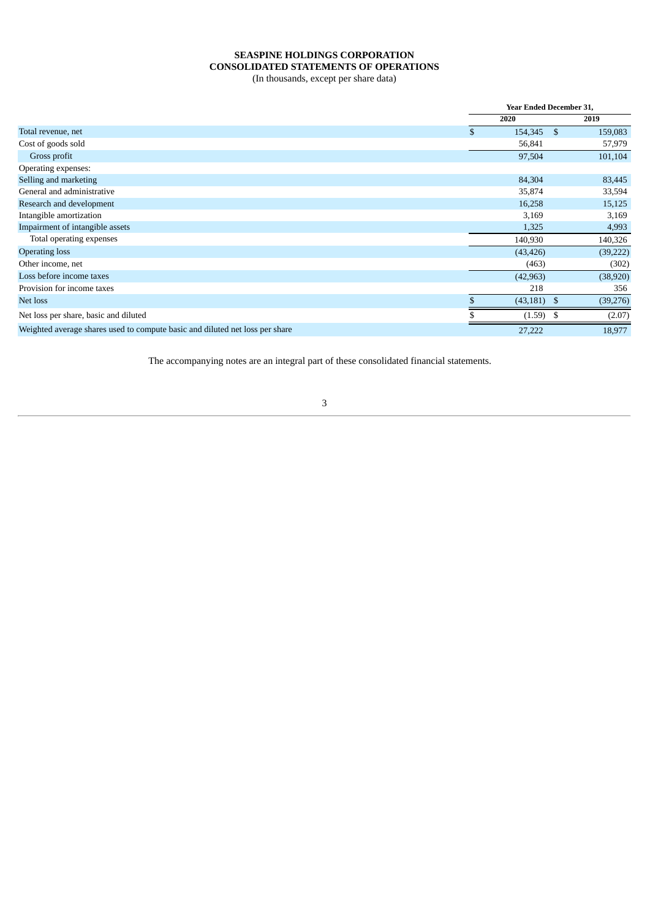## **SEASPINE HOLDINGS CORPORATION CONSOLIDATED STATEMENTS OF OPERATIONS** (In thousands, except per share data)

|                                                                              |     | Year Ended December 31, |      |           |
|------------------------------------------------------------------------------|-----|-------------------------|------|-----------|
|                                                                              |     | 2020                    |      | 2019      |
| Total revenue, net                                                           | S   | 154,345                 | \$   | 159,083   |
| Cost of goods sold                                                           |     | 56,841                  |      | 57,979    |
| Gross profit                                                                 |     | 97,504                  |      | 101,104   |
| Operating expenses:                                                          |     |                         |      |           |
| Selling and marketing                                                        |     | 84,304                  |      | 83,445    |
| General and administrative                                                   |     | 35,874                  |      | 33,594    |
| Research and development                                                     |     | 16,258                  |      | 15,125    |
| Intangible amortization                                                      |     | 3,169                   |      | 3,169     |
| Impairment of intangible assets                                              |     | 1,325                   |      | 4,993     |
| Total operating expenses                                                     |     | 140,930                 |      | 140,326   |
| <b>Operating loss</b>                                                        |     | (43, 426)               |      | (39, 222) |
| Other income, net                                                            |     | (463)                   |      | (302)     |
| Loss before income taxes                                                     |     | (42, 963)               |      | (38,920)  |
| Provision for income taxes                                                   |     | 218                     |      | 356       |
| Net loss                                                                     | \$. | $(43,181)$ \$           |      | (39, 276) |
| Net loss per share, basic and diluted                                        |     | (1.59)                  | - \$ | (2.07)    |
| Weighted average shares used to compute basic and diluted net loss per share |     | 27,222                  |      | 18,977    |

The accompanying notes are an integral part of these consolidated financial statements.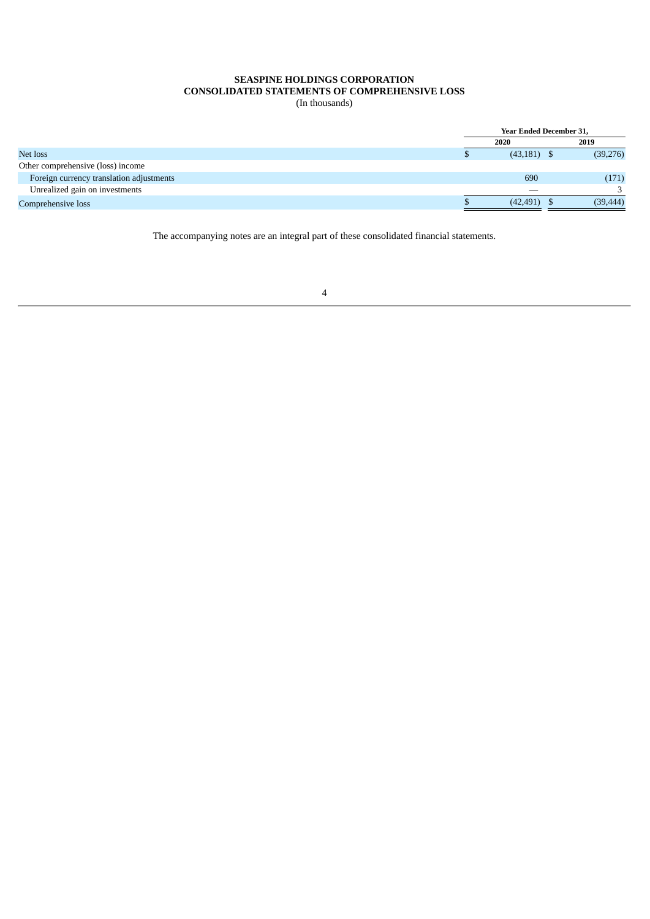## **SEASPINE HOLDINGS CORPORATION CONSOLIDATED STATEMENTS OF COMPREHENSIVE LOSS** (In thousands)

|                                          | <b>Year Ended December 31,</b> |  |           |  |
|------------------------------------------|--------------------------------|--|-----------|--|
|                                          | 2020                           |  | 2019      |  |
| Net loss                                 | $(43, 181)$ \$                 |  | (39, 276) |  |
| Other comprehensive (loss) income        |                                |  |           |  |
| Foreign currency translation adjustments | 690                            |  | (171)     |  |
| Unrealized gain on investments           |                                |  |           |  |
| Comprehensive loss                       | (42, 491)                      |  | (39, 444) |  |
|                                          |                                |  |           |  |

The accompanying notes are an integral part of these consolidated financial statements.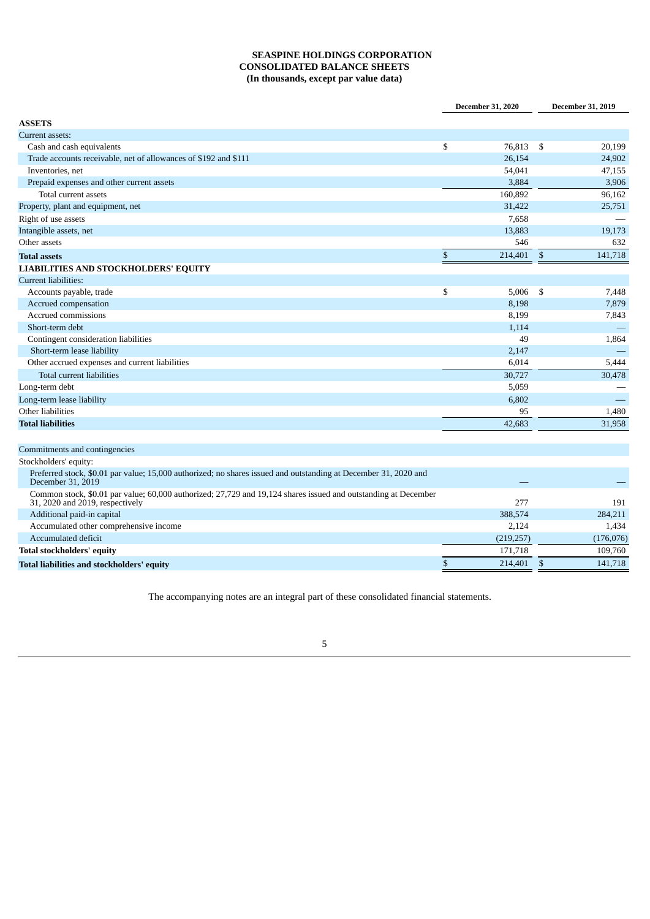## **SEASPINE HOLDINGS CORPORATION CONSOLIDATED BALANCE SHEETS (In thousands, except par value data)**

|                                                                                                                                                   | December 31, 2020 |            | <b>December 31, 2019</b> |            |
|---------------------------------------------------------------------------------------------------------------------------------------------------|-------------------|------------|--------------------------|------------|
| <b>ASSETS</b>                                                                                                                                     |                   |            |                          |            |
| Current assets:                                                                                                                                   |                   |            |                          |            |
| Cash and cash equivalents                                                                                                                         | \$                | 76,813     | \$                       | 20,199     |
| Trade accounts receivable, net of allowances of \$192 and \$111                                                                                   |                   | 26,154     |                          | 24,902     |
| Inventories, net                                                                                                                                  |                   | 54,041     |                          | 47,155     |
| Prepaid expenses and other current assets                                                                                                         |                   | 3,884      |                          | 3,906      |
| Total current assets                                                                                                                              |                   | 160,892    |                          | 96,162     |
| Property, plant and equipment, net                                                                                                                |                   | 31,422     |                          | 25,751     |
| Right of use assets                                                                                                                               |                   | 7,658      |                          |            |
| Intangible assets, net                                                                                                                            |                   | 13,883     |                          | 19,173     |
| Other assets                                                                                                                                      |                   | 546        |                          | 632        |
| <b>Total assets</b>                                                                                                                               | \$                | 214,401    | $\mathfrak{S}$           | 141,718    |
| <b>LIABILITIES AND STOCKHOLDERS' EQUITY</b>                                                                                                       |                   |            |                          |            |
| <b>Current liabilities:</b>                                                                                                                       |                   |            |                          |            |
| Accounts payable, trade                                                                                                                           | \$                | 5,006      | \$                       | 7,448      |
| Accrued compensation                                                                                                                              |                   | 8,198      |                          | 7,879      |
| Accrued commissions                                                                                                                               |                   | 8,199      |                          | 7,843      |
| Short-term debt                                                                                                                                   |                   | 1,114      |                          |            |
| Contingent consideration liabilities                                                                                                              |                   | 49         |                          | 1,864      |
| Short-term lease liability                                                                                                                        |                   | 2,147      |                          |            |
| Other accrued expenses and current liabilities                                                                                                    |                   | 6,014      |                          | 5,444      |
| Total current liabilities                                                                                                                         |                   | 30,727     |                          | 30,478     |
| Long-term debt                                                                                                                                    |                   | 5,059      |                          |            |
| Long-term lease liability                                                                                                                         |                   | 6,802      |                          |            |
| Other liabilities                                                                                                                                 |                   | 95         |                          | 1,480      |
| <b>Total liabilities</b>                                                                                                                          |                   | 42,683     |                          | 31,958     |
|                                                                                                                                                   |                   |            |                          |            |
| Commitments and contingencies                                                                                                                     |                   |            |                          |            |
| Stockholders' equity:                                                                                                                             |                   |            |                          |            |
| Preferred stock, \$0.01 par value; 15,000 authorized; no shares issued and outstanding at December 31, 2020 and<br>December 31, 2019              |                   |            |                          |            |
| Common stock, \$0.01 par value; 60,000 authorized; 27,729 and 19,124 shares issued and outstanding at December<br>31, 2020 and 2019, respectively |                   | 277        |                          | 191        |
| Additional paid-in capital                                                                                                                        |                   | 388,574    |                          | 284,211    |
| Accumulated other comprehensive income                                                                                                            |                   | 2,124      |                          | 1,434      |
| Accumulated deficit                                                                                                                               |                   | (219, 257) |                          | (176, 076) |
| <b>Total stockholders' equity</b>                                                                                                                 |                   | 171,718    |                          | 109,760    |
|                                                                                                                                                   |                   |            |                          |            |

**Total liabilities and stockholders' equity the contract of the contract of the contract of the contract of the contract of the contract of the contract of the contract of the contract of the contract of the contract of** 

The accompanying notes are an integral part of these consolidated financial statements.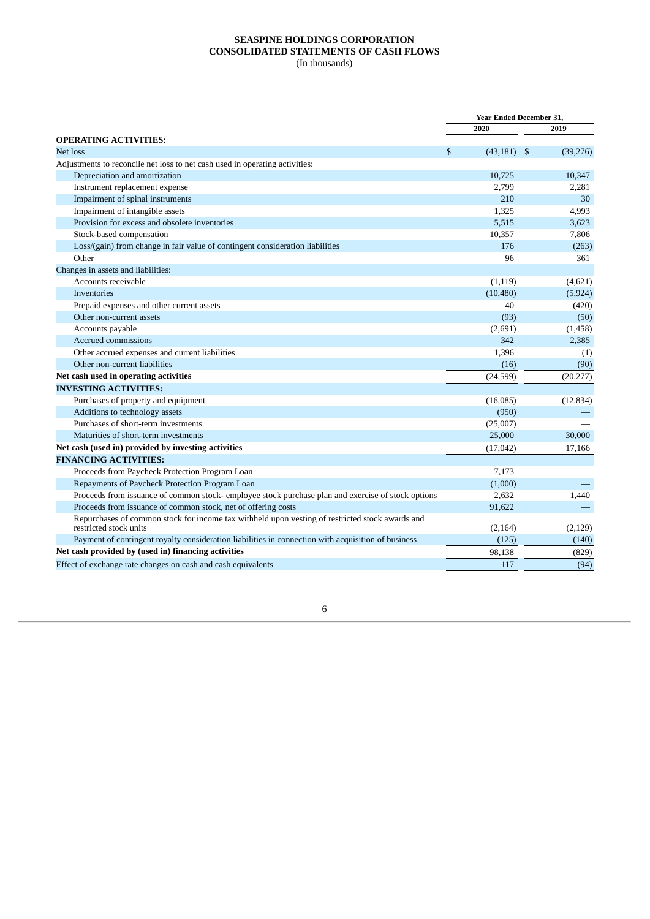## **SEASPINE HOLDINGS CORPORATION CONSOLIDATED STATEMENTS OF CASH FLOWS** (In thousands)

|                                                                                                                           | <b>Year Ended December 31,</b> |           |  |
|---------------------------------------------------------------------------------------------------------------------------|--------------------------------|-----------|--|
|                                                                                                                           | 2020                           | 2019      |  |
| <b>OPERATING ACTIVITIES:</b>                                                                                              |                                |           |  |
| Net loss                                                                                                                  | \$<br>$(43, 181)$ \$           | (39, 276) |  |
| Adjustments to reconcile net loss to net cash used in operating activities:                                               |                                |           |  |
| Depreciation and amortization                                                                                             | 10,725                         | 10,347    |  |
| Instrument replacement expense                                                                                            | 2,799                          | 2,281     |  |
| Impairment of spinal instruments                                                                                          | 210                            | 30        |  |
| Impairment of intangible assets                                                                                           | 1,325                          | 4,993     |  |
| Provision for excess and obsolete inventories                                                                             | 5.515                          | 3,623     |  |
| Stock-based compensation                                                                                                  | 10,357                         | 7,806     |  |
| Loss/(gain) from change in fair value of contingent consideration liabilities                                             | 176                            | (263)     |  |
| Other                                                                                                                     | 96                             | 361       |  |
| Changes in assets and liabilities:                                                                                        |                                |           |  |
| Accounts receivable                                                                                                       | (1, 119)                       | (4,621)   |  |
| Inventories                                                                                                               | (10, 480)                      | (5,924)   |  |
| Prepaid expenses and other current assets                                                                                 | 40                             | (420)     |  |
| Other non-current assets                                                                                                  | (93)                           | (50)      |  |
| Accounts payable                                                                                                          | (2,691)                        | (1, 458)  |  |
| Accrued commissions                                                                                                       | 342                            | 2,385     |  |
| Other accrued expenses and current liabilities                                                                            | 1,396                          | (1)       |  |
| Other non-current liabilities                                                                                             | (16)                           | (90)      |  |
| Net cash used in operating activities                                                                                     | (24, 599)                      | (20, 277) |  |
| <b>INVESTING ACTIVITIES:</b>                                                                                              |                                |           |  |
| Purchases of property and equipment                                                                                       | (16,085)                       | (12, 834) |  |
| Additions to technology assets                                                                                            | (950)                          |           |  |
| Purchases of short-term investments                                                                                       | (25,007)                       |           |  |
| Maturities of short-term investments                                                                                      | 25,000                         | 30,000    |  |
| Net cash (used in) provided by investing activities                                                                       | (17, 042)                      | 17,166    |  |
| <b>FINANCING ACTIVITIES:</b>                                                                                              |                                |           |  |
| Proceeds from Paycheck Protection Program Loan                                                                            | 7,173                          |           |  |
| Repayments of Paycheck Protection Program Loan                                                                            | (1,000)                        |           |  |
| Proceeds from issuance of common stock- employee stock purchase plan and exercise of stock options                        | 2,632                          | 1,440     |  |
| Proceeds from issuance of common stock, net of offering costs                                                             | 91,622                         |           |  |
| Repurchases of common stock for income tax withheld upon vesting of restricted stock awards and<br>restricted stock units | (2, 164)                       | (2, 129)  |  |
| Payment of contingent royalty consideration liabilities in connection with acquisition of business                        | (125)                          | (140)     |  |
| Net cash provided by (used in) financing activities                                                                       | 98,138                         | (829)     |  |
| Effect of exchange rate changes on cash and cash equivalents                                                              | 117                            | (94)      |  |
|                                                                                                                           |                                |           |  |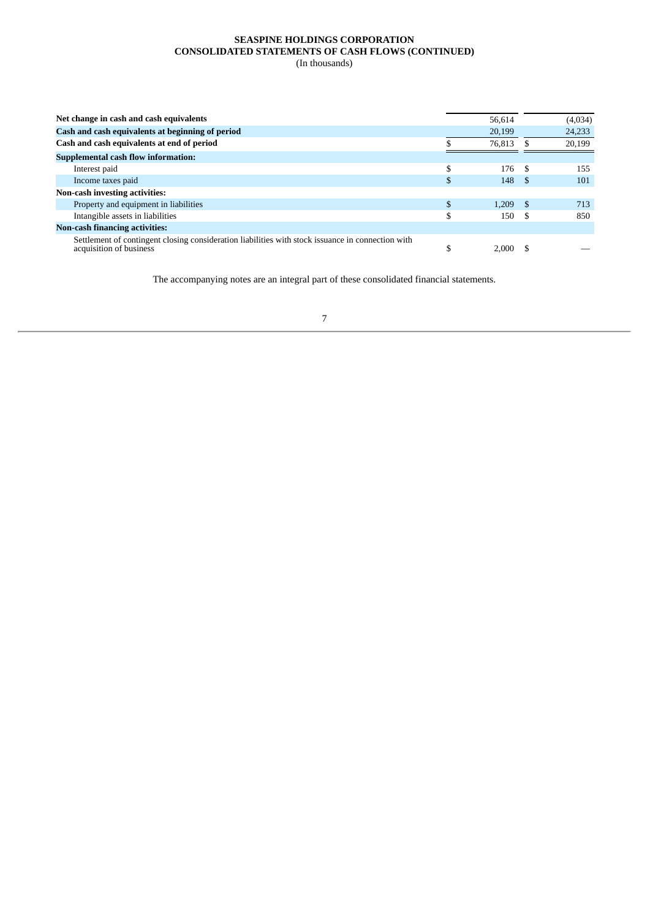#### **SEASPINE HOLDINGS CORPORATION CONSOLIDATED STATEMENTS OF CASH FLOWS (CONTINUED)** (In thousands)

| Net change in cash and cash equivalents                                                                                      |               | 56.614 |      | (4,034) |
|------------------------------------------------------------------------------------------------------------------------------|---------------|--------|------|---------|
| Cash and cash equivalents at beginning of period                                                                             |               | 20,199 |      | 24,233  |
| Cash and cash equivalents at end of period                                                                                   |               | 76.813 |      | 20,199  |
| <b>Supplemental cash flow information:</b>                                                                                   |               |        |      |         |
| Interest paid                                                                                                                | \$            | 176    | - \$ | 155     |
| Income taxes paid                                                                                                            | \$            | 148    | - 8  | 101     |
| Non-cash investing activities:                                                                                               |               |        |      |         |
| Property and equipment in liabilities                                                                                        | $\mathbf{\$}$ | 1.209  | - \$ | 713     |
| Intangible assets in liabilities                                                                                             | \$            | 150    | - 55 | 850     |
| <b>Non-cash financing activities:</b>                                                                                        |               |        |      |         |
| Settlement of contingent closing consideration liabilities with stock issuance in connection with<br>acquisition of business |               | 2.000  |      |         |
|                                                                                                                              |               |        |      |         |

The accompanying notes are an integral part of these consolidated financial statements.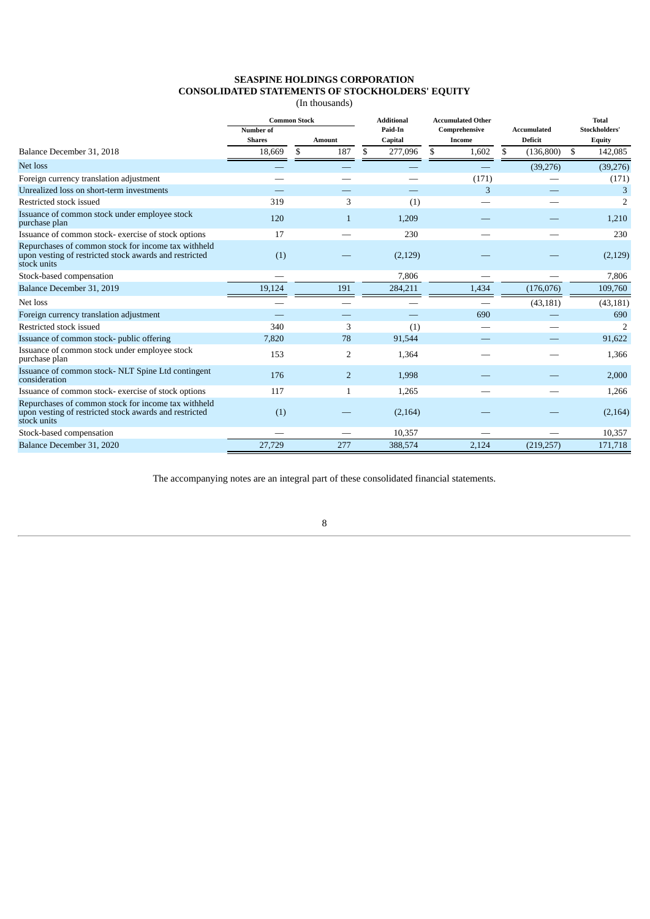# **SEASPINE HOLDINGS CORPORATION CONSOLIDATED STATEMENTS OF STOCKHOLDERS' EQUITY**

(In thousands)

|                                                                                                                              | <b>Common Stock</b><br><b>Number of</b><br><b>Shares</b> | Amount         | <b>Additional</b><br>Paid-In<br>Capital |          | <b>Accumulated Other</b><br>Comprehensive<br>Income |       | <b>Accumulated</b><br><b>Deficit</b> |    | <b>Total</b><br><b>Stockholders'</b><br><b>Equity</b> |
|------------------------------------------------------------------------------------------------------------------------------|----------------------------------------------------------|----------------|-----------------------------------------|----------|-----------------------------------------------------|-------|--------------------------------------|----|-------------------------------------------------------|
| Balance December 31, 2018                                                                                                    | 18,669                                                   | \$<br>187      | \$                                      | 277,096  | \$                                                  | 1,602 | \$<br>(136, 800)                     | \$ | 142,085                                               |
| Net loss                                                                                                                     |                                                          |                |                                         |          |                                                     |       | (39, 276)                            |    | (39, 276)                                             |
| Foreign currency translation adjustment                                                                                      |                                                          |                |                                         |          |                                                     | (171) |                                      |    | (171)                                                 |
| Unrealized loss on short-term investments                                                                                    |                                                          |                |                                         |          |                                                     | 3     |                                      |    | 3                                                     |
| Restricted stock issued                                                                                                      | 319                                                      | 3              |                                         | (1)      |                                                     |       |                                      |    | $\overline{2}$                                        |
| Issuance of common stock under employee stock<br>purchase plan                                                               | 120                                                      | $\mathbf{1}$   |                                         | 1,209    |                                                     |       |                                      |    | 1,210                                                 |
| Issuance of common stock- exercise of stock options                                                                          | 17                                                       |                |                                         | 230      |                                                     |       |                                      |    | 230                                                   |
| Repurchases of common stock for income tax withheld<br>upon vesting of restricted stock awards and restricted<br>stock units | (1)                                                      |                |                                         | (2, 129) |                                                     |       |                                      |    | (2, 129)                                              |
| Stock-based compensation                                                                                                     |                                                          |                |                                         | 7,806    |                                                     |       |                                      |    | 7,806                                                 |
| Balance December 31, 2019                                                                                                    | 19,124                                                   | 191            |                                         | 284,211  |                                                     | 1,434 | (176, 076)                           |    | 109,760                                               |
| Net loss                                                                                                                     |                                                          |                |                                         |          |                                                     |       | (43, 181)                            |    | (43, 181)                                             |
| Foreign currency translation adjustment                                                                                      |                                                          |                |                                         |          |                                                     | 690   |                                      |    | 690                                                   |
| Restricted stock issued                                                                                                      | 340                                                      | 3              |                                         | (1)      |                                                     |       |                                      |    | $\mathcal{P}$                                         |
| Issuance of common stock- public offering                                                                                    | 7,820                                                    | 78             |                                         | 91,544   |                                                     |       |                                      |    | 91,622                                                |
| Issuance of common stock under employee stock<br>purchase plan                                                               | 153                                                      | $\overline{2}$ |                                         | 1,364    |                                                     |       |                                      |    | 1,366                                                 |
| Issuance of common stock- NLT Spine Ltd contingent<br>consideration                                                          | 176                                                      | $\overline{2}$ |                                         | 1,998    |                                                     |       |                                      |    | 2,000                                                 |
| Issuance of common stock- exercise of stock options                                                                          | 117                                                      | 1              |                                         | 1,265    |                                                     |       |                                      |    | 1,266                                                 |
| Repurchases of common stock for income tax withheld<br>upon vesting of restricted stock awards and restricted<br>stock units | (1)                                                      |                |                                         | (2, 164) |                                                     |       |                                      |    | (2,164)                                               |
| Stock-based compensation                                                                                                     |                                                          |                |                                         | 10,357   |                                                     |       |                                      |    | 10,357                                                |
| Balance December 31, 2020                                                                                                    | 27,729                                                   | 277            |                                         | 388,574  |                                                     | 2,124 | (219, 257)                           |    | 171,718                                               |

The accompanying notes are an integral part of these consolidated financial statements.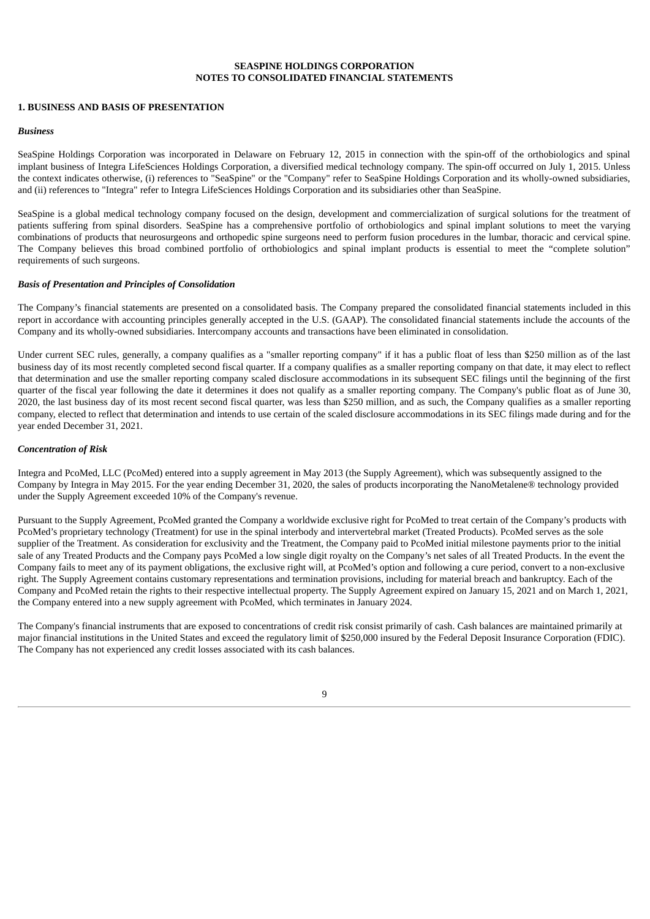#### **1. BUSINESS AND BASIS OF PRESENTATION**

#### *Business*

SeaSpine Holdings Corporation was incorporated in Delaware on February 12, 2015 in connection with the spin-off of the orthobiologics and spinal implant business of Integra LifeSciences Holdings Corporation, a diversified medical technology company. The spin-off occurred on July 1, 2015. Unless the context indicates otherwise, (i) references to "SeaSpine" or the "Company" refer to SeaSpine Holdings Corporation and its wholly-owned subsidiaries, and (ii) references to "Integra" refer to Integra LifeSciences Holdings Corporation and its subsidiaries other than SeaSpine.

SeaSpine is a global medical technology company focused on the design, development and commercialization of surgical solutions for the treatment of patients suffering from spinal disorders. SeaSpine has a comprehensive portfolio of orthobiologics and spinal implant solutions to meet the varying combinations of products that neurosurgeons and orthopedic spine surgeons need to perform fusion procedures in the lumbar, thoracic and cervical spine. The Company believes this broad combined portfolio of orthobiologics and spinal implant products is essential to meet the "complete solution" requirements of such surgeons.

#### *Basis of Presentation and Principles of Consolidation*

The Company's financial statements are presented on a consolidated basis. The Company prepared the consolidated financial statements included in this report in accordance with accounting principles generally accepted in the U.S. (GAAP). The consolidated financial statements include the accounts of the Company and its wholly-owned subsidiaries. Intercompany accounts and transactions have been eliminated in consolidation.

Under current SEC rules, generally, a company qualifies as a "smaller reporting company" if it has a public float of less than \$250 million as of the last business day of its most recently completed second fiscal quarter. If a company qualifies as a smaller reporting company on that date, it may elect to reflect that determination and use the smaller reporting company scaled disclosure accommodations in its subsequent SEC filings until the beginning of the first quarter of the fiscal year following the date it determines it does not qualify as a smaller reporting company. The Company's public float as of June 30, 2020, the last business day of its most recent second fiscal quarter, was less than \$250 million, and as such, the Company qualifies as a smaller reporting company, elected to reflect that determination and intends to use certain of the scaled disclosure accommodations in its SEC filings made during and for the year ended December 31, 2021.

#### *Concentration of Risk*

Integra and PcoMed, LLC (PcoMed) entered into a supply agreement in May 2013 (the Supply Agreement), which was subsequently assigned to the Company by Integra in May 2015. For the year ending December 31, 2020, the sales of products incorporating the NanoMetalene® technology provided under the Supply Agreement exceeded 10% of the Company's revenue.

Pursuant to the Supply Agreement, PcoMed granted the Company a worldwide exclusive right for PcoMed to treat certain of the Company's products with PcoMed's proprietary technology (Treatment) for use in the spinal interbody and intervertebral market (Treated Products). PcoMed serves as the sole supplier of the Treatment. As consideration for exclusivity and the Treatment, the Company paid to PcoMed initial milestone payments prior to the initial sale of any Treated Products and the Company pays PcoMed a low single digit royalty on the Company's net sales of all Treated Products. In the event the Company fails to meet any of its payment obligations, the exclusive right will, at PcoMed's option and following a cure period, convert to a non-exclusive right. The Supply Agreement contains customary representations and termination provisions, including for material breach and bankruptcy. Each of the Company and PcoMed retain the rights to their respective intellectual property. The Supply Agreement expired on January 15, 2021 and on March 1, 2021, the Company entered into a new supply agreement with PcoMed, which terminates in January 2024.

The Company's financial instruments that are exposed to concentrations of credit risk consist primarily of cash. Cash balances are maintained primarily at major financial institutions in the United States and exceed the regulatory limit of \$250,000 insured by the Federal Deposit Insurance Corporation (FDIC). The Company has not experienced any credit losses associated with its cash balances.

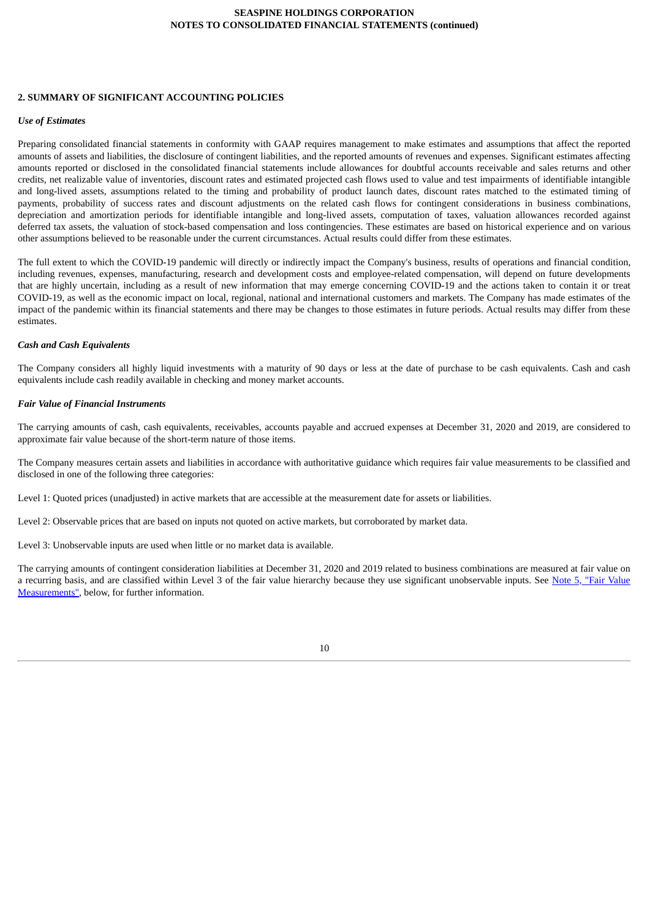# **2. SUMMARY OF SIGNIFICANT ACCOUNTING POLICIES**

# *Use of Estimates*

Preparing consolidated financial statements in conformity with GAAP requires management to make estimates and assumptions that affect the reported amounts of assets and liabilities, the disclosure of contingent liabilities, and the reported amounts of revenues and expenses. Significant estimates affecting amounts reported or disclosed in the consolidated financial statements include allowances for doubtful accounts receivable and sales returns and other credits, net realizable value of inventories, discount rates and estimated projected cash flows used to value and test impairments of identifiable intangible and long-lived assets, assumptions related to the timing and probability of product launch dates, discount rates matched to the estimated timing of payments, probability of success rates and discount adjustments on the related cash flows for contingent considerations in business combinations, depreciation and amortization periods for identifiable intangible and long-lived assets, computation of taxes, valuation allowances recorded against deferred tax assets, the valuation of stock-based compensation and loss contingencies. These estimates are based on historical experience and on various other assumptions believed to be reasonable under the current circumstances. Actual results could differ from these estimates.

The full extent to which the COVID-19 pandemic will directly or indirectly impact the Company's business, results of operations and financial condition, including revenues, expenses, manufacturing, research and development costs and employee-related compensation, will depend on future developments that are highly uncertain, including as a result of new information that may emerge concerning COVID-19 and the actions taken to contain it or treat COVID-19, as well as the economic impact on local, regional, national and international customers and markets. The Company has made estimates of the impact of the pandemic within its financial statements and there may be changes to those estimates in future periods. Actual results may differ from these estimates.

### *Cash and Cash Equivalents*

The Company considers all highly liquid investments with a maturity of 90 days or less at the date of purchase to be cash equivalents. Cash and cash equivalents include cash readily available in checking and money market accounts.

### *Fair Value of Financial Instruments*

The carrying amounts of cash, cash equivalents, receivables, accounts payable and accrued expenses at December 31, 2020 and 2019, are considered to approximate fair value because of the short-term nature of those items.

The Company measures certain assets and liabilities in accordance with authoritative guidance which requires fair value measurements to be classified and disclosed in one of the following three categories:

Level 1: Quoted prices (unadjusted) in active markets that are accessible at the measurement date for assets or liabilities.

Level 2: Observable prices that are based on inputs not quoted on active markets, but corroborated by market data.

Level 3: Unobservable inputs are used when little or no market data is available.

The carrying amounts of contingent consideration liabilities at December 31, 2020 and 2019 related to business combinations are measured at fair value on a recurring basis, and are classified within Level 3 of the fair value hierarchy because they use significant unobservable inputs. See Note 5, "Fair Value [Measurements",](#page-98-0) below, for further information.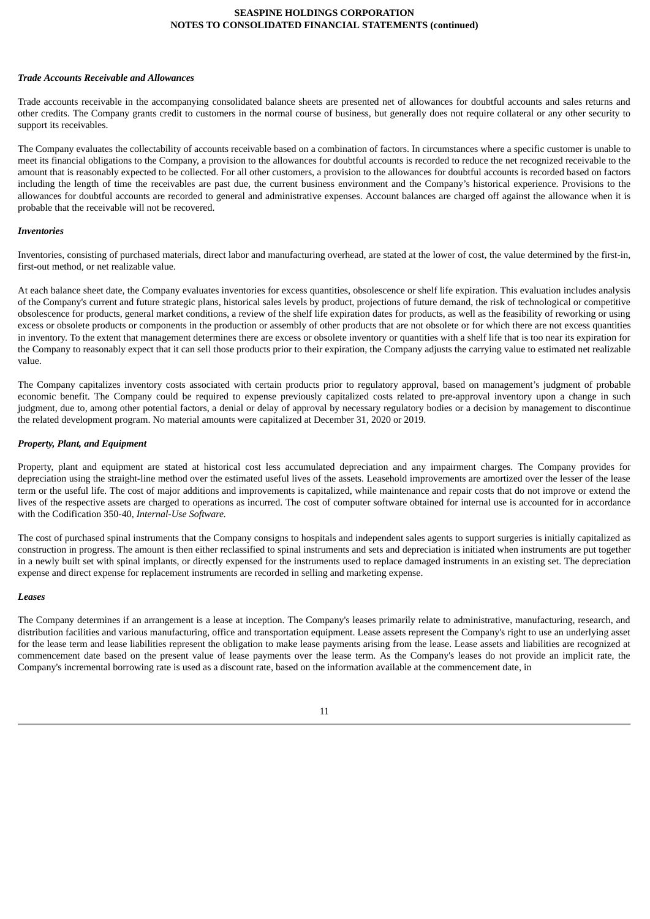#### *Trade Accounts Receivable and Allowances*

Trade accounts receivable in the accompanying consolidated balance sheets are presented net of allowances for doubtful accounts and sales returns and other credits. The Company grants credit to customers in the normal course of business, but generally does not require collateral or any other security to support its receivables.

The Company evaluates the collectability of accounts receivable based on a combination of factors. In circumstances where a specific customer is unable to meet its financial obligations to the Company, a provision to the allowances for doubtful accounts is recorded to reduce the net recognized receivable to the amount that is reasonably expected to be collected. For all other customers, a provision to the allowances for doubtful accounts is recorded based on factors including the length of time the receivables are past due, the current business environment and the Company's historical experience. Provisions to the allowances for doubtful accounts are recorded to general and administrative expenses. Account balances are charged off against the allowance when it is probable that the receivable will not be recovered.

#### *Inventories*

Inventories, consisting of purchased materials, direct labor and manufacturing overhead, are stated at the lower of cost, the value determined by the first-in, first-out method, or net realizable value.

At each balance sheet date, the Company evaluates inventories for excess quantities, obsolescence or shelf life expiration. This evaluation includes analysis of the Company's current and future strategic plans, historical sales levels by product, projections of future demand, the risk of technological or competitive obsolescence for products, general market conditions, a review of the shelf life expiration dates for products, as well as the feasibility of reworking or using excess or obsolete products or components in the production or assembly of other products that are not obsolete or for which there are not excess quantities in inventory. To the extent that management determines there are excess or obsolete inventory or quantities with a shelf life that is too near its expiration for the Company to reasonably expect that it can sell those products prior to their expiration, the Company adjusts the carrying value to estimated net realizable value.

The Company capitalizes inventory costs associated with certain products prior to regulatory approval, based on management's judgment of probable economic benefit. The Company could be required to expense previously capitalized costs related to pre-approval inventory upon a change in such judgment, due to, among other potential factors, a denial or delay of approval by necessary regulatory bodies or a decision by management to discontinue the related development program. No material amounts were capitalized at December 31, 2020 or 2019.

#### *Property, Plant, and Equipment*

Property, plant and equipment are stated at historical cost less accumulated depreciation and any impairment charges. The Company provides for depreciation using the straight-line method over the estimated useful lives of the assets. Leasehold improvements are amortized over the lesser of the lease term or the useful life. The cost of major additions and improvements is capitalized, while maintenance and repair costs that do not improve or extend the lives of the respective assets are charged to operations as incurred. The cost of computer software obtained for internal use is accounted for in accordance with the Codification 350-40, *Internal-Use Software.*

The cost of purchased spinal instruments that the Company consigns to hospitals and independent sales agents to support surgeries is initially capitalized as construction in progress. The amount is then either reclassified to spinal instruments and sets and depreciation is initiated when instruments are put together in a newly built set with spinal implants, or directly expensed for the instruments used to replace damaged instruments in an existing set. The depreciation expense and direct expense for replacement instruments are recorded in selling and marketing expense.

#### *Leases*

The Company determines if an arrangement is a lease at inception. The Company's leases primarily relate to administrative, manufacturing, research, and distribution facilities and various manufacturing, office and transportation equipment. Lease assets represent the Company's right to use an underlying asset for the lease term and lease liabilities represent the obligation to make lease payments arising from the lease. Lease assets and liabilities are recognized at commencement date based on the present value of lease payments over the lease term. As the Company's leases do not provide an implicit rate, the Company's incremental borrowing rate is used as a discount rate, based on the information available at the commencement date, in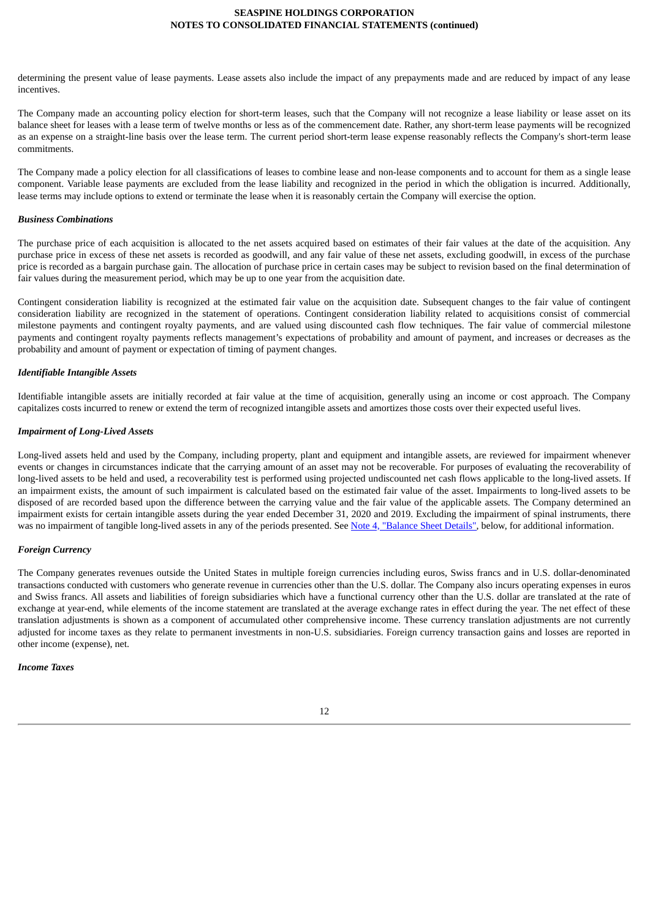determining the present value of lease payments. Lease assets also include the impact of any prepayments made and are reduced by impact of any lease incentives.

The Company made an accounting policy election for short-term leases, such that the Company will not recognize a lease liability or lease asset on its balance sheet for leases with a lease term of twelve months or less as of the commencement date. Rather, any short-term lease payments will be recognized as an expense on a straight-line basis over the lease term. The current period short-term lease expense reasonably reflects the Company's short-term lease commitments.

The Company made a policy election for all classifications of leases to combine lease and non-lease components and to account for them as a single lease component. Variable lease payments are excluded from the lease liability and recognized in the period in which the obligation is incurred. Additionally, lease terms may include options to extend or terminate the lease when it is reasonably certain the Company will exercise the option.

### *Business Combinations*

The purchase price of each acquisition is allocated to the net assets acquired based on estimates of their fair values at the date of the acquisition. Any purchase price in excess of these net assets is recorded as goodwill, and any fair value of these net assets, excluding goodwill, in excess of the purchase price is recorded as a bargain purchase gain. The allocation of purchase price in certain cases may be subject to revision based on the final determination of fair values during the measurement period, which may be up to one year from the acquisition date.

Contingent consideration liability is recognized at the estimated fair value on the acquisition date. Subsequent changes to the fair value of contingent consideration liability are recognized in the statement of operations. Contingent consideration liability related to acquisitions consist of commercial milestone payments and contingent royalty payments, and are valued using discounted cash flow techniques. The fair value of commercial milestone payments and contingent royalty payments reflects management's expectations of probability and amount of payment, and increases or decreases as the probability and amount of payment or expectation of timing of payment changes.

### *Identifiable Intangible Assets*

Identifiable intangible assets are initially recorded at fair value at the time of acquisition, generally using an income or cost approach. The Company capitalizes costs incurred to renew or extend the term of recognized intangible assets and amortizes those costs over their expected useful lives.

#### *Impairment of Long-Lived Assets*

Long-lived assets held and used by the Company, including property, plant and equipment and intangible assets, are reviewed for impairment whenever events or changes in circumstances indicate that the carrying amount of an asset may not be recoverable. For purposes of evaluating the recoverability of long-lived assets to be held and used, a recoverability test is performed using projected undiscounted net cash flows applicable to the long-lived assets. If an impairment exists, the amount of such impairment is calculated based on the estimated fair value of the asset. Impairments to long-lived assets to be disposed of are recorded based upon the difference between the carrying value and the fair value of the applicable assets. The Company determined an impairment exists for certain intangible assets during the year ended December 31, 2020 and 2019. Excluding the impairment of spinal instruments, there was no impairment of tangible long-lived assets in any of the periods presented. See Note 4, ["Balance](#page-96-0) Sheet Details", below, for additional information.

### *Foreign Currency*

The Company generates revenues outside the United States in multiple foreign currencies including euros, Swiss francs and in U.S. dollar-denominated transactions conducted with customers who generate revenue in currencies other than the U.S. dollar. The Company also incurs operating expenses in euros and Swiss francs. All assets and liabilities of foreign subsidiaries which have a functional currency other than the U.S. dollar are translated at the rate of exchange at year-end, while elements of the income statement are translated at the average exchange rates in effect during the year. The net effect of these translation adjustments is shown as a component of accumulated other comprehensive income. These currency translation adjustments are not currently adjusted for income taxes as they relate to permanent investments in non-U.S. subsidiaries. Foreign currency transaction gains and losses are reported in other income (expense), net.

#### *Income Taxes*

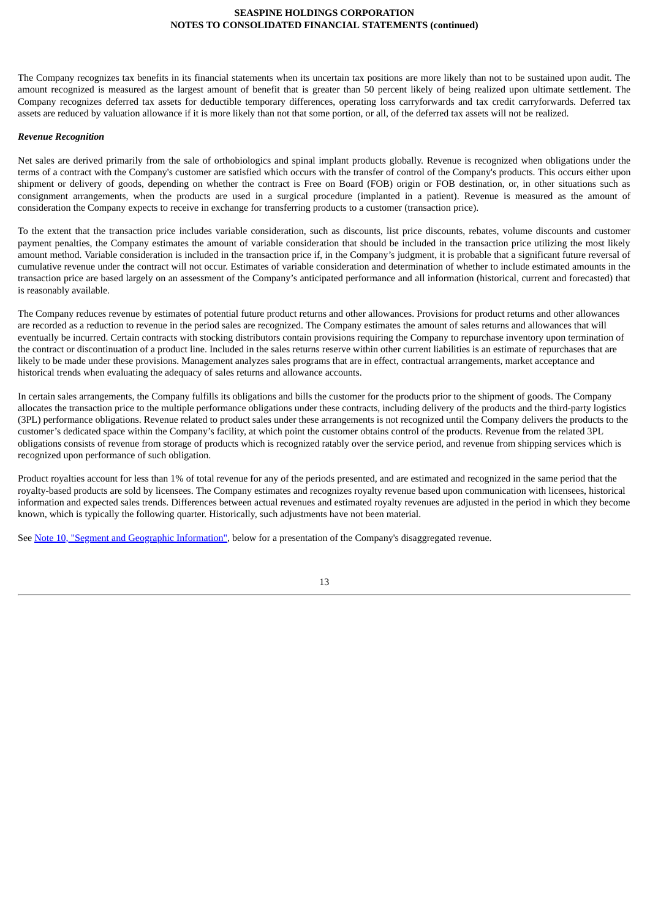The Company recognizes tax benefits in its financial statements when its uncertain tax positions are more likely than not to be sustained upon audit. The amount recognized is measured as the largest amount of benefit that is greater than 50 percent likely of being realized upon ultimate settlement. The Company recognizes deferred tax assets for deductible temporary differences, operating loss carryforwards and tax credit carryforwards. Deferred tax assets are reduced by valuation allowance if it is more likely than not that some portion, or all, of the deferred tax assets will not be realized.

#### *Revenue Recognition*

Net sales are derived primarily from the sale of orthobiologics and spinal implant products globally. Revenue is recognized when obligations under the terms of a contract with the Company's customer are satisfied which occurs with the transfer of control of the Company's products. This occurs either upon shipment or delivery of goods, depending on whether the contract is Free on Board (FOB) origin or FOB destination, or, in other situations such as consignment arrangements, when the products are used in a surgical procedure (implanted in a patient). Revenue is measured as the amount of consideration the Company expects to receive in exchange for transferring products to a customer (transaction price).

To the extent that the transaction price includes variable consideration, such as discounts, list price discounts, rebates, volume discounts and customer payment penalties, the Company estimates the amount of variable consideration that should be included in the transaction price utilizing the most likely amount method. Variable consideration is included in the transaction price if, in the Company's judgment, it is probable that a significant future reversal of cumulative revenue under the contract will not occur. Estimates of variable consideration and determination of whether to include estimated amounts in the transaction price are based largely on an assessment of the Company's anticipated performance and all information (historical, current and forecasted) that is reasonably available.

The Company reduces revenue by estimates of potential future product returns and other allowances. Provisions for product returns and other allowances are recorded as a reduction to revenue in the period sales are recognized. The Company estimates the amount of sales returns and allowances that will eventually be incurred. Certain contracts with stocking distributors contain provisions requiring the Company to repurchase inventory upon termination of the contract or discontinuation of a product line. Included in the sales returns reserve within other current liabilities is an estimate of repurchases that are likely to be made under these provisions. Management analyzes sales programs that are in effect, contractual arrangements, market acceptance and historical trends when evaluating the adequacy of sales returns and allowance accounts.

In certain sales arrangements, the Company fulfills its obligations and bills the customer for the products prior to the shipment of goods. The Company allocates the transaction price to the multiple performance obligations under these contracts, including delivery of the products and the third-party logistics (3PL) performance obligations. Revenue related to product sales under these arrangements is not recognized until the Company delivers the products to the customer's dedicated space within the Company's facility, at which point the customer obtains control of the products. Revenue from the related 3PL obligations consists of revenue from storage of products which is recognized ratably over the service period, and revenue from shipping services which is recognized upon performance of such obligation.

Product royalties account for less than 1% of total revenue for any of the periods presented, and are estimated and recognized in the same period that the royalty-based products are sold by licensees. The Company estimates and recognizes royalty revenue based upon communication with licensees, historical information and expected sales trends. Differences between actual revenues and estimated royalty revenues are adjusted in the period in which they become known, which is typically the following quarter. Historically, such adjustments have not been material.

See Note 10, "Segment and Geographic [Information"](#page-109-0), below for a presentation of the Company's disaggregated revenue.

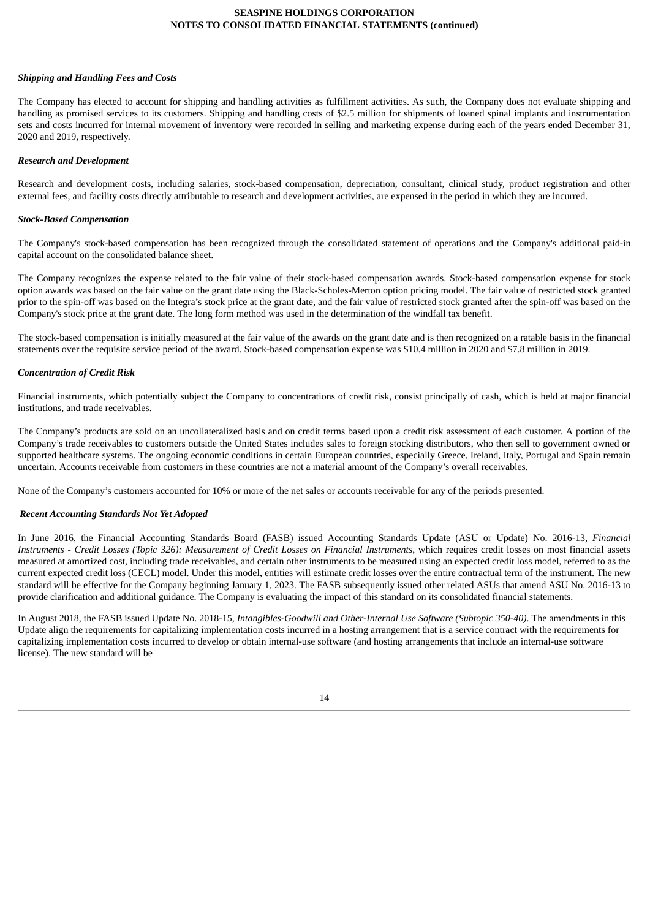#### *Shipping and Handling Fees and Costs*

The Company has elected to account for shipping and handling activities as fulfillment activities. As such, the Company does not evaluate shipping and handling as promised services to its customers. Shipping and handling costs of \$2.5 million for shipments of loaned spinal implants and instrumentation sets and costs incurred for internal movement of inventory were recorded in selling and marketing expense during each of the years ended December 31, 2020 and 2019, respectively.

#### *Research and Development*

Research and development costs, including salaries, stock-based compensation, depreciation, consultant, clinical study, product registration and other external fees, and facility costs directly attributable to research and development activities, are expensed in the period in which they are incurred.

#### *Stock-Based Compensation*

The Company's stock-based compensation has been recognized through the consolidated statement of operations and the Company's additional paid-in capital account on the consolidated balance sheet.

The Company recognizes the expense related to the fair value of their stock-based compensation awards. Stock-based compensation expense for stock option awards was based on the fair value on the grant date using the Black-Scholes-Merton option pricing model. The fair value of restricted stock granted prior to the spin-off was based on the Integra's stock price at the grant date, and the fair value of restricted stock granted after the spin-off was based on the Company's stock price at the grant date. The long form method was used in the determination of the windfall tax benefit.

The stock-based compensation is initially measured at the fair value of the awards on the grant date and is then recognized on a ratable basis in the financial statements over the requisite service period of the award. Stock-based compensation expense was \$10.4 million in 2020 and \$7.8 million in 2019.

#### *Concentration of Credit Risk*

Financial instruments, which potentially subject the Company to concentrations of credit risk, consist principally of cash, which is held at major financial institutions, and trade receivables.

The Company's products are sold on an uncollateralized basis and on credit terms based upon a credit risk assessment of each customer. A portion of the Company's trade receivables to customers outside the United States includes sales to foreign stocking distributors, who then sell to government owned or supported healthcare systems. The ongoing economic conditions in certain European countries, especially Greece, Ireland, Italy, Portugal and Spain remain uncertain. Accounts receivable from customers in these countries are not a material amount of the Company's overall receivables.

None of the Company's customers accounted for 10% or more of the net sales or accounts receivable for any of the periods presented.

#### *Recent Accounting Standards Not Yet Adopted*

In June 2016, the Financial Accounting Standards Board (FASB) issued Accounting Standards Update (ASU or Update) No. 2016-13, *Financial* Instruments - Credit Losses (Topic 326): Measurement of Credit Losses on Financial Instruments, which requires credit losses on most financial assets measured at amortized cost, including trade receivables, and certain other instruments to be measured using an expected credit loss model, referred to as the current expected credit loss (CECL) model. Under this model, entities will estimate credit losses over the entire contractual term of the instrument. The new standard will be effective for the Company beginning January 1, 2023. The FASB subsequently issued other related ASUs that amend ASU No. 2016-13 to provide clarification and additional guidance. The Company is evaluating the impact of this standard on its consolidated financial statements.

In August 2018, the FASB issued Update No. 2018-15, *Intangibles-Goodwill and Other-Internal Use Software (Subtopic 350-40)*. The amendments in this Update align the requirements for capitalizing implementation costs incurred in a hosting arrangement that is a service contract with the requirements for capitalizing implementation costs incurred to develop or obtain internal-use software (and hosting arrangements that include an internal-use software license). The new standard will be

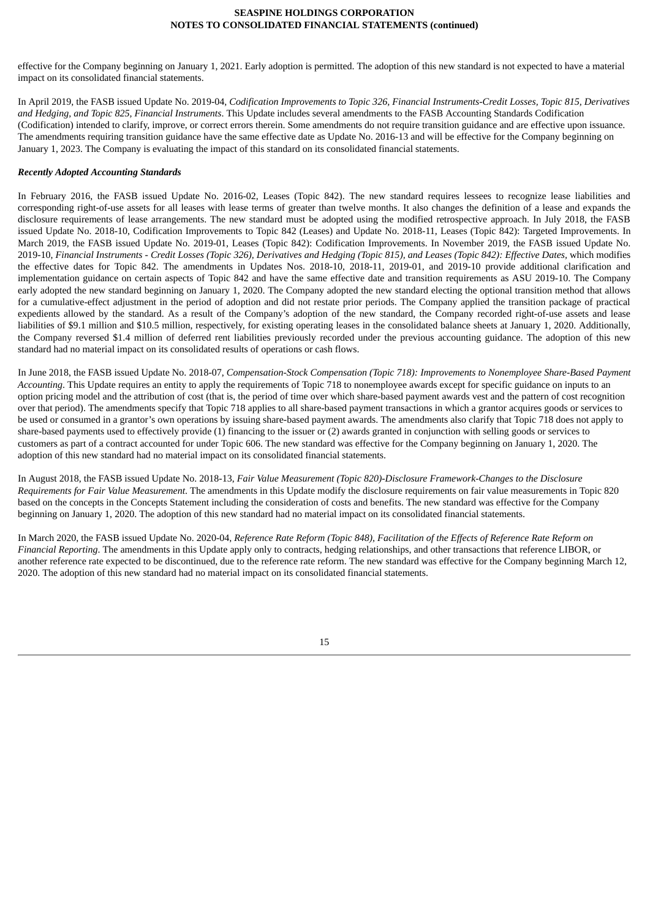effective for the Company beginning on January 1, 2021. Early adoption is permitted. The adoption of this new standard is not expected to have a material impact on its consolidated financial statements.

In April 2019, the FASB issued Update No. 2019-04, Codification Improvements to Topic 326, Financial Instruments-Credit Losses, Topic 815, Derivatives *and Hedging, and Topic 825, Financial Instruments*. This Update includes several amendments to the FASB Accounting Standards Codification (Codification) intended to clarify, improve, or correct errors therein. Some amendments do not require transition guidance and are effective upon issuance. The amendments requiring transition guidance have the same effective date as Update No. 2016-13 and will be effective for the Company beginning on January 1, 2023. The Company is evaluating the impact of this standard on its consolidated financial statements.

#### *Recently Adopted Accounting Standards*

In February 2016, the FASB issued Update No. 2016-02, Leases (Topic 842). The new standard requires lessees to recognize lease liabilities and corresponding right-of-use assets for all leases with lease terms of greater than twelve months. It also changes the definition of a lease and expands the disclosure requirements of lease arrangements. The new standard must be adopted using the modified retrospective approach. In July 2018, the FASB issued Update No. 2018-10, Codification Improvements to Topic 842 (Leases) and Update No. 2018-11, Leases (Topic 842): Targeted Improvements. In March 2019, the FASB issued Update No. 2019-01, Leases (Topic 842): Codification Improvements. In November 2019, the FASB issued Update No. 2019-10, Financial Instruments - Credit Losses (Topic 326), Derivatives and Hedging (Topic 815), and Leases (Topic 842): Effective Dates, which modifies the effective dates for Topic 842. The amendments in Updates Nos. 2018-10, 2018-11, 2019-01, and 2019-10 provide additional clarification and implementation guidance on certain aspects of Topic 842 and have the same effective date and transition requirements as ASU 2019-10. The Company early adopted the new standard beginning on January 1, 2020. The Company adopted the new standard electing the optional transition method that allows for a cumulative-effect adjustment in the period of adoption and did not restate prior periods. The Company applied the transition package of practical expedients allowed by the standard. As a result of the Company's adoption of the new standard, the Company recorded right-of-use assets and lease liabilities of \$9.1 million and \$10.5 million, respectively, for existing operating leases in the consolidated balance sheets at January 1, 2020. Additionally, the Company reversed \$1.4 million of deferred rent liabilities previously recorded under the previous accounting guidance. The adoption of this new standard had no material impact on its consolidated results of operations or cash flows.

In June 2018, the FASB issued Update No. 2018-07, *Compensation-Stock Compensation (Topic 718): Improvements to Nonemployee Share-Based Payment Accounting*. This Update requires an entity to apply the requirements of Topic 718 to nonemployee awards except for specific guidance on inputs to an option pricing model and the attribution of cost (that is, the period of time over which share-based payment awards vest and the pattern of cost recognition over that period). The amendments specify that Topic 718 applies to all share-based payment transactions in which a grantor acquires goods or services to be used or consumed in a grantor's own operations by issuing share-based payment awards. The amendments also clarify that Topic 718 does not apply to share-based payments used to effectively provide (1) financing to the issuer or (2) awards granted in conjunction with selling goods or services to customers as part of a contract accounted for under Topic 606. The new standard was effective for the Company beginning on January 1, 2020. The adoption of this new standard had no material impact on its consolidated financial statements.

In August 2018, the FASB issued Update No. 2018-13, *Fair Value Measurement (Topic 820)-Disclosure Framework-Changes to the Disclosure Requirements for Fair Value Measurement*. The amendments in this Update modify the disclosure requirements on fair value measurements in Topic 820 based on the concepts in the Concepts Statement including the consideration of costs and benefits. The new standard was effective for the Company beginning on January 1, 2020. The adoption of this new standard had no material impact on its consolidated financial statements.

In March 2020, the FASB issued Update No. 2020-04, Reference Rate Reform (Topic 848), Facilitation of the Effects of Reference Rate Reform on *Financial Reporting*. The amendments in this Update apply only to contracts, hedging relationships, and other transactions that reference LIBOR, or another reference rate expected to be discontinued, due to the reference rate reform. The new standard was effective for the Company beginning March 12, 2020. The adoption of this new standard had no material impact on its consolidated financial statements.

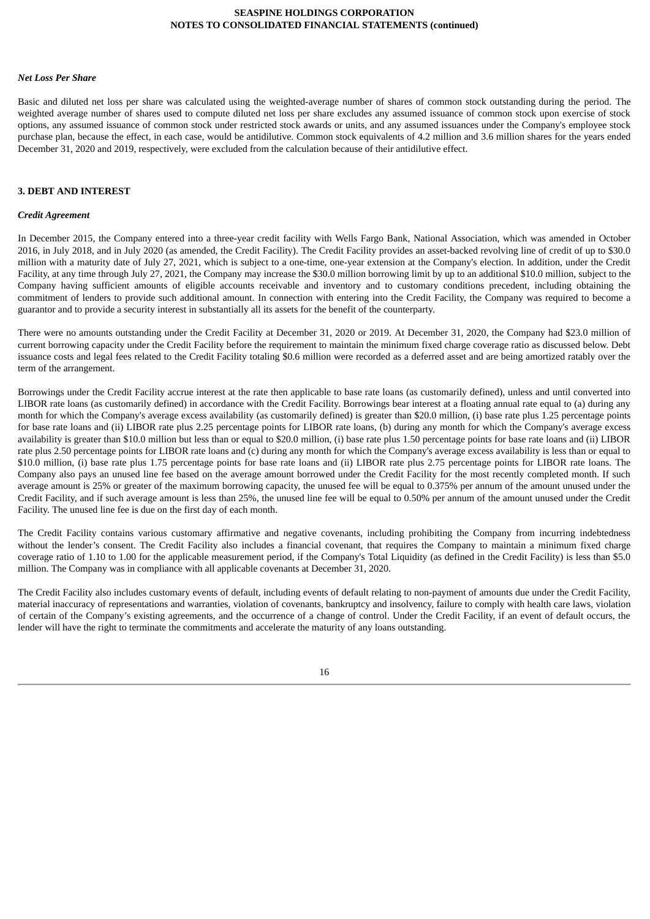#### *Net Loss Per Share*

Basic and diluted net loss per share was calculated using the weighted-average number of shares of common stock outstanding during the period. The weighted average number of shares used to compute diluted net loss per share excludes any assumed issuance of common stock upon exercise of stock options, any assumed issuance of common stock under restricted stock awards or units, and any assumed issuances under the Company's employee stock purchase plan, because the effect, in each case, would be antidilutive. Common stock equivalents of 4.2 million and 3.6 million shares for the years ended December 31, 2020 and 2019, respectively, were excluded from the calculation because of their antidilutive effect.

### **3. DEBT AND INTEREST**

#### *Credit Agreement*

In December 2015, the Company entered into a three-year credit facility with Wells Fargo Bank, National Association, which was amended in October 2016, in July 2018, and in July 2020 (as amended, the Credit Facility). The Credit Facility provides an asset-backed revolving line of credit of up to \$30.0 million with a maturity date of July 27, 2021, which is subject to a one-time, one-year extension at the Company's election. In addition, under the Credit Facility, at any time through July 27, 2021, the Company may increase the \$30.0 million borrowing limit by up to an additional \$10.0 million, subject to the Company having sufficient amounts of eligible accounts receivable and inventory and to customary conditions precedent, including obtaining the commitment of lenders to provide such additional amount. In connection with entering into the Credit Facility, the Company was required to become a guarantor and to provide a security interest in substantially all its assets for the benefit of the counterparty.

There were no amounts outstanding under the Credit Facility at December 31, 2020 or 2019. At December 31, 2020, the Company had \$23.0 million of current borrowing capacity under the Credit Facility before the requirement to maintain the minimum fixed charge coverage ratio as discussed below. Debt issuance costs and legal fees related to the Credit Facility totaling \$0.6 million were recorded as a deferred asset and are being amortized ratably over the term of the arrangement.

Borrowings under the Credit Facility accrue interest at the rate then applicable to base rate loans (as customarily defined), unless and until converted into LIBOR rate loans (as customarily defined) in accordance with the Credit Facility. Borrowings bear interest at a floating annual rate equal to (a) during any month for which the Company's average excess availability (as customarily defined) is greater than \$20.0 million, (i) base rate plus 1.25 percentage points for base rate loans and (ii) LIBOR rate plus 2.25 percentage points for LIBOR rate loans, (b) during any month for which the Company's average excess availability is greater than \$10.0 million but less than or equal to \$20.0 million, (i) base rate plus 1.50 percentage points for base rate loans and (ii) LIBOR rate plus 2.50 percentage points for LIBOR rate loans and (c) during any month for which the Company's average excess availability is less than or equal to \$10.0 million, (i) base rate plus 1.75 percentage points for base rate loans and (ii) LIBOR rate plus 2.75 percentage points for LIBOR rate loans. The Company also pays an unused line fee based on the average amount borrowed under the Credit Facility for the most recently completed month. If such average amount is 25% or greater of the maximum borrowing capacity, the unused fee will be equal to 0.375% per annum of the amount unused under the Credit Facility, and if such average amount is less than 25%, the unused line fee will be equal to 0.50% per annum of the amount unused under the Credit Facility. The unused line fee is due on the first day of each month.

The Credit Facility contains various customary affirmative and negative covenants, including prohibiting the Company from incurring indebtedness without the lender's consent. The Credit Facility also includes a financial covenant, that requires the Company to maintain a minimum fixed charge coverage ratio of 1.10 to 1.00 for the applicable measurement period, if the Company's Total Liquidity (as defined in the Credit Facility) is less than \$5.0 million. The Company was in compliance with all applicable covenants at December 31, 2020.

The Credit Facility also includes customary events of default, including events of default relating to non-payment of amounts due under the Credit Facility, material inaccuracy of representations and warranties, violation of covenants, bankruptcy and insolvency, failure to comply with health care laws, violation of certain of the Company's existing agreements, and the occurrence of a change of control. Under the Credit Facility, if an event of default occurs, the lender will have the right to terminate the commitments and accelerate the maturity of any loans outstanding.

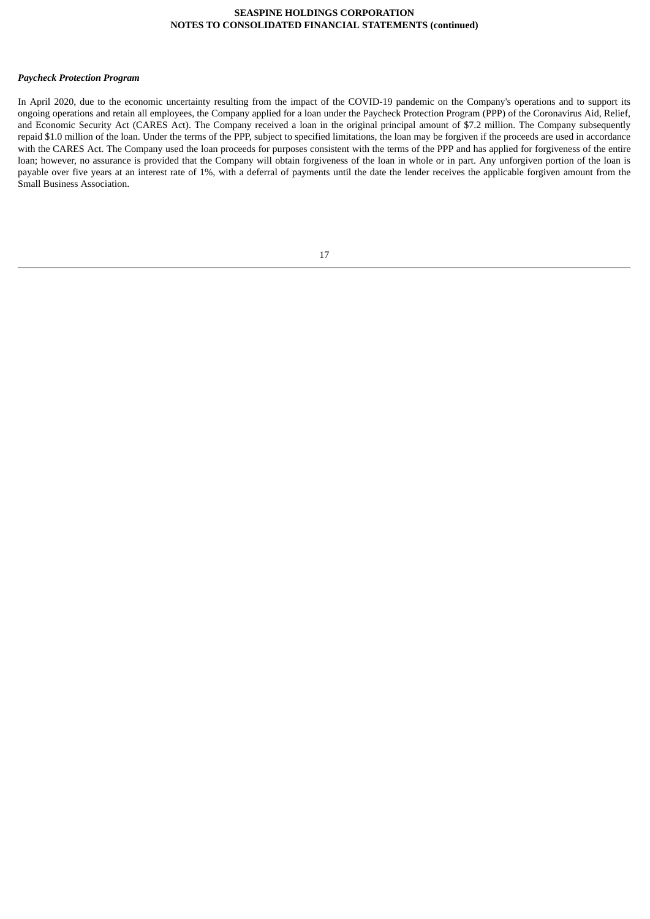## *Paycheck Protection Program*

<span id="page-96-0"></span>In April 2020, due to the economic uncertainty resulting from the impact of the COVID-19 pandemic on the Company's operations and to support its ongoing operations and retain all employees, the Company applied for a loan under the Paycheck Protection Program (PPP) of the Coronavirus Aid, Relief, and Economic Security Act (CARES Act). The Company received a loan in the original principal amount of \$7.2 million. The Company subsequently repaid \$1.0 million of the loan. Under the terms of the PPP, subject to specified limitations, the loan may be forgiven if the proceeds are used in accordance with the CARES Act. The Company used the loan proceeds for purposes consistent with the terms of the PPP and has applied for forgiveness of the entire loan; however, no assurance is provided that the Company will obtain forgiveness of the loan in whole or in part. Any unforgiven portion of the loan is payable over five years at an interest rate of 1%, with a deferral of payments until the date the lender receives the applicable forgiven amount from the Small Business Association.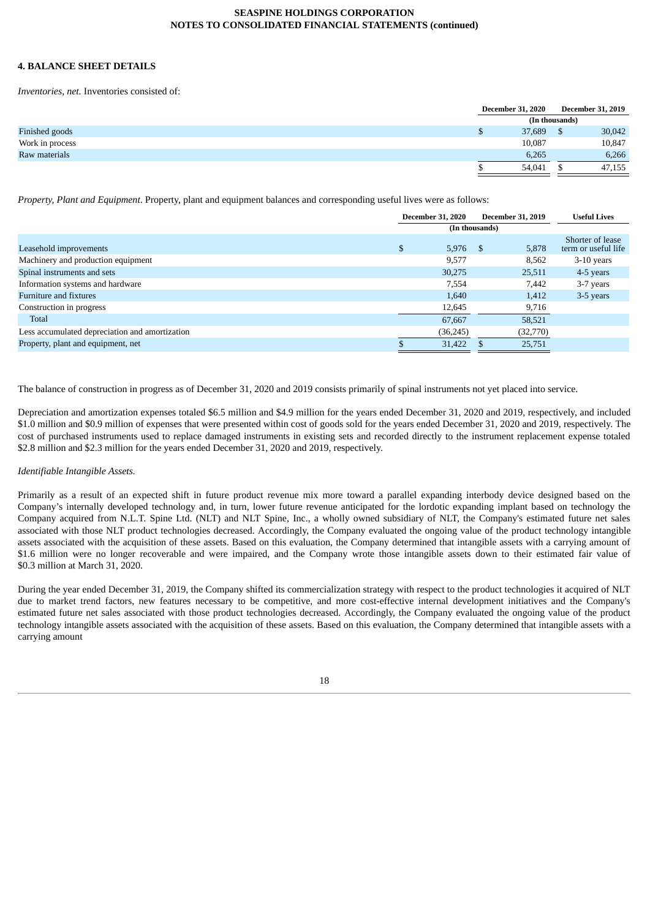## **4. BALANCE SHEET DETAILS**

*Inventories, net.* Inventories consisted of:

|                 | <b>December 31, 2020</b> | <b>December 31, 2019</b> |  |  |
|-----------------|--------------------------|--------------------------|--|--|
|                 | (In thousands)           |                          |  |  |
| Finished goods  | 37,689                   | 30,042                   |  |  |
| Work in process | 10,087                   | 10,847                   |  |  |
| Raw materials   | 6,265                    | 6,266                    |  |  |
|                 | 54,041                   | 47,155                   |  |  |

*Property, Plant and Equipment*. Property, plant and equipment balances and corresponding useful lives were as follows:

|                                                | <b>December 31, 2020</b> |                | <b>December 31, 2019</b> |          | <b>Useful Lives</b>                     |
|------------------------------------------------|--------------------------|----------------|--------------------------|----------|-----------------------------------------|
|                                                |                          | (In thousands) |                          |          |                                         |
| Leasehold improvements                         | \$                       | 5,976          | - \$                     | 5,878    | Shorter of lease<br>term or useful life |
| Machinery and production equipment             |                          | 9,577          |                          | 8,562    | $3-10$ years                            |
| Spinal instruments and sets                    |                          | 30,275         |                          | 25,511   | 4-5 years                               |
| Information systems and hardware               |                          | 7,554          |                          | 7,442    | 3-7 years                               |
| Furniture and fixtures                         |                          | 1,640          |                          | 1,412    | 3-5 years                               |
| Construction in progress                       |                          | 12,645         |                          | 9,716    |                                         |
| Total                                          |                          | 67,667         |                          | 58,521   |                                         |
| Less accumulated depreciation and amortization |                          | (36, 245)      |                          | (32,770) |                                         |
| Property, plant and equipment, net             |                          | 31,422         |                          | 25,751   |                                         |

The balance of construction in progress as of December 31, 2020 and 2019 consists primarily of spinal instruments not yet placed into service.

Depreciation and amortization expenses totaled \$6.5 million and \$4.9 million for the years ended December 31, 2020 and 2019, respectively, and included \$1.0 million and \$0.9 million of expenses that were presented within cost of goods sold for the years ended December 31, 2020 and 2019, respectively. The cost of purchased instruments used to replace damaged instruments in existing sets and recorded directly to the instrument replacement expense totaled \$2.8 million and \$2.3 million for the years ended December 31, 2020 and 2019, respectively.

### *Identifiable Intangible Assets.*

Primarily as a result of an expected shift in future product revenue mix more toward a parallel expanding interbody device designed based on the Company's internally developed technology and, in turn, lower future revenue anticipated for the lordotic expanding implant based on technology the Company acquired from N.L.T. Spine Ltd. (NLT) and NLT Spine, Inc., a wholly owned subsidiary of NLT, the Company's estimated future net sales associated with those NLT product technologies decreased. Accordingly, the Company evaluated the ongoing value of the product technology intangible assets associated with the acquisition of these assets. Based on this evaluation, the Company determined that intangible assets with a carrying amount of \$1.6 million were no longer recoverable and were impaired, and the Company wrote those intangible assets down to their estimated fair value of \$0.3 million at March 31, 2020.

During the year ended December 31, 2019, the Company shifted its commercialization strategy with respect to the product technologies it acquired of NLT due to market trend factors, new features necessary to be competitive, and more cost-effective internal development initiatives and the Company's estimated future net sales associated with those product technologies decreased. Accordingly, the Company evaluated the ongoing value of the product technology intangible assets associated with the acquisition of these assets. Based on this evaluation, the Company determined that intangible assets with a carrying amount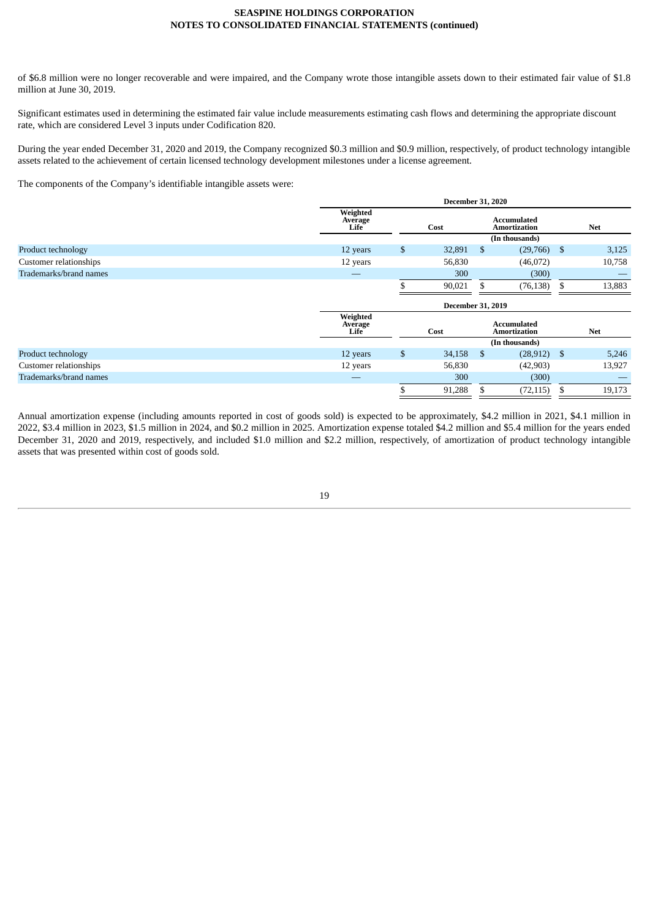of \$6.8 million were no longer recoverable and were impaired, and the Company wrote those intangible assets down to their estimated fair value of \$1.8 million at June 30, 2019.

Significant estimates used in determining the estimated fair value include measurements estimating cash flows and determining the appropriate discount rate, which are considered Level 3 inputs under Codification 820.

During the year ended December 31, 2020 and 2019, the Company recognized \$0.3 million and \$0.9 million, respectively, of product technology intangible assets related to the achievement of certain licensed technology development milestones under a license agreement.

The components of the Company's identifiable intangible assets were:

|                        |                                          | <b>December 31, 2020</b> |        |                                           |                                    |            |            |  |
|------------------------|------------------------------------------|--------------------------|--------|-------------------------------------------|------------------------------------|------------|------------|--|
|                        | Weighted<br>Average<br>Life <sup>7</sup> |                          | Cost   | <b>Accumulated</b><br><b>Amortization</b> |                                    |            | <b>Net</b> |  |
|                        |                                          |                          |        |                                           | (In thousands)                     |            |            |  |
| Product technology     | 12 years                                 | \$                       | 32,891 | - \$                                      | (29,766)                           | -\$        | 3,125      |  |
| Customer relationships | 12 years                                 |                          | 56,830 |                                           | (46,072)                           |            | 10,758     |  |
| Trademarks/brand names | _                                        |                          | 300    |                                           | (300)                              |            |            |  |
|                        |                                          |                          | 90,021 |                                           | (76, 138)                          | ъ          | 13,883     |  |
|                        |                                          | <b>December 31, 2019</b> |        |                                           |                                    |            |            |  |
|                        | Weighted<br>Average<br>Life              |                          | Cost   |                                           | Accumulated<br><b>Amortization</b> |            | <b>Net</b> |  |
|                        |                                          |                          |        |                                           | (In thousands)                     |            |            |  |
| Product technology     | 12 years                                 | \$                       | 34,158 | - \$                                      | (28, 912)                          | $\sqrt{5}$ | 5,246      |  |
| Customer relationships | 12 years                                 |                          | 56,830 |                                           | (42, 903)                          |            | 13,927     |  |
| Trademarks/brand names | _                                        |                          | 300    |                                           | (300)                              |            |            |  |
|                        |                                          |                          | 91,288 |                                           | (72, 115)                          | -\$        | 19,173     |  |

<span id="page-98-0"></span>Annual amortization expense (including amounts reported in cost of goods sold) is expected to be approximately, \$4.2 million in 2021, \$4.1 million in 2022, \$3.4 million in 2023, \$1.5 million in 2024, and \$0.2 million in 2025. Amortization expense totaled \$4.2 million and \$5.4 million for the years ended December 31, 2020 and 2019, respectively, and included \$1.0 million and \$2.2 million, respectively, of amortization of product technology intangible assets that was presented within cost of goods sold.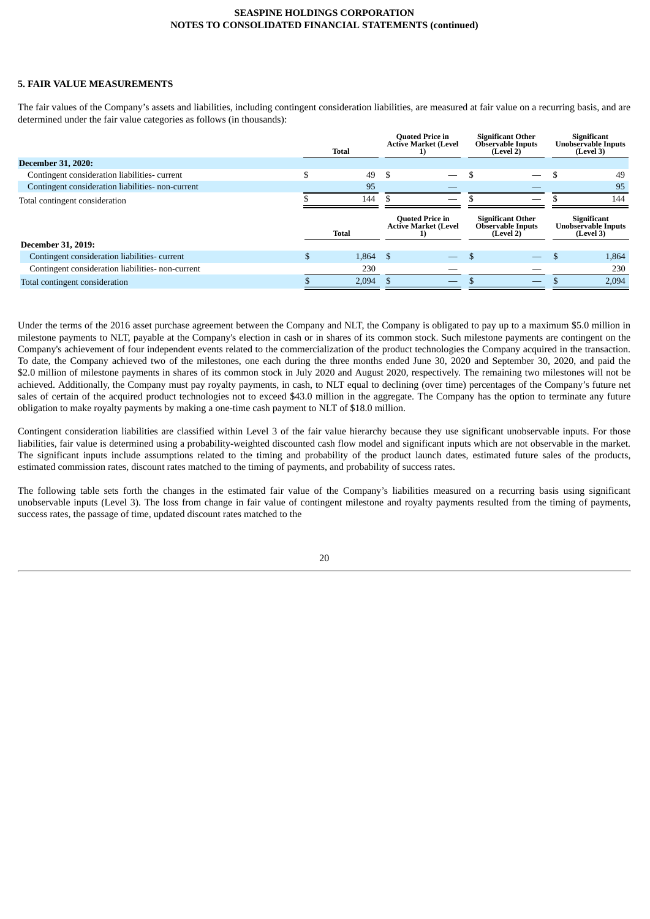#### **5. FAIR VALUE MEASUREMENTS**

The fair values of the Company's assets and liabilities, including contingent consideration liabilities, are measured at fair value on a recurring basis, and are determined under the fair value categories as follows (in thousands):

|                                                   | Total                                                                 |       |     |                                                                   | <b>Quoted Price in</b><br><b>Active Market (Level</b> |                                                               |  |       |  |  | <b>Significant Other</b><br><b>Observable Inputs</b><br>(Level 2) |  | <b>Significant</b><br><b>Unobservable Inputs</b><br>(Level 3) |  |
|---------------------------------------------------|-----------------------------------------------------------------------|-------|-----|-------------------------------------------------------------------|-------------------------------------------------------|---------------------------------------------------------------|--|-------|--|--|-------------------------------------------------------------------|--|---------------------------------------------------------------|--|
| <b>December 31, 2020:</b>                         |                                                                       |       |     |                                                                   |                                                       |                                                               |  |       |  |  |                                                                   |  |                                                               |  |
| Contingent consideration liabilities-current      |                                                                       | 49    | \$. |                                                                   |                                                       |                                                               |  | 49    |  |  |                                                                   |  |                                                               |  |
| Contingent consideration liabilities- non-current |                                                                       | 95    |     |                                                                   |                                                       |                                                               |  | 95    |  |  |                                                                   |  |                                                               |  |
| Total contingent consideration                    |                                                                       | 144   |     | ---                                                               |                                                       | ---                                                           |  | 144   |  |  |                                                                   |  |                                                               |  |
|                                                   | <b>Quoted Price in</b><br><b>Active Market (Level</b><br><b>Total</b> |       |     | <b>Significant Other</b><br><b>Observable Inputs</b><br>(Level 2) |                                                       | <b>Significant</b><br><b>Unobservable Inputs</b><br>(Level 3) |  |       |  |  |                                                                   |  |                                                               |  |
| <b>December 31, 2019:</b>                         |                                                                       |       |     |                                                                   |                                                       |                                                               |  |       |  |  |                                                                   |  |                                                               |  |
| Contingent consideration liabilities-current      |                                                                       | 1,864 | - S |                                                                   |                                                       |                                                               |  | 1,864 |  |  |                                                                   |  |                                                               |  |
| Contingent consideration liabilities- non-current |                                                                       | 230   |     |                                                                   |                                                       |                                                               |  | 230   |  |  |                                                                   |  |                                                               |  |
| Total contingent consideration                    |                                                                       | 2,094 |     | —                                                                 |                                                       |                                                               |  | 2,094 |  |  |                                                                   |  |                                                               |  |

Under the terms of the 2016 asset purchase agreement between the Company and NLT, the Company is obligated to pay up to a maximum \$5.0 million in milestone payments to NLT, payable at the Company's election in cash or in shares of its common stock. Such milestone payments are contingent on the Company's achievement of four independent events related to the commercialization of the product technologies the Company acquired in the transaction. To date, the Company achieved two of the milestones, one each during the three months ended June 30, 2020 and September 30, 2020, and paid the \$2.0 million of milestone payments in shares of its common stock in July 2020 and August 2020, respectively. The remaining two milestones will not be achieved. Additionally, the Company must pay royalty payments, in cash, to NLT equal to declining (over time) percentages of the Company's future net sales of certain of the acquired product technologies not to exceed \$43.0 million in the aggregate. The Company has the option to terminate any future obligation to make royalty payments by making a one-time cash payment to NLT of \$18.0 million.

Contingent consideration liabilities are classified within Level 3 of the fair value hierarchy because they use significant unobservable inputs. For those liabilities, fair value is determined using a probability-weighted discounted cash flow model and significant inputs which are not observable in the market. The significant inputs include assumptions related to the timing and probability of the product launch dates, estimated future sales of the products, estimated commission rates, discount rates matched to the timing of payments, and probability of success rates.

The following table sets forth the changes in the estimated fair value of the Company's liabilities measured on a recurring basis using significant unobservable inputs (Level 3). The loss from change in fair value of contingent milestone and royalty payments resulted from the timing of payments, success rates, the passage of time, updated discount rates matched to the

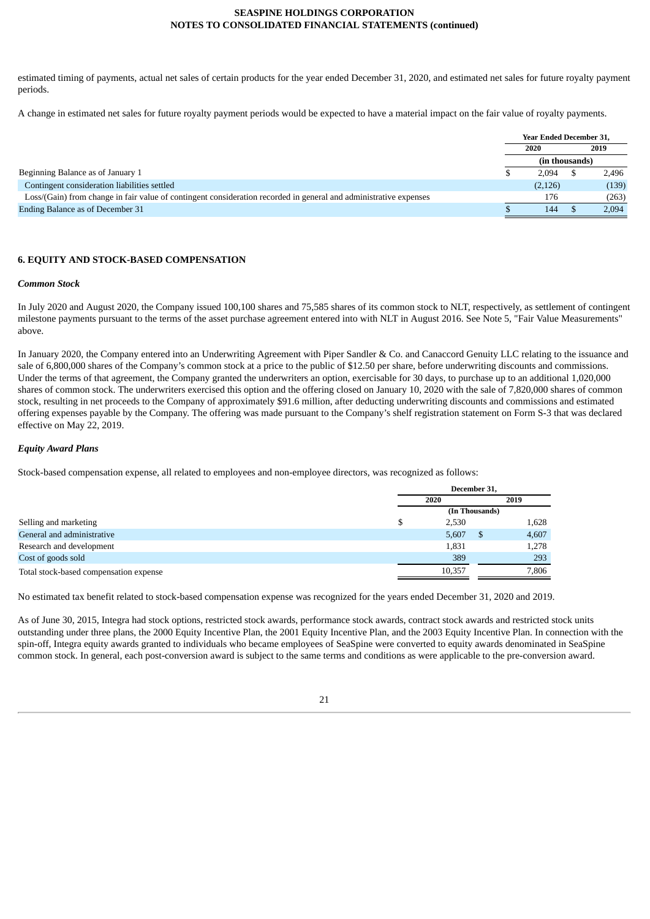estimated timing of payments, actual net sales of certain products for the year ended December 31, 2020, and estimated net sales for future royalty payment periods.

A change in estimated net sales for future royalty payment periods would be expected to have a material impact on the fair value of royalty payments.

|                                                                                                                   |                | Year Ended December 31, |  |       |
|-------------------------------------------------------------------------------------------------------------------|----------------|-------------------------|--|-------|
|                                                                                                                   |                | 2020                    |  | 2019  |
|                                                                                                                   | (in thousands) |                         |  |       |
| Beginning Balance as of January 1                                                                                 |                | 2.094                   |  | 2.496 |
| Contingent consideration liabilities settled                                                                      |                | (2, 126)                |  | (139) |
| Loss/(Gain) from change in fair value of contingent consideration recorded in general and administrative expenses |                | 176                     |  | (263) |
| Ending Balance as of December 31                                                                                  |                | 144                     |  | 2,094 |

#### **6. EQUITY AND STOCK-BASED COMPENSATION**

#### *Common Stock*

In July 2020 and August 2020, the Company issued 100,100 shares and 75,585 shares of its common stock to NLT, respectively, as settlement of contingent milestone payments pursuant to the terms of the asset purchase agreement entered into with NLT in August 2016. See Note 5, "Fair Value Measurements" above.

In January 2020, the Company entered into an Underwriting Agreement with Piper Sandler & Co. and Canaccord Genuity LLC relating to the issuance and sale of 6,800,000 shares of the Company's common stock at a price to the public of \$12.50 per share, before underwriting discounts and commissions. Under the terms of that agreement, the Company granted the underwriters an option, exercisable for 30 days, to purchase up to an additional 1,020,000 shares of common stock. The underwriters exercised this option and the offering closed on January 10, 2020 with the sale of 7,820,000 shares of common stock, resulting in net proceeds to the Company of approximately \$91.6 million, after deducting underwriting discounts and commissions and estimated offering expenses payable by the Company. The offering was made pursuant to the Company's shelf registration statement on Form S-3 that was declared effective on May 22, 2019.

### *Equity Award Plans*

Stock-based compensation expense, all related to employees and non-employee directors, was recognized as follows:

|                                        |      | December 31, |                |       |  |
|----------------------------------------|------|--------------|----------------|-------|--|
|                                        | 2020 |              |                | 2019  |  |
|                                        |      |              | (In Thousands) |       |  |
| Selling and marketing                  | S    | 2,530        |                | 1,628 |  |
| General and administrative             |      | 5,607        |                | 4,607 |  |
| Research and development               |      | 1,831        |                | 1,278 |  |
| Cost of goods sold                     |      | 389          |                | 293   |  |
| Total stock-based compensation expense |      | 10,357       |                | 7,806 |  |

No estimated tax benefit related to stock-based compensation expense was recognized for the years ended December 31, 2020 and 2019.

As of June 30, 2015, Integra had stock options, restricted stock awards, performance stock awards, contract stock awards and restricted stock units outstanding under three plans, the 2000 Equity Incentive Plan, the 2001 Equity Incentive Plan, and the 2003 Equity Incentive Plan. In connection with the spin-off, Integra equity awards granted to individuals who became employees of SeaSpine were converted to equity awards denominated in SeaSpine common stock. In general, each post-conversion award is subject to the same terms and conditions as were applicable to the pre-conversion award.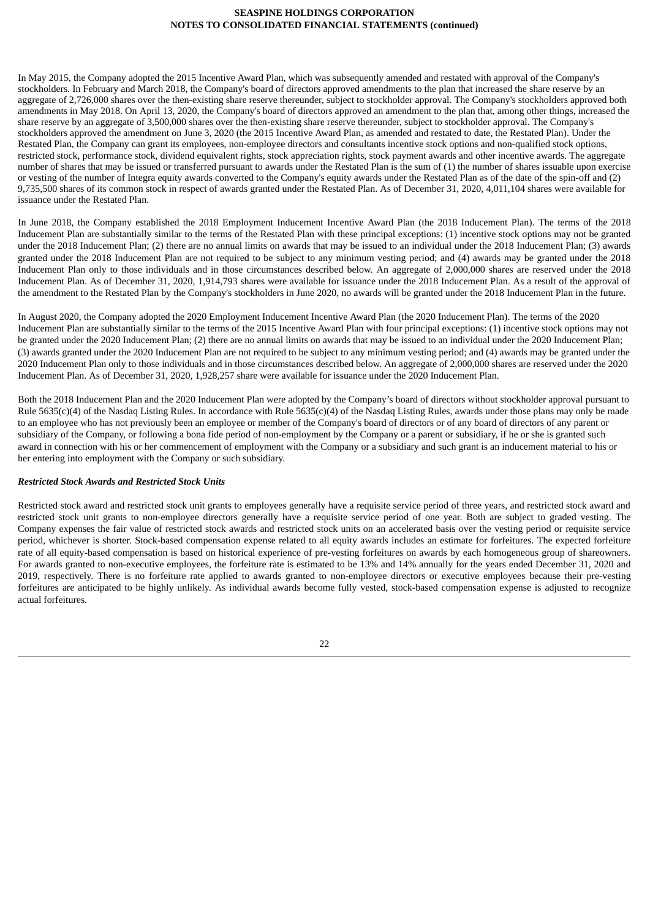In May 2015, the Company adopted the 2015 Incentive Award Plan, which was subsequently amended and restated with approval of the Company's stockholders. In February and March 2018, the Company's board of directors approved amendments to the plan that increased the share reserve by an aggregate of 2,726,000 shares over the then-existing share reserve thereunder, subject to stockholder approval. The Company's stockholders approved both amendments in May 2018. On April 13, 2020, the Company's board of directors approved an amendment to the plan that, among other things, increased the share reserve by an aggregate of 3,500,000 shares over the then-existing share reserve thereunder, subject to stockholder approval. The Company's stockholders approved the amendment on June 3, 2020 (the 2015 Incentive Award Plan, as amended and restated to date, the Restated Plan). Under the Restated Plan, the Company can grant its employees, non-employee directors and consultants incentive stock options and non-qualified stock options, restricted stock, performance stock, dividend equivalent rights, stock appreciation rights, stock payment awards and other incentive awards. The aggregate number of shares that may be issued or transferred pursuant to awards under the Restated Plan is the sum of (1) the number of shares issuable upon exercise or vesting of the number of Integra equity awards converted to the Company's equity awards under the Restated Plan as of the date of the spin-off and (2) 9,735,500 shares of its common stock in respect of awards granted under the Restated Plan. As of December 31, 2020, 4,011,104 shares were available for issuance under the Restated Plan.

In June 2018, the Company established the 2018 Employment Inducement Incentive Award Plan (the 2018 Inducement Plan). The terms of the 2018 Inducement Plan are substantially similar to the terms of the Restated Plan with these principal exceptions: (1) incentive stock options may not be granted under the 2018 Inducement Plan; (2) there are no annual limits on awards that may be issued to an individual under the 2018 Inducement Plan; (3) awards granted under the 2018 Inducement Plan are not required to be subject to any minimum vesting period; and (4) awards may be granted under the 2018 Inducement Plan only to those individuals and in those circumstances described below. An aggregate of 2,000,000 shares are reserved under the 2018 Inducement Plan. As of December 31, 2020, 1,914,793 shares were available for issuance under the 2018 Inducement Plan. As a result of the approval of the amendment to the Restated Plan by the Company's stockholders in June 2020, no awards will be granted under the 2018 Inducement Plan in the future.

In August 2020, the Company adopted the 2020 Employment Inducement Incentive Award Plan (the 2020 Inducement Plan). The terms of the 2020 Inducement Plan are substantially similar to the terms of the 2015 Incentive Award Plan with four principal exceptions: (1) incentive stock options may not be granted under the 2020 Inducement Plan; (2) there are no annual limits on awards that may be issued to an individual under the 2020 Inducement Plan; (3) awards granted under the 2020 Inducement Plan are not required to be subject to any minimum vesting period; and (4) awards may be granted under the 2020 Inducement Plan only to those individuals and in those circumstances described below. An aggregate of 2,000,000 shares are reserved under the 2020 Inducement Plan. As of December 31, 2020, 1,928,257 share were available for issuance under the 2020 Inducement Plan.

Both the 2018 Inducement Plan and the 2020 Inducement Plan were adopted by the Company's board of directors without stockholder approval pursuant to Rule 5635(c)(4) of the Nasdaq Listing Rules. In accordance with Rule 5635(c)(4) of the Nasdaq Listing Rules, awards under those plans may only be made to an employee who has not previously been an employee or member of the Company's board of directors or of any board of directors of any parent or subsidiary of the Company, or following a bona fide period of non-employment by the Company or a parent or subsidiary, if he or she is granted such award in connection with his or her commencement of employment with the Company or a subsidiary and such grant is an inducement material to his or her entering into employment with the Company or such subsidiary.

### *Restricted Stock Awards and Restricted Stock Units*

Restricted stock award and restricted stock unit grants to employees generally have a requisite service period of three years, and restricted stock award and restricted stock unit grants to non-employee directors generally have a requisite service period of one year. Both are subject to graded vesting. The Company expenses the fair value of restricted stock awards and restricted stock units on an accelerated basis over the vesting period or requisite service period, whichever is shorter. Stock-based compensation expense related to all equity awards includes an estimate for forfeitures. The expected forfeiture rate of all equity-based compensation is based on historical experience of pre-vesting forfeitures on awards by each homogeneous group of shareowners. For awards granted to non-executive employees, the forfeiture rate is estimated to be 13% and 14% annually for the years ended December 31, 2020 and 2019, respectively. There is no forfeiture rate applied to awards granted to non-employee directors or executive employees because their pre-vesting forfeitures are anticipated to be highly unlikely. As individual awards become fully vested, stock-based compensation expense is adjusted to recognize actual forfeitures.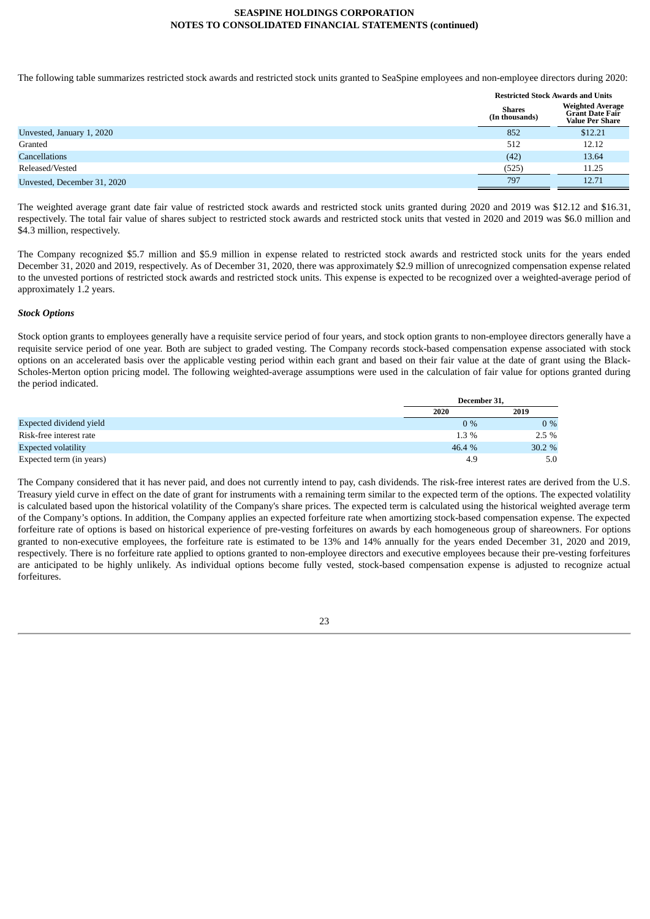The following table summarizes restricted stock awards and restricted stock units granted to SeaSpine employees and non-employee directors during 2020:

|                             | <b>Restricted Stock Awards and Units</b> |                                                                             |
|-----------------------------|------------------------------------------|-----------------------------------------------------------------------------|
|                             | <b>Shares</b><br>(In thousands)          | <b>Weighted Average</b><br><b>Grant Date Fair</b><br><b>Value Per Share</b> |
| Unvested, January 1, 2020   | 852                                      | \$12.21                                                                     |
| Granted                     | 512                                      | 12.12                                                                       |
| <b>Cancellations</b>        | (42)                                     | 13.64                                                                       |
| Released/Vested             | (525)                                    | 11.25                                                                       |
| Unvested, December 31, 2020 | 797                                      | 12.71                                                                       |

The weighted average grant date fair value of restricted stock awards and restricted stock units granted during 2020 and 2019 was \$12.12 and \$16.31, respectively. The total fair value of shares subject to restricted stock awards and restricted stock units that vested in 2020 and 2019 was \$6.0 million and \$4.3 million, respectively.

The Company recognized \$5.7 million and \$5.9 million in expense related to restricted stock awards and restricted stock units for the years ended December 31, 2020 and 2019, respectively. As of December 31, 2020, there was approximately \$2.9 million of unrecognized compensation expense related to the unvested portions of restricted stock awards and restricted stock units. This expense is expected to be recognized over a weighted-average period of approximately 1.2 years.

### *Stock Options*

Stock option grants to employees generally have a requisite service period of four years, and stock option grants to non-employee directors generally have a requisite service period of one year. Both are subject to graded vesting. The Company records stock-based compensation expense associated with stock options on an accelerated basis over the applicable vesting period within each grant and based on their fair value at the date of grant using the Black-Scholes-Merton option pricing model. The following weighted-average assumptions were used in the calculation of fair value for options granted during the period indicated.

|                                |         | December 31, |
|--------------------------------|---------|--------------|
|                                | 2020    | 2019         |
| <b>Expected dividend yield</b> | $0\%$   | $0\%$        |
| Risk-free interest rate        | $1.3\%$ | $2.5\%$      |
| <b>Expected volatility</b>     | 46.4 %  | 30.2%        |
| Expected term (in years)       | 4.9     | 5.0          |

The Company considered that it has never paid, and does not currently intend to pay, cash dividends. The risk-free interest rates are derived from the U.S. Treasury yield curve in effect on the date of grant for instruments with a remaining term similar to the expected term of the options. The expected volatility is calculated based upon the historical volatility of the Company's share prices. The expected term is calculated using the historical weighted average term of the Company's options. In addition, the Company applies an expected forfeiture rate when amortizing stock-based compensation expense. The expected forfeiture rate of options is based on historical experience of pre-vesting forfeitures on awards by each homogeneous group of shareowners. For options granted to non-executive employees, the forfeiture rate is estimated to be 13% and 14% annually for the years ended December 31, 2020 and 2019, respectively. There is no forfeiture rate applied to options granted to non-employee directors and executive employees because their pre-vesting forfeitures are anticipated to be highly unlikely. As individual options become fully vested, stock-based compensation expense is adjusted to recognize actual forfeitures.

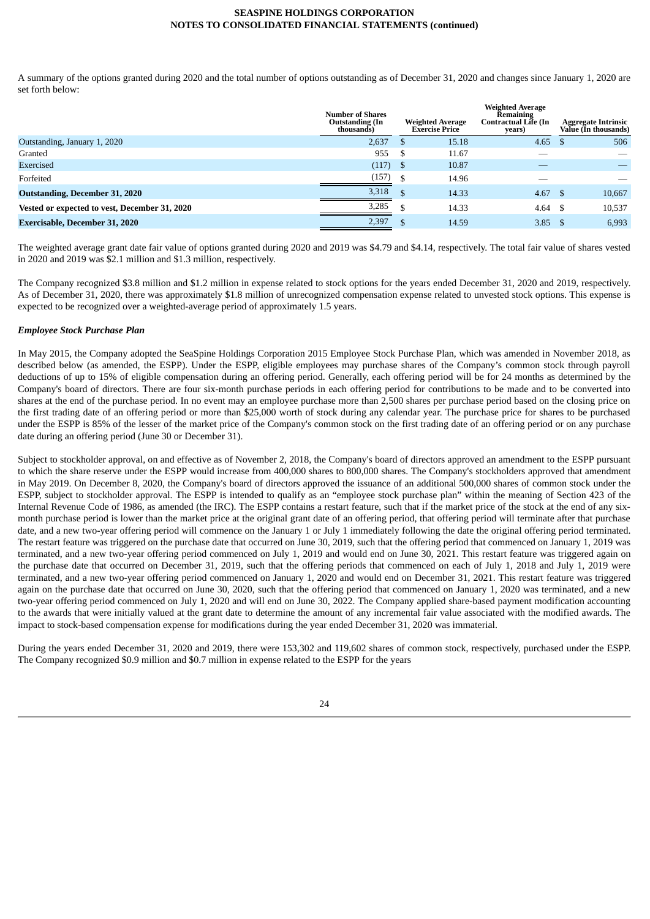A summary of the options granted during 2020 and the total number of options outstanding as of December 31, 2020 and changes since January 1, 2020 are set forth below:

|                                               | <b>Number of Shares</b><br><b>Outstanding (In</b><br>thousands) | <b>Weighted Average</b><br><b>Exercise Price</b> | <b>Weighted Average</b><br>Remaining<br>Contractual Life (In<br>years) |    | <b>Aggregate Intrinsic</b><br>Value (In thousands) |
|-----------------------------------------------|-----------------------------------------------------------------|--------------------------------------------------|------------------------------------------------------------------------|----|----------------------------------------------------|
| Outstanding, January 1, 2020                  | 2,637                                                           | 15.18                                            | 4.65                                                                   |    | 506                                                |
| Granted                                       | 955                                                             | 11.67                                            | __                                                                     |    |                                                    |
| Exercised                                     | $(117)$ \$                                                      | 10.87                                            |                                                                        |    |                                                    |
| Forfeited                                     | (157)                                                           | 14.96                                            |                                                                        |    |                                                    |
| <b>Outstanding, December 31, 2020</b>         | 3,318                                                           | 14.33                                            | 4.67 \$                                                                |    | 10,667                                             |
| Vested or expected to vest, December 31, 2020 | 3,285                                                           | 14.33                                            | 4.64                                                                   | -S | 10,537                                             |
| Exercisable, December 31, 2020                | 2,397                                                           | 14.59                                            | 3.85 \$                                                                |    | 6,993                                              |

The weighted average grant date fair value of options granted during 2020 and 2019 was \$4.79 and \$4.14, respectively. The total fair value of shares vested in 2020 and 2019 was \$2.1 million and \$1.3 million, respectively.

The Company recognized \$3.8 million and \$1.2 million in expense related to stock options for the years ended December 31, 2020 and 2019, respectively. As of December 31, 2020, there was approximately \$1.8 million of unrecognized compensation expense related to unvested stock options. This expense is expected to be recognized over a weighted-average period of approximately 1.5 years.

## *Employee Stock Purchase Plan*

In May 2015, the Company adopted the SeaSpine Holdings Corporation 2015 Employee Stock Purchase Plan, which was amended in November 2018, as described below (as amended, the ESPP). Under the ESPP, eligible employees may purchase shares of the Company's common stock through payroll deductions of up to 15% of eligible compensation during an offering period. Generally, each offering period will be for 24 months as determined by the Company's board of directors. There are four six-month purchase periods in each offering period for contributions to be made and to be converted into shares at the end of the purchase period. In no event may an employee purchase more than 2,500 shares per purchase period based on the closing price on the first trading date of an offering period or more than \$25,000 worth of stock during any calendar year. The purchase price for shares to be purchased under the ESPP is 85% of the lesser of the market price of the Company's common stock on the first trading date of an offering period or on any purchase date during an offering period (June 30 or December 31).

Subject to stockholder approval, on and effective as of November 2, 2018, the Company's board of directors approved an amendment to the ESPP pursuant to which the share reserve under the ESPP would increase from 400,000 shares to 800,000 shares. The Company's stockholders approved that amendment in May 2019. On December 8, 2020, the Company's board of directors approved the issuance of an additional 500,000 shares of common stock under the ESPP, subject to stockholder approval. The ESPP is intended to qualify as an "employee stock purchase plan" within the meaning of Section 423 of the Internal Revenue Code of 1986, as amended (the IRC). The ESPP contains a restart feature, such that if the market price of the stock at the end of any sixmonth purchase period is lower than the market price at the original grant date of an offering period, that offering period will terminate after that purchase date, and a new two-year offering period will commence on the January 1 or July 1 immediately following the date the original offering period terminated. The restart feature was triggered on the purchase date that occurred on June 30, 2019, such that the offering period that commenced on January 1, 2019 was terminated, and a new two-year offering period commenced on July 1, 2019 and would end on June 30, 2021. This restart feature was triggered again on the purchase date that occurred on December 31, 2019, such that the offering periods that commenced on each of July 1, 2018 and July 1, 2019 were terminated, and a new two-year offering period commenced on January 1, 2020 and would end on December 31, 2021. This restart feature was triggered again on the purchase date that occurred on June 30, 2020, such that the offering period that commenced on January 1, 2020 was terminated, and a new two-year offering period commenced on July 1, 2020 and will end on June 30, 2022. The Company applied share-based payment modification accounting to the awards that were initially valued at the grant date to determine the amount of any incremental fair value associated with the modified awards. The impact to stock-based compensation expense for modifications during the year ended December 31, 2020 was immaterial.

During the years ended December 31, 2020 and 2019, there were 153,302 and 119,602 shares of common stock, respectively, purchased under the ESPP. The Company recognized \$0.9 million and \$0.7 million in expense related to the ESPP for the years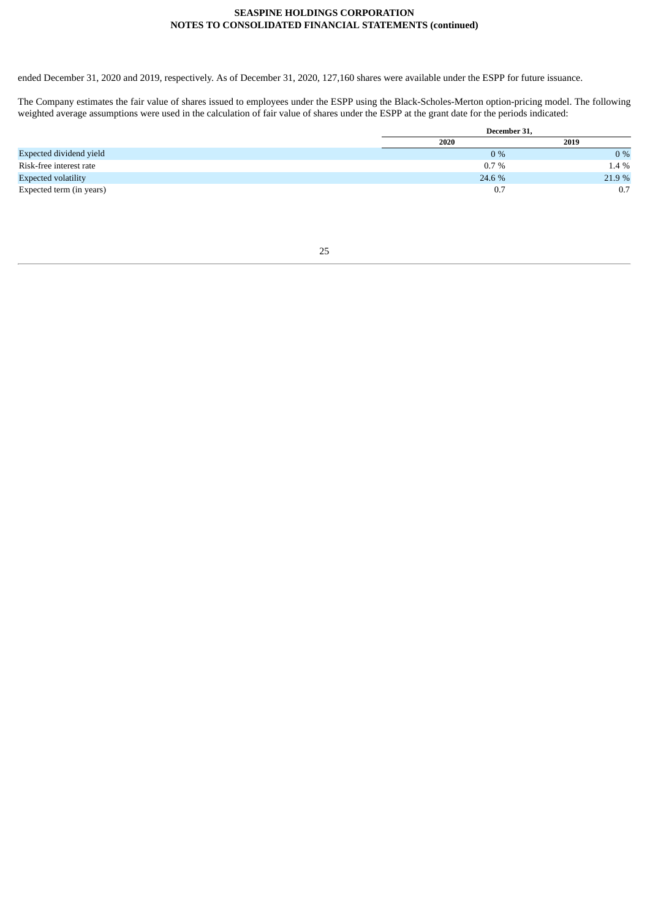ended December 31, 2020 and 2019, respectively. As of December 31, 2020, 127,160 shares were available under the ESPP for future issuance.

The Company estimates the fair value of shares issued to employees under the ESPP using the Black-Scholes-Merton option-pricing model. The following weighted average assumptions were used in the calculation of fair value of shares under the ESPP at the grant date for the periods indicated:

|                                |         | December 31, |  |  |  |  |
|--------------------------------|---------|--------------|--|--|--|--|
|                                | 2020    | 2019         |  |  |  |  |
| <b>Expected dividend yield</b> | $0\%$   | $0\%$        |  |  |  |  |
| Risk-free interest rate        | $0.7\%$ | 1.4 %        |  |  |  |  |
| <b>Expected volatility</b>     | 24.6 %  | 21.9 %       |  |  |  |  |
| Expected term (in years)       | 0.7     | 0.7          |  |  |  |  |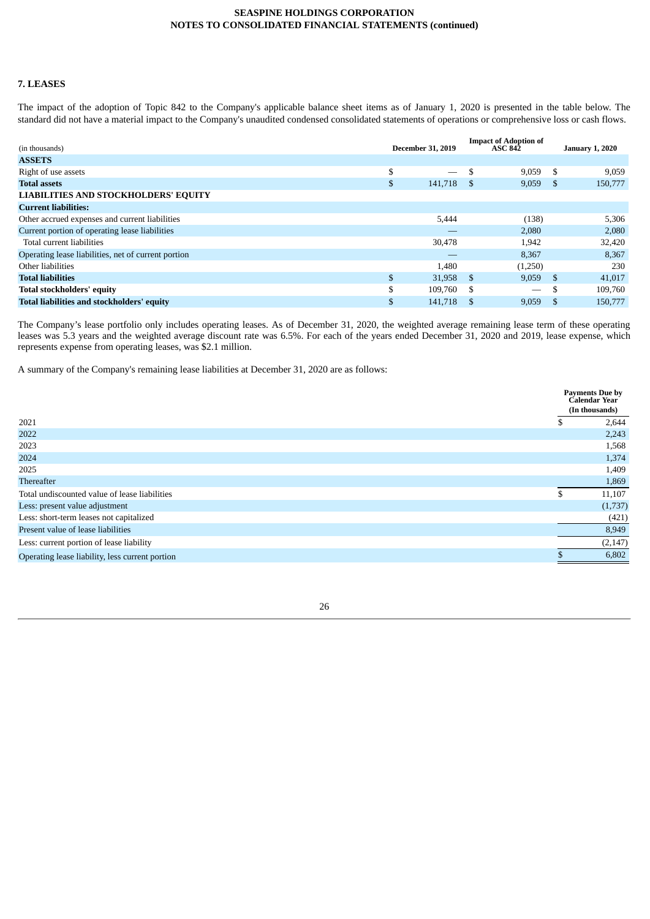## **7. LEASES**

The impact of the adoption of Topic 842 to the Company's applicable balance sheet items as of January 1, 2020 is presented in the table below. The standard did not have a material impact to the Company's unaudited condensed consolidated statements of operations or comprehensive loss or cash flows.

|                                                     |    |                          |              | <b>Impact of Adoption of</b> |      |                        |
|-----------------------------------------------------|----|--------------------------|--------------|------------------------------|------|------------------------|
| (in thousands)                                      |    | <b>December 31, 2019</b> |              | <b>ASC 842</b>               |      | <b>January 1, 2020</b> |
| <b>ASSETS</b>                                       |    |                          |              |                              |      |                        |
| Right of use assets                                 | \$ |                          | \$           | 9,059                        | \$   | 9,059                  |
| <b>Total assets</b>                                 | \$ | 141,718                  | <sup>S</sup> | 9,059                        | -S   | 150,777                |
| <b>LIABILITIES AND STOCKHOLDERS' EQUITY</b>         |    |                          |              |                              |      |                        |
| <b>Current liabilities:</b>                         |    |                          |              |                              |      |                        |
| Other accrued expenses and current liabilities      |    | 5,444                    |              | (138)                        |      | 5,306                  |
| Current portion of operating lease liabilities      |    |                          |              | 2,080                        |      | 2,080                  |
| Total current liabilities                           |    | 30,478                   |              | 1,942                        |      | 32,420                 |
| Operating lease liabilities, net of current portion |    |                          |              | 8,367                        |      | 8,367                  |
| Other liabilities                                   |    | 1,480                    |              | (1,250)                      |      | 230                    |
| <b>Total liabilities</b>                            | \$ | 31,958                   | - \$         | 9,059                        | - \$ | 41,017                 |
| <b>Total stockholders' equity</b>                   | ж  | 109,760                  | -S           | $\overline{\phantom{m}}$     | - \$ | 109,760                |
| Total liabilities and stockholders' equity          | \$ | 141,718                  |              | 9,059                        |      | 150,777                |

The Company's lease portfolio only includes operating leases. As of December 31, 2020, the weighted average remaining lease term of these operating leases was 5.3 years and the weighted average discount rate was 6.5%. For each of the years ended December 31, 2020 and 2019, lease expense, which represents expense from operating leases, was \$2.1 million.

A summary of the Company's remaining lease liabilities at December 31, 2020 are as follows:

|                                                 | <b>Payments Due by</b><br>Calendar Year<br>(In thousands) |          |
|-------------------------------------------------|-----------------------------------------------------------|----------|
|                                                 |                                                           |          |
| 2021                                            |                                                           | 2,644    |
| 2022                                            |                                                           | 2,243    |
| 2023                                            |                                                           | 1,568    |
| 2024                                            |                                                           | 1,374    |
| 2025                                            |                                                           | 1,409    |
| Thereafter                                      |                                                           | 1,869    |
| Total undiscounted value of lease liabilities   |                                                           | 11,107   |
| Less: present value adjustment                  |                                                           | (1,737)  |
| Less: short-term leases not capitalized         |                                                           | (421)    |
| Present value of lease liabilities              |                                                           | 8,949    |
| Less: current portion of lease liability        |                                                           | (2, 147) |
| Operating lease liability, less current portion |                                                           | 6,802    |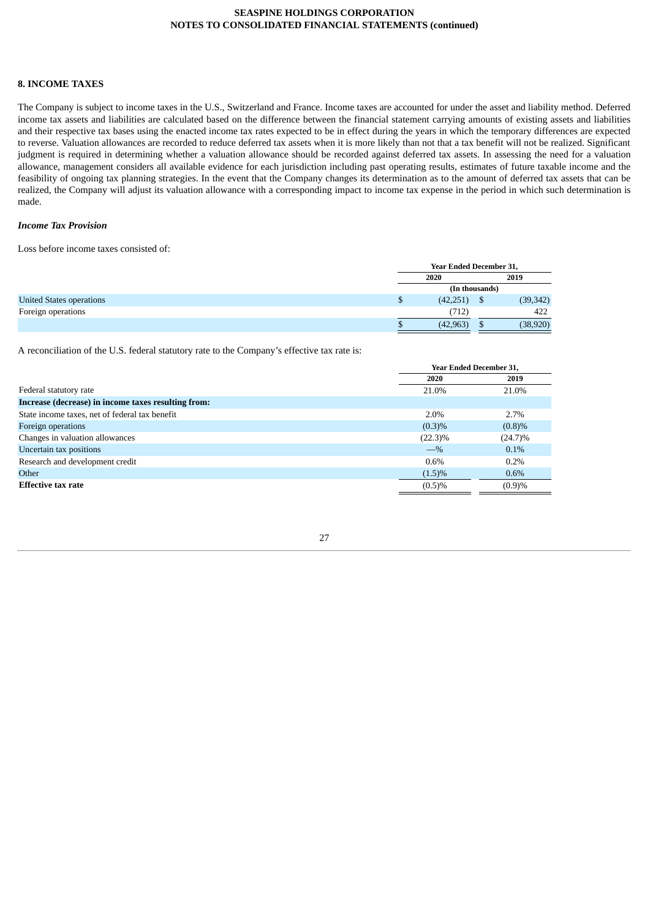#### **8. INCOME TAXES**

The Company is subject to income taxes in the U.S., Switzerland and France. Income taxes are accounted for under the asset and liability method. Deferred income tax assets and liabilities are calculated based on the difference between the financial statement carrying amounts of existing assets and liabilities and their respective tax bases using the enacted income tax rates expected to be in effect during the years in which the temporary differences are expected to reverse. Valuation allowances are recorded to reduce deferred tax assets when it is more likely than not that a tax benefit will not be realized. Significant judgment is required in determining whether a valuation allowance should be recorded against deferred tax assets. In assessing the need for a valuation allowance, management considers all available evidence for each jurisdiction including past operating results, estimates of future taxable income and the feasibility of ongoing tax planning strategies. In the event that the Company changes its determination as to the amount of deferred tax assets that can be realized, the Company will adjust its valuation allowance with a corresponding impact to income tax expense in the period in which such determination is made.

## *Income Tax Provision*

Loss before income taxes consisted of:

|                                 |   | Year Ended December 31, |  |           |  |
|---------------------------------|---|-------------------------|--|-----------|--|
|                                 |   | 2020                    |  | 2019      |  |
|                                 |   | (In thousands)          |  |           |  |
| <b>United States operations</b> | Φ | (42, 251)               |  | (39, 342) |  |
| Foreign operations              |   | (712)                   |  | 422       |  |
|                                 | D | (42, 963)               |  | (38, 920) |  |

A reconciliation of the U.S. federal statutory rate to the Company's effective tax rate is:

|                                                     |            | <b>Year Ended December 31,</b> |  |
|-----------------------------------------------------|------------|--------------------------------|--|
|                                                     | 2020       | 2019                           |  |
| Federal statutory rate                              | 21.0%      | 21.0%                          |  |
| Increase (decrease) in income taxes resulting from: |            |                                |  |
| State income taxes, net of federal tax benefit      | 2.0%       | 2.7%                           |  |
| Foreign operations                                  | (0.3)%     | (0.8)%                         |  |
| Changes in valuation allowances                     | $(22.3)\%$ | $(24.7)\%$                     |  |
| Uncertain tax positions                             | $-$ %      | $0.1\%$                        |  |
| Research and development credit                     | 0.6%       | 0.2%                           |  |
| Other                                               | $(1.5)\%$  | 0.6%                           |  |
| <b>Effective tax rate</b>                           | (0.5)%     | (0.9)%                         |  |
|                                                     |            |                                |  |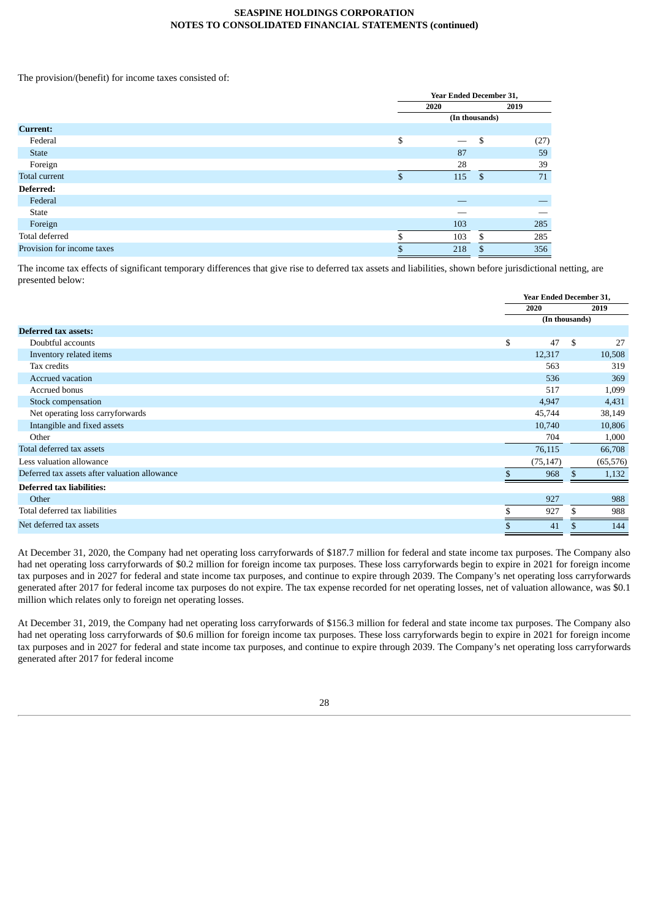The provision/(benefit) for income taxes consisted of:

|                            |           | <b>Year Ended December 31,</b> |      |  |
|----------------------------|-----------|--------------------------------|------|--|
|                            | 2020      | 2019                           |      |  |
|                            |           | (In thousands)                 |      |  |
| <b>Current:</b>            |           |                                |      |  |
| Federal                    | \$        | \$                             | (27) |  |
| <b>State</b>               | 87        |                                | 59   |  |
| Foreign                    | 28        |                                | 39   |  |
| Total current              | \$<br>115 | $\mathfrak{S}$                 | 71   |  |
| Deferred:                  |           |                                |      |  |
| Federal                    |           |                                |      |  |
| <b>State</b>               |           |                                |      |  |
| Foreign                    | 103       |                                | 285  |  |
| Total deferred             | 103       | \$                             | 285  |  |
| Provision for income taxes | 218       |                                | 356  |  |
|                            |           |                                |      |  |

The income tax effects of significant temporary differences that give rise to deferred tax assets and liabilities, shown before jurisdictional netting, are presented below:

|                                               | <b>Year Ended December 31,</b> |    |           |
|-----------------------------------------------|--------------------------------|----|-----------|
|                                               | 2020                           |    | 2019      |
|                                               | (In thousands)                 |    |           |
| <b>Deferred tax assets:</b>                   |                                |    |           |
| Doubtful accounts                             | \$<br>47                       | \$ | 27        |
| Inventory related items                       | 12,317                         |    | 10,508    |
| Tax credits                                   | 563                            |    | 319       |
| Accrued vacation                              | 536                            |    | 369       |
| Accrued bonus                                 | 517                            |    | 1,099     |
| Stock compensation                            | 4,947                          |    | 4,431     |
| Net operating loss carryforwards              | 45,744                         |    | 38,149    |
| Intangible and fixed assets                   | 10,740                         |    | 10,806    |
| Other                                         | 704                            |    | 1,000     |
| Total deferred tax assets                     | 76,115                         |    | 66,708    |
| Less valuation allowance                      | (75, 147)                      |    | (65, 576) |
| Deferred tax assets after valuation allowance | 968                            | \$ | 1,132     |
| <b>Deferred tax liabilities:</b>              |                                |    |           |
| Other                                         | 927                            |    | 988       |
| Total deferred tax liabilities                | \$<br>927                      | S  | 988       |
| Net deferred tax assets                       | \$<br>41                       |    | 144       |

At December 31, 2020, the Company had net operating loss carryforwards of \$187.7 million for federal and state income tax purposes. The Company also had net operating loss carryforwards of \$0.2 million for foreign income tax purposes. These loss carryforwards begin to expire in 2021 for foreign income tax purposes and in 2027 for federal and state income tax purposes, and continue to expire through 2039. The Company's net operating loss carryforwards generated after 2017 for federal income tax purposes do not expire. The tax expense recorded for net operating losses, net of valuation allowance, was \$0.1 million which relates only to foreign net operating losses.

At December 31, 2019, the Company had net operating loss carryforwards of \$156.3 million for federal and state income tax purposes. The Company also had net operating loss carryforwards of \$0.6 million for foreign income tax purposes. These loss carryforwards begin to expire in 2021 for foreign income tax purposes and in 2027 for federal and state income tax purposes, and continue to expire through 2039. The Company's net operating loss carryforwards generated after 2017 for federal income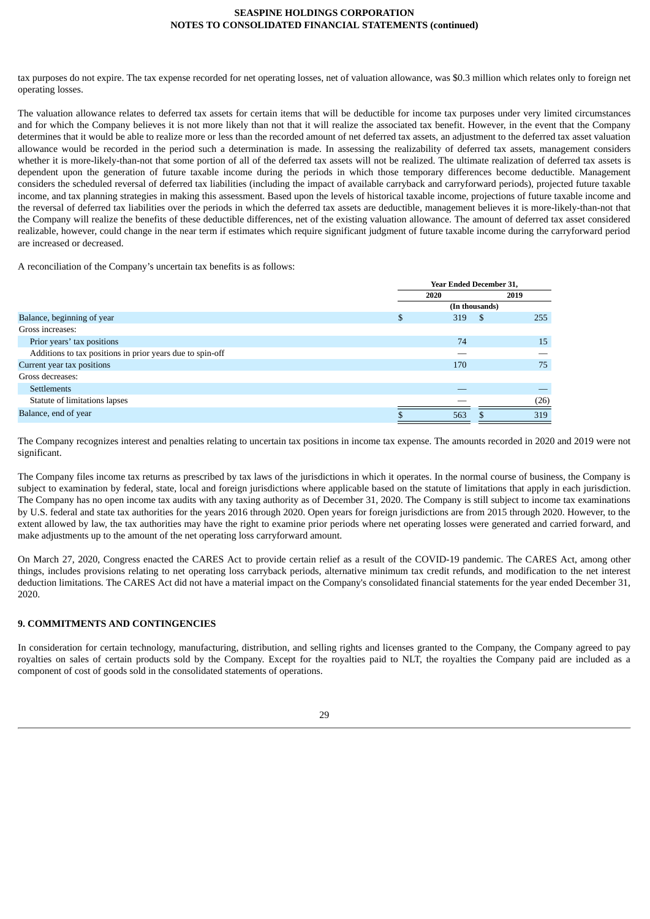### **SEASPINE HOLDINGS CORPORATION NOTES TO CONSOLIDATED FINANCIAL STATEMENTS (continued)**

tax purposes do not expire. The tax expense recorded for net operating losses, net of valuation allowance, was \$0.3 million which relates only to foreign net operating losses.

The valuation allowance relates to deferred tax assets for certain items that will be deductible for income tax purposes under very limited circumstances and for which the Company believes it is not more likely than not that it will realize the associated tax benefit. However, in the event that the Company determines that it would be able to realize more or less than the recorded amount of net deferred tax assets, an adjustment to the deferred tax asset valuation allowance would be recorded in the period such a determination is made. In assessing the realizability of deferred tax assets, management considers whether it is more-likely-than-not that some portion of all of the deferred tax assets will not be realized. The ultimate realization of deferred tax assets is dependent upon the generation of future taxable income during the periods in which those temporary differences become deductible. Management considers the scheduled reversal of deferred tax liabilities (including the impact of available carryback and carryforward periods), projected future taxable income, and tax planning strategies in making this assessment. Based upon the levels of historical taxable income, projections of future taxable income and the reversal of deferred tax liabilities over the periods in which the deferred tax assets are deductible, management believes it is more-likely-than-not that the Company will realize the benefits of these deductible differences, net of the existing valuation allowance. The amount of deferred tax asset considered realizable, however, could change in the near term if estimates which require significant judgment of future taxable income during the carryforward period are increased or decreased.

A reconciliation of the Company's uncertain tax benefits is as follows:

|                                                           | <b>Year Ended December 31,</b> |                |      |  |
|-----------------------------------------------------------|--------------------------------|----------------|------|--|
|                                                           | 2020                           | 2019           |      |  |
|                                                           |                                | (In thousands) |      |  |
| Balance, beginning of year                                | 319                            | - 5            | 255  |  |
| Gross increases:                                          |                                |                |      |  |
| Prior years' tax positions                                | 74                             |                | 15   |  |
| Additions to tax positions in prior years due to spin-off |                                |                |      |  |
| Current year tax positions                                | 170                            |                | 75   |  |
| Gross decreases:                                          |                                |                |      |  |
| Settlements                                               |                                |                |      |  |
| Statute of limitations lapses                             |                                |                | (26) |  |
| Balance, end of year                                      | 563                            |                | 319  |  |

The Company recognizes interest and penalties relating to uncertain tax positions in income tax expense. The amounts recorded in 2020 and 2019 were not significant.

The Company files income tax returns as prescribed by tax laws of the jurisdictions in which it operates. In the normal course of business, the Company is subject to examination by federal, state, local and foreign jurisdictions where applicable based on the statute of limitations that apply in each jurisdiction. The Company has no open income tax audits with any taxing authority as of December 31, 2020. The Company is still subject to income tax examinations by U.S. federal and state tax authorities for the years 2016 through 2020. Open years for foreign jurisdictions are from 2015 through 2020. However, to the extent allowed by law, the tax authorities may have the right to examine prior periods where net operating losses were generated and carried forward, and make adjustments up to the amount of the net operating loss carryforward amount.

On March 27, 2020, Congress enacted the CARES Act to provide certain relief as a result of the COVID-19 pandemic. The CARES Act, among other things, includes provisions relating to net operating loss carryback periods, alternative minimum tax credit refunds, and modification to the net interest deduction limitations. The CARES Act did not have a material impact on the Company's consolidated financial statements for the year ended December 31, 2020.

### **9. COMMITMENTS AND CONTINGENCIES**

In consideration for certain technology, manufacturing, distribution, and selling rights and licenses granted to the Company, the Company agreed to pay royalties on sales of certain products sold by the Company. Except for the royalties paid to NLT, the royalties the Company paid are included as a component of cost of goods sold in the consolidated statements of operations.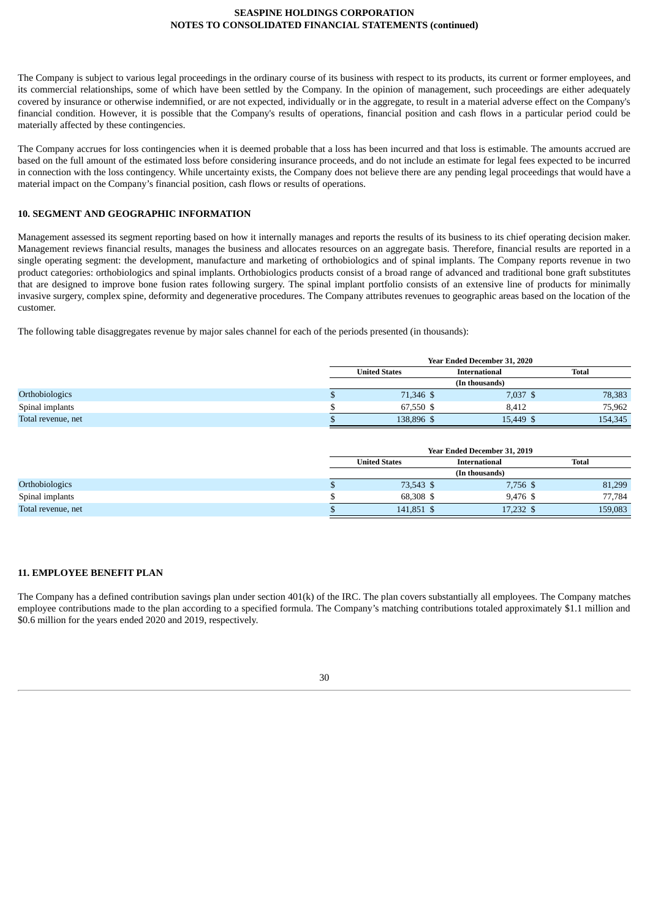### **SEASPINE HOLDINGS CORPORATION NOTES TO CONSOLIDATED FINANCIAL STATEMENTS (continued)**

The Company is subject to various legal proceedings in the ordinary course of its business with respect to its products, its current or former employees, and its commercial relationships, some of which have been settled by the Company. In the opinion of management, such proceedings are either adequately covered by insurance or otherwise indemnified, or are not expected, individually or in the aggregate, to result in a material adverse effect on the Company's financial condition. However, it is possible that the Company's results of operations, financial position and cash flows in a particular period could be materially affected by these contingencies.

The Company accrues for loss contingencies when it is deemed probable that a loss has been incurred and that loss is estimable. The amounts accrued are based on the full amount of the estimated loss before considering insurance proceeds, and do not include an estimate for legal fees expected to be incurred in connection with the loss contingency. While uncertainty exists, the Company does not believe there are any pending legal proceedings that would have a material impact on the Company's financial position, cash flows or results of operations.

### **10. SEGMENT AND GEOGRAPHIC INFORMATION**

Management assessed its segment reporting based on how it internally manages and reports the results of its business to its chief operating decision maker. Management reviews financial results, manages the business and allocates resources on an aggregate basis. Therefore, financial results are reported in a single operating segment: the development, manufacture and marketing of orthobiologics and of spinal implants. The Company reports revenue in two product categories: orthobiologics and spinal implants. Orthobiologics products consist of a broad range of advanced and traditional bone graft substitutes that are designed to improve bone fusion rates following surgery. The spinal implant portfolio consists of an extensive line of products for minimally invasive surgery, complex spine, deformity and degenerative procedures. The Company attributes revenues to geographic areas based on the location of the customer.

The following table disaggregates revenue by major sales channel for each of the periods presented (in thousands):

|                       |   | Year Ended December 31, 2020 |              |         |  |  |  |
|-----------------------|---|------------------------------|--------------|---------|--|--|--|
|                       |   | <b>United States</b>         | <b>Total</b> |         |  |  |  |
|                       |   | (In thousands)               |              |         |  |  |  |
| <b>Orthobiologics</b> | Φ | 71,346 \$                    | 7,037 \$     | 78,383  |  |  |  |
| Spinal implants       |   | 67,550 \$                    | 8,412        | 75.962  |  |  |  |
| Total revenue, net    | ω | 138,896 \$                   | 15,449 \$    | 154,345 |  |  |  |

|                    |   | Year Ended December 31, 2019          |           |         |  |  |  |
|--------------------|---|---------------------------------------|-----------|---------|--|--|--|
|                    |   | <b>United States</b><br>International |           | Total   |  |  |  |
|                    |   | (In thousands)                        |           |         |  |  |  |
| Orthobiologics     | Φ | 73,543 \$                             | 7,756 \$  | 81,299  |  |  |  |
| Spinal implants    |   | 68,308 \$                             | 9,476 \$  | 77,784  |  |  |  |
| Total revenue, net |   | 141,851 \$                            | 17,232 \$ | 159,083 |  |  |  |

### **11. EMPLOYEE BENEFIT PLAN**

The Company has a defined contribution savings plan under section 401(k) of the IRC. The plan covers substantially all employees. The Company matches employee contributions made to the plan according to a specified formula. The Company's matching contributions totaled approximately \$1.1 million and \$0.6 million for the years ended 2020 and 2019, respectively.

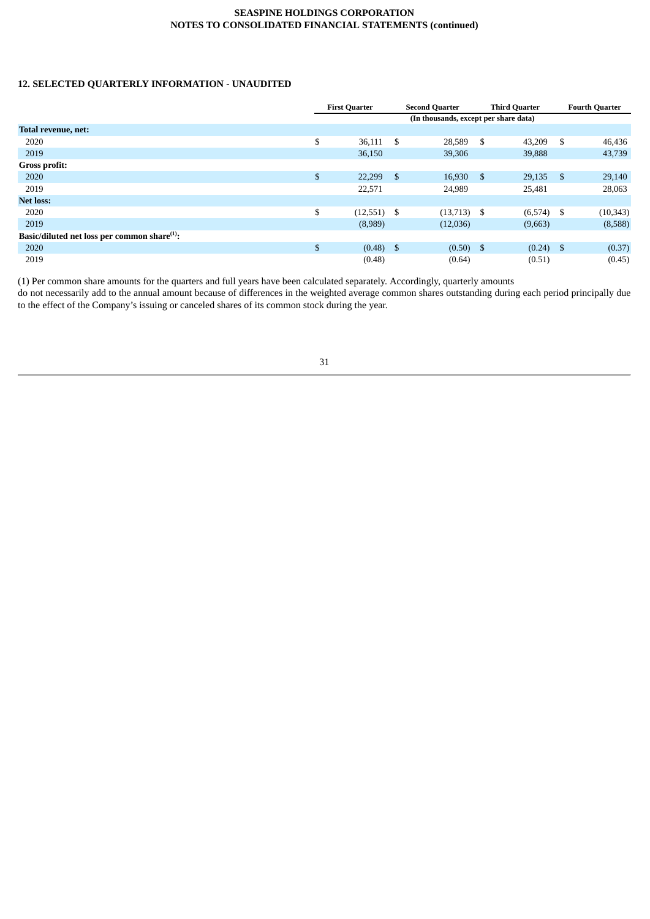# **SEASPINE HOLDINGS CORPORATION NOTES TO CONSOLIDATED FINANCIAL STATEMENTS (continued)**

# **12. SELECTED QUARTERLY INFORMATION - UNAUDITED**

|                                                          | <b>First Quarter</b> |                                       | <b>Second Quarter</b> |    | <b>Third Quarter</b> |      | <b>Fourth Quarter</b> |  |
|----------------------------------------------------------|----------------------|---------------------------------------|-----------------------|----|----------------------|------|-----------------------|--|
|                                                          |                      | (In thousands, except per share data) |                       |    |                      |      |                       |  |
| Total revenue, net:                                      |                      |                                       |                       |    |                      |      |                       |  |
| 2020                                                     | \$<br>36,111         | \$                                    | 28,589                | \$ | 43,209               | \$   | 46,436                |  |
| 2019                                                     | 36,150               |                                       | 39,306                |    | 39,888               |      | 43,739                |  |
| Gross profit:                                            |                      |                                       |                       |    |                      |      |                       |  |
| 2020                                                     | \$<br>22,299         | $\mathfrak{S}$                        | 16,930                | \$ | 29,135               | \$   | 29,140                |  |
| 2019                                                     | 22,571               |                                       | 24,989                |    | 25,481               |      | 28,063                |  |
| <b>Net loss:</b>                                         |                      |                                       |                       |    |                      |      |                       |  |
| 2020                                                     | \$<br>$(12,551)$ \$  |                                       | $(13,713)$ \$         |    | (6,574)              | - \$ | (10, 343)             |  |
| 2019                                                     | (8,989)              |                                       | (12,036)              |    | (9,663)              |      | (8,588)               |  |
| Basic/diluted net loss per common share <sup>(1)</sup> : |                      |                                       |                       |    |                      |      |                       |  |
| 2020                                                     | \$<br>$(0.48)$ \$    |                                       | $(0.50)$ \$           |    | $(0.24)$ \$          |      | (0.37)                |  |
| 2019                                                     | (0.48)               |                                       | (0.64)                |    | (0.51)               |      | (0.45)                |  |

(1) Per common share amounts for the quarters and full years have been calculated separately. Accordingly, quarterly amounts

do not necessarily add to the annual amount because of differences in the weighted average common shares outstanding during each period principally due to the effect of the Company's issuing or canceled shares of its common stock during the year.

31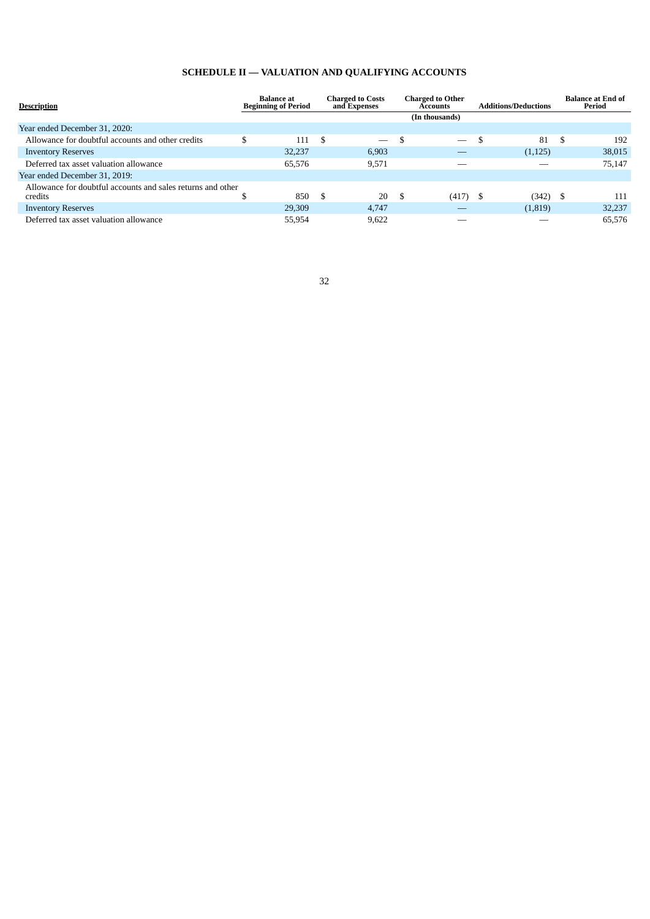# **SCHEDULE II — VALUATION AND QUALIFYING ACCOUNTS**

| <b>Description</b>                                          | <b>Balance</b> at<br><b>Beginning of Period</b> |        | <b>Charged to Costs</b><br>and Expenses |                               | <b>Charged to Other</b><br><b>Accounts</b> |                          | <b>Additions/Deductions</b> |            | <b>Balance at End of</b><br>Period |        |
|-------------------------------------------------------------|-------------------------------------------------|--------|-----------------------------------------|-------------------------------|--------------------------------------------|--------------------------|-----------------------------|------------|------------------------------------|--------|
|                                                             |                                                 |        |                                         |                               |                                            | (In thousands)           |                             |            |                                    |        |
| Year ended December 31, 2020:                               |                                                 |        |                                         |                               |                                            |                          |                             |            |                                    |        |
| Allowance for doubtful accounts and other credits           |                                                 | 111    | \$                                      | $\overbrace{\phantom{12333}}$ |                                            | $\overline{\phantom{m}}$ |                             | 81         | - \$                               | 192    |
| <b>Inventory Reserves</b>                                   |                                                 | 32.237 |                                         | 6.903                         |                                            |                          |                             | (1, 125)   |                                    | 38,015 |
| Deferred tax asset valuation allowance                      |                                                 | 65,576 |                                         | 9,571                         |                                            |                          |                             |            |                                    | 75,147 |
| Year ended December 31, 2019:                               |                                                 |        |                                         |                               |                                            |                          |                             |            |                                    |        |
| Allowance for doubtful accounts and sales returns and other |                                                 |        |                                         |                               |                                            |                          |                             |            |                                    |        |
| credits                                                     |                                                 | 850    | -S                                      | 20                            | -\$                                        | $(417)$ \$               |                             | $(342)$ \$ |                                    | 111    |
| <b>Inventory Reserves</b>                                   |                                                 | 29,309 |                                         | 4.747                         |                                            |                          |                             | (1,819)    |                                    | 32,237 |
| Deferred tax asset valuation allowance                      |                                                 | 55,954 |                                         | 9,622                         |                                            |                          |                             |            |                                    | 65,576 |

# 32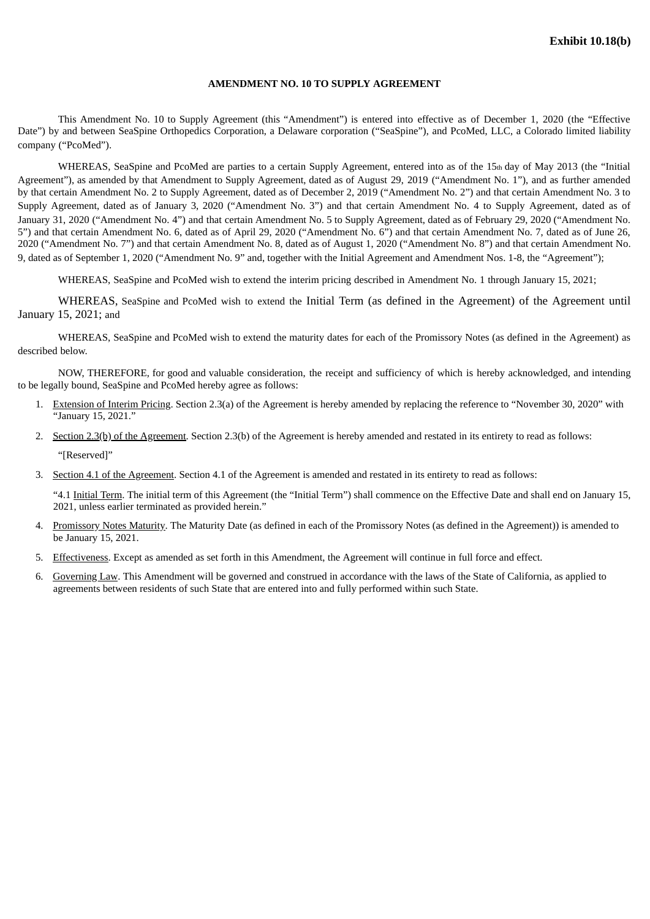## **AMENDMENT NO. 10 TO SUPPLY AGREEMENT**

This Amendment No. 10 to Supply Agreement (this "Amendment") is entered into effective as of December 1, 2020 (the "Effective Date") by and between SeaSpine Orthopedics Corporation, a Delaware corporation ("SeaSpine"), and PcoMed, LLC, a Colorado limited liability company ("PcoMed").

WHEREAS, SeaSpine and PcoMed are parties to a certain Supply Agreement, entered into as of the 15th day of May 2013 (the "Initial Agreement"), as amended by that Amendment to Supply Agreement, dated as of August 29, 2019 ("Amendment No. 1"), and as further amended by that certain Amendment No. 2 to Supply Agreement, dated as of December 2, 2019 ("Amendment No. 2") and that certain Amendment No. 3 to Supply Agreement, dated as of January 3, 2020 ("Amendment No. 3") and that certain Amendment No. 4 to Supply Agreement, dated as of January 31, 2020 ("Amendment No. 4") and that certain Amendment No. 5 to Supply Agreement, dated as of February 29, 2020 ("Amendment No. 5") and that certain Amendment No. 6, dated as of April 29, 2020 ("Amendment No. 6") and that certain Amendment No. 7, dated as of June 26, 2020 ("Amendment No. 7") and that certain Amendment No. 8, dated as of August 1, 2020 ("Amendment No. 8") and that certain Amendment No. 9, dated as of September 1, 2020 ("Amendment No. 9" and, together with the Initial Agreement and Amendment Nos. 1-8, the "Agreement");

WHEREAS, SeaSpine and PcoMed wish to extend the interim pricing described in Amendment No. 1 through January 15, 2021;

WHEREAS, SeaSpine and PcoMed wish to extend the Initial Term (as defined in the Agreement) of the Agreement until January 15, 2021; and

WHEREAS, SeaSpine and PcoMed wish to extend the maturity dates for each of the Promissory Notes (as defined in the Agreement) as described below.

NOW, THEREFORE, for good and valuable consideration, the receipt and sufficiency of which is hereby acknowledged, and intending to be legally bound, SeaSpine and PcoMed hereby agree as follows:

- 1. Extension of Interim Pricing. Section 2.3(a) of the Agreement is hereby amended by replacing the reference to "November 30, 2020" with "January 15, 2021."
- 2. Section 2.3(b) of the Agreement. Section 2.3(b) of the Agreement is hereby amended and restated in its entirety to read as follows: "[Reserved]"
- 3. Section 4.1 of the Agreement. Section 4.1 of the Agreement is amended and restated in its entirety to read as follows:

"4.1 Initial Term. The initial term of this Agreement (the "Initial Term") shall commence on the Effective Date and shall end on January 15, 2021, unless earlier terminated as provided herein."

- 4. Promissory Notes Maturity. The Maturity Date (as defined in each of the Promissory Notes (as defined in the Agreement)) is amended to be January 15, 2021.
- 5. Effectiveness. Except as amended as set forth in this Amendment, the Agreement will continue in full force and effect.
- 6. Governing Law. This Amendment will be governed and construed in accordance with the laws of the State of California, as applied to agreements between residents of such State that are entered into and fully performed within such State.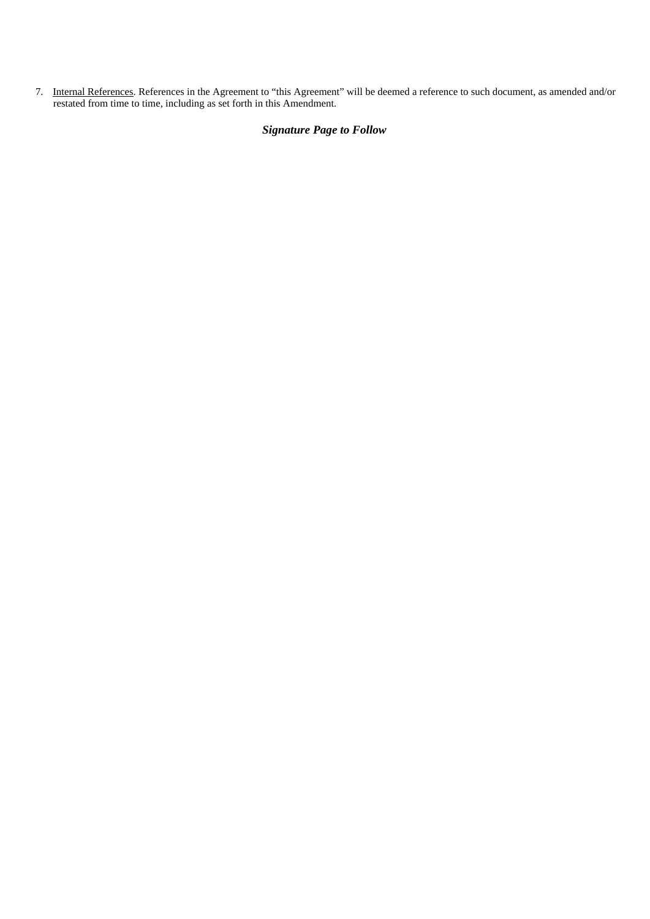7. Internal References. References in the Agreement to "this Agreement" will be deemed a reference to such document, as amended and/or restated from time to time, including as set forth in this Amendment.

# *Signature Page to Follow*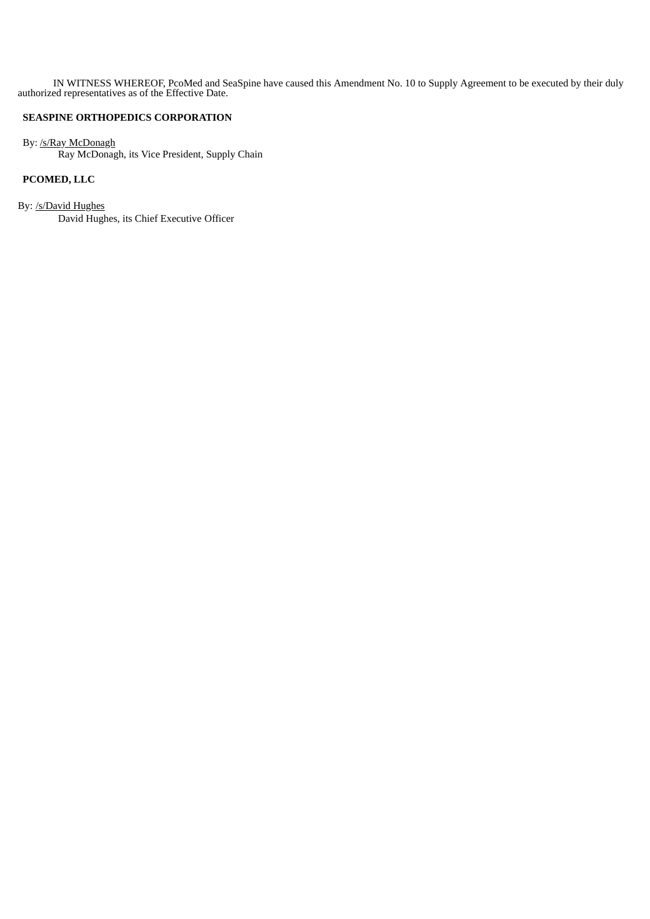IN WITNESS WHEREOF, PcoMed and SeaSpine have caused this Amendment No. 10 to Supply Agreement to be executed by their duly authorized representatives as of the Effective Date.

# **SEASPINE ORTHOPEDICS CORPORATION**

By: /s/Ray McDonagh

Ray McDonagh, its Vice President, Supply Chain

# **PCOMED, LLC**

By: /s/David Hughes David Hughes, its Chief Executive Officer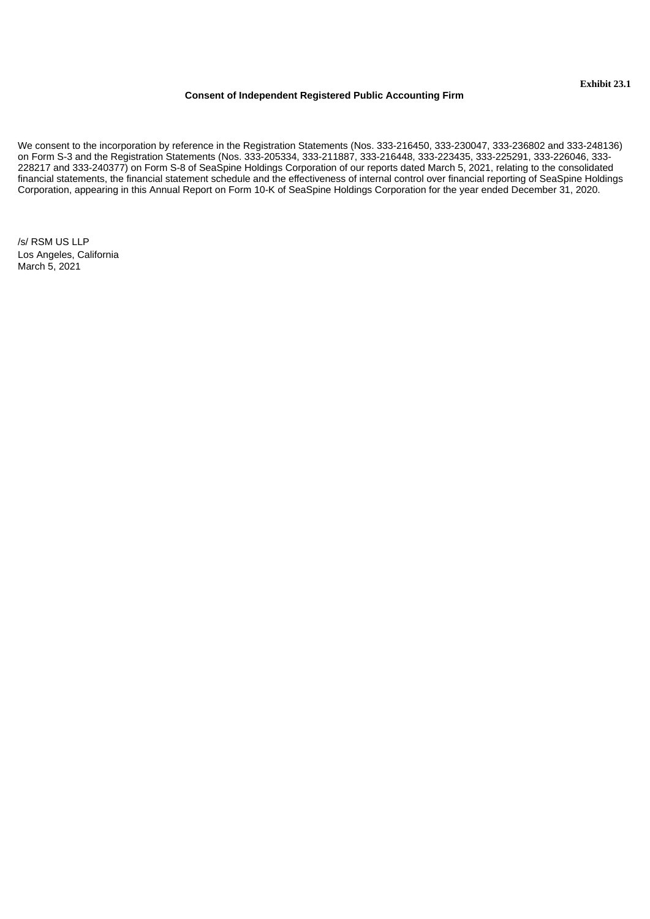# **Consent of Independent Registered Public Accounting Firm**

We consent to the incorporation by reference in the Registration Statements (Nos. 333-216450, 333‑230047, 333-236802 and 333-248136) on Form S-3 and the Registration Statements (Nos. 333‑205334, 333-211887, 333-216448, 333-223435, 333-225291, 333-226046, 333- 228217 and 333-240377) on Form S-8 of SeaSpine Holdings Corporation of our reports dated March 5, 2021, relating to the consolidated financial statements, the financial statement schedule and the effectiveness of internal control over financial reporting of SeaSpine Holdings Corporation, appearing in this Annual Report on Form 10-K of SeaSpine Holdings Corporation for the year ended December 31, 2020.

/s/ RSM US LLP Los Angeles, California March 5, 2021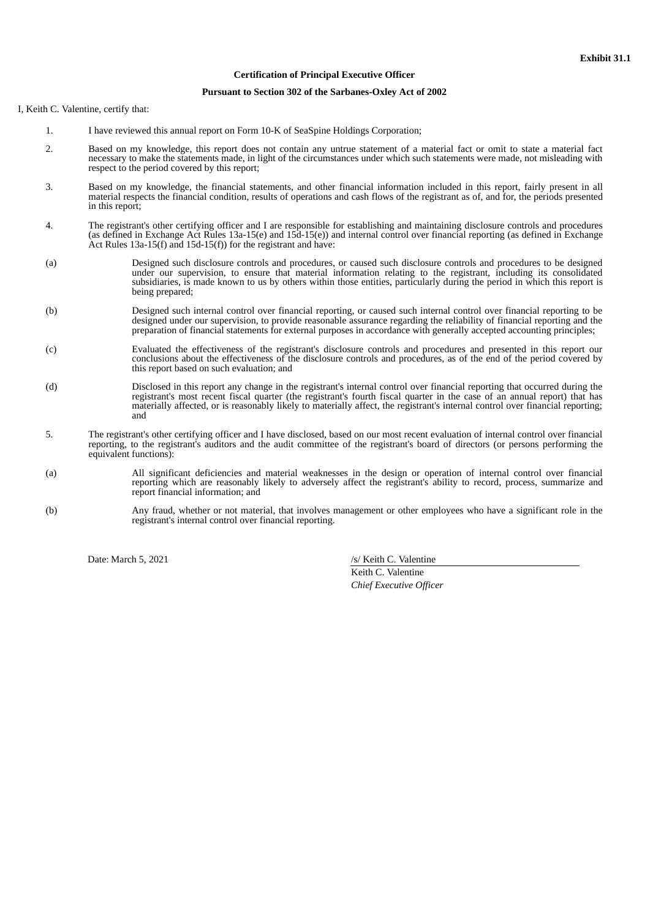#### **Certification of Principal Executive Officer**

#### **Pursuant to Section 302 of the Sarbanes-Oxley Act of 2002**

I, Keith C. Valentine, certify that:

- 1. I have reviewed this annual report on Form 10-K of SeaSpine Holdings Corporation;
- 2. Based on my knowledge, this report does not contain any untrue statement of a material fact or omit to state a material fact necessary to make the statements made, in light of the circumstances under which such statements were made, not misleading with respect to the period covered by this report;
- 3. Based on my knowledge, the financial statements, and other financial information included in this report, fairly present in all material respects the financial condition, results of operations and cash flows of the registrant as of, and for, the periods presented in this report;
- 4. The registrant's other certifying officer and I are responsible for establishing and maintaining disclosure controls and procedures (as defined in Exchange Act Rules 13a-15(e) and 15d-15(e)) and internal control over financial reporting (as defined in Exchange Act Rules 13a-15(f) and 15d-15(f)) for the registrant and have:
- (a) Designed such disclosure controls and procedures, or caused such disclosure controls and procedures to be designed under our supervision, to ensure that material information relating to the registrant, including its consolidated subsidiaries, is made known to us by others within those entities, particularly during the period in which this report is being prepared;
- (b) Designed such internal control over financial reporting, or caused such internal control over financial reporting to be designed under our supervision, to provide reasonable assurance regarding the reliability of financial reporting and the preparation of financial statements for external purposes in accordance with generally accepted accounting principles;
- (c) Evaluated the effectiveness of the registrant's disclosure controls and procedures and presented in this report our conclusions about the effectiveness of the disclosure controls and procedures, as of the end of the period covered by this report based on such evaluation; and
- (d) Disclosed in this report any change in the registrant's internal control over financial reporting that occurred during the registrant's most recent fiscal quarter (the registrant's fourth fiscal quarter in the case of an annual report) that has materially affected, or is reasonably likely to materially affect, the registrant's internal control over financial reporting; and
- 5. The registrant's other certifying officer and I have disclosed, based on our most recent evaluation of internal control over financial reporting, to the registrant's auditors and the audit committee of the registrant's board of directors (or persons performing the equivalent functions):
- (a) All significant deficiencies and material weaknesses in the design or operation of internal control over financial reporting which are reasonably likely to adversely affect the registrant's ability to record, process, summarize and report financial information; and
- (b) Any fraud, whether or not material, that involves management or other employees who have a significant role in the registrant's internal control over financial reporting.

Date: March 5, 2021 /s/ Keith C. Valentine

Keith C. Valentine *Chief Executive Officer*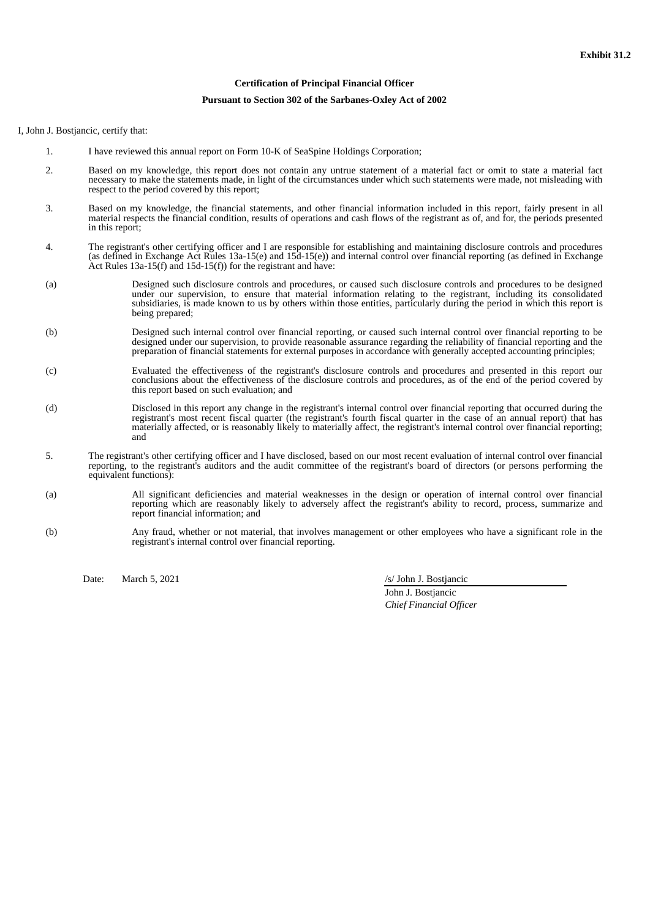## **Certification of Principal Financial Officer**

#### **Pursuant to Section 302 of the Sarbanes-Oxley Act of 2002**

I, John J. Bostjancic, certify that:

- 1. I have reviewed this annual report on Form 10-K of SeaSpine Holdings Corporation;
- 2. Based on my knowledge, this report does not contain any untrue statement of a material fact or omit to state a material fact necessary to make the statements made, in light of the circumstances under which such statements were made, not misleading with respect to the period covered by this report;
- 3. Based on my knowledge, the financial statements, and other financial information included in this report, fairly present in all material respects the financial condition, results of operations and cash flows of the registrant as of, and for, the periods presented in this report;
- 4. The registrant's other certifying officer and I are responsible for establishing and maintaining disclosure controls and procedures (as defined in Exchange Act Rules 13a-15(e) and 15d-15(e)) and internal control over financial reporting (as defined in Exchange Act Rules 13a-15(f) and 15d-15(f)) for the registrant and have:
- (a) Designed such disclosure controls and procedures, or caused such disclosure controls and procedures to be designed under our supervision, to ensure that material information relating to the registrant, including its consolidated subsidiaries, is made known to us by others within those entities, particularly during the period in which this report is being prepared;
- (b) Designed such internal control over financial reporting, or caused such internal control over financial reporting to be designed under our supervision, to provide reasonable assurance regarding the reliability of financial reporting and the preparation of financial statements for external purposes in accordance with generally accepted accounting principles;
- (c) Evaluated the effectiveness of the registrant's disclosure controls and procedures and presented in this report our conclusions about the effectiveness of the disclosure controls and procedures, as of the end of the period covered by this report based on such evaluation; and
- (d) Disclosed in this report any change in the registrant's internal control over financial reporting that occurred during the registrant's most recent fiscal quarter (the registrant's fourth fiscal quarter in the case of an annual report) that has materially affected, or is reasonably likely to materially affect, the registrant's internal control over financial reporting; and
- 5. The registrant's other certifying officer and I have disclosed, based on our most recent evaluation of internal control over financial reporting, to the registrant's auditors and the audit committee of the registrant's board of directors (or persons performing the equivalent functions):
- (a) All significant deficiencies and material weaknesses in the design or operation of internal control over financial reporting which are reasonably likely to adversely affect the registrant's ability to record, process, summarize and report financial information; and
- (b) Any fraud, whether or not material, that involves management or other employees who have a significant role in the registrant's internal control over financial reporting.

Date: March 5, 2021 /s/ John J. Bostjancic

John J. Bostjancic *Chief Financial Officer*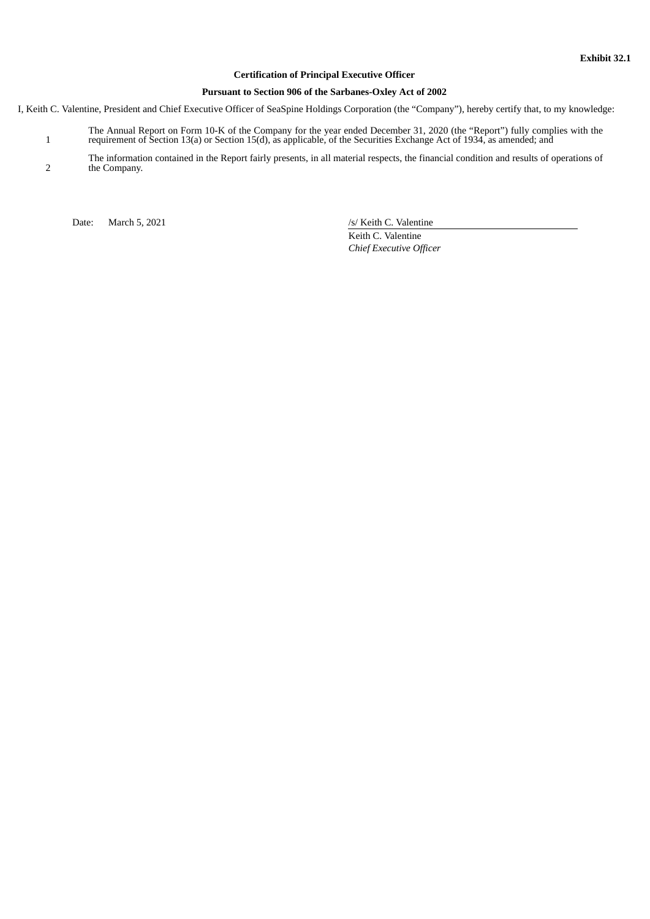# **Certification of Principal Executive Officer**

### **Pursuant to Section 906 of the Sarbanes-Oxley Act of 2002**

I, Keith C. Valentine, President and Chief Executive Officer of SeaSpine Holdings Corporation (the "Company"), hereby certify that, to my knowledge:

- 1 The Annual Report on Form 10-K of the Company for the year ended December 31, 2020 (the "Report") fully complies with the requirement of Section 13(a) or Section 15(d), as applicable, of the Securities Exchange Act of 1934, as amended; and
- 2 The information contained in the Report fairly presents, in all material respects, the financial condition and results of operations of the Company.

Date: March 5, 2021 /s/ Keith C. Valentine

Keith C. Valentine *Chief Executive Officer*